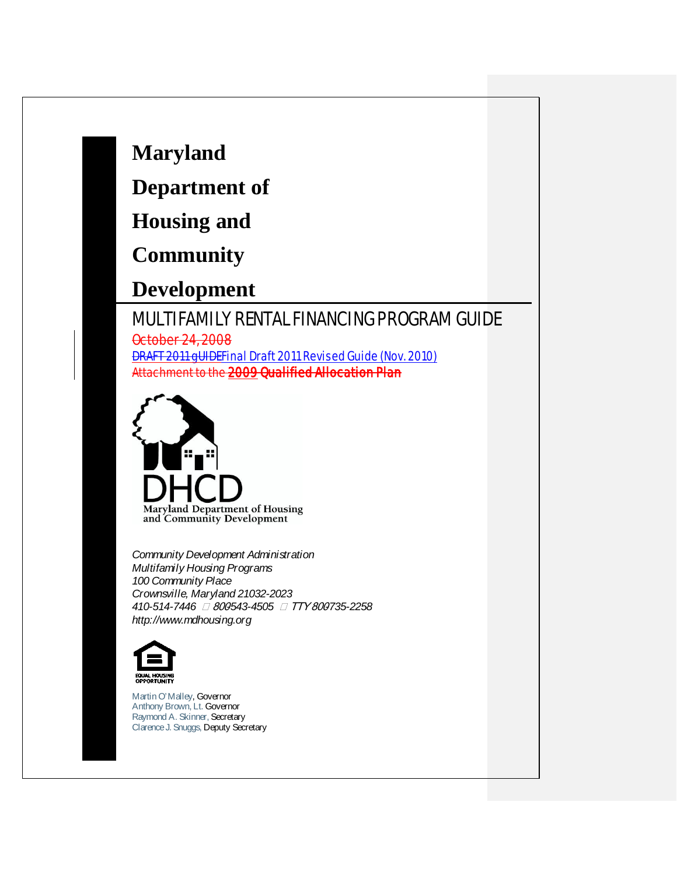**Maryland**

**Department of**

**Housing and**

**Community**

**Development**

# MULTIFAMILY RENTAL FINANCING PROGRAM GUIDE

October 24, 2008 DRAFT 2011 gUIDEFinal Draft 2011 Revised Guide (Nov. 2010) Attachment to the 2009 Qualified Allocation Plan



*Community Development Administration Multifamily Housing Programs 100 Community Place Crownsville, Maryland 21032-2023*  $410-514-7446$  *□ 800543-4505 □ TTY 800735-2258 http://www.mdhousing.org*



Martin O'Malley, Governor Anthony Brown, Lt. Governor Raymond A. Skinner, Secretary Clarence J. Snuggs, Deputy Secretary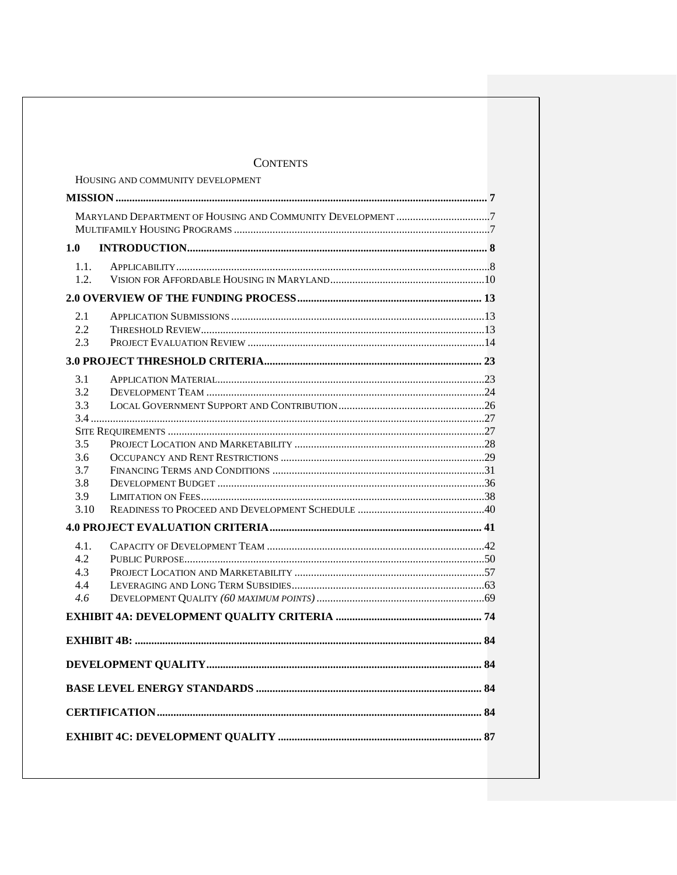# **CONTENTS**

|      | HOUSING AND COMMUNITY DEVELOPMENT |  |
|------|-----------------------------------|--|
|      |                                   |  |
|      |                                   |  |
|      |                                   |  |
| 1.0  |                                   |  |
| 1.1. |                                   |  |
| 1.2. |                                   |  |
|      |                                   |  |
| 2.1  |                                   |  |
| 2.2  |                                   |  |
| 2.3  |                                   |  |
|      |                                   |  |
| 3.1  |                                   |  |
| 3.2  |                                   |  |
| 3.3  |                                   |  |
|      |                                   |  |
| 3.5  |                                   |  |
| 3.6  |                                   |  |
| 3.7  |                                   |  |
| 3.8  |                                   |  |
| 3.9  |                                   |  |
| 3.10 |                                   |  |
|      |                                   |  |
| 4.1. |                                   |  |
| 4.2. |                                   |  |
| 4.3  |                                   |  |
| 4.4  |                                   |  |
| 4.6  |                                   |  |
|      |                                   |  |
|      |                                   |  |
|      |                                   |  |
|      |                                   |  |
|      |                                   |  |
|      |                                   |  |
|      |                                   |  |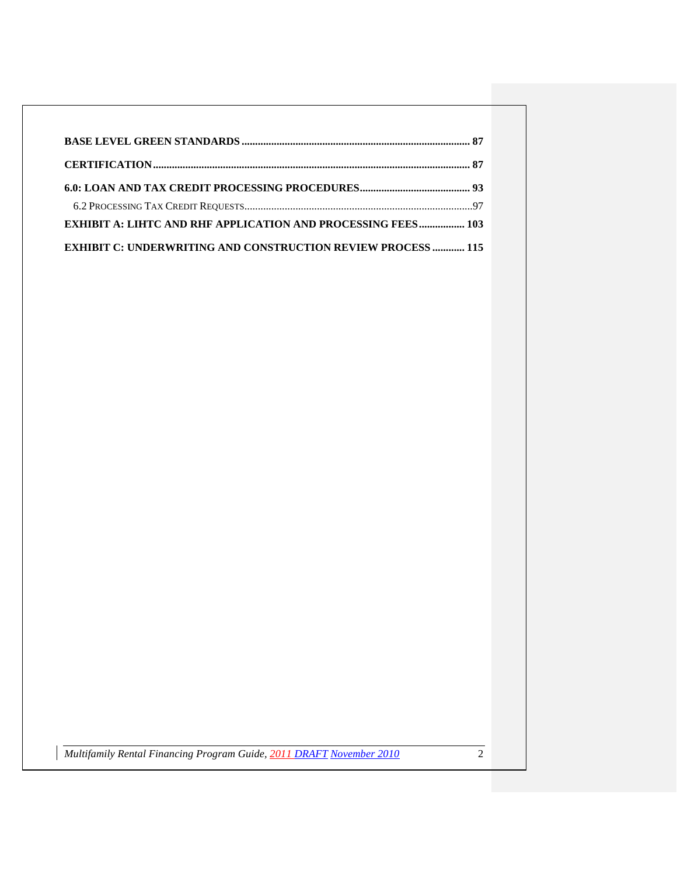| <b>EXHIBIT A: LIHTC AND RHF APPLICATION AND PROCESSING FEES 103</b> |
|---------------------------------------------------------------------|
| <b>EXHIBIT C: UNDERWRITING AND CONSTRUCTION REVIEW PROCESS  115</b> |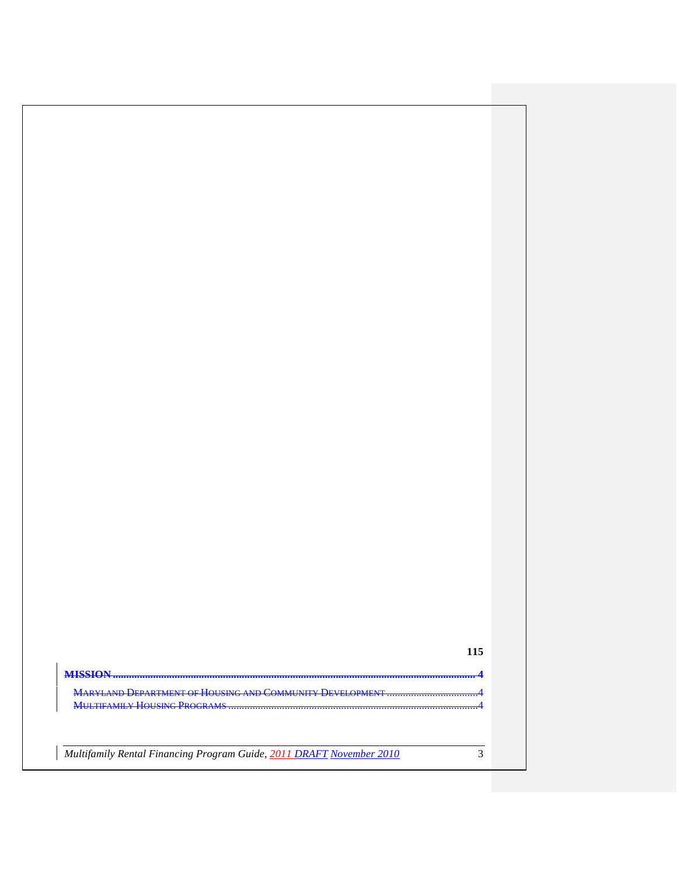|                                                                                    | 115 |
|------------------------------------------------------------------------------------|-----|
|                                                                                    | 4   |
|                                                                                    |     |
| <b>MISSION.</b><br><b>MARYLAND DEPARTMENT OF HOUSING AND COMMUNITY DEVELOPMENT</b> |     |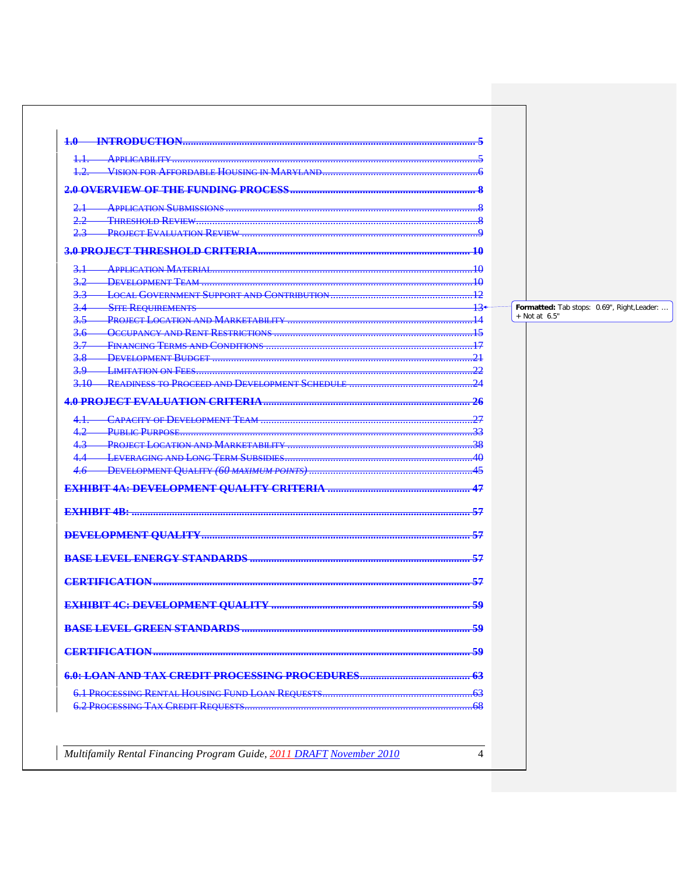|                 | <b>INTRODUCTION.</b>                                       |                                  |                                             |
|-----------------|------------------------------------------------------------|----------------------------------|---------------------------------------------|
| ⊞               | <u>Applicability</u>                                       |                                  |                                             |
| $+2$            | <u>Vision for Affordari e Housing in Maryland</u>          |                                  |                                             |
|                 | 2.0 OVERVIEW OF THE FUNDING PROCESS.                       |                                  |                                             |
| 2.1             | <del>Application Submissions</del>                         |                                  |                                             |
| <u>ാ ാ</u>      | THRESHOLD REVIEW                                           |                                  |                                             |
| 23              | <b>PROJECT EVALUATION REVIEW</b>                           | $\bf o$                          |                                             |
|                 | <b>3.0 PROJECT THRESHOLD CRITERIA</b>                      | 10                               |                                             |
| <del>3.1</del>  | Application Material                                       | 40                               |                                             |
| 3.2             | <b>DEVELOPMENT TEAM</b>                                    | 10                               |                                             |
| 3.3             | GOVERNMENT SUPPORT AND CONTRIBUTION                        | $\overline{12}$                  |                                             |
| З.              | <b>SITE REQUIREMENTS</b>                                   | 13.                              | Formatted: Tab stops: 0.69", Right, Leader: |
| <del>3.5</del>  | <b>PROJECT LOCATION AND MARKETABILITY</b>                  | 14                               | $+$ Not at 6.5"                             |
| <del>3.6</del>  | <b>OCCUPANCY AND RENT RESTRICTION</b>                      | 15                               |                                             |
| 3.7             | <b>FINANCING TERMS AND</b>                                 | 17                               |                                             |
| 3.8             | <b>DEVELOPMENT BUDG</b>                                    | າ 1                              |                                             |
| <u>3.9</u>      | <b>LIMITATION ON FEES</b>                                  | <u>ာာ</u>                        |                                             |
| 3.10            | <b>READINESS TO PROCEED AND DEVELOPMENT SCHEDULE</b>       | 24                               |                                             |
| $4.0$ PRO       |                                                            | <del>26</del>                    |                                             |
| 4.1             | Capacity of Development Team                               | າາ                               |                                             |
| $\overline{12}$ | <b>PUBLIC PURPOSE</b>                                      |                                  |                                             |
| 43              |                                                            | <u>28</u>                        |                                             |
|                 | AND LONG TERM SUBSIDIES                                    |                                  |                                             |
| 4.              |                                                            | 40<br>45                         |                                             |
| 4.6             | DEVELOPMENT QUALITY (60 MAXIMUM POINTS)                    |                                  |                                             |
|                 | <b>EXHIBIT 4A: DEVELOPMENT QUALITY CRITERIA</b>            | 47                               |                                             |
|                 | <b>EXHIBIT 4B:</b>                                         | 57                               |                                             |
|                 |                                                            |                                  |                                             |
|                 | <b>DEVELOPMENT QUALITY</b>                                 | 57                               |                                             |
|                 | <b>BASE LEVEL ENERGY STANDARDS</b>                         | 57                               |                                             |
|                 | <b>CERTIFICATION</b>                                       | 57                               |                                             |
|                 |                                                            |                                  |                                             |
|                 | <b>EXHIBIT 4C: DEVELOPMENT QUALITY </b><br><del> 5</del> 9 |                                  |                                             |
|                 |                                                            |                                  |                                             |
|                 |                                                            |                                  |                                             |
|                 | 59                                                         |                                  |                                             |
|                 |                                                            |                                  |                                             |
|                 |                                                            |                                  |                                             |
|                 |                                                            | <del>.63</del><br><del>.68</del> |                                             |
|                 |                                                            |                                  |                                             |
|                 |                                                            |                                  |                                             |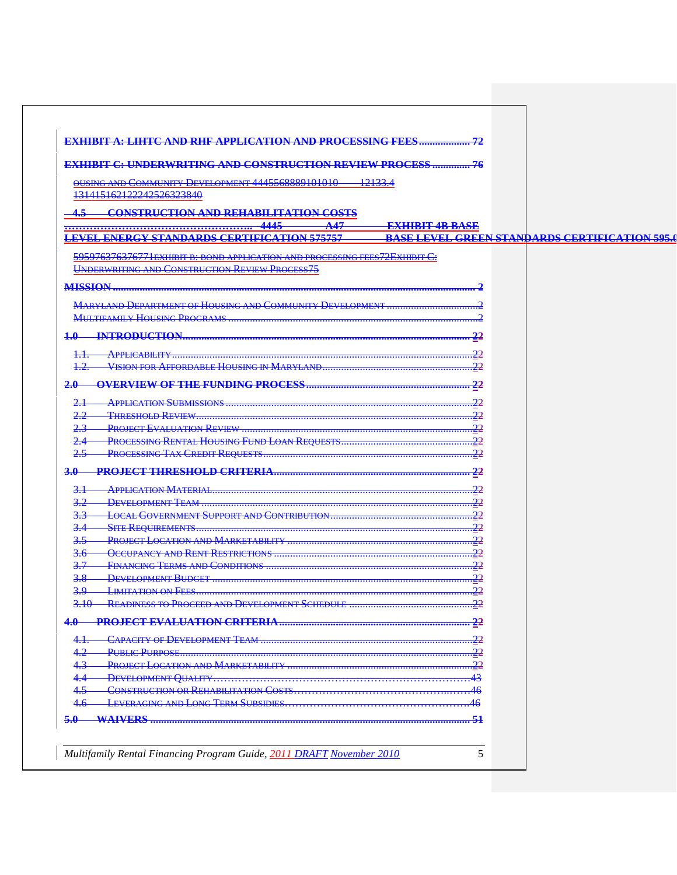|                       | <b>EXHIBIT C: UNDERWRITING AND CONSTRUCTION REVIEW PROCESS</b>                | 76                                     |  |
|-----------------------|-------------------------------------------------------------------------------|----------------------------------------|--|
|                       | OUSING AND COMMUNITY DEVELOPMENT 4445568889101010<br>131415162122242526323840 | 12133.4                                |  |
|                       |                                                                               |                                        |  |
|                       | <b>CONSTRUCTION AND REHABILITATION COSTS</b>                                  |                                        |  |
|                       | 4445<br>147                                                                   | <b>EXHIBIT 4B BASE</b>                 |  |
|                       | <b>TERTIFICATIO</b><br>J 575757                                               | <b>SE LEVEL GREEN STANDARDS CERTIF</b> |  |
|                       | 595976376376771EXHIBIT B: BOND APPLICATION AND PROCESSING FEES72EXHIBIT C:    |                                        |  |
|                       | <b>UNDERWRITING AND CONSTRUCTION REVIEW PROCESS75</b>                         |                                        |  |
| <b>MISSION</b>        |                                                                               |                                        |  |
|                       | <b>MARYLAND DEPARTMENT OF HOUSING AND COMMUNITY DEVELOPMENT</b>               |                                        |  |
|                       | <b>MULTIFAMILY HOUSING PROGRAMS</b>                                           |                                        |  |
|                       |                                                                               |                                        |  |
| 4.0                   | <b>INTRODUCTION</b>                                                           | 22                                     |  |
|                       | Applicarility.                                                                |                                        |  |
| $\mathbf{L}$          | VICION COD A CCODDADI C HOLICING IN MADVI AND                                 | <u>າາ</u>                              |  |
| 2.0                   | <b>OVERVIEW OF THE FUNDING PROCESS</b>                                        | 22                                     |  |
|                       | <u> APPLICATION SUBMISSIONS </u>                                              | <u>າາ</u>                              |  |
|                       | <b>THRESHOLD REVIEW</b>                                                       | $\overline{22}$                        |  |
| 2 <sub>2</sub>        | <b>PROJECT EVALUATION REVIEW</b>                                              | <u>າາ</u>                              |  |
|                       | <b>PROCESSING RENTAL HOUSING FUND LOAN REQUESTS</b>                           | $\frac{22}{2}$                         |  |
| <u> 25</u>            |                                                                               | $\frac{22}{2}$                         |  |
| 3.0                   |                                                                               | 22                                     |  |
|                       |                                                                               |                                        |  |
| $3\pm$                | <del>Application Material</del>                                               | 22<br>າາ                               |  |
| <u>م5</u>             | <b>DEVELOPMENT TEAM</b><br>LOCAL GOVERNMENT SUPPORT AND CONTRIBUTION          |                                        |  |
|                       | <b>SITE REQUIREMENTS</b>                                                      | $\frac{22}{2}$<br><u>၁၁</u>            |  |
|                       | <b>PROJECT LOCATION AND MARKETARILITY</b>                                     | $\frac{22}{2}$                         |  |
|                       | <b>OCCUPANCY AND RENT RESTRICTIONS</b>                                        | <u>ഹ</u>                               |  |
| 3,7                   | <b>FINANCING TERMS AND CONDITIONS</b>                                         | . 42<br>$\overline{2^2}$               |  |
| 3.8                   | <b>DEVELOPMENT BUDGET</b>                                                     | <u>ാ</u>                               |  |
| 3.9                   | LIMITATION ON FEES                                                            | $\frac{22}{2}$                         |  |
|                       |                                                                               |                                        |  |
| 4.0                   |                                                                               |                                        |  |
|                       |                                                                               |                                        |  |
|                       | <b>CAPACITY OF DEVELOPMENT TEAM-</b>                                          | $\overline{2^2}$                       |  |
| $\Delta$ <sup>2</sup> | <b>PROJECT LOCATION AND MARKETARILITY</b>                                     | $\frac{22}{5}$<br>$\overline{2^2}$     |  |
|                       |                                                                               | 43                                     |  |
|                       | <b>CONSTRUCTION OR REHABILITATION COSTS.</b>                                  |                                        |  |
|                       | LEVERAGING AND LONG TERM SUBSIDIES                                            |                                        |  |
|                       | <b>WAIVERS</b>                                                                |                                        |  |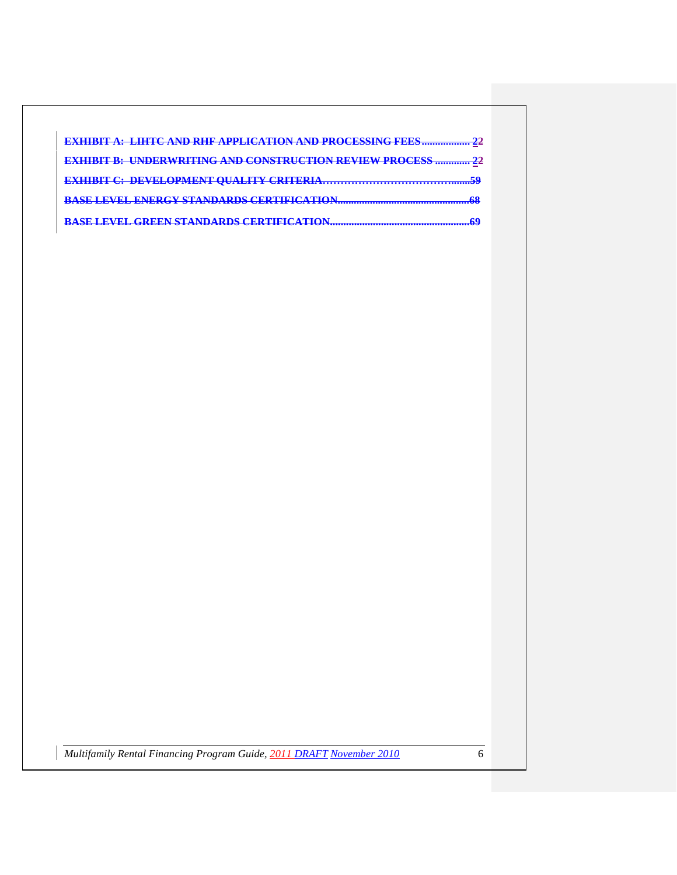| — <b>—</b> |
|------------|
|            |
|            |
|            |
|            |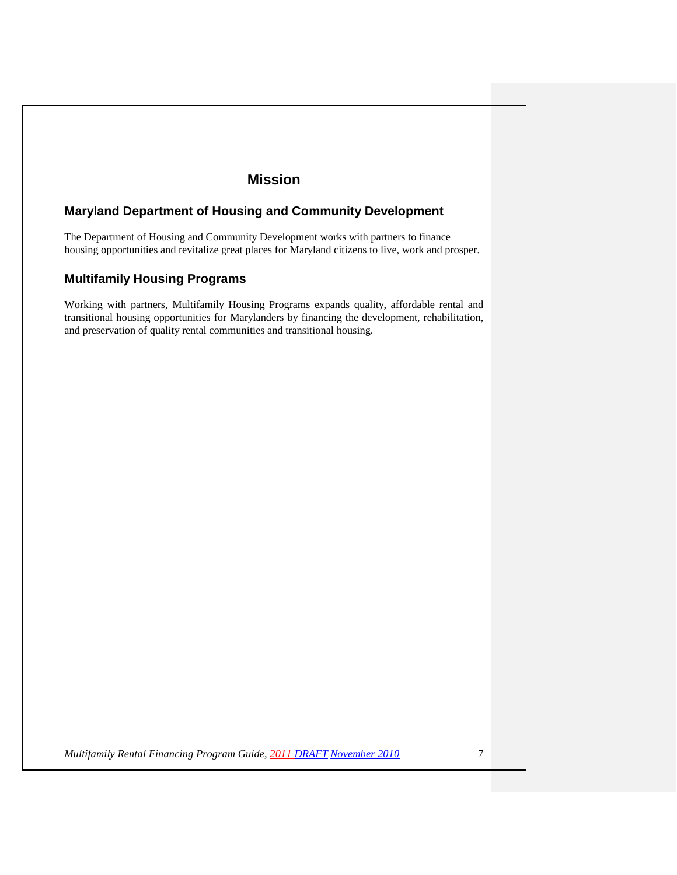# **Mission**

# **Maryland Department of Housing and Community Development**

The Department of Housing and Community Development works with partners to finance housing opportunities and revitalize great places for Maryland citizens to live, work and prosper.

# **Multifamily Housing Programs**

Working with partners, Multifamily Housing Programs expands quality, affordable rental and transitional housing opportunities for Marylanders by financing the development, rehabilitation, and preservation of quality rental communities and transitional housing.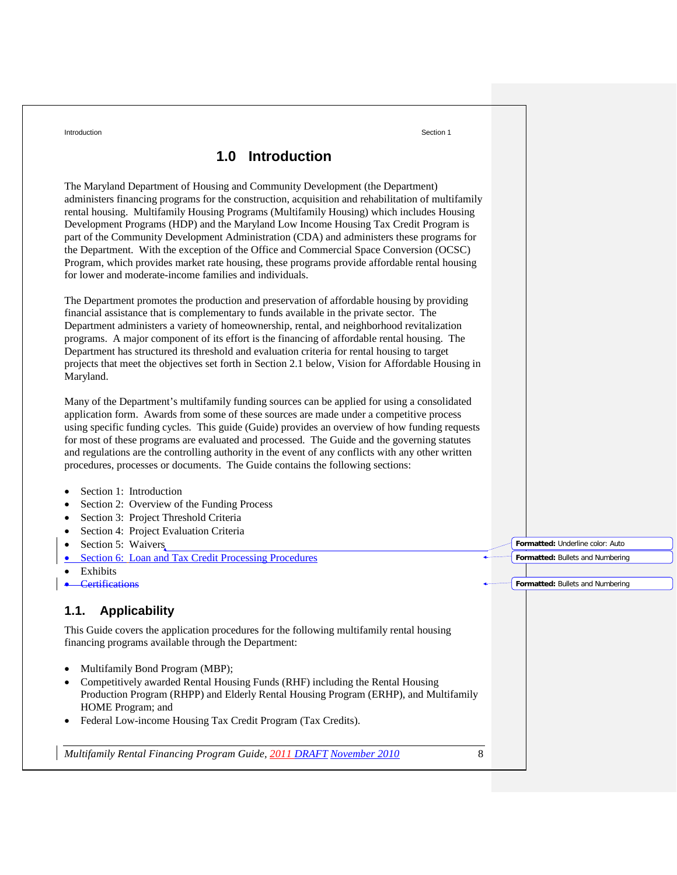**Introduction** Section 1

# **1.0 Introduction**

The Maryland Department of Housing and Community Development (the Department) administers financing programs for the construction, acquisition and rehabilitation of multifamily rental housing. Multifamily Housing Programs (Multifamily Housing) which includes Housing Development Programs (HDP) and the Maryland Low Income Housing Tax Credit Program is part of the Community Development Administration (CDA) and administers these programs for the Department. With the exception of the Office and Commercial Space Conversion (OCSC) Program, which provides market rate housing, these programs provide affordable rental housing for lower and moderate-income families and individuals.

The Department promotes the production and preservation of affordable housing by providing financial assistance that is complementary to funds available in the private sector. The Department administers a variety of homeownership, rental, and neighborhood revitalization programs. A major component of its effort is the financing of affordable rental housing. The Department has structured its threshold and evaluation criteria for rental housing to target projects that meet the objectives set forth in Section 2.1 below, Vision for Affordable Housing in Maryland.

Many of the Department's multifamily funding sources can be applied for using a consolidated application form. Awards from some of these sources are made under a competitive process using specific funding cycles. This guide (Guide) provides an overview of how funding requests for most of these programs are evaluated and processed. The Guide and the governing statutes and regulations are the controlling authority in the event of any conflicts with any other written procedures, processes or documents. The Guide contains the following sections:



- Section 2: Overview of the Funding Process
- Section 3: Project Threshold Criteria
- Section 4: Project Evaluation Criteria
- Section 5: Waivers
- Section 6: Loan and Tax Credit Processing Procedures
- **Exhibits**
- **Certifications**

# **1.1. Applicability**

This Guide covers the application procedures for the following multifamily rental housing financing programs available through the Department:

- Multifamily Bond Program (MBP);
- Competitively awarded Rental Housing Funds (RHF) including the Rental Housing Production Program (RHPP) and Elderly Rental Housing Program (ERHP), and Multifamily HOME Program; and
- Federal Low-income Housing Tax Credit Program (Tax Credits).

*Multifamily Rental Financing Program Guide, 2011 DRAFT November 2010* 8

**Formatted:** Underline color: Auto

**Formatted:** Bullets and Numbering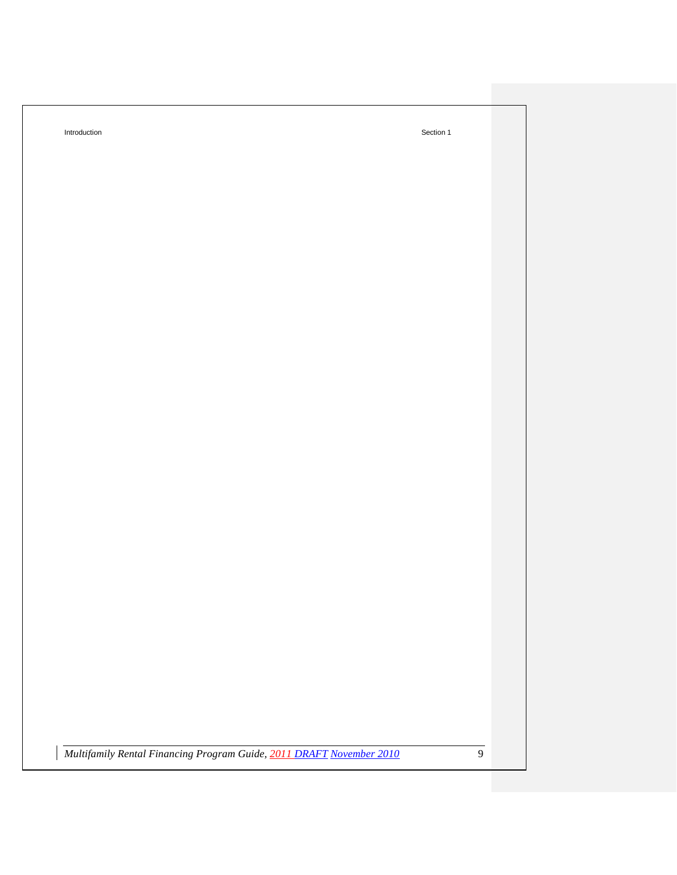| Introduction | Section 1 |  |
|--------------|-----------|--|
|              |           |  |
|              |           |  |
|              |           |  |
|              |           |  |
|              |           |  |
|              |           |  |
|              |           |  |
|              |           |  |
|              |           |  |
|              |           |  |
|              |           |  |
|              |           |  |
|              |           |  |
|              |           |  |
|              |           |  |
|              |           |  |
|              |           |  |
|              |           |  |
|              |           |  |
|              |           |  |
|              |           |  |
|              |           |  |
|              |           |  |
|              |           |  |
|              |           |  |
|              |           |  |
|              |           |  |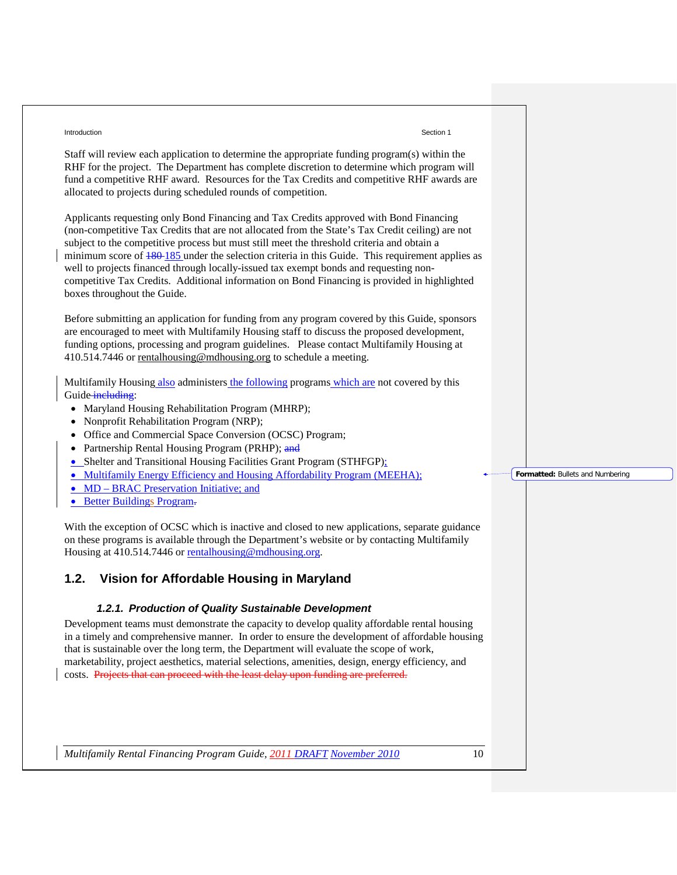| Introduction<br>Section 1                                                                                                                                                                                                                                                                                                                                                                                                                                                                                                                                                                                              |                                  |
|------------------------------------------------------------------------------------------------------------------------------------------------------------------------------------------------------------------------------------------------------------------------------------------------------------------------------------------------------------------------------------------------------------------------------------------------------------------------------------------------------------------------------------------------------------------------------------------------------------------------|----------------------------------|
| Staff will review each application to determine the appropriate funding program(s) within the<br>RHF for the project. The Department has complete discretion to determine which program will<br>fund a competitive RHF award. Resources for the Tax Credits and competitive RHF awards are<br>allocated to projects during scheduled rounds of competition.                                                                                                                                                                                                                                                            |                                  |
| Applicants requesting only Bond Financing and Tax Credits approved with Bond Financing<br>(non-competitive Tax Credits that are not allocated from the State's Tax Credit ceiling) are not<br>subject to the competitive process but must still meet the threshold criteria and obtain a<br>minimum score of $180-185$ under the selection criteria in this Guide. This requirement applies as<br>well to projects financed through locally-issued tax exempt bonds and requesting non-<br>competitive Tax Credits. Additional information on Bond Financing is provided in highlighted<br>boxes throughout the Guide. |                                  |
| Before submitting an application for funding from any program covered by this Guide, sponsors<br>are encouraged to meet with Multifamily Housing staff to discuss the proposed development,<br>funding options, processing and program guidelines. Please contact Multifamily Housing at<br>410.514.7446 or rentalhousing@mdhousing.org to schedule a meeting.                                                                                                                                                                                                                                                         |                                  |
| Multifamily Housing also administers the following programs which are not covered by this<br>Guide-including:                                                                                                                                                                                                                                                                                                                                                                                                                                                                                                          |                                  |
| • Maryland Housing Rehabilitation Program (MHRP);<br>• Nonprofit Rehabilitation Program (NRP);                                                                                                                                                                                                                                                                                                                                                                                                                                                                                                                         |                                  |
| • Office and Commercial Space Conversion (OCSC) Program;                                                                                                                                                                                                                                                                                                                                                                                                                                                                                                                                                               |                                  |
| • Partnership Rental Housing Program (PRHP); and<br>• Shelter and Transitional Housing Facilities Grant Program (STHFGP):                                                                                                                                                                                                                                                                                                                                                                                                                                                                                              |                                  |
| • Multifamily Energy Efficiency and Housing Affordability Program (MEEHA);                                                                                                                                                                                                                                                                                                                                                                                                                                                                                                                                             | Formatted: Bullets and Numbering |
| • MD – BRAC Preservation Initiative; and<br><b>Better Buildings Program-</b>                                                                                                                                                                                                                                                                                                                                                                                                                                                                                                                                           |                                  |
| With the exception of OCSC which is inactive and closed to new applications, separate guidance<br>on these programs is available through the Department's website or by contacting Multifamily<br>Housing at 410.514.7446 or rentalhousing@mdhousing.org.                                                                                                                                                                                                                                                                                                                                                              |                                  |
| 1.2.<br>Vision for Affordable Housing in Maryland                                                                                                                                                                                                                                                                                                                                                                                                                                                                                                                                                                      |                                  |
| 1.2.1. Production of Quality Sustainable Development                                                                                                                                                                                                                                                                                                                                                                                                                                                                                                                                                                   |                                  |
| Development teams must demonstrate the capacity to develop quality affordable rental housing<br>in a timely and comprehensive manner. In order to ensure the development of affordable housing<br>that is sustainable over the long term, the Department will evaluate the scope of work,<br>marketability, project aesthetics, material selections, amenities, design, energy efficiency, and<br>costs. Projects that can proceed with the least delay upon funding are preferred.                                                                                                                                    |                                  |
|                                                                                                                                                                                                                                                                                                                                                                                                                                                                                                                                                                                                                        |                                  |
| Multifamily Rental Financing Program Guide, 2011 DRAFT November 2010<br>10                                                                                                                                                                                                                                                                                                                                                                                                                                                                                                                                             |                                  |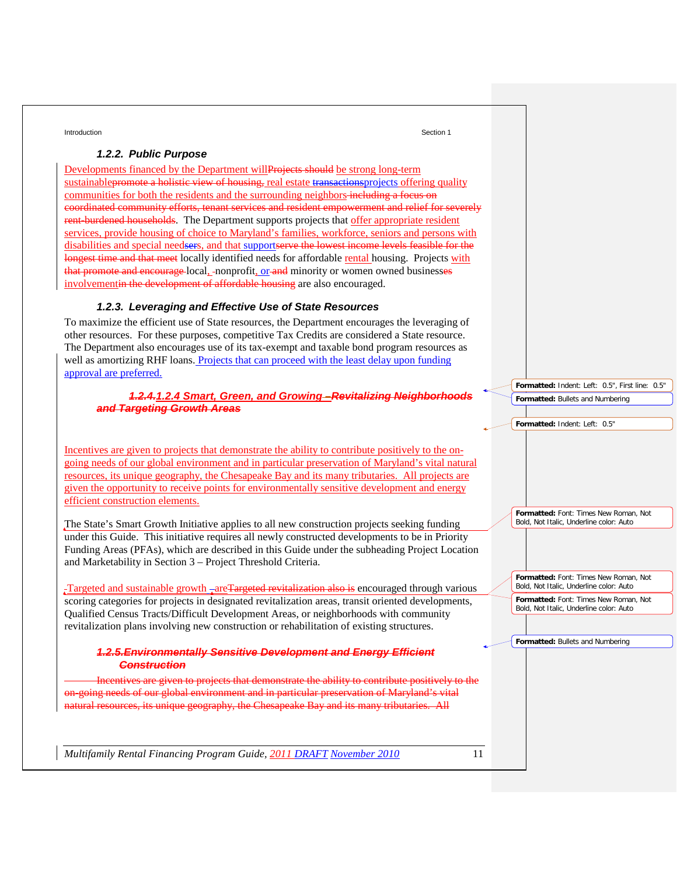**Introduction** Section 1

### *1.2.2. Public Purpose*

Developments financed by the Department willProjects should be strong long-term sustainablepromote a holistic view of housing, real estate transactionsprojects offering quality communities for both the residents and the surrounding neighbors-including a focus on coordinated community efforts, tenant services and resident empowerment and relief for severely rent-burdened households. The Department supports projects that offer appropriate resident services, provide housing of choice to Maryland's families, workforce, seniors and persons with disabilities and special needsers, and that supportserve the lowest income levels feasible for the longest time and that meet locally identified needs for affordable rental housing. Projects with that promote and encourage-local, -nonprofit, or and minority or women owned businesses involvementin the development of affordable housing are also encouraged.

# *1.2.3. Leveraging and Effective Use of State Resources*

To maximize the efficient use of State resources, the Department encourages the leveraging of other resources. For these purposes, competitive Tax Credits are considered a State resource. The Department also encourages use of its tax-exempt and taxable bond program resources as well as amortizing RHF loans. Projects that can proceed with the least delay upon funding approval are preferred.

### *1.2.4.1.2.4 Smart, Green, and Growing –Revitalizing Neighborhoods and Targeting Growth Areas*

Incentives are given to projects that demonstrate the ability to contribute positively to the ongoing needs of our global environment and in particular preservation of Maryland's vital natural resources, its unique geography, the Chesapeake Bay and its many tributaries. All projects are given the opportunity to receive points for environmentally sensitive development and energy efficient construction elements.

The State's Smart Growth Initiative applies to all new construction projects seeking funding under this Guide. This initiative requires all newly constructed developments to be in Priority Funding Areas (PFAs), which are described in this Guide under the subheading Project Location and Marketability in Section 3 – Project Threshold Criteria.

Targeted and sustainable growth -are<del>Targeted revitalization also is</del> encouraged through various scoring categories for projects in designated revitalization areas, transit oriented developments, Qualified Census Tracts/Difficult Development Areas, or neighborhoods with community revitalization plans involving new construction or rehabilitation of existing structures.

### *1.2.5.Environmentally Sensitive Development and Energy Efficient Construction*

Incentives are given to projects that demonstrate the ability to contribute positively to the on-going needs of our global environment and in particular preservation of Maryland's vital natural resources, its unique geography, the Chesapeake Bay and its many tributaries. All

*Multifamily Rental Financing Program Guide, 2011 DRAFT November 2010* 11

**Formatted:** Indent: Left: 0.5"

**Formatted:** Indent: Left: 0.5", First line: 0.5" **Formatted:** Bullets and Numbering

**Formatted:** Font: Times New Roman, Not Bold, Not Italic, Underline color: Auto

**Formatted:** Font: Times New Roman, Not Bold, Not Italic, Underline color: Auto

**Formatted:** Font: Times New Roman, Not Bold, Not Italic, Underline color: Auto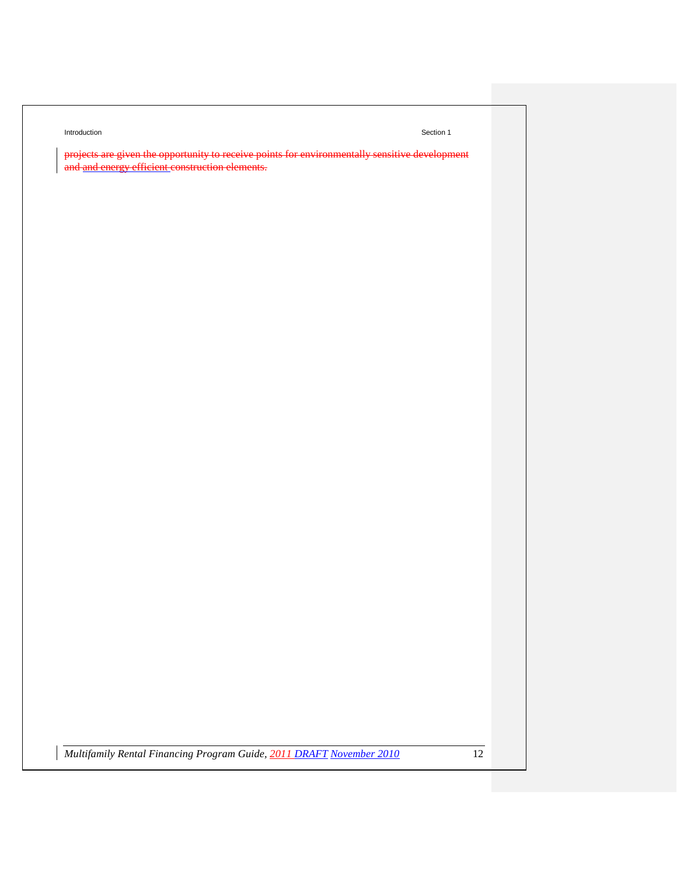| projects are given the opportunity to receive points for environmentally sensitive development |  |  |  |
|------------------------------------------------------------------------------------------------|--|--|--|
| and and energy efficient construction elements.                                                |  |  |  |
|                                                                                                |  |  |  |
|                                                                                                |  |  |  |
|                                                                                                |  |  |  |
|                                                                                                |  |  |  |
|                                                                                                |  |  |  |
|                                                                                                |  |  |  |
|                                                                                                |  |  |  |
|                                                                                                |  |  |  |
|                                                                                                |  |  |  |
|                                                                                                |  |  |  |
|                                                                                                |  |  |  |
|                                                                                                |  |  |  |
|                                                                                                |  |  |  |
|                                                                                                |  |  |  |
|                                                                                                |  |  |  |
|                                                                                                |  |  |  |
|                                                                                                |  |  |  |
|                                                                                                |  |  |  |
|                                                                                                |  |  |  |
|                                                                                                |  |  |  |
|                                                                                                |  |  |  |
|                                                                                                |  |  |  |
|                                                                                                |  |  |  |
|                                                                                                |  |  |  |
|                                                                                                |  |  |  |
|                                                                                                |  |  |  |
|                                                                                                |  |  |  |
|                                                                                                |  |  |  |
|                                                                                                |  |  |  |
|                                                                                                |  |  |  |
|                                                                                                |  |  |  |
|                                                                                                |  |  |  |
|                                                                                                |  |  |  |
|                                                                                                |  |  |  |
|                                                                                                |  |  |  |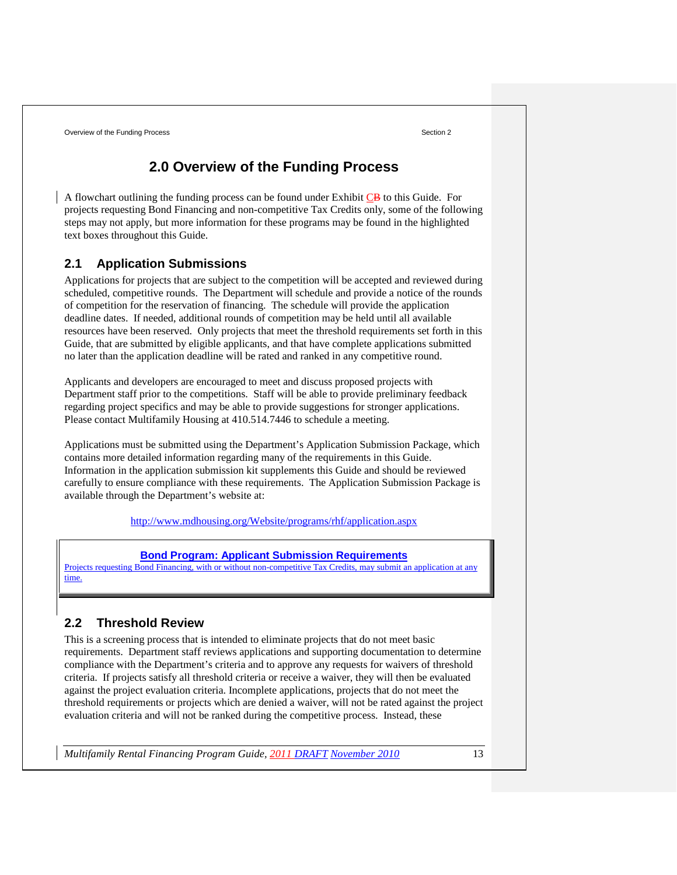Overview of the Funding Process Section 2 and 2 and 2 and 2 and 2 and 2 and 2 and 2 and 2 and 2 and 2 and 2 and 2 and 2 and 2 and 2 and 2 and 2 and 2 and 2 and 2 and 2 and 2 and 2 and 2 and 2 and 2 and 2 and 2 and 2 and 2

# **2.0 Overview of the Funding Process**

A flowchart outlining the funding process can be found under Exhibit CB to this Guide. For projects requesting Bond Financing and non-competitive Tax Credits only, some of the following steps may not apply, but more information for these programs may be found in the highlighted text boxes throughout this Guide.

# **2.1 Application Submissions**

Applications for projects that are subject to the competition will be accepted and reviewed during scheduled, competitive rounds. The Department will schedule and provide a notice of the rounds of competition for the reservation of financing. The schedule will provide the application deadline dates. If needed, additional rounds of competition may be held until all available resources have been reserved. Only projects that meet the threshold requirements set forth in this Guide, that are submitted by eligible applicants, and that have complete applications submitted no later than the application deadline will be rated and ranked in any competitive round.

Applicants and developers are encouraged to meet and discuss proposed projects with Department staff prior to the competitions. Staff will be able to provide preliminary feedback regarding project specifics and may be able to provide suggestions for stronger applications. Please contact Multifamily Housing at 410.514.7446 to schedule a meeting.

Applications must be submitted using the Department's Application Submission Package, which contains more detailed information regarding many of the requirements in this Guide. Information in the application submission kit supplements this Guide and should be reviewed carefully to ensure compliance with these requirements. The Application Submission Package is available through the Department's website at:

<http://www.mdhousing.org/Website/programs/rhf/application.aspx>

# **Bond Program: Applicant Submission Requirements**

Projects requesting Bond Financing, with or without non-competitive Tax Credits, may submit an application at any time.

# **2.2 Threshold Review**

This is a screening process that is intended to eliminate projects that do not meet basic requirements. Department staff reviews applications and supporting documentation to determine compliance with the Department's criteria and to approve any requests for waivers of threshold criteria. If projects satisfy all threshold criteria or receive a waiver, they will then be evaluated against the project evaluation criteria. Incomplete applications, projects that do not meet the threshold requirements or projects which are denied a waiver, will not be rated against the project evaluation criteria and will not be ranked during the competitive process. Instead, these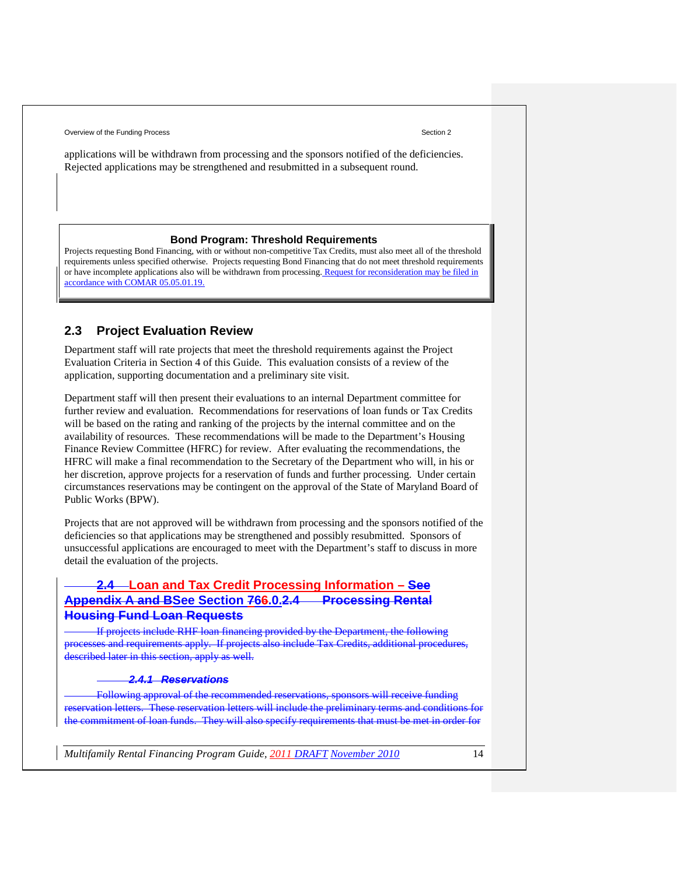Overview of the Funding Process Section 2 and 2008 Section 2 and 2008 Section 2 and 2008 Section 2

applications will be withdrawn from processing and the sponsors notified of the deficiencies. Rejected applications may be strengthened and resubmitted in a subsequent round.

### **Bond Program: Threshold Requirements**

Projects requesting Bond Financing, with or without non-competitive Tax Credits, must also meet all of the threshold requirements unless specified otherwise. Projects requesting Bond Financing that do not meet threshold requirements or have incomplete applications also will be withdrawn from processing. Request for reconsideration may be filed in accordance with COMAR 05.05.01.19.

### **2.3 Project Evaluation Review**

Department staff will rate projects that meet the threshold requirements against the Project Evaluation Criteria in Section 4 of this Guide. This evaluation consists of a review of the application, supporting documentation and a preliminary site visit.

Department staff will then present their evaluations to an internal Department committee for further review and evaluation. Recommendations for reservations of loan funds or Tax Credits will be based on the rating and ranking of the projects by the internal committee and on the availability of resources. These recommendations will be made to the Department's Housing Finance Review Committee (HFRC) for review. After evaluating the recommendations, the HFRC will make a final recommendation to the Secretary of the Department who will, in his or her discretion, approve projects for a reservation of funds and further processing. Under certain circumstances reservations may be contingent on the approval of the State of Maryland Board of Public Works (BPW).

Projects that are not approved will be withdrawn from processing and the sponsors notified of the deficiencies so that applications may be strengthened and possibly resubmitted. Sponsors of unsuccessful applications are encouraged to meet with the Department's staff to discuss in more detail the evaluation of the projects.

# **2.4 Loan and Tax Credit Processing Information – See Appendix A and BSee Section 766.0.2.4 Processing Rental Housing Fund Loan Requests**

If projects include RHF loan financing provided by the Dep ses and requirements apply. If projects also include Tax Credits, additional procedures, described later in this section, apply as well.

### *2.4.1 Reservations*

Following approval of the recommended reservations, sponsors will receive funding reservation letters. These reservation letters will include the preliminary terms and conditions for the commitment of loan funds. They will also specify requirements that must be met in order for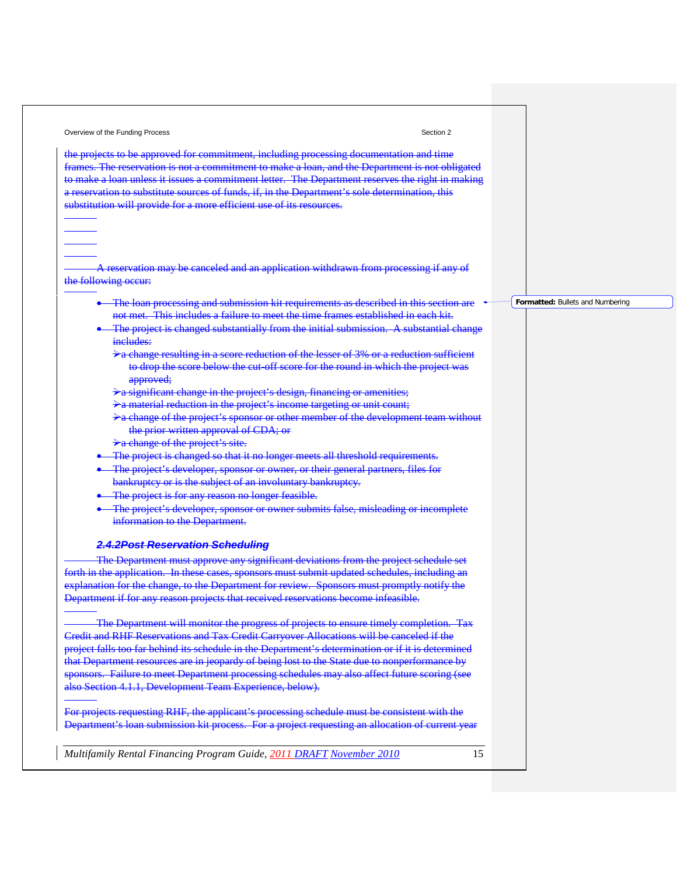| Overview of the Funding Process<br>Section 2                                                                                                                                               |                                  |
|--------------------------------------------------------------------------------------------------------------------------------------------------------------------------------------------|----------------------------------|
| the projects to be approved for commitment, including processing documentation and time<br>frames. The reservation is not a commitment to make a loan, and the Department is not obligated |                                  |
| to make a loan unless it issues a commitment letter. The Department reserves the right in making                                                                                           |                                  |
| a reservation to substitute sources of funds, if, in the Department's sole determination, this<br>substitution will provide for a more efficient use of its resources.                     |                                  |
|                                                                                                                                                                                            |                                  |
| A reservation may be canceled and an application withdrawn from processing if any of                                                                                                       |                                  |
| the following occur:                                                                                                                                                                       |                                  |
| The loan processing and submission kit requirements as described in this section are                                                                                                       | Formatted: Bullets and Numbering |
| not met. This includes a failure to meet the time frames established in each kit.                                                                                                          |                                  |
| The project is changed substantially from the initial submission. A substantial change                                                                                                     |                                  |
| includes:<br>>a change resulting in a score reduction of the lesser of 3% or a reduction sufficient                                                                                        |                                  |
| to drop the score below the cut off score for the round in which the project was                                                                                                           |                                  |
| approved;                                                                                                                                                                                  |                                  |
| >a significant change in the project's design, financing or amenities;                                                                                                                     |                                  |
| >>>a material reduction in the project's income targeting or unit count;                                                                                                                   |                                  |
| >a change of the project's sponsor or other member of the development team without                                                                                                         |                                  |
| the prior written approval of CDA; or                                                                                                                                                      |                                  |
| >a change of the project's site.                                                                                                                                                           |                                  |
| The project is changed so that it no longer meets all threshold requirements.                                                                                                              |                                  |
| The project's developer, sponsor or owner, or their general partners, files for<br>bankruptcy or is the subject of an involuntary bankruptcy.                                              |                                  |
| The project is for any reason no longer feasible.                                                                                                                                          |                                  |
| The project's developer, sponsor or owner submits false, misleading or incomplete                                                                                                          |                                  |
| information to the Department.                                                                                                                                                             |                                  |
| 2.4.2Post Reservation Scheduling                                                                                                                                                           |                                  |
| The Department must approve any significant deviations from the project schedule set                                                                                                       |                                  |
| forth in the application. In these cases, sponsors must submit updated schedules, including an                                                                                             |                                  |
| explanation for the change, to the Department for review. Sponsors must promptly notify the                                                                                                |                                  |
| Department if for any reason projects that received reservations become infeasible.                                                                                                        |                                  |
| The Department will monitor the progress of projects to ensure timely completion. Tax                                                                                                      |                                  |
| Credit and RHF Reservations and Tax Credit Carryover Allocations will be canceled if the                                                                                                   |                                  |
| et falls too far behind its schedule in the Department's determination or if it is determined                                                                                              |                                  |
| that Department resources are in jeopardy of being lost to the State due to nonperformance by                                                                                              |                                  |
| sponsors. Failure to meet Department processing schedules may also affect future scoring (see<br>also Section 4.1.1, Development Team Experience, below).                                  |                                  |
| For projects requesting RHF, the applicant's processing schedule must be consistent with the                                                                                               |                                  |
| Department's loan submission kit process. For a project requesting an allocation of current year                                                                                           |                                  |
|                                                                                                                                                                                            |                                  |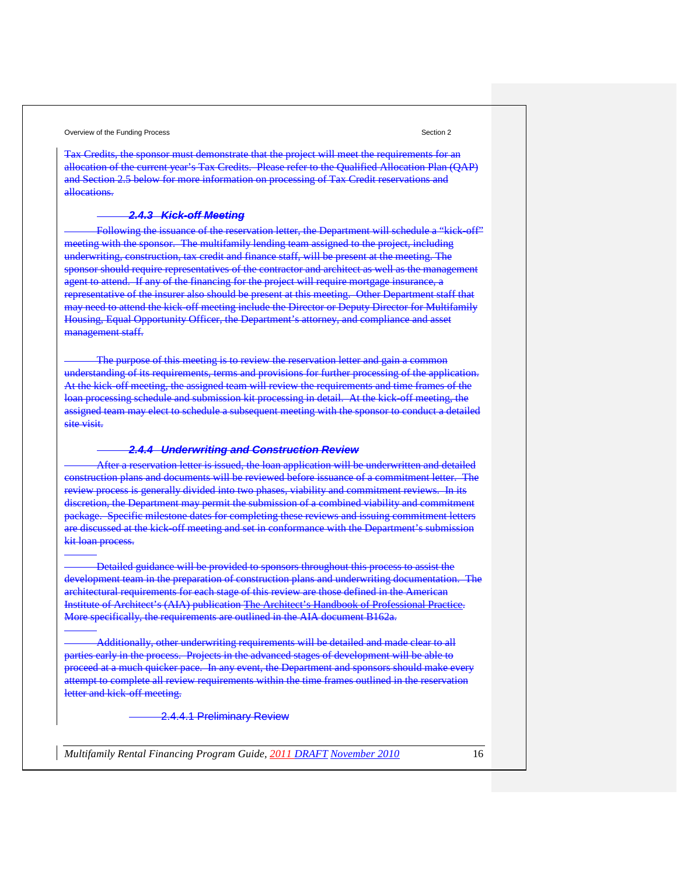Overview of the Funding Process Section 2 and 2008 Section 2 and 2008 Section 2 and 2008 Section 2

Tax Credits, the sponsor must demonstrate that the project will meet the requirements for an allocation of the current year's Tax Credits. Please refer to the Qualified Allocation Plan (QAP) and Section 2.5 below for more information on processing of Tax Credit reservations and allocations.

### *2.4.3 Kick-off Meeting*

Following the issuance of the reservation letter, the Department will schedule a "kick-off" meeting with the sponsor. The multifamily lending team assigned to the project, including underwriting, construction, tax credit and finance staff, will be present at the meeting. The sponsor should require representatives of the contractor and architect as well as the management agent to attend. If any of the financing for the project will require mortgage insurance, a representative of the insurer also should be present at this meeting. Other Department staff that may need to attend the kick-off meeting include the Director or Deputy Director for Multifamily Housing, Equal Opportunity Officer, the Department's attorney, and compliance and asset management staff.

The purpose of this meeting is to review the reservation letter and gain a common understanding of its requirements, terms and provisions for further processing of the application. At the kick-off meeting, the assigned team will review the requirements and time frames of the loan processing schedule and submission kit processing in detail. At the kick off meeting, the assigned team may elect to schedule a subsequent meeting with the sponsor to conduct a detailed site visit.

### *2.4.4 Underwriting and Construction Review*

After a reservation letter is issued, the loan application will be underwritten and detailed construction plans and documents will be reviewed before issuance of a commitment letter. The review process is generally divided into two phases, viability and commitment reviews. In its discretion, the Department may permit the submission of a combined viability and commitment package. Specific milestone dates for completing these reviews and issuing commitment letters are discussed at the kick-off meeting and set in conformance with the Department's submission kit loan process.

Detailed guidance will be provided to sponsors throughout this process to assist the development team in the preparation of construction plans and underwriting documentation. The architectural requirements for each stage of this review are those defined in the American Institute of Architect's (AIA) publication The Architect's Handbook of Professional Practice. More specifically, the requirements are outlined in the AIA document B162a.

Additionally, other underwriting requirements will be detailed and made clear to all parties early in the process. Projects in the advanced stages of development will be able to proceed at a much quicker pace. In any event, the Department and sponsors should make every attempt to complete all review requirements within the time frames outlined in the reservation letter and kick-off meeting.

2.4.4.1 Preliminary Review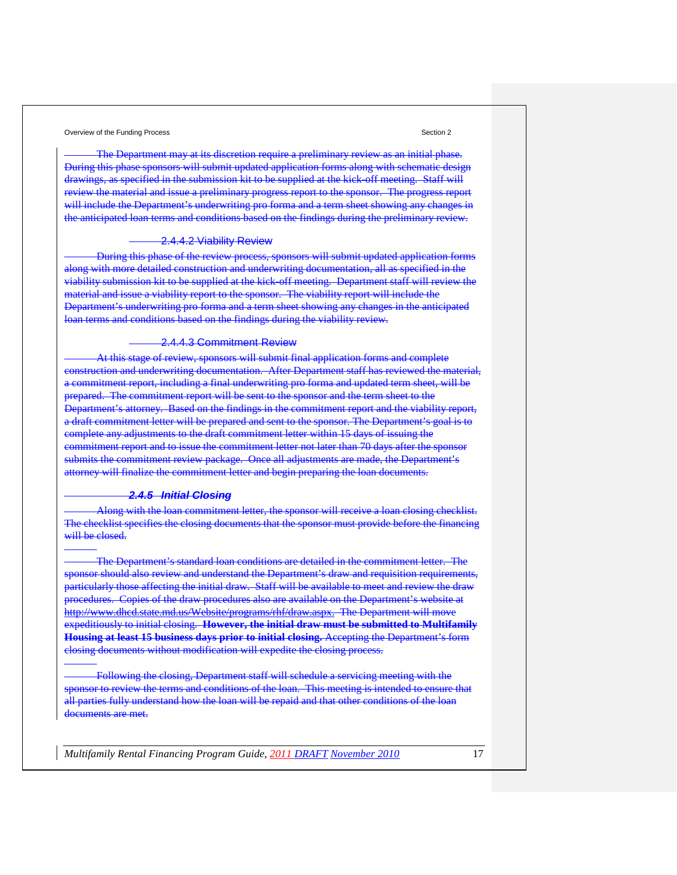Overview of the Funding Process Section 2 and 2008 Section 2 and 2008 Section 2 and 2008 Section 2

The Department may at its discretion require a preliminary review as an initial phase. During this phase sponsors will submit updated application forms along with schematic design drawings, as specified in the submission kit to be supplied at the kick-off meeting. Staff will review the material and issue a preliminary progress report to the sponsor. The progress report will include the Department's underwriting pro forma and a term sheet showing any changes in the anticipated loan terms and conditions based on the findings during the preliminary review.

### 2.4.4.2 Viability Review

During this phase of the review process, sponsors will submit updated application forms along with more detailed construction and underwriting documentation, all as specified in the viability submission kit to be supplied at the kick-off meeting. Department staff will review the material and issue a viability report to the sponsor. The viability report will include the Department's underwriting pro forma and a term sheet showing any changes in the anticipated loan terms and conditions based on the findings during the viability review.

### **2.4.4.3 Commitment Review**

At this stage of review, sponsors will submit final application forms and complete construction and underwriting documentation. After Department staff has reviewed the material, a commitment report, including a final underwriting pro forma and updated term sheet, will be prepared. The commitment report will be sent to the sponsor and the term sheet to the Department's attorney. Based on the findings in the commitment report and the viability report, a draft commitment letter will be prepared and sent to the sponsor. The Department's goal is to complete any adjustments to the draft commitment letter within 15 days of issuing the commitment report and to issue the commitment letter not later than 70 days after the sponsor submits the commitment review package. Once all adjustments are made, the Department's attorney will finalize the commitment letter and begin preparing the loan documents.

### *2.4.5 Initial Closing*

Along with the loan commitment letter, the sponsor will receive a loan closing checklist. The checklist specifies the closing documents that the sponsor must provide before the financing will be closed.

The Department's standard loan conditions are detailed in the commitment letter. The sponsor should also review and understand the Department's draw and requisition requirements, particularly those affecting the initial draw. Staff will be available to meet and review the draw procedures. Copies of the draw procedures also are available on the Department's website at .<br>http://www.dhed<u>.state.md.us/Website/programs/rhf/draw.aspx.</u> The Department will move expeditiously to initial closing. **However, the initial draw must be submitted to Multifamily Housing at least 15 business days prior to initial closing.** Accepting the Department's form closing documents without modification will expedite the closing process.

Following the closing, Department staff will schedule a servicing meeting with the onsor to review the terms and conditions of the loan. This meeting is intended to ensure that all parties fully understand how the loan will be repaid and that other conditions of the loan documents are met.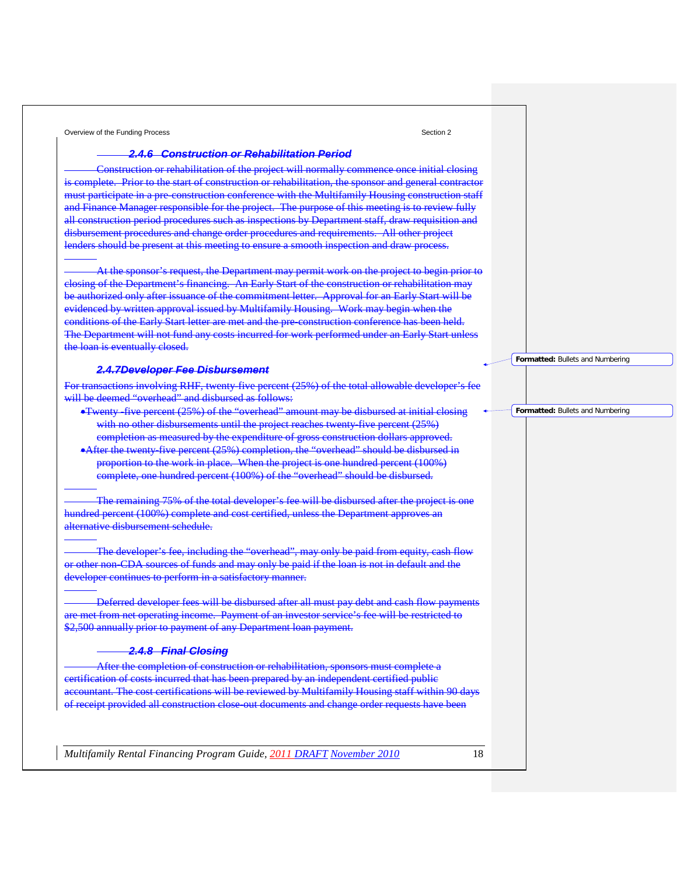Overview of the Funding Process Section 2

### *2.4.6 Construction or Rehabilitation Period*

Construction or rehabilitation of the project will normally commence once initial closing plete. Prior to the start of construction or rehabilitation, the sponsor and general contractor must participate in a pre-construction conference with the Multifamily Housing construction staff and Finance Manager responsible for the project. The purpose of this meeting is to review fully all construction period procedures such as inspections by Department staff, draw requisition and disbursement procedures and change order procedures and requirements. All other project lenders should be present at this meeting to ensure a smooth inspection and draw process.

At the sponsor's request, the Department may permit work on the project to begin prior to closing of the Department's financing. An Early Start of the construction or rehabilitation may be authorized only after issuance of the commitment letter. Approval for an Early Start will be evidenced by written approval issued by Multifamily Housing. Work may begin when the conditions of the Early Start letter are met and the pre-construction conference has been held. The Department will not fund any costs incurred for work performed under an Early Start unless the loan is eventually closed.

### *2.4.7Developer Fee Disbursement*

For transactions involving RHF, twenty-five percent (25%) of the total allowable developer's fee will be deemed "overhead" and disbursed as follows:

- •Twenty -five percent (25%) of the "overhead" amount may be disbursed at initial closing with no other disbursements until the project reaches twenty-five percent (25%) completion as measured by the expenditure of gross construction dollars approved.
- •After the twenty-five percent (25%) completion, the "overhead" should be disbursed in proportion to the work in place. When the project is one hundred percent (100%) complete, one hundred percent (100%) of the "overhead" should be disbursed.

The remaining 75% of the total developer's fee will be disbursed after the project is one hundred percent (100%) complete and cost certified, unless the Department approves an alternative disbursement schedule.

The developer's fee, including the "overhead", may only be paid from equity, cash flow or other non-CDA sources of funds and may only be paid if the loan is not in default and the developer continues to perform in a satisfactory manner.

Deferred developer fees will be disbursed after all must pay debt and cash flow payments are met from net operating income. Payment of an investor service's fee will be restricted to \$2,500 annually prior to payment of any Department loan payment.

### *2.4.8 Final Closing*

After the completion of construction or rehabilitation, sponsors must complete a certification of costs incurred that has been prepared by an independent certified public accountant. The cost certifications will be reviewed by Multifamily Housing staff within 90 days of receipt provided all construction close-out documents and change order requests have been

*Multifamily Rental Financing Program Guide, 2011 DRAFT November 2010* 18

**Formatted:** Bullets and Numbering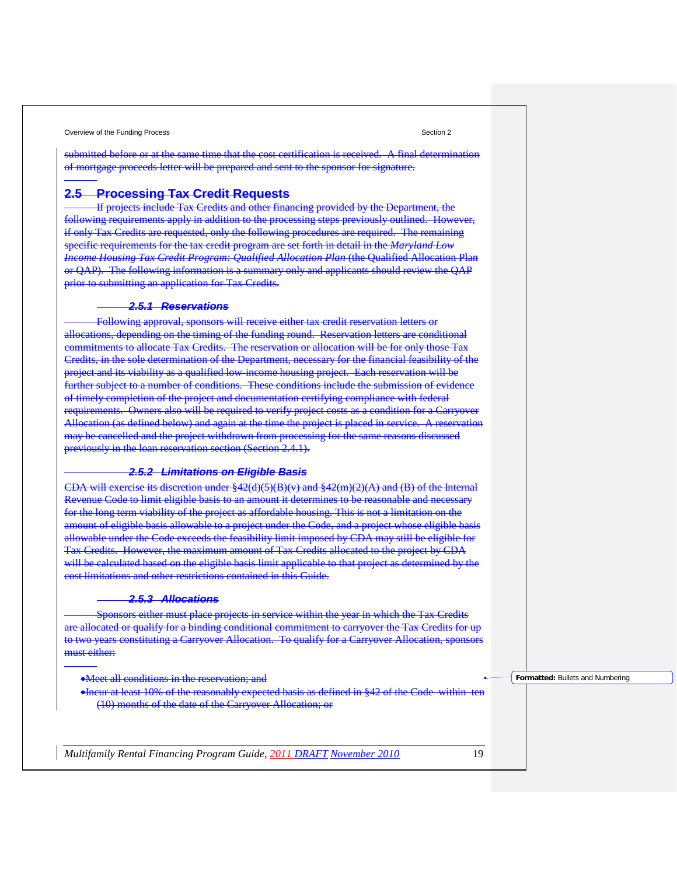Overview of the Funding Process Section 2 and 2 and 2 and 2 and 2 and 2 and 2 and 2 and 2 and 2 and 2 and 2 and 2 and 2 and 2 and 2 and 2 and 2 and 2 and 2 and 2 and 2 and 2 and 2 and 2 and 2 and 2 and 2 and 2 and 2 and 2

submitted before or at the same time that the cost certification is received. A final determination of mortgage proceeds letter will be prepared and sent to the sponsor for signature.

# **2.5 Processing Tax Credit Requests**

If projects include Tax Credits and other financing provided by the Department, the following requirements apply in addition to the processing steps previously outlined. However, if only Tax Credits are requested, only the following procedures are required. The remaining specific requirements for the tax credit program are set forth in detail in the *Maryland Low Income Housing Tax Credit Program: Qualified Allocation Plan* (the Qualified Allocation Plan or QAP). The following information is a summary only and applicants should review the QAP prior to submitting an application for Tax Credits.

### *2.5.1 Reservations*

Following approval, sponsors will receive either tax credit reservation letters or allocations, depending on the timing of the funding round. Reservation letters are conditional commitments to allocate Tax Credits. The reservation or allocation will be for only those Tax Credits, in the sole determination of the Department, necessary for the financial feasibility of the project and its viability as a qualified low-income housing project. Each reservation will be further subject to a number of conditions. These conditions include the submission of evidenc of timely completion of the project and documentation certifying compliance with federal requirements. Owners also will be required to verify project costs as a condition for a Carryover Allocation (as defined below) and again at the time the project is placed in service. A reservation may be cancelled and the project withdrawn from processing for the same reasons discussed previously in the loan reservation section (Section 2.4.1).

### *2.5.2 Limitations on Eligible Basis*

CDA will exercise its discretion under §42(d)(5)(B)(v) and §42(m)(2)(A) and (B) of the Internal Revenue Code to limit eligible basis to an amount it determines to be reasonable and necessary for the long term viability of the project as affordable housing. This is not a limitation on the amount of eligible basis allowable to a project under the Code, and a project whose eligible basis allowable under the Code exceeds the feasibility limit imposed by CDA may still be eligible for Tax Credits. However, the maximum amount of Tax Credits allocated to the project by CDA will be calculated based on the eligible basis limit applicable to that project as determined by the cost limitations and other restrictions contained in this Guide.

### *2.5.3 Allocations*

Sponsors either must place projects in service within the year in which the Tax Credits are allocated or qualify for a binding conditional commitment to carryover the Tax Credits for up to two years constituting a Carryover Allocation. To qualify for a Carryover Allocation, sponsors must either:

•Meet all conditions in the reservation; and

•Incur at least 10% of the reasonably expected basis as defined in §42 of the Code within ten (10) months of the date of the Carryover Allocation; or

*Multifamily Rental Financing Program Guide, 2011 DRAFT November 2010* 19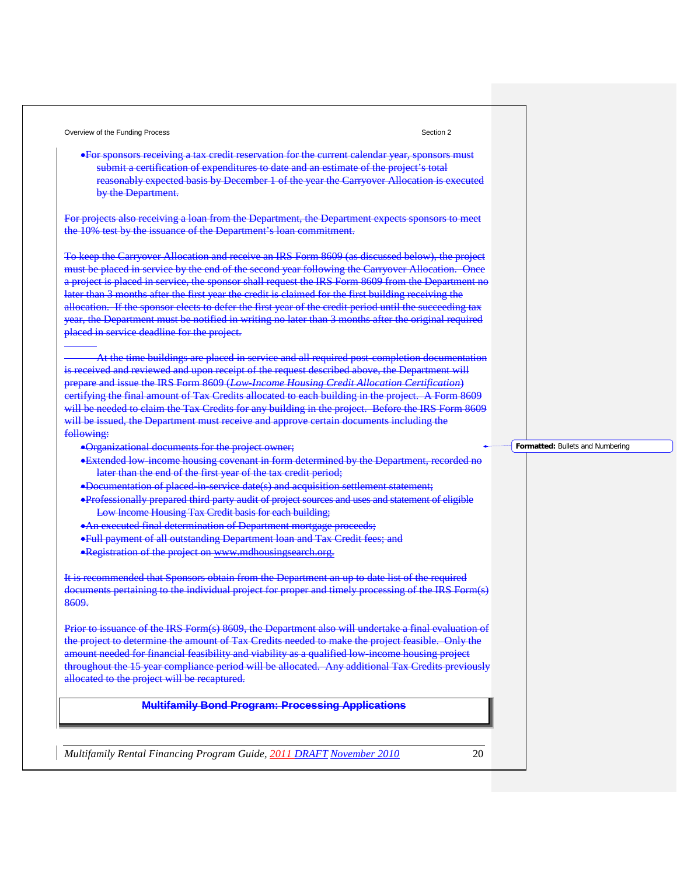| ·For sponsors receiving a tax credit reservation for the current calendar year, sponsors must           |                                  |
|---------------------------------------------------------------------------------------------------------|----------------------------------|
| submit a certification of expenditures to date and an estimate of the project's total                   |                                  |
| reasonably expected basis by December 1 of the year the Carryover Allocation is executed                |                                  |
| by the Department.                                                                                      |                                  |
| For projects also receiving a loan from the Department, the Department expects sponsors to meet         |                                  |
| the 10% test by the issuance of the Department's loan commitment.                                       |                                  |
| To keep the Carryover Allocation and receive an IRS Form 8609 (as discussed below), the project         |                                  |
| must be placed in service by the end of the second year following the Carryover Allocation. Once        |                                  |
| a project is placed in service, the sponsor shall request the IRS Form 8609 from the Department no      |                                  |
| later than 3 months after the first year the credit is claimed for the first building receiving the     |                                  |
| allocation. If the sponsor elects to defer the first year of the credit period until the succeeding tax |                                  |
| year, the Department must be notified in writing no later than 3 months after the original required     |                                  |
| placed in service deadline for the project.                                                             |                                  |
| At the time buildings are placed in service and all required post completion documentation              |                                  |
| is received and reviewed and upon receipt of the request described above, the Department will           |                                  |
| prepare and issue the IRS Form 8609 (Low Income Housing Credit Allocation Certification)                |                                  |
| eertifying the final amount of Tax Credits allocated to each building in the project. A Form 8609       |                                  |
| will be needed to claim the Tax Credits for any building in the project. Before the IRS Form 8609       |                                  |
| will be issued, the Department must receive and approve certain documents including the                 |                                  |
| following:                                                                                              |                                  |
| *Organizational documents for the project owner;                                                        | Formatted: Bullets and Numbering |
| ·Extended low-income housing covenant in form determined by the Department, recorded no                 |                                  |
| later than the end of the first year of the tax credit period;                                          |                                  |
| ·Documentation of placed in service date(s) and acquisition settlement statement;                       |                                  |
| ·Professionally prepared third party audit of project sources and uses and statement of eligible        |                                  |
| Low Income Housing Tax Credit basis for each building;                                                  |                                  |
| ·An executed final determination of Department mortgage proceeds;                                       |                                  |
| .Full payment of all outstanding Department loan and Tax Credit fees; and                               |                                  |
| ·Registration of the project on www.mdhousingsearch.org.                                                |                                  |
| It is recommended that Sponsors obtain from the Department an up to date list of the required           |                                  |
| documents pertaining to the individual project for proper and timely processing of the IRS Form(s)      |                                  |
| 8600<br><u>oove</u> .                                                                                   |                                  |
| Prior to issuance of the IRS Form(s) 8609, the Department also will undertake a final evaluation of     |                                  |
| the project to determine the amount of Tax Credits needed to make the project feasible. Only the        |                                  |
| amount needed for financial feasibility and viability as a qualified low income housing project         |                                  |
| throughout the 15 year compliance period will be allocated. Any additional Tax Credits previously       |                                  |
| allocated to the project will be recaptured.                                                            |                                  |
| <b>Multifamily Bond Program: Processing Applications</b>                                                |                                  |
|                                                                                                         |                                  |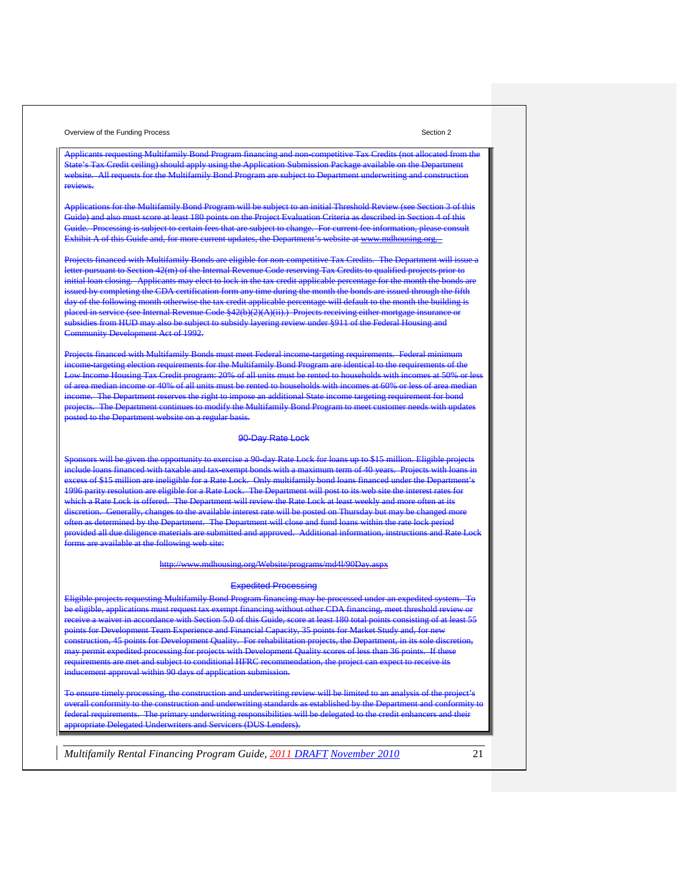### Overview of the Funding Process **Section 2** and 2 and 2 and 2 and 2 and 2 and 2 and 2 and 2 and 2 and 2 and 2 and 2 and 2 and 2 and 2 and 2 and 2 and 2 and 2 and 2 and 2 and 2 and 2 and 2 and 2 and 2 and 2 and 2 and 2 and

Applicants requesting Multifamily Bond Program financing and non-competitive Tax Credits (not allocated from the State's Tax Credit ceiling) should apply using the Application Submission Package available on the Department website. All requests for the Multifamily Bond Program are subject to Department underwriting and construction reviews.

Applications for the Multifamily Bond Program will be subject to an initial Threshold Review (see Section 3 of this Guide) and also must score at least 180 points on the Project Evaluation Criteria as described in Section 4 of this Guide. Processing is subject to certain fees that are subject to change. For current fee information, please consult Exhibit A of this Guide and, for more current updates, the Department's website a[t www.mdhousing.org.](http://www.mdhousing.org/) 

Projects financed with Multifamily Bonds are eligible for non-competitive Tax Credits. The Department will issue a letter pursuant to Section 42(m) of the Internal Revenue Code reserving Tax Credits to qualified projects prior to initial loan closing. Applicants may elect to lock in the tax credit applicable percentage for the month the bonds are issued by completing the CDA certification form any time during the month the bonds are issued through the fifth day of the following month otherwise the tax credit applicable percentage will default to the month the building is placed in service (see Internal Revenue Code §42(b)(2)(A)(ii).) Projects receiving either mortgage insurance or subsidies from HUD may also be subject to subsidy layering review under §911 of the Federal Housing and Community Development Act of 1992.

Projects financed with Multifamily Bonds must meet Federal income-targeting requirements. Federal minimum targeting election requirements for the Multifamily Bond Program are identical to the requirements of the Low Income Housing Tax Credit program: 20% of all units must be rented to households with incomes at 50% or less of area median income or 40% of all units must be rented to households with incomes at 60% or less of area median income. The Department reserves the right to impose an additional State income targeting requirement for bond The Department continues to modify the Multifamily Bond Progr posted to the Department website on a regular basis.

### 90-Day Rate Lock

Sponsors will be given the opportunity to exercise a 90-day Rate Lock for loans up to \$15 million. Eligible projects loans financed with taxable and tax-exempt bonds with a maximum term of 40 years. Projects with loan:<br>of \$15 million are ineligible for a Rate Lock. Only multifamily bond loans financed under the Departmen of \$15 million are ineligible for a Rate Lock arity resolution are eligible for a Rate Lock. The Department will post to its web site the interest rates for which a Rate Lock is offered. The Department will review the Rate Lock at least weekly and more often at its discretion. Generally, changes to the available interest rate will be posted on Thursday but may be changed more often as determined by the Department. The Department will close and fund loans within the rate lock period<br>provided all due diligence materials are submitted and approved. Additional information, instructions and Rate Loc pvided all due diligence materials are submitted and approved. Additional information, instructions and Rate Lock in Rate Lock and Rate Lock and Rate Lock and Rate Lock and Rate Lock and Rate Lock and Rate Lock and Rate Lo  $\frac{c}{\epsilon}$  at the following web site:

### <http://www.mdhousing.org/Website/programs/md4l/90Day.aspx>

### Expedited Processing

esting Multifamily Bond Program financing may be be eligible, applications must request tax exempt financing without other CDA financing, meet threshold review or receive a waiver in accordance with Section 5.0 of this Guide, score at least 180 total points consisting of at least 55 points for Development Team Experience and Financial Capacity, 35 points for Market Study and, for new struction, 45 points for Development Quality. For rehabilitation projects, the Department, in its sole discretion, may permit expedited processing for projects with Development Quality scores of less than 36 points. If these requirements are met and subject to conditional HFRC recommendation, the project can expect to receive its inducement approval within 90 days of application submission.

To ensure timely processing, the construction and underwriting review will be limited to an analysis of the project's overall conformity to the construction and underwriting standards as established by the Department and conformity to federal requirements. The primary underwriting responsibilities will be delegated to the credit enhancers and their appropriate Delegated Underwriters and Servicers (DUS Lenders).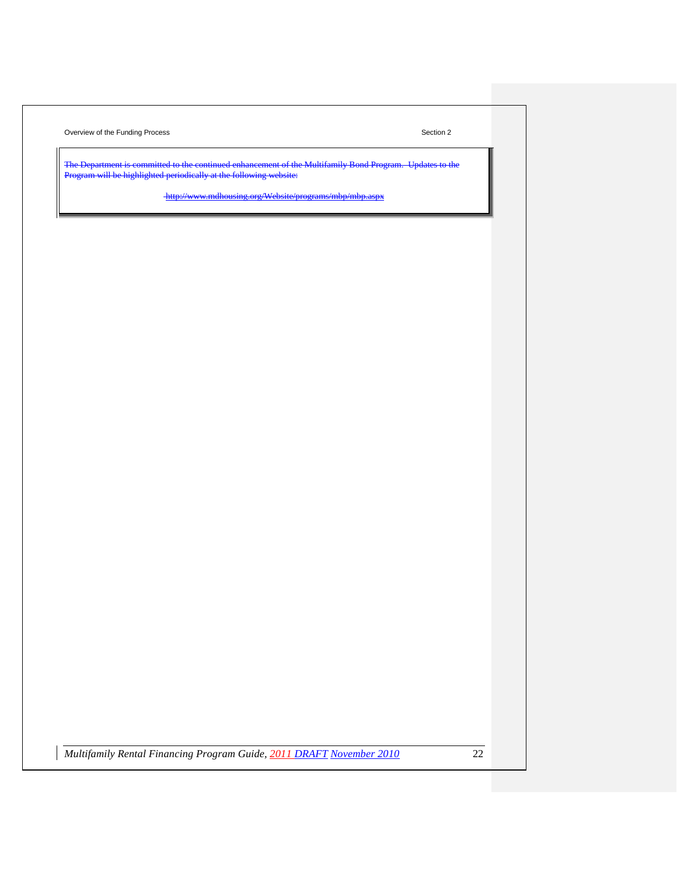Overview of the Funding Process Section 2

The Department is committed to the continued enhancement of the Multifamily Bond Program. Updates to the ill be highlighted periodically at the following websit

[http://www.mdhousing.org/Website/programs/mbp/mbp.aspx](http://www.dhcd.state.md.us/Website/programs/mbp/mbp.aspx)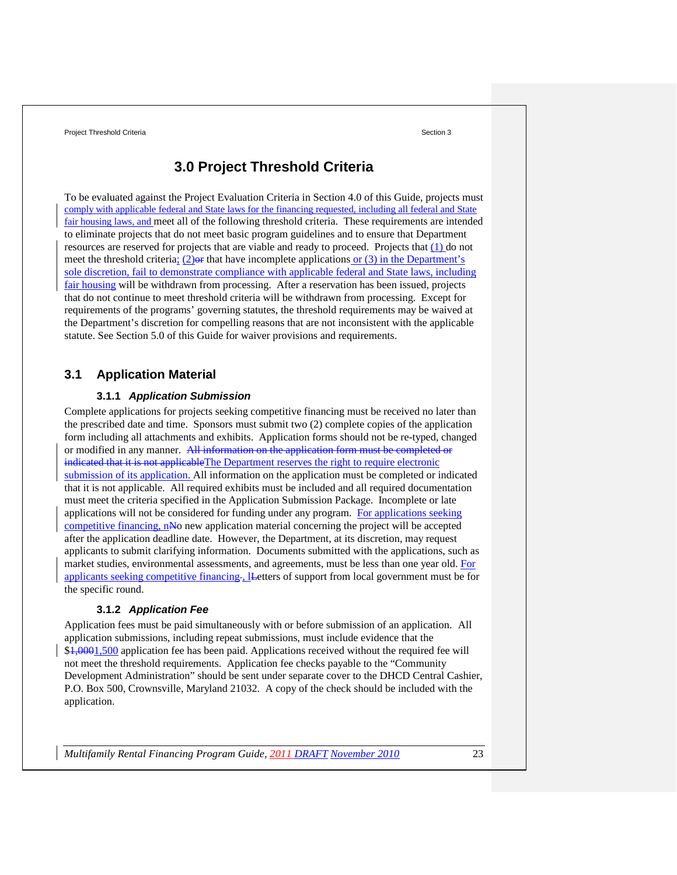# **3.0 Project Threshold Criteria**

To be evaluated against the Project Evaluation Criteria in Section 4.0 of this Guide, projects must comply with applicable federal and State laws for the financing requested, including all federal and State fair housing laws, and meet all of the following threshold criteria. These requirements are intended to eliminate projects that do not meet basic program guidelines and to ensure that Department resources are reserved for projects that are viable and ready to proceed. Projects that (1) do not meet the threshold criteria; (2) $\Theta$  that have incomplete applications or (3) in the Department's sole discretion, fail to demonstrate compliance with applicable federal and State laws, including fair housing will be withdrawn from processing. After a reservation has been issued, projects that do not continue to meet threshold criteria will be withdrawn from processing. Except for requirements of the programs' governing statutes, the threshold requirements may be waived at the Department's discretion for compelling reasons that are not inconsistent with the applicable statute. See Section 5.0 of this Guide for waiver provisions and requirements.

# **3.1 Application Material**

### **3.1.1** *Application Submission*

Complete applications for projects seeking competitive financing must be received no later than the prescribed date and time. Sponsors must submit two (2) complete copies of the application form including all attachments and exhibits. Application forms should not be re-typed, changed or modified in any manner. All information on the application form must be completed or indicated that it is not applicable The Department reserves the right to require electronic submission of its application. All information on the application must be completed or indicated that it is not applicable. All required exhibits must be included and all required documentation must meet the criteria specified in the Application Submission Package. Incomplete or late applications will not be considered for funding under any program. For applications seeking competitive financing,  $nN$  new application material concerning the project will be accepted after the application deadline date. However, the Department, at its discretion, may request applicants to submit clarifying information. Documents submitted with the applications, such as market studies, environmental assessments, and agreements, must be less than one year old. For applicants seeking competitive financing-, lletters of support from local government must be for the specific round.

### **3.1.2** *Application Fee*

Application fees must be paid simultaneously with or before submission of an application. All application submissions, including repeat submissions, must include evidence that the \$1,0001,500 application fee has been paid. Applications received without the required fee will not meet the threshold requirements. Application fee checks payable to the "Community Development Administration" should be sent under separate cover to the DHCD Central Cashier, P.O. Box 500, Crownsville, Maryland 21032. A copy of the check should be included with the application.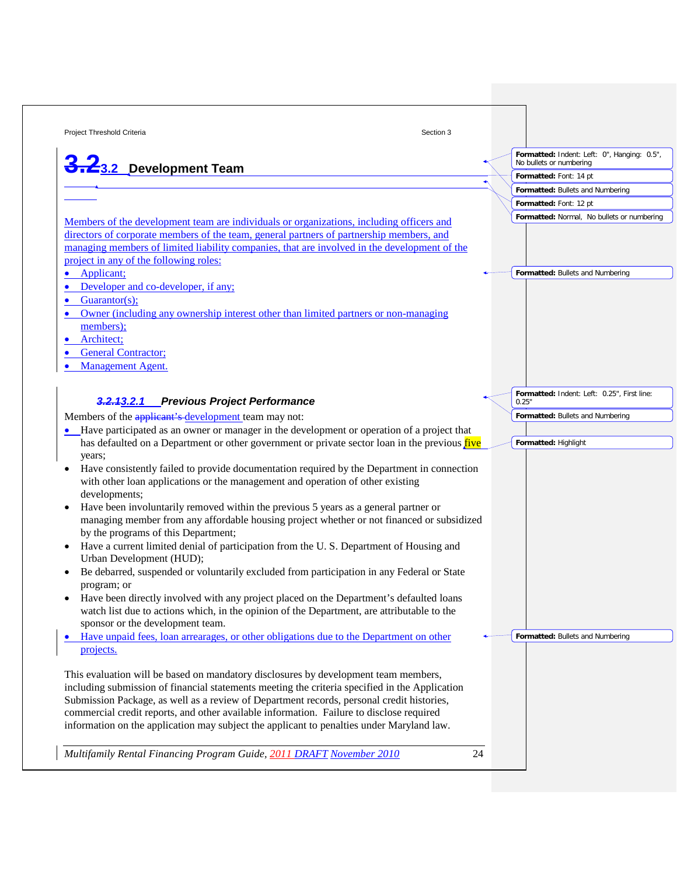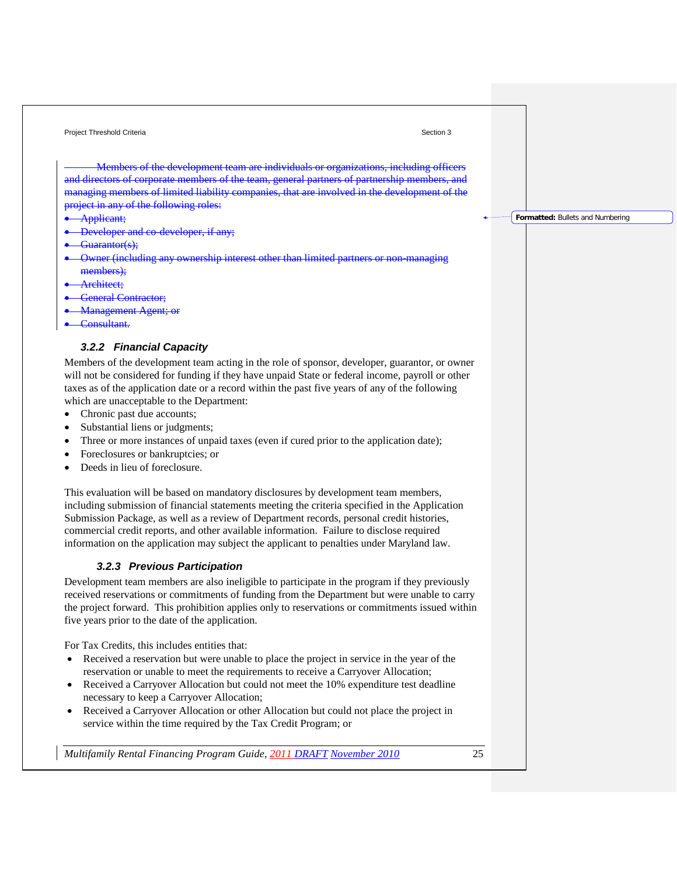Members of the development team are individuals or organizations, including officers and directors of corporate members of the team, general partners of partnership members, and managing members of limited liability companies, that are involved in the development of the project in any of the following roles:

- Applicant;
- Developer and co-developer, if any;
- Guarantor(s):
- Owner (including any ownership interest other than limited partners or non-managing members);
- Architect;
- General Contractor:
- **Lanagement Agent**
- Consultant.

## *3.2.2 Financial Capacity*

Members of the development team acting in the role of sponsor, developer, guarantor, or owner will not be considered for funding if they have unpaid State or federal income, payroll or other taxes as of the application date or a record within the past five years of any of the following which are unacceptable to the Department:

- Chronic past due accounts;
- Substantial liens or judgments;
- Three or more instances of unpaid taxes (even if cured prior to the application date);
- Foreclosures or bankruptcies; or
- Deeds in lieu of foreclosure.

This evaluation will be based on mandatory disclosures by development team members, including submission of financial statements meeting the criteria specified in the Application Submission Package, as well as a review of Department records, personal credit histories, commercial credit reports, and other available information. Failure to disclose required information on the application may subject the applicant to penalties under Maryland law.

### *3.2.3 Previous Participation*

Development team members are also ineligible to participate in the program if they previously received reservations or commitments of funding from the Department but were unable to carry the project forward. This prohibition applies only to reservations or commitments issued within five years prior to the date of the application.

For Tax Credits, this includes entities that:

- Received a reservation but were unable to place the project in service in the year of the reservation or unable to meet the requirements to receive a Carryover Allocation;
- Received a Carryover Allocation but could not meet the 10% expenditure test deadline necessary to keep a Carryover Allocation;
- Received a Carryover Allocation or other Allocation but could not place the project in service within the time required by the Tax Credit Program; or

*Multifamily Rental Financing Program Guide, 2011 DRAFT November 2010* 25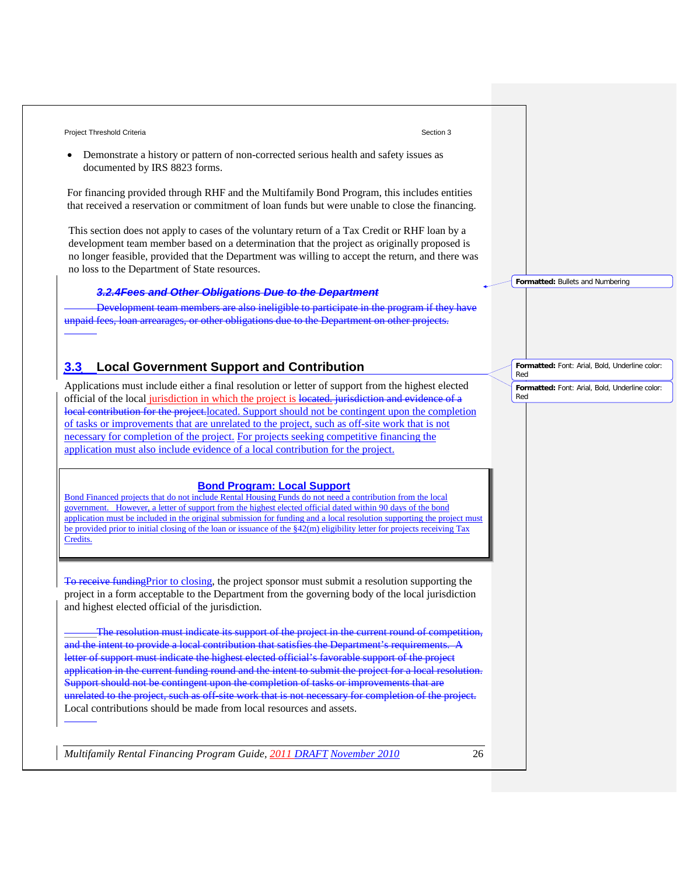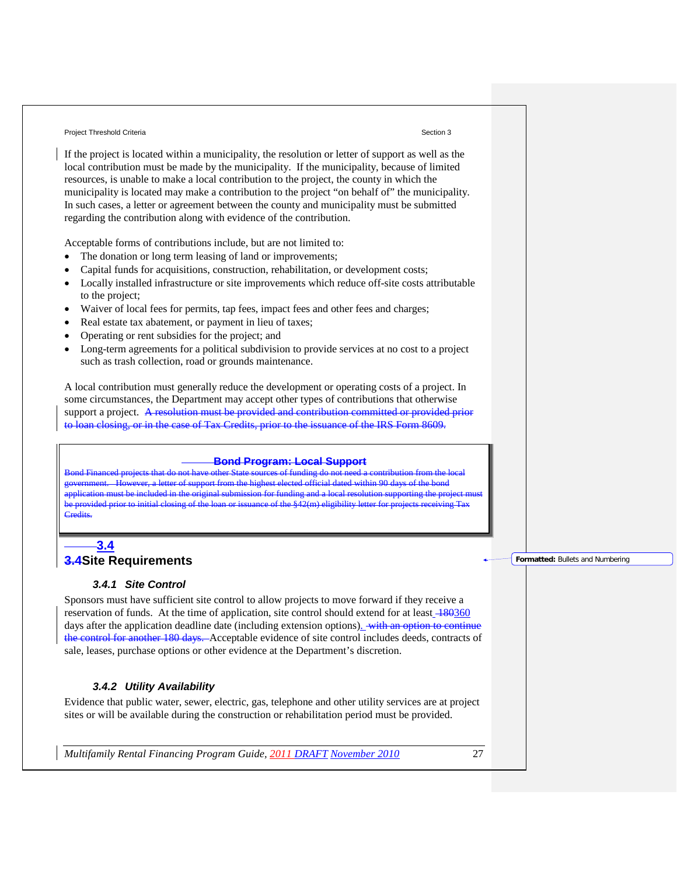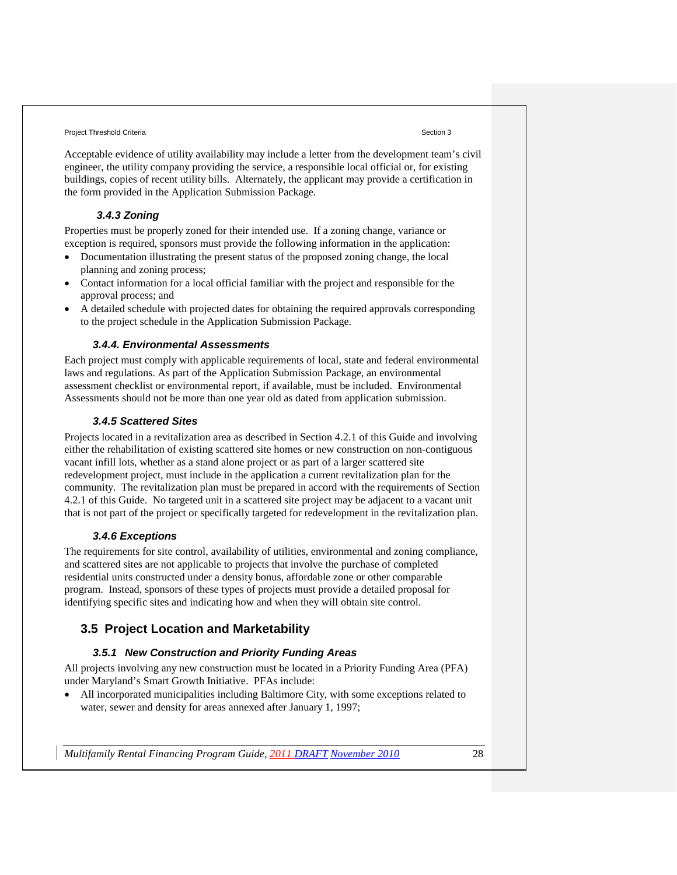Project Threshold Criteria **Section 3** Section 3

Acceptable evidence of utility availability may include a letter from the development team's civil engineer, the utility company providing the service, a responsible local official or, for existing buildings, copies of recent utility bills. Alternately, the applicant may provide a certification in the form provided in the Application Submission Package.

# *3.4.3 Zoning*

Properties must be properly zoned for their intended use. If a zoning change, variance or exception is required, sponsors must provide the following information in the application:

- Documentation illustrating the present status of the proposed zoning change, the local planning and zoning process;
- Contact information for a local official familiar with the project and responsible for the approval process; and
- A detailed schedule with projected dates for obtaining the required approvals corresponding to the project schedule in the Application Submission Package.

### *3.4.4. Environmental Assessments*

Each project must comply with applicable requirements of local, state and federal environmental laws and regulations. As part of the Application Submission Package, an environmental assessment checklist or environmental report, if available, must be included. Environmental Assessments should not be more than one year old as dated from application submission.

### *3.4.5 Scattered Sites*

Projects located in a revitalization area as described in Section 4.2.1 of this Guide and involving either the rehabilitation of existing scattered site homes or new construction on non-contiguous vacant infill lots, whether as a stand alone project or as part of a larger scattered site redevelopment project, must include in the application a current revitalization plan for the community. The revitalization plan must be prepared in accord with the requirements of Section 4.2.1 of this Guide. No targeted unit in a scattered site project may be adjacent to a vacant unit that is not part of the project or specifically targeted for redevelopment in the revitalization plan.

### *3.4.6 Exceptions*

The requirements for site control, availability of utilities, environmental and zoning compliance, and scattered sites are not applicable to projects that involve the purchase of completed residential units constructed under a density bonus, affordable zone or other comparable program. Instead, sponsors of these types of projects must provide a detailed proposal for identifying specific sites and indicating how and when they will obtain site control.

# **3.5 Project Location and Marketability**

### *3.5.1 New Construction and Priority Funding Areas*

All projects involving any new construction must be located in a Priority Funding Area (PFA) under Maryland's Smart Growth Initiative. PFAs include:

• All incorporated municipalities including Baltimore City, with some exceptions related to water, sewer and density for areas annexed after January 1, 1997;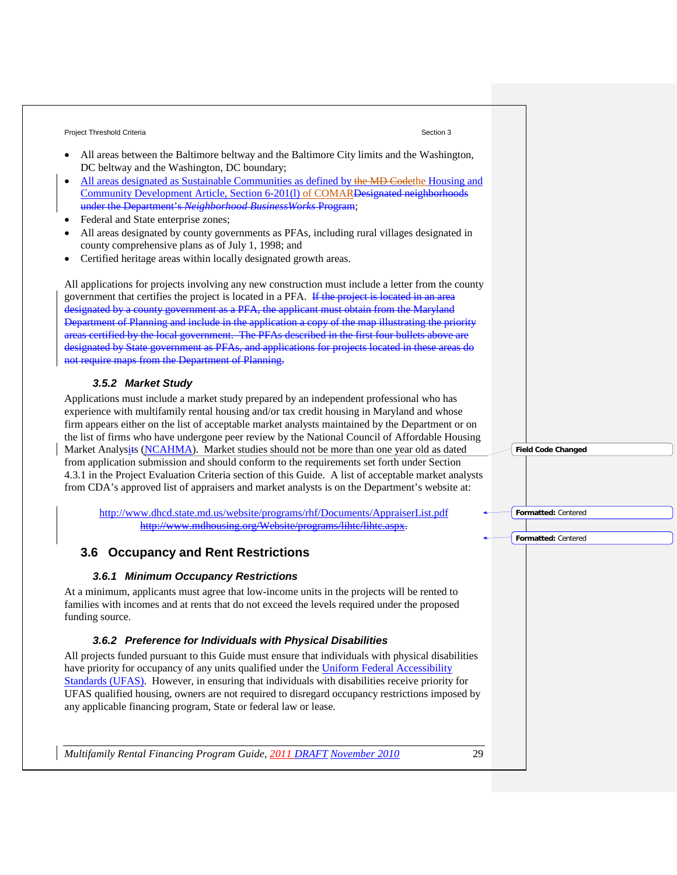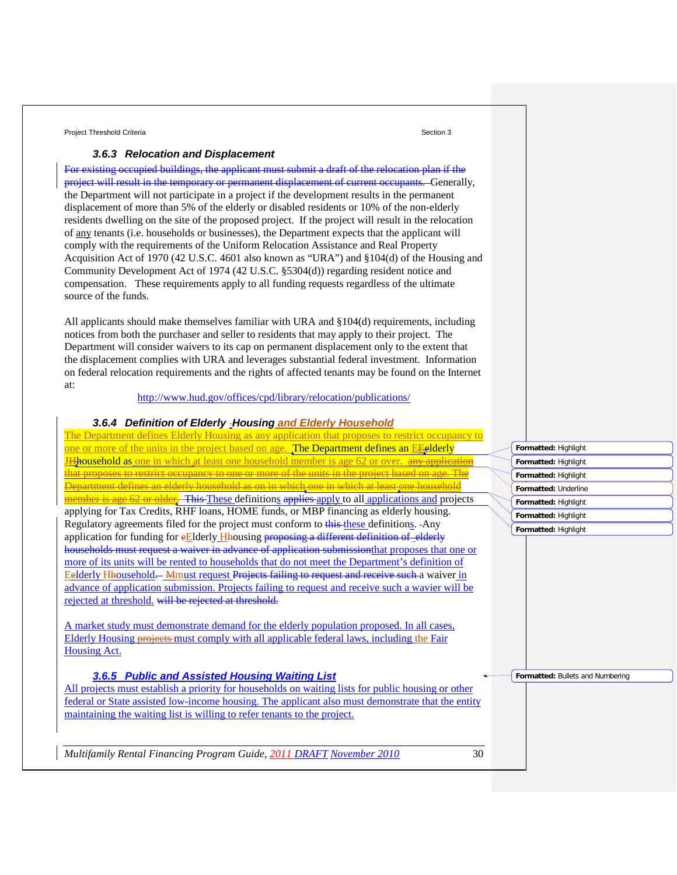### *3.6.3 Relocation and Displacement*

For existing occupied buildings, the applicant must submit a draft of the relocation plan if the project will result in the temporary or permanent displacement of current occupants. Generally, the Department will not participate in a project if the development results in the permanent displacement of more than 5% of the elderly or disabled residents or 10% of the non-elderly residents dwelling on the site of the proposed project. If the project will result in the relocation of any tenants (i.e. households or businesses), the Department expects that the applicant will comply with the requirements of the Uniform Relocation Assistance and Real Property Acquisition Act of 1970 (42 U.S.C. 4601 also known as "URA") and §104(d) of the Housing and Community Development Act of 1974 (42 U.S.C. §5304(d)) regarding resident notice and compensation. These requirements apply to all funding requests regardless of the ultimate source of the funds.

All applicants should make themselves familiar with URA and §104(d) requirements, including notices from both the purchaser and seller to residents that may apply to their project. The Department will consider waivers to its cap on permanent displacement only to the extent that the displacement complies with URA and leverages substantial federal investment. Information on federal relocation requirements and the rights of affected tenants may be found on the Internet at:

[http://www.hud.gov/offices/cpd/library/relocation/publications/](http://www.hud.gov/offices/cpd/library/relocation/publications)

### 3.6.4 *Definition of Elderly - Housing and Elderly Household*

The Department defines Elderly Housing as any application that proposes to restrict occupancy to one or more of the units in the project based on age. The Department defines an EEelderly JHhousehold as one in which at least one household member is age 62 or over. any a that proposes to restrict occupancy to one or more of the units in the project based on age. The <u>1ent defines an elderly household as on in which one in which at least one household</u> member is age 62 or older. This These definitions applies apply to all applications and projects applying for Tax Credits, RHF loans, HOME funds, or MBP financing as elderly housing. Regulatory agreements filed for the project must conform to this these definitions. Any application for funding for eElderly H<sub>housing proposing a different definition of elderly</sub> households must request a waiver in advance of application submissionthat proposes that one or more of its units will be rented to households that do not meet the Department's definition of Eelderly Hhousehold. Mmust request Projects failing to request and receive such a waiver in advance of application submission. Projects failing to request and receive such a wavier will be rejected at threshold. will be rejected at threshold.

A market study must demonstrate demand for the elderly population proposed. In all cases, Elderly Housing projects must comply with all applicable federal laws, including the Fair Housing Act.

### *3.6.5 Public and Assisted Housing Waiting List*

All projects must establish a priority for households on waiting lists for public housing or other federal or State assisted low-income housing. The applicant also must demonstrate that the entity maintaining the waiting list is willing to refer tenants to the project.

*Multifamily Rental Financing Program Guide, 2011 DRAFT November 2010* 30

**Formatted:** Highlight **Formatted:** Highlight **Formatted:** Highlight **Formatted:** Underline **Formatted:** Highlight **Formatted:** Highlight **Formatted:** Highlight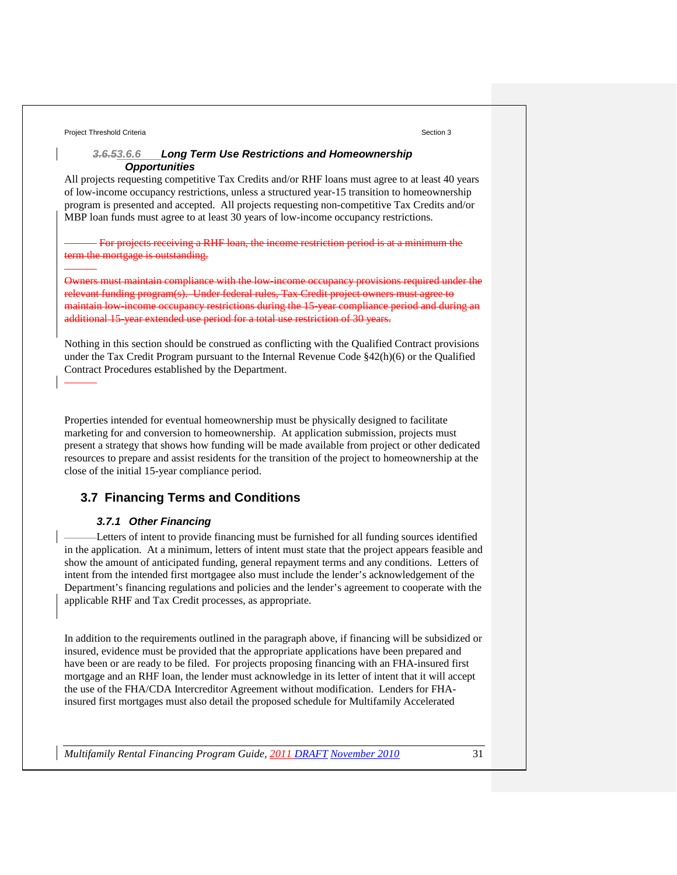### *3.6.53.6.6 Long Term Use Restrictions and Homeownership Opportunities*

All projects requesting competitive Tax Credits and/or RHF loans must agree to at least 40 years of low-income occupancy restrictions, unless a structured year-15 transition to homeownership program is presented and accepted. All projects requesting non-competitive Tax Credits and/or MBP loan funds must agree to at least 30 years of low-income occupancy restrictions.

For projects receiving a RHF loan, the income restriction period is at a minimum the term the mortgage is outstanding.

Owners must maintain compliance with the low-income occupancy provisions required under the relevant funding program(s). Under federal rules, Tax Credit project owners must agree to maintain low-income occupancy restrictions during the 15 year compliance period and during and and additional 15-year extended use period for a total use restriction of 30 years.

Nothing in this section should be construed as conflicting with the Qualified Contract provisions under the Tax Credit Program pursuant to the Internal Revenue Code §42(h)(6) or the Qualified Contract Procedures established by the Department.

Properties intended for eventual homeownership must be physically designed to facilitate marketing for and conversion to homeownership. At application submission, projects must present a strategy that shows how funding will be made available from project or other dedicated resources to prepare and assist residents for the transition of the project to homeownership at the close of the initial 15-year compliance period.

# **3.7 Financing Terms and Conditions**

### *3.7.1 Other Financing*

Letters of intent to provide financing must be furnished for all funding sources identified in the application. At a minimum, letters of intent must state that the project appears feasible and show the amount of anticipated funding, general repayment terms and any conditions. Letters of intent from the intended first mortgagee also must include the lender's acknowledgement of the Department's financing regulations and policies and the lender's agreement to cooperate with the applicable RHF and Tax Credit processes, as appropriate.

In addition to the requirements outlined in the paragraph above, if financing will be subsidized or insured, evidence must be provided that the appropriate applications have been prepared and have been or are ready to be filed. For projects proposing financing with an FHA-insured first mortgage and an RHF loan, the lender must acknowledge in its letter of intent that it will accept the use of the FHA/CDA Intercreditor Agreement without modification. Lenders for FHAinsured first mortgages must also detail the proposed schedule for Multifamily Accelerated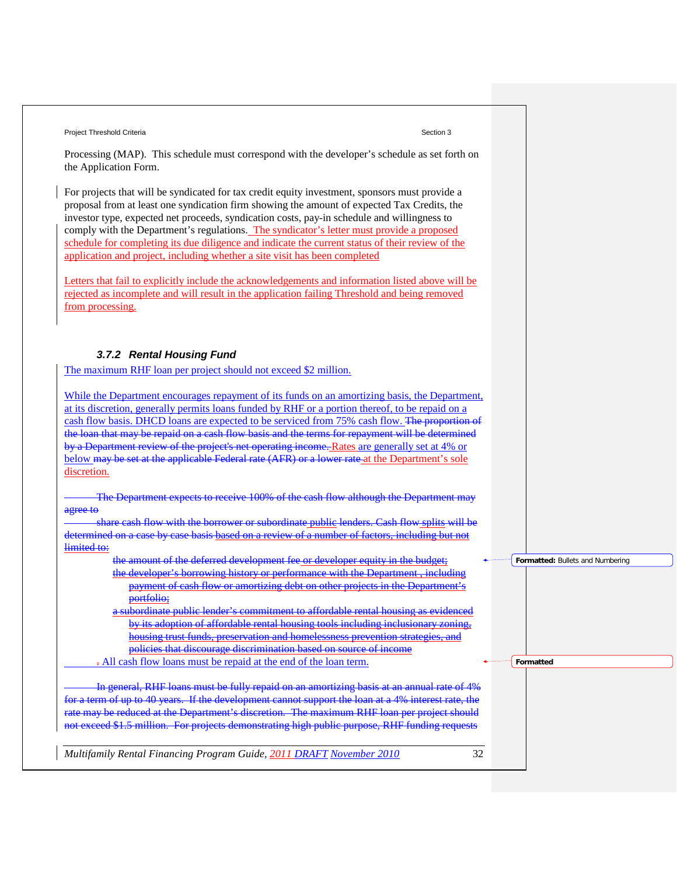| Project Threshold Criteria<br>Section 3                                                                                                                                                                                                                                                                                                                                                                                                                                                                                                                                     |                                  |
|-----------------------------------------------------------------------------------------------------------------------------------------------------------------------------------------------------------------------------------------------------------------------------------------------------------------------------------------------------------------------------------------------------------------------------------------------------------------------------------------------------------------------------------------------------------------------------|----------------------------------|
| Processing (MAP). This schedule must correspond with the developer's schedule as set forth on<br>the Application Form.                                                                                                                                                                                                                                                                                                                                                                                                                                                      |                                  |
| For projects that will be syndicated for tax credit equity investment, sponsors must provide a<br>proposal from at least one syndication firm showing the amount of expected Tax Credits, the<br>investor type, expected net proceeds, syndication costs, pay-in schedule and willingness to<br>comply with the Department's regulations. The syndicator's letter must provide a proposed<br>schedule for completing its due diligence and indicate the current status of their review of the<br>application and project, including whether a site visit has been completed |                                  |
| Letters that fail to explicitly include the acknowledgements and information listed above will be<br>rejected as incomplete and will result in the application failing Threshold and being removed<br>from processing.                                                                                                                                                                                                                                                                                                                                                      |                                  |
|                                                                                                                                                                                                                                                                                                                                                                                                                                                                                                                                                                             |                                  |
| 3.7.2 Rental Housing Fund                                                                                                                                                                                                                                                                                                                                                                                                                                                                                                                                                   |                                  |
| The maximum RHF loan per project should not exceed \$2 million.                                                                                                                                                                                                                                                                                                                                                                                                                                                                                                             |                                  |
|                                                                                                                                                                                                                                                                                                                                                                                                                                                                                                                                                                             |                                  |
| While the Department encourages repayment of its funds on an amortizing basis, the Department,<br>at its discretion, generally permits loans funded by RHF or a portion thereof, to be repaid on a<br>cash flow basis. DHCD loans are expected to be serviced from 75% cash flow. The proportion of<br>the loan that may be repaid on a cash flow basis and the terms for repayment will be determined<br>by a Department review of the project's net operating income. Rates are generally set at 4% or                                                                    |                                  |
| below may be set at the applicable Federal rate (AFR) or a lower rate at the Department's sole                                                                                                                                                                                                                                                                                                                                                                                                                                                                              |                                  |
| discretion.                                                                                                                                                                                                                                                                                                                                                                                                                                                                                                                                                                 |                                  |
| The Department expects to receive 100% of the cash flow although the Department may<br><del>agree to</del>                                                                                                                                                                                                                                                                                                                                                                                                                                                                  |                                  |
| share cash flow with the borrower or subordinate public lenders. Cash flow splits will be                                                                                                                                                                                                                                                                                                                                                                                                                                                                                   |                                  |
| determined on a case by case basis based on a review of a number of factors, including but not                                                                                                                                                                                                                                                                                                                                                                                                                                                                              |                                  |
| limited to:                                                                                                                                                                                                                                                                                                                                                                                                                                                                                                                                                                 |                                  |
| the amount of the deferred development fee or developer equity in the budget;<br>the developer's borrowing history or performance with the Department, including                                                                                                                                                                                                                                                                                                                                                                                                            | Formatted: Bullets and Numbering |
| payment of cash flow or amortizing debt on other projects in the Department's                                                                                                                                                                                                                                                                                                                                                                                                                                                                                               |                                  |
| portfolio;                                                                                                                                                                                                                                                                                                                                                                                                                                                                                                                                                                  |                                  |
| a subordinate public lender's commitment to affordable rental housing as evidenced                                                                                                                                                                                                                                                                                                                                                                                                                                                                                          |                                  |
| by its adoption of affordable rental housing tools including inclusionary zoning,                                                                                                                                                                                                                                                                                                                                                                                                                                                                                           |                                  |
| housing trust funds, preservation and homelessness prevention strategies, and<br>policies that discourage discrimination based on source of income                                                                                                                                                                                                                                                                                                                                                                                                                          |                                  |
| . All cash flow loans must be repaid at the end of the loan term.                                                                                                                                                                                                                                                                                                                                                                                                                                                                                                           | Formatted                        |
|                                                                                                                                                                                                                                                                                                                                                                                                                                                                                                                                                                             |                                  |
| In general, RHF loans must be fully repaid on an amortizing basis at an annual rate of 4%                                                                                                                                                                                                                                                                                                                                                                                                                                                                                   |                                  |
| for a term of up to 40 years. If the development cannot support the loan at a 4% interest rate, the                                                                                                                                                                                                                                                                                                                                                                                                                                                                         |                                  |
| rate may be reduced at the Department's discretion. The maximum RHF loan per project should                                                                                                                                                                                                                                                                                                                                                                                                                                                                                 |                                  |
| not exceed \$1.5 million. For projects demonstrating high public purpose, RHF funding requests                                                                                                                                                                                                                                                                                                                                                                                                                                                                              |                                  |
| Multifamily Rental Financing Program Guide, 2011 DRAFT November 2010<br>32                                                                                                                                                                                                                                                                                                                                                                                                                                                                                                  |                                  |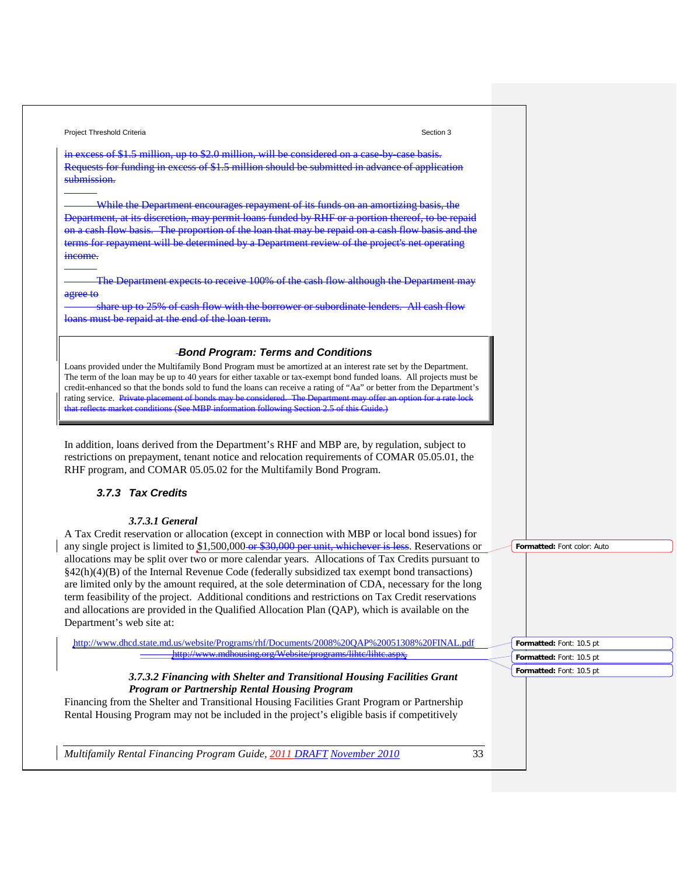in excess of \$1.5 million, up to \$2.0 million, will be considered on a case-by-case basis. Requests for funding in excess of \$1.5 million should be submitted in advance of application submission.

While the Department encourages repayment of its funds on an amortizing basis, the Department, at its discretion, may permit loans funded by RHF or a portion thereof, to be repaid on a cash flow basis. The proportion of the loan that may be repaid on a cash flow basis and the terms for repayment will be determined by a Department review of the project's net operating income.

The Department expects to receive 100% of the cash flow although the Department may agree to

share up to 25% of cash flow with the borrower or subordinate lenders. All cash flow loans must be repaid at the end of the loan term.

### *Bond Program: Terms and Conditions*

Loans provided under the Multifamily Bond Program must be amortized at an interest rate set by the Department. The term of the loan may be up to 40 years for either taxable or tax-exempt bond funded loans. All projects must be credit-enhanced so that the bonds sold to fund the loans can receive a rating of "Aa" or better from the Department's rating service. Private placement of bonds may be considered. The Department may offer an option for a rate lock **(See MBP information following Section** 3.5 of the Section 2.5 of the Section 2.5 of the Section 2.5 of the Section 2.5 of the Section 2.5 of the Section 2.5 of the Section 2.5 of the Section 2.5 of the Section 2.5 of the

In addition, loans derived from the Department's RHF and MBP are, by regulation, subject to restrictions on prepayment, tenant notice and relocation requirements of COMAR 05.05.01, the RHF program, and COMAR 05.05.02 for the Multifamily Bond Program.

## *3.7.3 Tax Credits*

### *3.7.3.1 General*

A Tax Credit reservation or allocation (except in connection with MBP or local bond issues) for any single project is limited to \$1,500,000 or \$30,000 per unit, whichever is less. Reservations or allocations may be split over two or more calendar years. Allocations of Tax Credits pursuant to §42(h)(4)(B) of the Internal Revenue Code (federally subsidized tax exempt bond transactions) are limited only by the amount required, at the sole determination of CDA, necessary for the long term feasibility of the project. Additional conditions and restrictions on Tax Credit reservations and allocations are provided in the Qualified Allocation Plan (QAP), which is available on the Department's web site at:

http://www.dhcd.state.md.us/website/Programs/rhf/Documents/2008%20QAP%20051308%20FINAL.pdf [http://www.mdhousing.org/Website/programs/lihtc/lihtc.aspx.](http://www.dhcd.state.md.us/Website/programs/lihtc/lihtc.aspx)

### *3.7.3.2 Financing with Shelter and Transitional Housing Facilities Grant Program or Partnership Rental Housing Program*

Financing from the Shelter and Transitional Housing Facilities Grant Program or Partnership Rental Housing Program may not be included in the project's eligible basis if competitively

*Multifamily Rental Financing Program Guide, 2011 DRAFT November 2010* 33

**Formatted:** Font: 10.5 pt

**Formatted:** Font: 10.5 pt

**Formatted:** Font: 10.5 pt

**Formatted:** Font color: Auto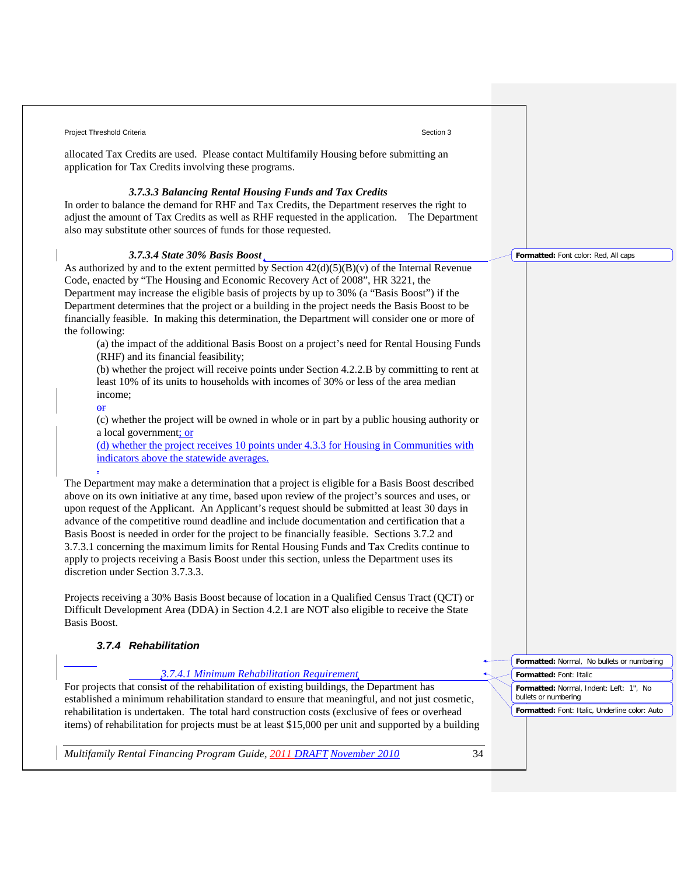| Project Threshold Criteria<br>Section 3                                                                                                                                                                                                                                                                                                                                                                                                                                                                                                                                                                                                                                                                                                                                                                                                                                                                                                                                                                                                                                                                                                                                                                                                                                                                                                                                                                                                                                                                                                                                                                                                                                                                                                                                                                                                                                                                 |                                                                                                                                              |
|---------------------------------------------------------------------------------------------------------------------------------------------------------------------------------------------------------------------------------------------------------------------------------------------------------------------------------------------------------------------------------------------------------------------------------------------------------------------------------------------------------------------------------------------------------------------------------------------------------------------------------------------------------------------------------------------------------------------------------------------------------------------------------------------------------------------------------------------------------------------------------------------------------------------------------------------------------------------------------------------------------------------------------------------------------------------------------------------------------------------------------------------------------------------------------------------------------------------------------------------------------------------------------------------------------------------------------------------------------------------------------------------------------------------------------------------------------------------------------------------------------------------------------------------------------------------------------------------------------------------------------------------------------------------------------------------------------------------------------------------------------------------------------------------------------------------------------------------------------------------------------------------------------|----------------------------------------------------------------------------------------------------------------------------------------------|
| allocated Tax Credits are used. Please contact Multifamily Housing before submitting an<br>application for Tax Credits involving these programs.                                                                                                                                                                                                                                                                                                                                                                                                                                                                                                                                                                                                                                                                                                                                                                                                                                                                                                                                                                                                                                                                                                                                                                                                                                                                                                                                                                                                                                                                                                                                                                                                                                                                                                                                                        |                                                                                                                                              |
| 3.7.3.3 Balancing Rental Housing Funds and Tax Credits<br>In order to balance the demand for RHF and Tax Credits, the Department reserves the right to<br>adjust the amount of Tax Credits as well as RHF requested in the application. The Department<br>also may substitute other sources of funds for those requested.                                                                                                                                                                                                                                                                                                                                                                                                                                                                                                                                                                                                                                                                                                                                                                                                                                                                                                                                                                                                                                                                                                                                                                                                                                                                                                                                                                                                                                                                                                                                                                               |                                                                                                                                              |
|                                                                                                                                                                                                                                                                                                                                                                                                                                                                                                                                                                                                                                                                                                                                                                                                                                                                                                                                                                                                                                                                                                                                                                                                                                                                                                                                                                                                                                                                                                                                                                                                                                                                                                                                                                                                                                                                                                         |                                                                                                                                              |
| 3.7.3.4 State 30% Basis Boost<br>As authorized by and to the extent permitted by Section $42(d)(5)(B)(v)$ of the Internal Revenue<br>Code, enacted by "The Housing and Economic Recovery Act of 2008", HR 3221, the<br>Department may increase the eligible basis of projects by up to 30% (a "Basis Boost") if the<br>Department determines that the project or a building in the project needs the Basis Boost to be<br>financially feasible. In making this determination, the Department will consider one or more of<br>the following:<br>(a) the impact of the additional Basis Boost on a project's need for Rental Housing Funds<br>(RHF) and its financial feasibility;<br>(b) whether the project will receive points under Section 4.2.2.B by committing to rent at<br>least 10% of its units to households with incomes of 30% or less of the area median<br>income;<br>$\theta$ f<br>(c) whether the project will be owned in whole or in part by a public housing authority or<br>a local government; or<br>(d) whether the project receives 10 points under 4.3.3 for Housing in Communities with<br>indicators above the statewide averages.<br>The Department may make a determination that a project is eligible for a Basis Boost described<br>above on its own initiative at any time, based upon review of the project's sources and uses, or<br>upon request of the Applicant. An Applicant's request should be submitted at least 30 days in<br>advance of the competitive round deadline and include documentation and certification that a<br>Basis Boost is needed in order for the project to be financially feasible. Sections 3.7.2 and<br>3.7.3.1 concerning the maximum limits for Rental Housing Funds and Tax Credits continue to<br>apply to projects receiving a Basis Boost under this section, unless the Department uses its<br>discretion under Section 3.7.3.3. | Formatted: Font color: Red, All caps                                                                                                         |
| Projects receiving a 30% Basis Boost because of location in a Qualified Census Tract (QCT) or<br>Difficult Development Area (DDA) in Section 4.2.1 are NOT also eligible to receive the State<br>Basis Boost.                                                                                                                                                                                                                                                                                                                                                                                                                                                                                                                                                                                                                                                                                                                                                                                                                                                                                                                                                                                                                                                                                                                                                                                                                                                                                                                                                                                                                                                                                                                                                                                                                                                                                           |                                                                                                                                              |
| 3.7.4 Rehabilitation                                                                                                                                                                                                                                                                                                                                                                                                                                                                                                                                                                                                                                                                                                                                                                                                                                                                                                                                                                                                                                                                                                                                                                                                                                                                                                                                                                                                                                                                                                                                                                                                                                                                                                                                                                                                                                                                                    |                                                                                                                                              |
|                                                                                                                                                                                                                                                                                                                                                                                                                                                                                                                                                                                                                                                                                                                                                                                                                                                                                                                                                                                                                                                                                                                                                                                                                                                                                                                                                                                                                                                                                                                                                                                                                                                                                                                                                                                                                                                                                                         | Formatted: Normal, No bullets or numbering                                                                                                   |
| 3.7.4.1 Minimum Rehabilitation Requirement<br>For projects that consist of the rehabilitation of existing buildings, the Department has<br>established a minimum rehabilitation standard to ensure that meaningful, and not just cosmetic,<br>rehabilitation is undertaken. The total hard construction costs (exclusive of fees or overhead<br>items) of rehabilitation for projects must be at least \$15,000 per unit and supported by a building                                                                                                                                                                                                                                                                                                                                                                                                                                                                                                                                                                                                                                                                                                                                                                                                                                                                                                                                                                                                                                                                                                                                                                                                                                                                                                                                                                                                                                                    | Formatted: Font: Italic<br>Formatted: Normal, Indent: Left: 1", No<br>bullets or numbering<br>Formatted: Font: Italic, Underline color: Auto |
| Multifamily Rental Financing Program Guide, 2011 DRAFT November 2010<br>34                                                                                                                                                                                                                                                                                                                                                                                                                                                                                                                                                                                                                                                                                                                                                                                                                                                                                                                                                                                                                                                                                                                                                                                                                                                                                                                                                                                                                                                                                                                                                                                                                                                                                                                                                                                                                              |                                                                                                                                              |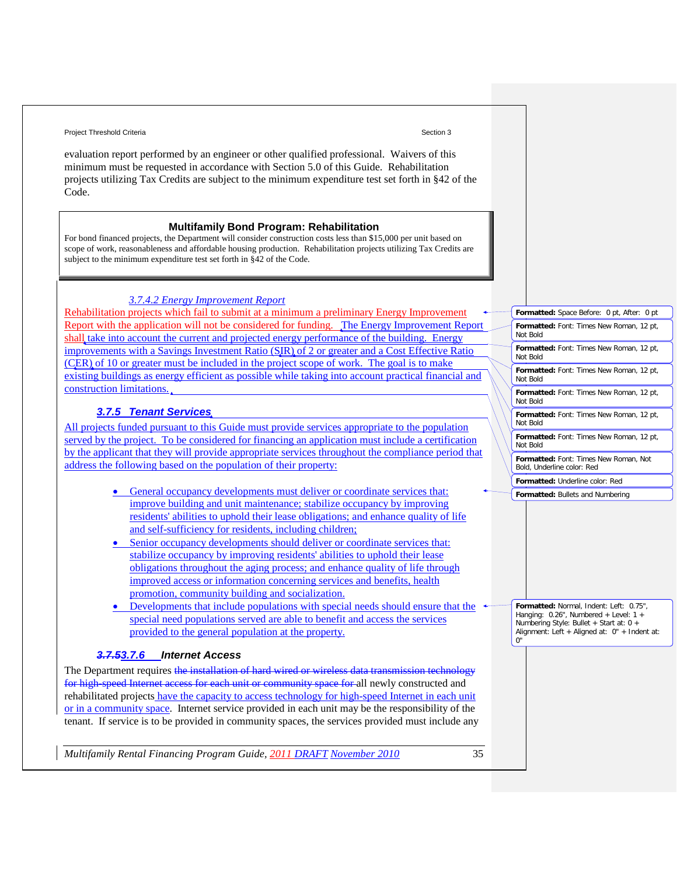Project Threshold Criteria **Section 3** Section 3

evaluation report performed by an engineer or other qualified professional. Waivers of this minimum must be requested in accordance with Section 5.0 of this Guide. Rehabilitation projects utilizing Tax Credits are subject to the minimum expenditure test set forth in §42 of the Code.

# **Multifamily Bond Program: Rehabilitation**

For bond financed projects, the Department will consider construction costs less than \$15,000 per unit based on scope of work, reasonableness and affordable housing production. Rehabilitation projects utilizing Tax Credits are subject to the minimum expenditure test set forth in §42 of the Code.

# *3.7.4.2 Energy Improvement Report*

Rehabilitation projects which fail to submit at a minimum a preliminary Energy Improvement Report with the application will not be considered for funding. The Energy Improvement Report shall take into account the current and projected energy performance of the building. Energy improvements with a Savings Investment Ratio (SIR) of 2 or greater and a Cost Effective Ratio (CER) of 10 or greater must be included in the project scope of work. The goal is to make existing buildings as energy efficient as possible while taking into account practical financial and construction limitations.

# *3.7.5 Tenant Services*

All projects funded pursuant to this Guide must provide services appropriate to the population served by the project. To be considered for financing an application must include a certification by the applicant that they will provide appropriate services throughout the compliance period that address the following based on the population of their property:

- General occupancy developments must deliver or coordinate services that: improve building and unit maintenance; stabilize occupancy by improving residents' abilities to uphold their lease obligations; and enhance quality of life and self-sufficiency for residents, including children;
- Senior occupancy developments should deliver or coordinate services that: stabilize occupancy by improving residents' abilities to uphold their lease obligations throughout the aging process; and enhance quality of life through improved access or information concerning services and benefits, health promotion, community building and socialization.
- Developments that include populations with special needs should ensure that the special need populations served are able to benefit and access the services provided to the general population at the property.

### *3.7.53.7.6 Internet Access*

The Department requires the installation of hard wired or wireless data transmission technology for high-speed Internet access for each unit or community space for all newly constructed and rehabilitated projects have the capacity to access technology for high-speed Internet in each unit or in a community space. Internet service provided in each unit may be the responsibility of the tenant. If service is to be provided in community spaces, the services provided must include any

*Multifamily Rental Financing Program Guide, 2011 DRAFT November 2010* 35

**Formatted:** Space Before: 0 pt, After: 0 pt **Formatted:** Font: Times New Roman, 12 pt, Not Bold **Formatted:** Font: Times New Roman, 12 pt, Not Bold **Formatted:** Font: Times New Roman, 12 pt, Not Bold **Formatted:** Font: Times New Roman, 12 pt, Not Bold **Formatted:** Font: Times New Roman, 12 pt, Not Bold **Formatted:** Font: Times New Roman, 12 pt, Not Bold **Formatted:** Font: Times New Roman, Not Bold, Underline color: Red **Formatted:** Underline color: Red **Formatted:** Bullets and Numbering

**Formatted:** Normal, Indent: Left: 0.75", Hanging: 0.26", Numbered + Level: 1 + Numbering Style: Bullet + Start at: 0 + Alignment: Left + Aligned at: 0" + Indent at: 0"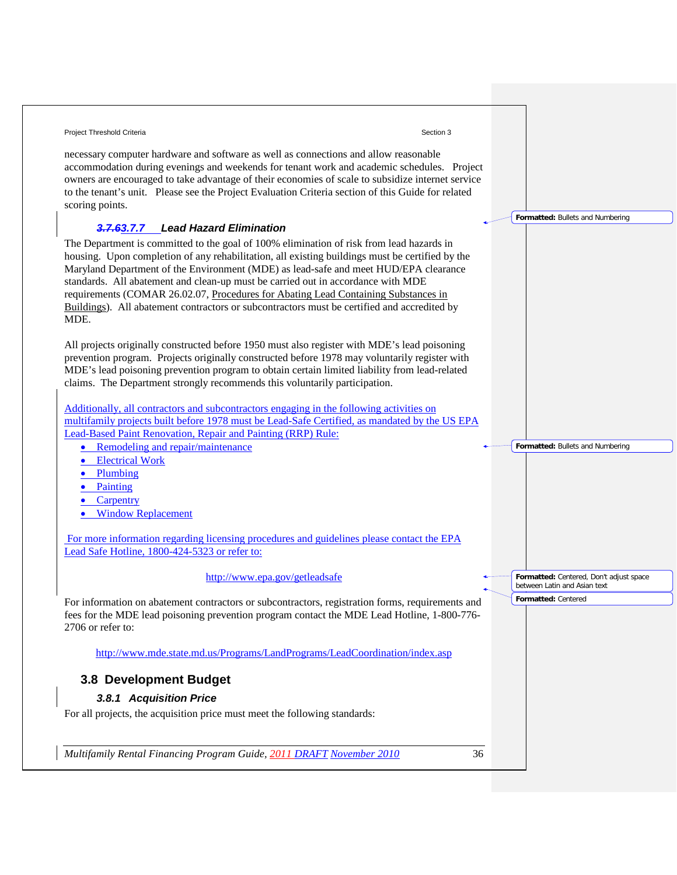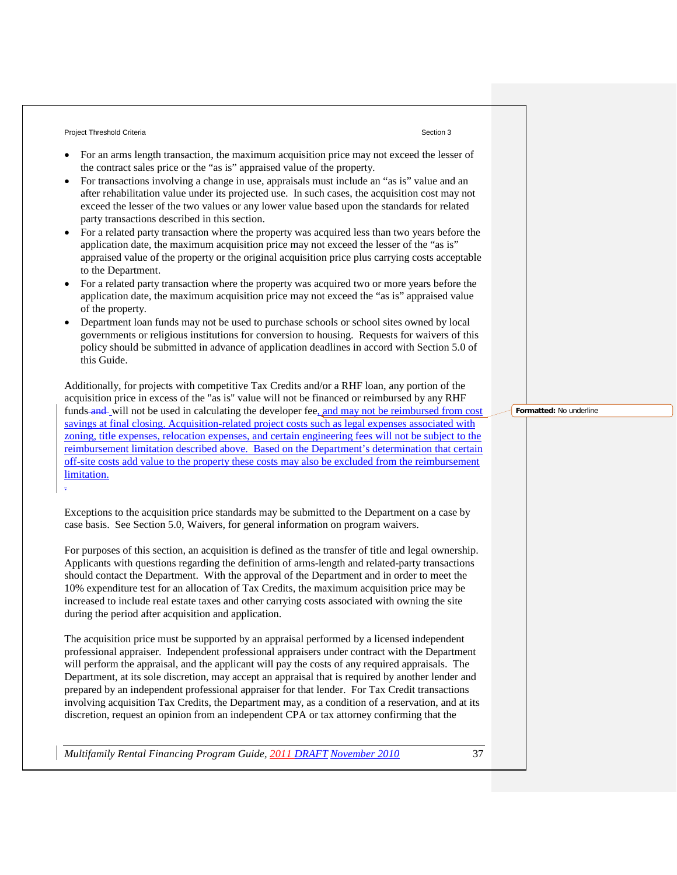#### Project Threshold Criteria **Section 3** Section 3

.

- For an arms length transaction, the maximum acquisition price may not exceed the lesser of the contract sales price or the "as is" appraised value of the property.
- For transactions involving a change in use, appraisals must include an "as is" value and an after rehabilitation value under its projected use. In such cases, the acquisition cost may not exceed the lesser of the two values or any lower value based upon the standards for related party transactions described in this section.
- For a related party transaction where the property was acquired less than two years before the application date, the maximum acquisition price may not exceed the lesser of the "as is" appraised value of the property or the original acquisition price plus carrying costs acceptable to the Department.
- For a related party transaction where the property was acquired two or more years before the application date, the maximum acquisition price may not exceed the "as is" appraised value of the property.
- Department loan funds may not be used to purchase schools or school sites owned by local governments or religious institutions for conversion to housing. Requests for waivers of this policy should be submitted in advance of application deadlines in accord with Section 5.0 of this Guide.

Additionally, for projects with competitive Tax Credits and/or a RHF loan, any portion of the acquisition price in excess of the "as is" value will not be financed or reimbursed by any RHF funds and will not be used in calculating the developer fee, and may not be reimbursed from cost savings at final closing. Acquisition-related project costs such as legal expenses associated with zoning, title expenses, relocation expenses, and certain engineering fees will not be subject to the reimbursement limitation described above. Based on the Department's determination that certain off-site costs add value to the property these costs may also be excluded from the reimbursement limitation.

Exceptions to the acquisition price standards may be submitted to the Department on a case by case basis. See Section 5.0, Waivers, for general information on program waivers.

For purposes of this section, an acquisition is defined as the transfer of title and legal ownership. Applicants with questions regarding the definition of arms-length and related-party transactions should contact the Department. With the approval of the Department and in order to meet the 10% expenditure test for an allocation of Tax Credits, the maximum acquisition price may be increased to include real estate taxes and other carrying costs associated with owning the site during the period after acquisition and application.

The acquisition price must be supported by an appraisal performed by a licensed independent professional appraiser. Independent professional appraisers under contract with the Department will perform the appraisal, and the applicant will pay the costs of any required appraisals. The Department, at its sole discretion, may accept an appraisal that is required by another lender and prepared by an independent professional appraiser for that lender. For Tax Credit transactions involving acquisition Tax Credits, the Department may, as a condition of a reservation, and at its discretion, request an opinion from an independent CPA or tax attorney confirming that the

*Multifamily Rental Financing Program Guide, 2011 DRAFT November 2010* 37

**Formatted:** No underline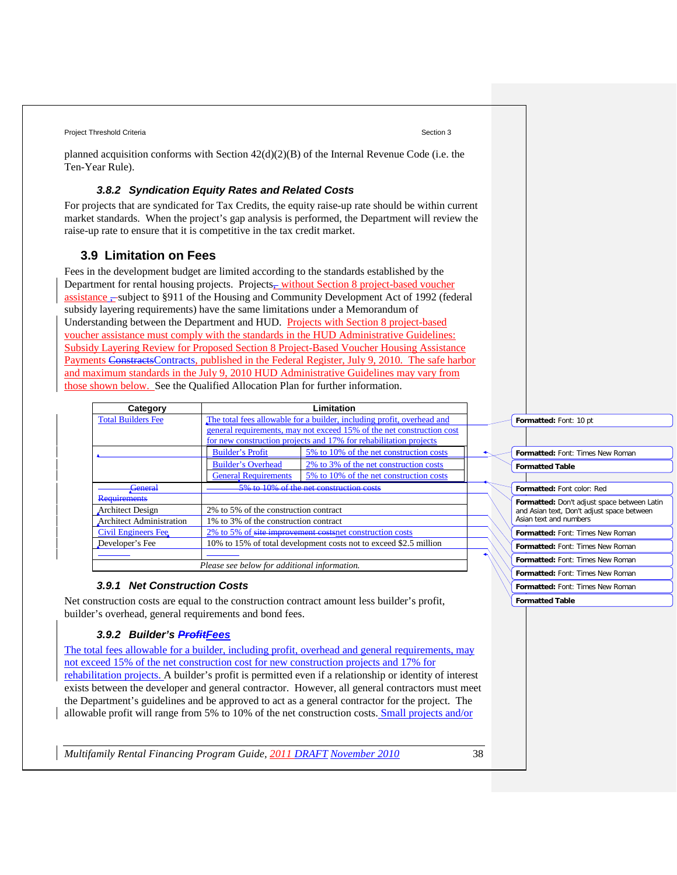**Project Threshold Criteria** Section 3

planned acquisition conforms with Section  $42(d)(2)(B)$  of the Internal Revenue Code (i.e. the Ten-Year Rule).

## *3.8.2 Syndication Equity Rates and Related Costs*

For projects that are syndicated for Tax Credits, the equity raise-up rate should be within current market standards. When the project's gap analysis is performed, the Department will review the raise-up rate to ensure that it is competitive in the tax credit market.

# **3.9 Limitation on Fees**

Fees in the development budget are limited according to the standards established by the Department for rental housing projects. Projects $\frac{1}{2}$  without Section 8 project-based voucher assistance , subject to §911 of the Housing and Community Development Act of 1992 (federal subsidy layering requirements) have the same limitations under a Memorandum of Understanding between the Department and HUD. Projects with Section 8 project-based voucher assistance must comply with the standards in the HUD Administrative Guidelines: Subsidy Layering Review for Proposed Section 8 Project-Based Voucher Housing Assistance Payments ConstractsContracts, published in the Federal Register, July 9, 2010. The safe harbor and maximum standards in the July 9, 2010 HUD Administrative Guidelines may vary from those shown below. See the Qualified Allocation Plan for further information.

| Category                                | Limitation                                                        |                                                                        |  |                                         |
|-----------------------------------------|-------------------------------------------------------------------|------------------------------------------------------------------------|--|-----------------------------------------|
| <b>Total Builders Fee</b>               |                                                                   | The total fees allowable for a builder, including profit, overhead and |  | Formatted: Font: 10 pt                  |
|                                         |                                                                   | general requirements, may not exceed 15% of the net construction cost  |  |                                         |
|                                         |                                                                   | for new construction projects and 17% for rehabilitation projects      |  |                                         |
|                                         | <b>Builder's Profit</b>                                           | 5% to 10% of the net construction costs                                |  | Formatted: Font: Times New Roman        |
|                                         | <b>Builder's Overhead</b>                                         | 2% to 3% of the net construction costs                                 |  | <b>Formatted Table</b>                  |
|                                         | <b>General Requirements</b>                                       | 5% to 10% of the net construction costs                                |  |                                         |
| C <sub>anara</sub><br><del>ochora</del> |                                                                   | 5% to 10% of the net construction costs                                |  | Formatted: Font color: Red              |
| <b>Requirements</b>                     |                                                                   |                                                                        |  | Formatted: Don't adjust space betwe     |
| <b>Architect Design</b>                 | 2% to 5% of the construction contract                             |                                                                        |  | and Asian text, Don't adjust space bet  |
| Architect Administration                |                                                                   | 1% to 3% of the construction contract                                  |  | Asian text and numbers                  |
| Civil Engineers Fee.                    | 2% to 5% of site improvement costsnet construction costs          |                                                                        |  | Formatted: Font: Times New Roman        |
| Developer's Fee                         | 10% to 15% of total development costs not to exceed \$2.5 million |                                                                        |  | Formatted: Font: Times New Roman        |
|                                         |                                                                   |                                                                        |  | <b>Formatted: Font: Times New Roman</b> |
|                                         | Please see below for additional information.                      |                                                                        |  |                                         |

# *3.9.1 Net Construction Costs*

Net construction costs are equal to the construction contract amount less builder's profit, builder's overhead, general requirements and bond fees.

## *3.9.2 Builder's ProfitFees*

The total fees allowable for a builder, including profit, overhead and general requirements, may not exceed 15% of the net construction cost for new construction projects and 17% for rehabilitation projects. A builder's profit is permitted even if a relationship or identity of interest exists between the developer and general contractor. However, all general contractors must meet the Department's guidelines and be approved to act as a general contractor for the project. The allowable profit will range from 5% to 10% of the net construction costs. Small projects and/or

*Multifamily Rental Financing Program Guide, 2011 DRAFT November 2010* 38

**Formatted:** Don't adjust space between Latin tween

**Formatted:** Font: Times New Roman

**Formatted:** Font: Times New Roman

**Formatted Table**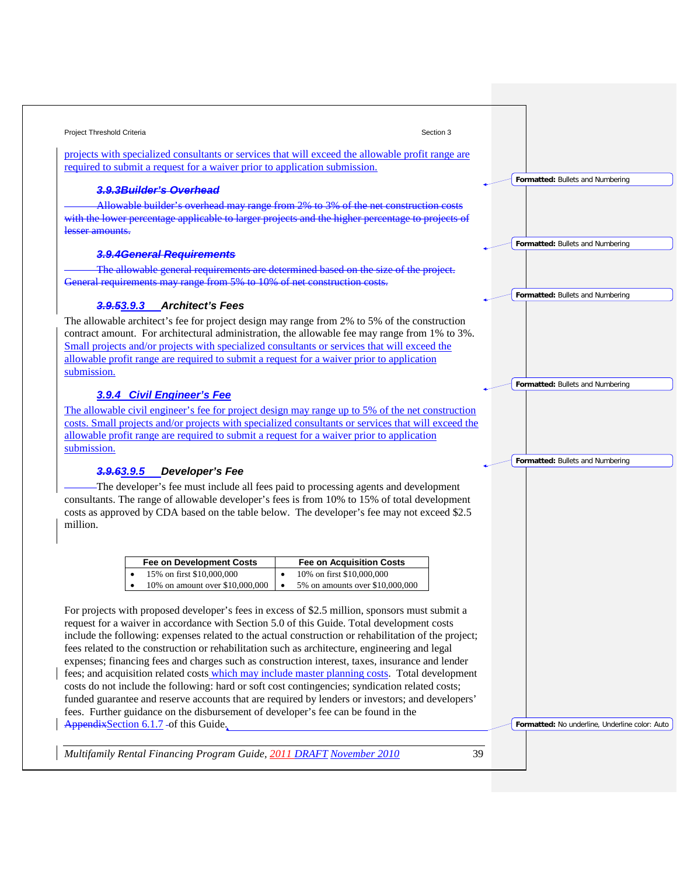**Project Threshold Criteria** Section 3

projects with specialized consultants or services that will exceed the allowable profit range are required to submit a request for a waiver prior to application submission.

## *3.9.3Builder's Overhead*

Allowable builder's overhead may range from 2% to 3% of the net construction costs with the lower percentage applicable to larger projects and the higher percentage to projects of lesser amounts.

## *3.9.4General Requirements*

The allowable general requirements are determined based on the size of the project. General requirements may range from 5% to 10% of net construction costs.

## *3.9.53.9.3 Architect's Fees*

The allowable architect's fee for project design may range from 2% to 5% of the construction contract amount. For architectural administration, the allowable fee may range from 1% to 3%. Small projects and/or projects with specialized consultants or services that will exceed the allowable profit range are required to submit a request for a waiver prior to application submission.

## *3.9.4 Civil Engineer's Fee*

The allowable civil engineer's fee for project design may range up to 5% of the net construction costs. Small projects and/or projects with specialized consultants or services that will exceed the allowable profit range are required to submit a request for a waiver prior to application submission.

## *3.9.63.9.5 Developer's Fee*

The developer's fee must include all fees paid to processing agents and development consultants. The range of allowable developer's fees is from 10% to 15% of total development costs as approved by CDA based on the table below. The developer's fee may not exceed \$2.5 million.

| <b>Fee on Development Costs</b> | <b>Fee on Acquisition Costs</b> |
|---------------------------------|---------------------------------|
| 15% on first \$10,000,000       | 10% on first \$10,000,000       |
| 10% on amount over \$10,000,000 | 5% on amounts over \$10,000,000 |

For projects with proposed developer's fees in excess of \$2.5 million, sponsors must submit a request for a waiver in accordance with Section 5.0 of this Guide. Total development costs include the following: expenses related to the actual construction or rehabilitation of the project; fees related to the construction or rehabilitation such as architecture, engineering and legal expenses; financing fees and charges such as construction interest, taxes, insurance and lender fees; and acquisition related costs which may include master planning costs. Total development costs do not include the following: hard or soft cost contingencies; syndication related costs; funded guarantee and reserve accounts that are required by lenders or investors; and developers' fees. Further guidance on the disbursement of developer's fee can be found in the AppendixSection 6.1.7 - of this Guide.

*Multifamily Rental Financing Program Guide, 2011 DRAFT November 2010* 39



**Formatted:** No underline, Underline color: Auto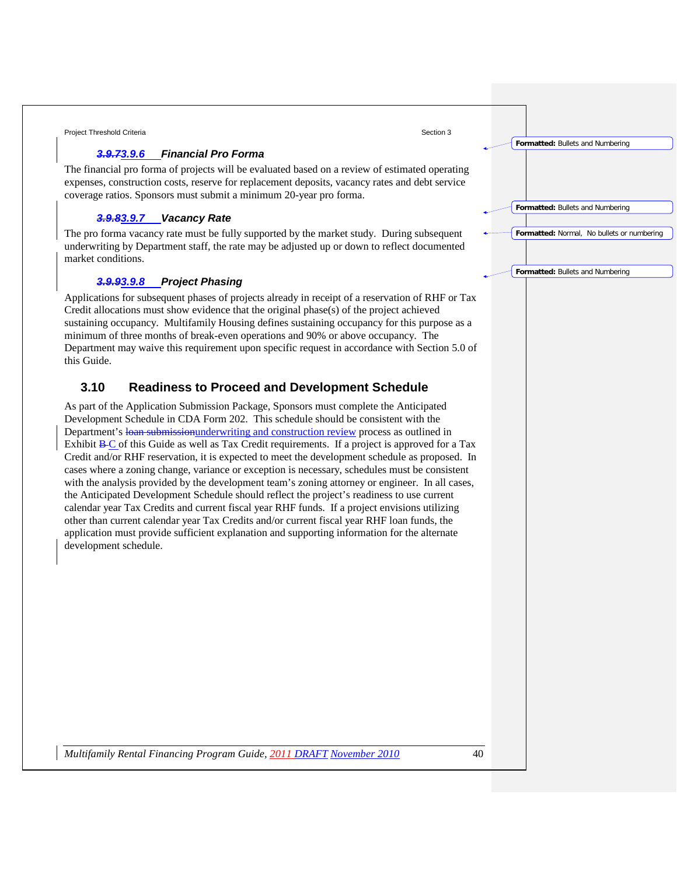**Project Threshold Criteria** Section 3

## *3.9.73.9.6 Financial Pro Forma*

The financial pro forma of projects will be evaluated based on a review of estimated operating expenses, construction costs, reserve for replacement deposits, vacancy rates and debt service coverage ratios. Sponsors must submit a minimum 20-year pro forma.

## *3.9.83.9.7 Vacancy Rate*

The pro forma vacancy rate must be fully supported by the market study. During subsequent underwriting by Department staff, the rate may be adjusted up or down to reflect documented market conditions.

## *3.9.93.9.8 Project Phasing*

Applications for subsequent phases of projects already in receipt of a reservation of RHF or Tax Credit allocations must show evidence that the original phase(s) of the project achieved sustaining occupancy. Multifamily Housing defines sustaining occupancy for this purpose as a minimum of three months of break-even operations and 90% or above occupancy. The Department may waive this requirement upon specific request in accordance with Section 5.0 of this Guide.

# **3.10 Readiness to Proceed and Development Schedule**

As part of the Application Submission Package, Sponsors must complete the Anticipated Development Schedule in CDA Form 202. This schedule should be consistent with the Department's loan submissionunderwriting and construction review process as outlined in Exhibit B-C of this Guide as well as Tax Credit requirements. If a project is approved for a Tax Credit and/or RHF reservation, it is expected to meet the development schedule as proposed. In cases where a zoning change, variance or exception is necessary, schedules must be consistent with the analysis provided by the development team's zoning attorney or engineer. In all cases, the Anticipated Development Schedule should reflect the project's readiness to use current calendar year Tax Credits and current fiscal year RHF funds. If a project envisions utilizing other than current calendar year Tax Credits and/or current fiscal year RHF loan funds, the application must provide sufficient explanation and supporting information for the alternate development schedule.

**Formatted:** Bullets and Numbering **Formatted:** Bullets and Numbering **Formatted:** Normal, No bullets or numbering **Formatted:** Bullets and Numbering

*Multifamily Rental Financing Program Guide, 2011 DRAFT November 2010* 40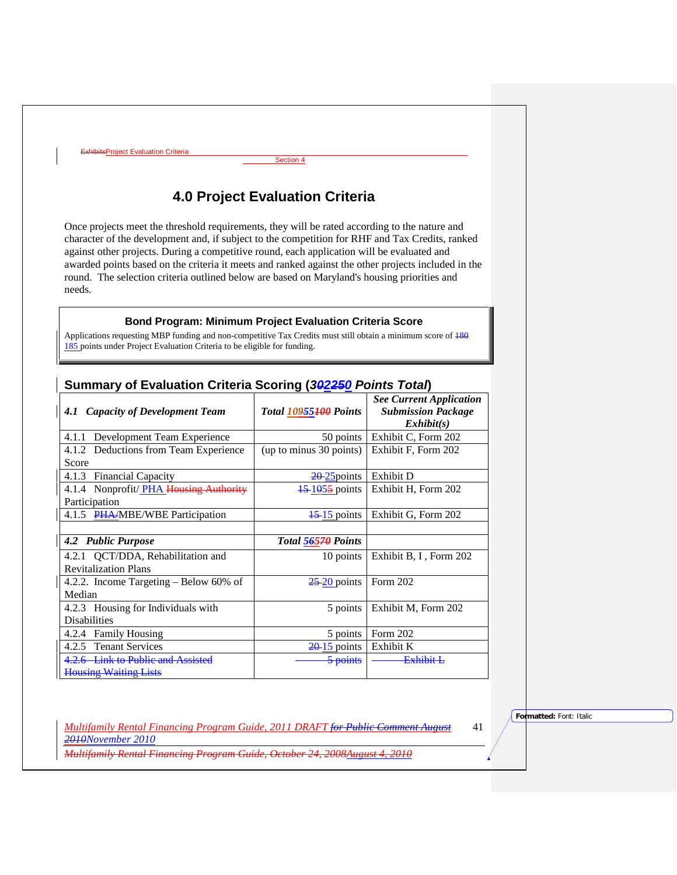**itsProject Evaluation Criteria** 

# **4.0 Project Evaluation Criteria**

Section 4

Once projects meet the threshold requirements, they will be rated according to the nature and character of the development and, if subject to the competition for RHF and Tax Credits, ranked against other projects. During a competitive round, each application will be evaluated and awarded points based on the criteria it meets and ranked against the other projects included in the round. The selection criteria outlined below are based on Maryland's housing priorities and needs.

## **Bond Program: Minimum Project Evaluation Criteria Score**

Applications requesting MBP funding and non-competitive Tax Credits must still obtain a minimum score of 180 185 points under Project Evaluation Criteria to be eligible for funding.

| <b>Capacity of Development Team</b><br>4. I | Total 10955100 Points             | <b>See Current Application</b><br><b>Submission Package</b><br>Exhibit(s) |
|---------------------------------------------|-----------------------------------|---------------------------------------------------------------------------|
| Development Team Experience<br>4.1.1        | 50 points                         | Exhibit C, Form 202                                                       |
| 4.1.2 Deductions from Team Experience       | (up to minus 30 points)           | Exhibit F, Form 202                                                       |
| Score                                       |                                   |                                                                           |
| 4.1.3 Financial Capacity                    | $20-25$ points                    | Exhibit D                                                                 |
| 4.1.4 Nonprofit/PHA Housing Authority       | $\frac{15 \cdot 1055}{20}$ points | Exhibit H, Form 202                                                       |
| Participation                               |                                   |                                                                           |
| 4.1.5 PHA/MBE/WBE Participation             | $\frac{15}{15}$ points            | Exhibit G, Form 202                                                       |
|                                             |                                   |                                                                           |
| 4.2 Public Purpose                          | Total 56570 Points                |                                                                           |
|                                             |                                   |                                                                           |
| 4.2.1 QCT/DDA, Rehabilitation and           | 10 points                         | Exhibit B, I, Form 202                                                    |
| <b>Revitalization Plans</b>                 |                                   |                                                                           |
| 4.2.2. Income Targeting – Below $60\%$ of   | $\frac{25-20}{25}$ points         | Form 202                                                                  |
| Median                                      |                                   |                                                                           |
| 4.2.3 Housing for Individuals with          | 5 points                          | Exhibit M, Form 202                                                       |
| <b>Disabilities</b>                         |                                   |                                                                           |
| 4.2.4 Family Housing                        | 5 points                          | Form 202                                                                  |
| 4.2.5 Tenant Services                       | $\frac{20-15}{20}$ points         | Exhibit K                                                                 |
| 4.2.6 Link to Public and Assisted           | <del>5 points</del>               | Evhihit l                                                                 |

# **Summary of Evaluation Criteria Scoring (***302250 Points Total***)**

*Multifamily Rental Financing Program Guide, 2011 DRAFT for Public Comment August 2010November 2010 Multifamily Rental Financing Program Guide, October 24, 2008August 4, 2010*  41 **Formatted:** Font: Italic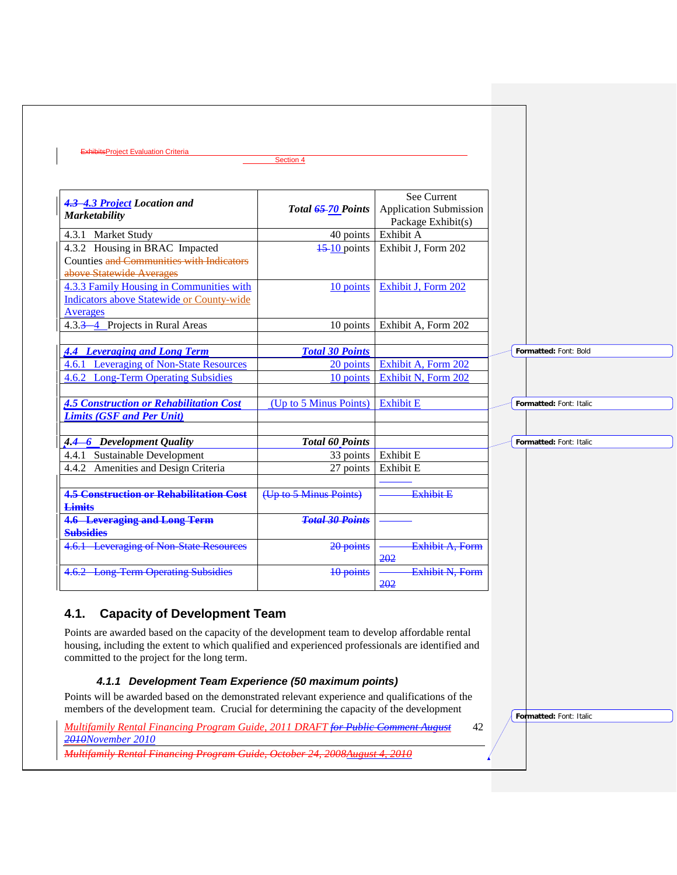| <b>ExhibitsProject Evaluation Criteria</b>                                                                                                                                                                                                                                                       | Section 4                                             |                                              |                         |
|--------------------------------------------------------------------------------------------------------------------------------------------------------------------------------------------------------------------------------------------------------------------------------------------------|-------------------------------------------------------|----------------------------------------------|-------------------------|
| 4.3-4.3 Project Location and<br>Marketability                                                                                                                                                                                                                                                    | Total 65-70 Points                                    | See Current<br><b>Application Submission</b> |                         |
| 4.3.1 Market Study                                                                                                                                                                                                                                                                               | 40 points                                             | Package Exhibit(s)<br>Exhibit A              |                         |
| 4.3.2 Housing in BRAC Impacted<br><b>Counties and Communities with Indicators</b><br>above Statewide Averages                                                                                                                                                                                    | $\frac{15-10}{2}$ points                              | Exhibit J, Form 202                          |                         |
| 4.3.3 Family Housing in Communities with<br><b>Indicators above Statewide or County-wide</b><br>Averages                                                                                                                                                                                         | 10 points                                             | Exhibit J, Form 202                          |                         |
| 4.3.3 4 Projects in Rural Areas                                                                                                                                                                                                                                                                  | 10 points                                             | Exhibit A, Form 202                          |                         |
| <b>4.4 Leveraging and Long Term</b>                                                                                                                                                                                                                                                              | <b>Total 30 Points</b>                                |                                              | Formatted: Font: Bold   |
| 4.6.1 Leveraging of Non-State Resources                                                                                                                                                                                                                                                          | $20$ points                                           | Exhibit A, Form 202                          |                         |
| 4.6.2 Long-Term Operating Subsidies                                                                                                                                                                                                                                                              | 10 points                                             | Exhibit N, Form 202                          |                         |
| <b>4.5 Construction or Rehabilitation Cost</b><br><b>Limits (GSF and Per Unit)</b>                                                                                                                                                                                                               | (Up to 5 Minus Points)                                | <b>Exhibit E</b>                             | Formatted: Font: Italic |
|                                                                                                                                                                                                                                                                                                  |                                                       |                                              |                         |
| 4.4 6 Development Quality                                                                                                                                                                                                                                                                        | <b>Total 60 Points</b>                                |                                              | Formatted: Font: Italic |
| 4.4.1 Sustainable Development                                                                                                                                                                                                                                                                    | 33 points                                             | Exhibit E                                    |                         |
| 4.4.2 Amenities and Design Criteria                                                                                                                                                                                                                                                              | 27 points                                             | Exhibit E                                    |                         |
| <b>4.5 Construction or Rehabilitation Cost</b><br><b>Limits</b>                                                                                                                                                                                                                                  | (Up to 5 Minus Points)                                | <b>Exhibit E</b>                             |                         |
| <b>4.6 Leveraging and Long Term</b><br><b>Subsidies</b>                                                                                                                                                                                                                                          | <b>Total 30 Points</b>                                |                                              |                         |
| 4.6.1 Leveraging of Non State Resources                                                                                                                                                                                                                                                          | 20 points<br>10 points                                | Exhibit A, Form<br>202<br>Exhibit N, Form    |                         |
| 4.6.2 Long Term Operating Subsidies                                                                                                                                                                                                                                                              |                                                       |                                              |                         |
| <b>Capacity of Development Team</b><br>4.1.<br>Points are awarded based on the capacity of the development team to develop affordable rental<br>housing, including the extent to which qualified and experienced professionals are identified and<br>committed to the project for the long term. |                                                       |                                              |                         |
|                                                                                                                                                                                                                                                                                                  | 4.1.1 Development Team Experience (50 maximum points) |                                              |                         |
| Points will be awarded based on the demonstrated relevant experience and qualifications of the<br>members of the development team. Crucial for determining the capacity of the development                                                                                                       |                                                       |                                              | Formatted: Font: Italic |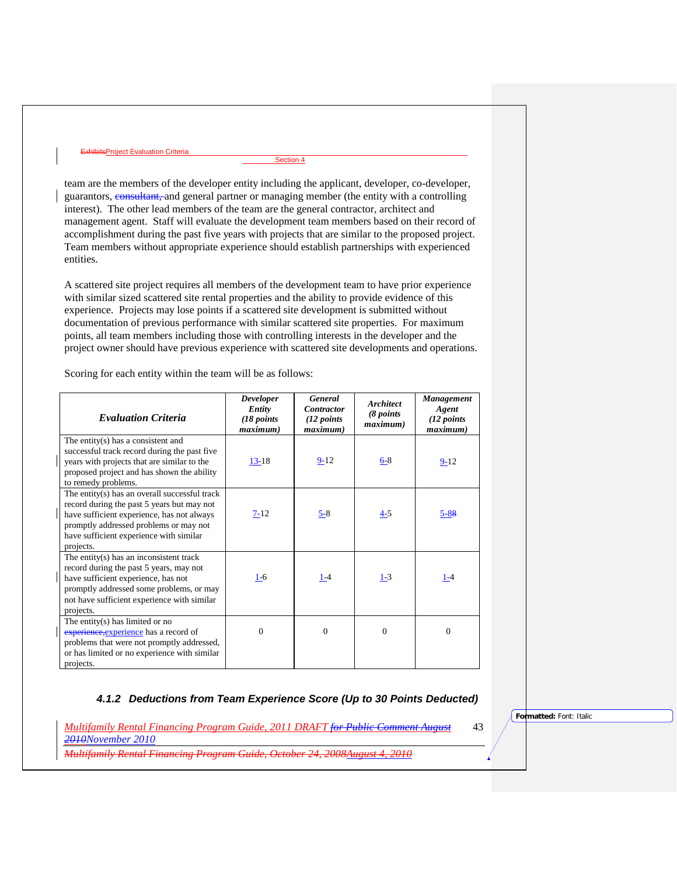#### **ibitsProject Evaluation Criteria**

team are the members of the developer entity including the applicant, developer, co-developer, guarantors, consultant, and general partner or managing member (the entity with a controlling interest). The other lead members of the team are the general contractor, architect and management agent. Staff will evaluate the development team members based on their record of accomplishment during the past five years with projects that are similar to the proposed project. Team members without appropriate experience should establish partnerships with experienced entities.

Section 4

A scattered site project requires all members of the development team to have prior experience with similar sized scattered site rental properties and the ability to provide evidence of this experience. Projects may lose points if a scattered site development is submitted without documentation of previous performance with similar scattered site properties. For maximum points, all team members including those with controlling interests in the developer and the project owner should have previous experience with scattered site developments and operations.

Scoring for each entity within the team will be as follows:

| <b>Evaluation Criteria</b>                                                                                                                                                                                                                  | <b>Developer</b><br>Entity<br>$(18 \text{ points})$<br>maximum) | <b>General</b><br><b>Contractor</b><br>(12 points)<br>maximum) | <b>Architect</b><br>(8 points)<br>maximum) | <b>Management</b><br>Agent<br>(12 points<br>maximum) |
|---------------------------------------------------------------------------------------------------------------------------------------------------------------------------------------------------------------------------------------------|-----------------------------------------------------------------|----------------------------------------------------------------|--------------------------------------------|------------------------------------------------------|
| The entity(s) has a consistent and<br>successful track record during the past five<br>years with projects that are similar to the<br>proposed project and has shown the ability<br>to remedy problems.                                      | $13 - 18$                                                       | $9 - 12$                                                       | $6 - 8$                                    | $9 - 12$                                             |
| The entity(s) has an overall successful track<br>record during the past 5 years but may not<br>have sufficient experience, has not always<br>promptly addressed problems or may not<br>have sufficient experience with similar<br>projects. | $7 - 12$                                                        | $5 - 8$                                                        | $4-5$                                      | $5 - 88$                                             |
| The entity(s) has an inconsistent track<br>record during the past 5 years, may not<br>have sufficient experience, has not<br>promptly addressed some problems, or may<br>not have sufficient experience with similar<br>projects.           | $1-6$                                                           | $1 - 4$                                                        | $1-3$                                      | $1-4$                                                |
| The entity(s) has limited or no<br>experience, experience has a record of<br>problems that were not promptly addressed,<br>or has limited or no experience with similar<br>projects.                                                        | $\Omega$                                                        | $\Omega$                                                       | $\Omega$                                   | $\Omega$                                             |

## *4.1.2 Deductions from Team Experience Score (Up to 30 Points Deducted)*

*Multifamily Rental Financing Program Guide, 2011 DRAFT for Public Comment August 2010November 2010 Multifamily Rental Financing Program Guide, October 24, 2008August 4, 2010* 

**Formatted:** Font: Italic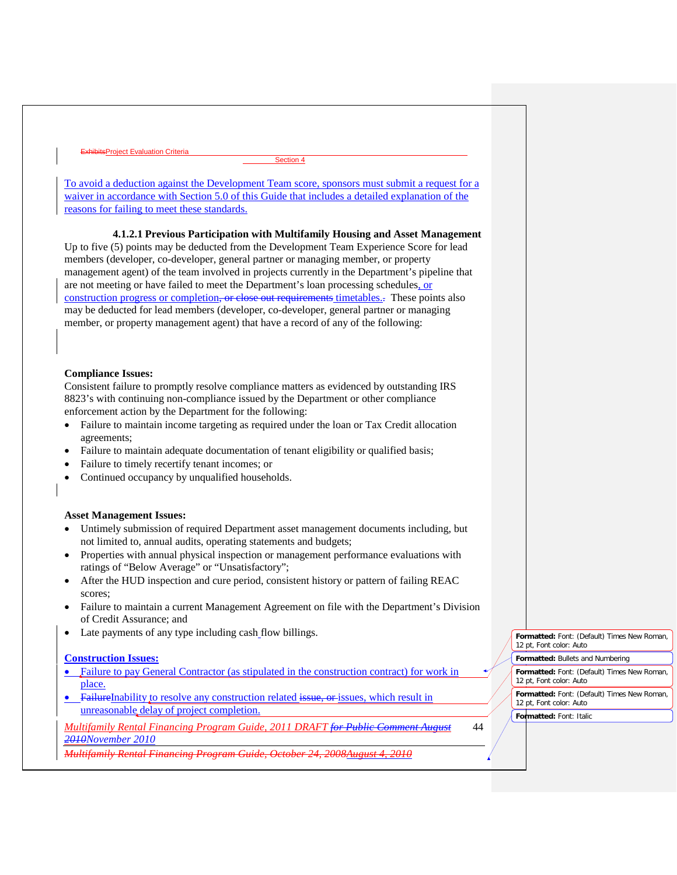**Example Evaluation Criteria** 

To avoid a deduction against the Development Team score, sponsors must submit a request for a waiver in accordance with Section 5.0 of this Guide that includes a detailed explanation of the reasons for failing to meet these standards.

## **4.1.2.1 Previous Participation with Multifamily Housing and Asset Management**

Section 4

Up to five (5) points may be deducted from the Development Team Experience Score for lead members (developer, co-developer, general partner or managing member, or property management agent) of the team involved in projects currently in the Department's pipeline that are not meeting or have failed to meet the Department's loan processing schedules, or construction progress or completion, or close out requirements timetables... These points also may be deducted for lead members (developer, co-developer, general partner or managing member, or property management agent) that have a record of any of the following:

## **Compliance Issues:**

Consistent failure to promptly resolve compliance matters as evidenced by outstanding IRS 8823's with continuing non-compliance issued by the Department or other compliance enforcement action by the Department for the following:

- Failure to maintain income targeting as required under the loan or Tax Credit allocation agreements;
- Failure to maintain adequate documentation of tenant eligibility or qualified basis;
- Failure to timely recertify tenant incomes; or
- Continued occupancy by unqualified households.

## **Asset Management Issues:**

- Untimely submission of required Department asset management documents including, but not limited to, annual audits, operating statements and budgets;
- Properties with annual physical inspection or management performance evaluations with ratings of "Below Average" or "Unsatisfactory";
- After the HUD inspection and cure period, consistent history or pattern of failing REAC scores;
- Failure to maintain a current Management Agreement on file with the Department's Division of Credit Assurance; and
- Late payments of any type including cash flow billings.

## **Construction Issues:**

- Failure to pay General Contractor (as stipulated in the construction contract) for work in place.
- FailureInability to resolve any construction related issue, or issues, which result in unreasonable delay of project completion.

*Multifamily Rental Financing Program Guide, 2011 DRAFT for Public Comment August 2010November 2010* 44

*Multifamily Rental Financing Program Guide, October 24, 2008August 4, 2010* 

**Formatted:** Font: (Default) Times New Roman, 12 pt, Font color: Auto

**Formatted:** Bullets and Numbering

**Formatted:** Font: (Default) Times New Roman, 12 pt, Font color: Auto

**Formatted:** Font: (Default) Times New Roman, 12 pt, Font color: Auto

**Formatted:** Font: Italic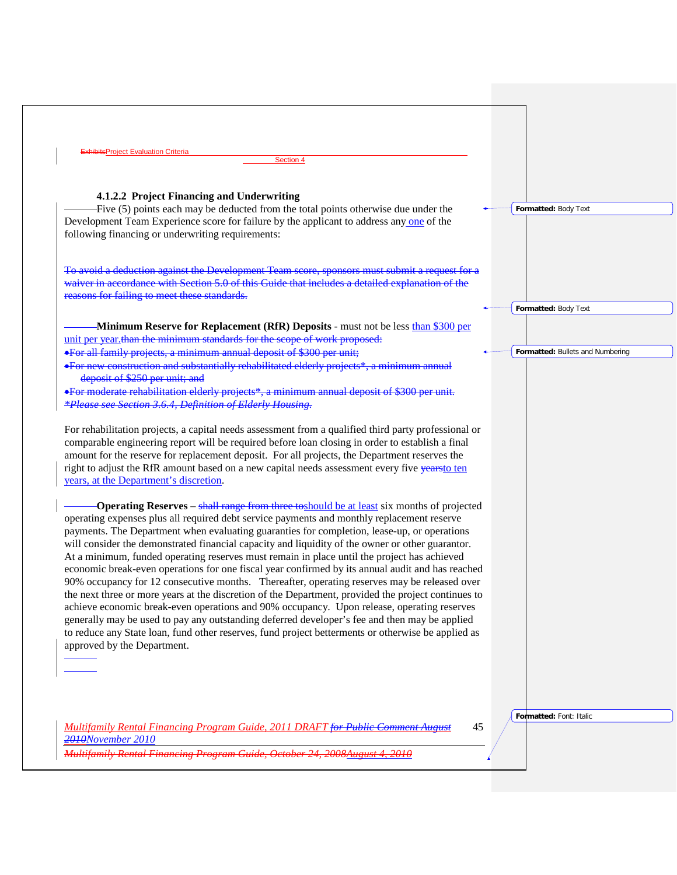**itsProject Evaluation Criteria** 

## **4.1.2.2 Project Financing and Underwriting**

Five (5) points each may be deducted from the total points otherwise due under the Development Team Experience score for failure by the applicant to address any one of the following financing or underwriting requirements:

Section 4

To avoid a deduction against the Development Team score, sponsors must waiver in accordance with Section 5.0 of this Guide that includes a detailed explanation of the reasons for failing to meet these standards.

**Minimum Reserve for Replacement (RfR) Deposits** - must not be less than \$300 per unit per year. than the minimum standards for the scope of work proposed:

•For all family projects, a minimum annual deposit of \$300 per unit;

•For new construction and substantially rehabilitated elderly projects\*, a minimum annual deposit of \$250 per unit; and

•For moderate rehabilitation elderly projects\*, a minimum annual deposit of \$300 per unit. *\*Please see Section 3.6.4, Definition of Elderly Housing.*

For rehabilitation projects, a capital needs assessment from a qualified third party professional or comparable engineering report will be required before loan closing in order to establish a final amount for the reserve for replacement deposit. For all projects, the Department reserves the right to adjust the RfR amount based on a new capital needs assessment every five yearsto ten years, at the Department's discretion.

**-Operating Reserves** – shall range from three to should be at least six months of projected operating expenses plus all required debt service payments and monthly replacement reserve payments. The Department when evaluating guaranties for completion, lease-up, or operations will consider the demonstrated financial capacity and liquidity of the owner or other guarantor. At a minimum, funded operating reserves must remain in place until the project has achieved economic break-even operations for one fiscal year confirmed by its annual audit and has reached 90% occupancy for 12 consecutive months. Thereafter, operating reserves may be released over the next three or more years at the discretion of the Department, provided the project continues to achieve economic break-even operations and 90% occupancy. Upon release, operating reserves generally may be used to pay any outstanding deferred developer's fee and then may be applied to reduce any State loan, fund other reserves, fund project betterments or otherwise be applied as approved by the Department.

*Multifamily Rental Financing Program Guide, 2011 DRAFT for Public Comment August 2010November 2010 Multifamily Rental Financing Program Guide, October 24, 2008August 4, 2010*  45 **Formatted:** Font: Italic

**Formatted:** Body Text

**Formatted:** Body Text

**Formatted:** Bullets and Numbering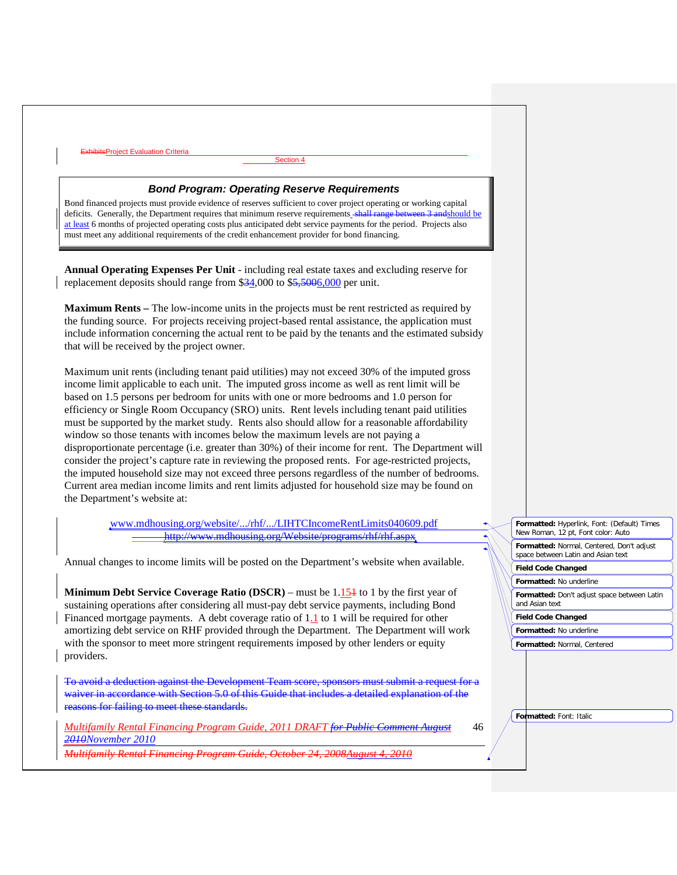**Example Evaluation Criteria** 

## *Bond Program: Operating Reserve Requirements*

Section 4

Bond financed projects must provide evidence of reserves sufficient to cover project operating or working capital deficits. Generally, the Department requires that minimum reserve requirements\_shall range between 3 andshould be at least 6 months of projected operating costs plus anticipated debt service payments for the period. Projects also must meet any additional requirements of the credit enhancement provider for bond financing.

**Annual Operating Expenses Per Unit** - including real estate taxes and excluding reserve for replacement deposits should range from \$34,000 to \$5,5006,000 per unit.

**Maximum Rents –** The low-income units in the projects must be rent restricted as required by the funding source. For projects receiving project-based rental assistance, the application must include information concerning the actual rent to be paid by the tenants and the estimated subsidy that will be received by the project owner.

Maximum unit rents (including tenant paid utilities) may not exceed 30% of the imputed gross income limit applicable to each unit. The imputed gross income as well as rent limit will be based on 1.5 persons per bedroom for units with one or more bedrooms and 1.0 person for efficiency or Single Room Occupancy (SRO) units. Rent levels including tenant paid utilities must be supported by the market study. Rents also should allow for a reasonable affordability window so those tenants with incomes below the maximum levels are not paying a disproportionate percentage (i.e. greater than 30%) of their income for rent. The Department will consider the project's capture rate in reviewing the proposed rents. For age-restricted projects, the imputed household size may not exceed three persons regardless of the number of bedrooms. Current area median income limits and rent limits adjusted for household size may be found on the Department's website at:

> [www.mdhousing.org/website/.../rhf/.../LIHTCIncomeRentLimits040609.pdf](http://www.mdhousing.org/website/.../rhf/.../LIHTCIncomeRentLimits040609.pdf) [http://www.mdhousing.org/Website/programs/rhf/rhf.aspx](http://www.dhcd.state.md.us/Website/programs/rhf/rhf.aspx)

Annual changes to income limits will be posted on the Department's website when available.

**Minimum Debt Service Coverage Ratio (DSCR)** – must be 1.151 to 1 by the first year of sustaining operations after considering all must-pay debt service payments, including Bond Financed mortgage payments. A debt coverage ratio of 1.1 to 1 will be required for other amortizing debt service on RHF provided through the Department. The Department will work with the sponsor to meet more stringent requirements imposed by other lenders or equity providers.

To avoid a deduction against the Development Team score, sponsors must submit a request for a waiver in accordance with Section 5.0 of this Guide that includes a detailed explanation of the reasons for failing to meet these standards.

*Multifamily Rental Financing Program Guide, 2011 DRAFT for Public Comment August 2010November 2010 Multifamily Rental Financing Program Guide, October* 

**Formatted:** Font: Italic **Formatted:** Normal, Centered, Don't adjust space between Latin and Asian text **Field Code Changed Formatted:** Hyperlink, Font: (Default) Times New Roman, 12 pt, Font color: Auto **Formatted:** Don't adjust space between Latin and Asian text **Field Code Changed Formatted:** No underline **Formatted:** No underline **Formatted:** Normal, Centered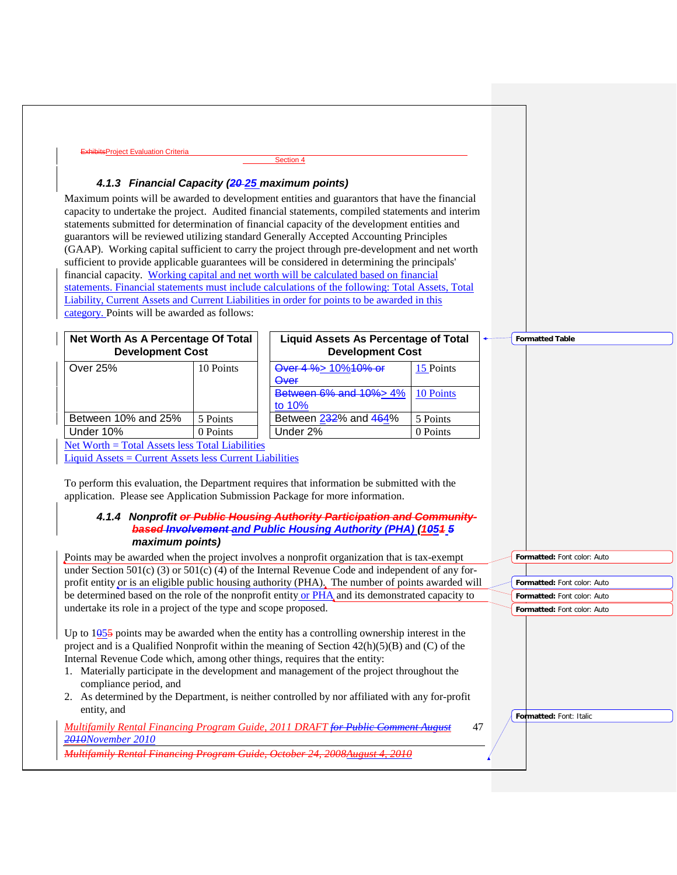**ExhibitsProject Evaluation Criteria** Section 4 *Multifamily Rental Financing Program Guide, 2011 DRAFT for Public Comment August 2010November 2010 Multifamily Rental Financing Program Guide, October 24, 2008August 4, 2010*  47 **Formatted:** Font: Italic *4.1.3 Financial Capacity (20 25 maximum points)* Maximum points will be awarded to development entities and guarantors that have the financial capacity to undertake the project. Audited financial statements, compiled statements and interim statements submitted for determination of financial capacity of the development entities and guarantors will be reviewed utilizing standard Generally Accepted Accounting Principles (GAAP). Working capital sufficient to carry the project through pre-development and net worth sufficient to provide applicable guarantees will be considered in determining the principals' financial capacity. Working capital and net worth will be calculated based on financial statements. Financial statements must include calculations of the following: Total Assets, Total Liability, Current Assets and Current Liabilities in order for points to be awarded in this category. Points will be awarded as follows: **Net Worth As A Percentage Of Total Development Cost Liquid Assets As Percentage of Total Development Cost** Over 25% 10 Points Over 4 %> 10%10% or Over 15 Points Between 6% and 10%> 4% to 10% 10 Points Between 10% and 25%  $\vert$  5 Points  $\vert$  | Between 232% and 464%  $\vert$  5 Points Under 10% 0 Points Under 2% 0 Points 0 Points Net Worth = Total Assets less Total Liabilities  $Li$ quid Assets = Current Assets less Current Liabilities To perform this evaluation, the Department requires that information be submitted with the application. Please see Application Submission Package for more information. *4.1.4 Nonprofit or Public Housing Authority Participation and Communitybased Involvement and Public Housing Authority (PHA) (1051 5 maximum points)* Points may be awarded when the project involves a nonprofit organization that is tax-exempt under Section 501(c) (3) or 501(c) (4) of the Internal Revenue Code and independent of any forprofit entity or is an eligible public housing authority (PHA). The number of points awarded will be determined based on the role of the nonprofit entity or PHA and its demonstrated capacity to undertake its role in a project of the type and scope proposed. Up to 1055 points may be awarded when the entity has a controlling ownership interest in the project and is a Qualified Nonprofit within the meaning of Section  $42(h)(5)(B)$  and (C) of the Internal Revenue Code which, among other things, requires that the entity: 1. Materially participate in the development and management of the project throughout the compliance period, and 2. As determined by the Department, is neither controlled by nor affiliated with any for-profit entity, and **Formatted Table Formatted:** Font color: Auto **Formatted:** Font color: Auto **Formatted:** Font color: Auto **Formatted:** Font color: Auto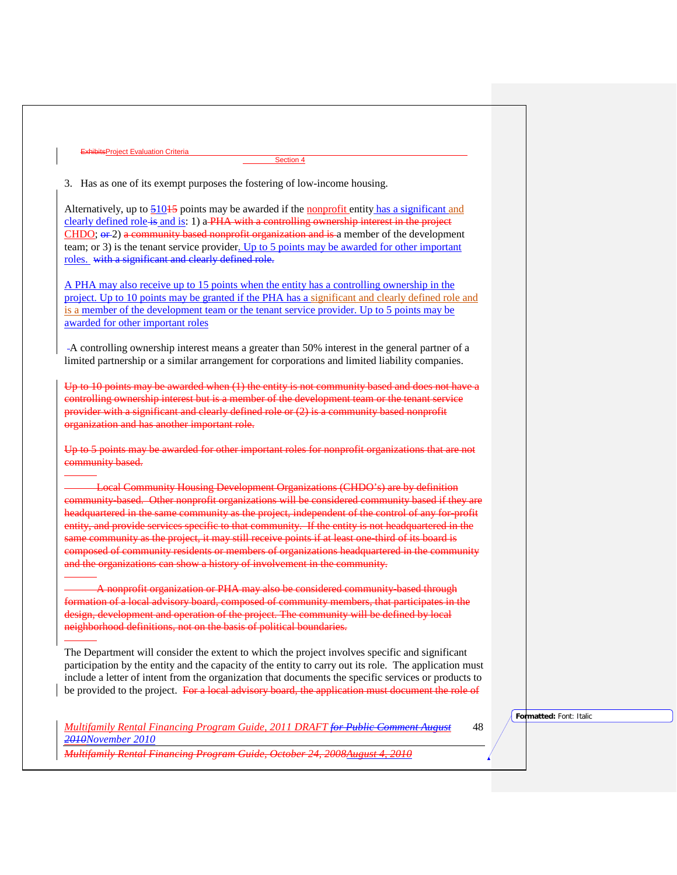**ExhibitsProject Evaluation Criteria** 

3. Has as one of its exempt purposes the fostering of low-income housing.

Alternatively, up to 51015 points may be awarded if the nonprofit entity has a significant and clearly defined role is and is: 1) a PHA with a controlling ownership interest in the project CHDO; or 2) a community based nonprofit organization and is a member of the development team; or 3) is the tenant service provider. Up to 5 points may be awarded for other important roles. with a significant and clearly defined role.

Section 4

A PHA may also receive up to 15 points when the entity has a controlling ownership in the project. Up to 10 points may be granted if the PHA has a significant and clearly defined role and is a member of the development team or the tenant service provider. Up to 5 points may be awarded for other important roles

A controlling ownership interest means a greater than 50% interest in the general partner of a limited partnership or a similar arrangement for corporations and limited liability companies.

Up to 10 points may be awarded when (1) the entity is not community based and does not have a controlling ownership interest but is a member of the development team or the tenant service provider with a significant and clearly defined role or (2) is a community based nonprofit organization and has another important role.

Up to 5 points may be awarded for other important roles for nonprofit organizations that are not munity based.

Local Community Housing Development Organizations (CHDO's) are by definition community-based. Other nonprofit organizations will be considered community based if they are headquartered in the same community as the project, independent of the control of any for-profit entity, and provide services specific to that community. If the entity is not headquartered in the same community as the project, it may still receive points if at least one-third of its board is composed of community residents or members of organizations headquartered in the community and the organizations can show a history of involvement in the community.

A nonprofit organization or PHA may also be considered community-based through formation of a local advisory board, composed of community members, that participates in the design, development and operation of the project. The community will be defined by local neighborhood definitions, not on the basis of political boundaries.

The Department will consider the extent to which the project involves specific and significant participation by the entity and the capacity of the entity to carry out its role. The application must include a letter of intent from the organization that documents the specific services or products to be provided to the project. For a local advisory board, the application must document the role of

*Multifamily Rental Financing Program Guide, 2011 DRAFT for Public Comment August 2010November 2010 Multifamily Rental Financing Program Guide, October 24, 2008August 4, 2010* 

**Formatted:** Font: Italic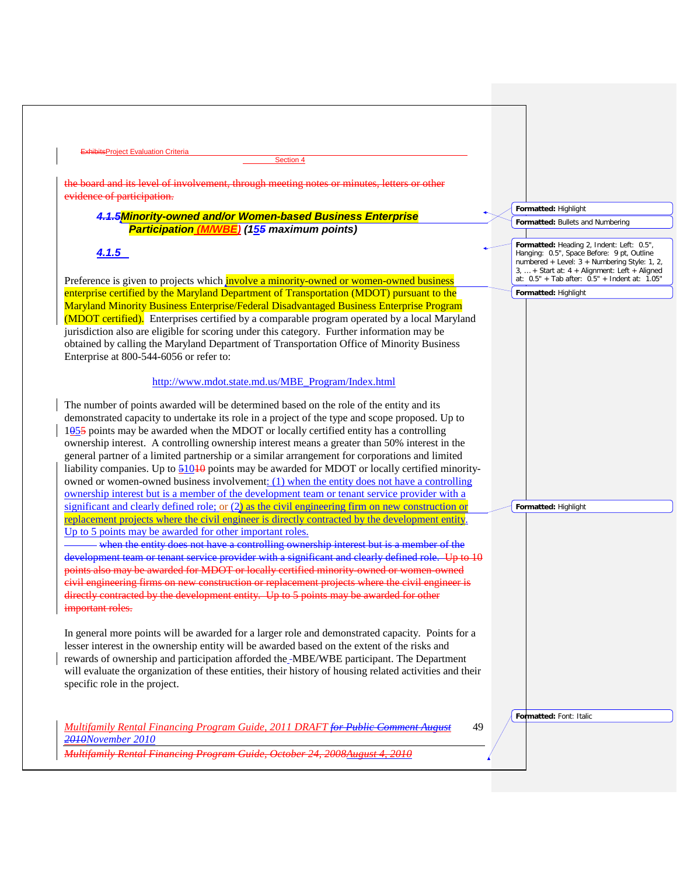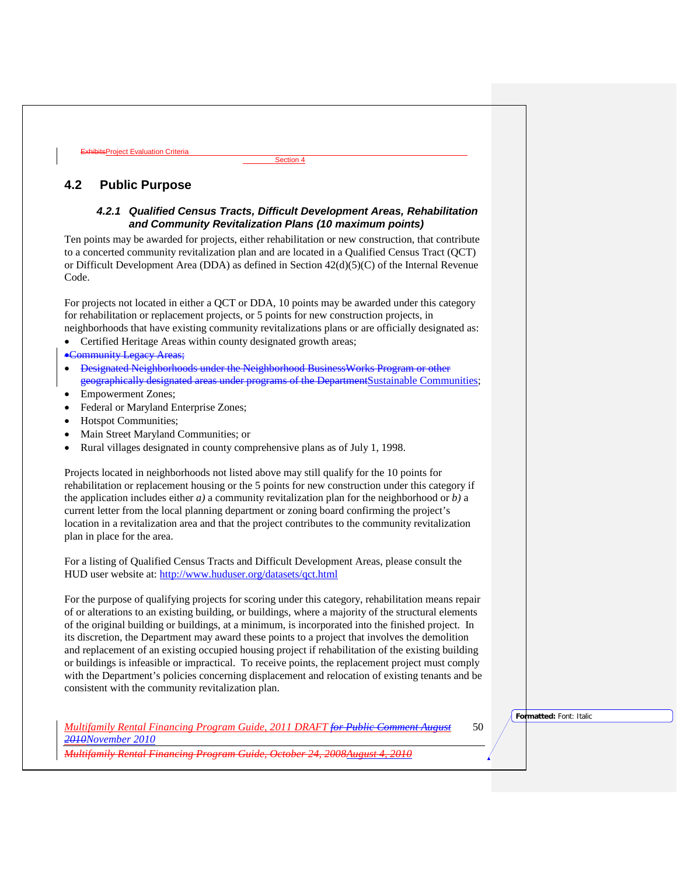**Project Evaluation Criteria** 

# **4.2 Public Purpose**

## *4.2.1 Qualified Census Tracts, Difficult Development Areas, Rehabilitation and Community Revitalization Plans (10 maximum points)*

Section 4

Ten points may be awarded for projects, either rehabilitation or new construction, that contribute to a concerted community revitalization plan and are located in a Qualified Census Tract (QCT) or Difficult Development Area (DDA) as defined in Section 42(d)(5)(C) of the Internal Revenue Code.

For projects not located in either a QCT or DDA, 10 points may be awarded under this category for rehabilitation or replacement projects, or 5 points for new construction projects, in neighborhoods that have existing community revitalizations plans or are officially designated as:

• Certified Heritage Areas within county designated growth areas;

•Community Legacy Areas;

- Designated Neighborhoods under the Neighborhood BusinessWorks Program or other geographically designated areas under programs of the DepartmentSustainable Communities;
- Empowerment Zones;
- Federal or Maryland Enterprise Zones;
- Hotspot Communities;
- Main Street Maryland Communities; or
- Rural villages designated in county comprehensive plans as of July 1, 1998.

Projects located in neighborhoods not listed above may still qualify for the 10 points for rehabilitation or replacement housing or the 5 points for new construction under this category if the application includes either *a*) a community revitalization plan for the neighborhood or *b*) a current letter from the local planning department or zoning board confirming the project's location in a revitalization area and that the project contributes to the community revitalization plan in place for the area.

For a listing of Qualified Census Tracts and Difficult Development Areas, please consult the HUD user website at: <http://www.huduser.org/datasets/qct.html>

For the purpose of qualifying projects for scoring under this category, rehabilitation means repair of or alterations to an existing building, or buildings, where a majority of the structural elements of the original building or buildings, at a minimum, is incorporated into the finished project. In its discretion, the Department may award these points to a project that involves the demolition and replacement of an existing occupied housing project if rehabilitation of the existing building or buildings is infeasible or impractical. To receive points, the replacement project must comply with the Department's policies concerning displacement and relocation of existing tenants and be consistent with the community revitalization plan.

*Multifamily Rental Financing Program Guide, 2011 DRAFT for Public Comment August 2010November 2010 Multifamily Rental Financing Program Guide, October* 

**Formatted:** Font: Italic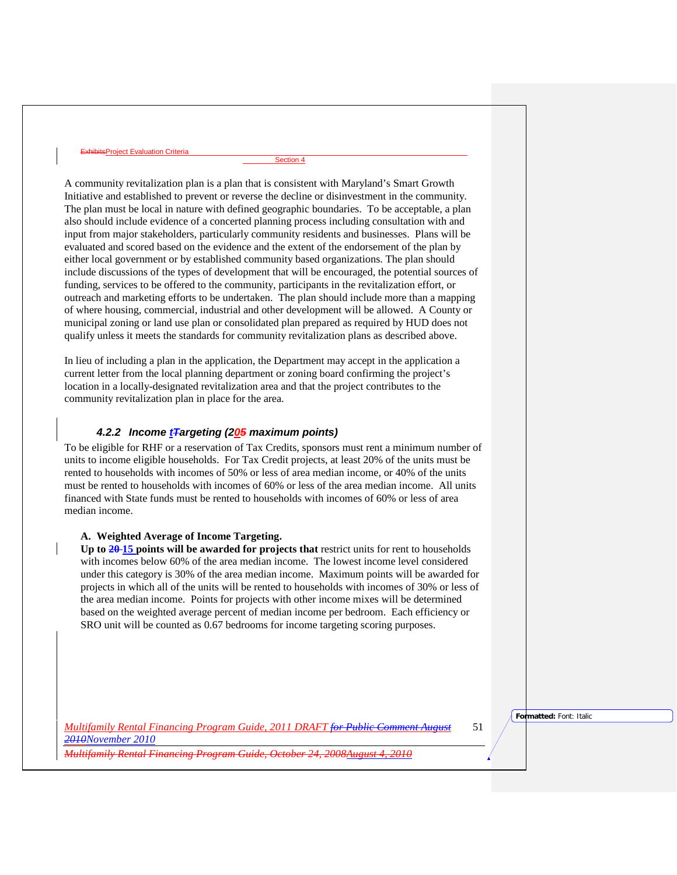#### **Example Evaluation Criteria**

A community revitalization plan is a plan that is consistent with Maryland's Smart Growth Initiative and established to prevent or reverse the decline or disinvestment in the community. The plan must be local in nature with defined geographic boundaries. To be acceptable, a plan also should include evidence of a concerted planning process including consultation with and input from major stakeholders, particularly community residents and businesses. Plans will be evaluated and scored based on the evidence and the extent of the endorsement of the plan by either local government or by established community based organizations. The plan should include discussions of the types of development that will be encouraged, the potential sources of funding, services to be offered to the community, participants in the revitalization effort, or outreach and marketing efforts to be undertaken. The plan should include more than a mapping of where housing, commercial, industrial and other development will be allowed. A County or municipal zoning or land use plan or consolidated plan prepared as required by HUD does not qualify unless it meets the standards for community revitalization plans as described above.

Section 4

In lieu of including a plan in the application, the Department may accept in the application a current letter from the local planning department or zoning board confirming the project's location in a locally-designated revitalization area and that the project contributes to the community revitalization plan in place for the area.

## *4.2.2 Income tTargeting (205 maximum points)*

To be eligible for RHF or a reservation of Tax Credits, sponsors must rent a minimum number of units to income eligible households. For Tax Credit projects, at least 20% of the units must be rented to households with incomes of 50% or less of area median income, or 40% of the units must be rented to households with incomes of 60% or less of the area median income. All units financed with State funds must be rented to households with incomes of 60% or less of area median income.

#### **A. Weighted Average of Income Targeting.**

**Up to 20 15 points will be awarded for projects that** restrict units for rent to households with incomes below 60% of the area median income. The lowest income level considered under this category is 30% of the area median income. Maximum points will be awarded for projects in which all of the units will be rented to households with incomes of 30% or less of the area median income. Points for projects with other income mixes will be determined based on the weighted average percent of median income per bedroom. Each efficiency or SRO unit will be counted as 0.67 bedrooms for income targeting scoring purposes.

*Multifamily Rental Financing Program Guide, 2011 DRAFT for Public Comment August 2010November 2010 Multifamily Rental Financing Program Guide, October 24, 2008August 4, 2010* 

**Formatted:** Font: Italic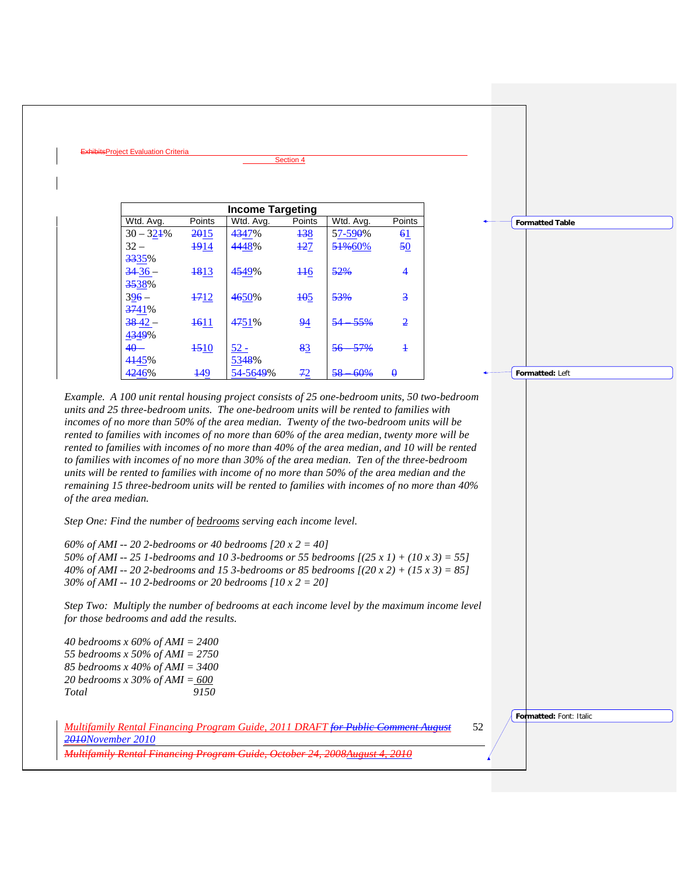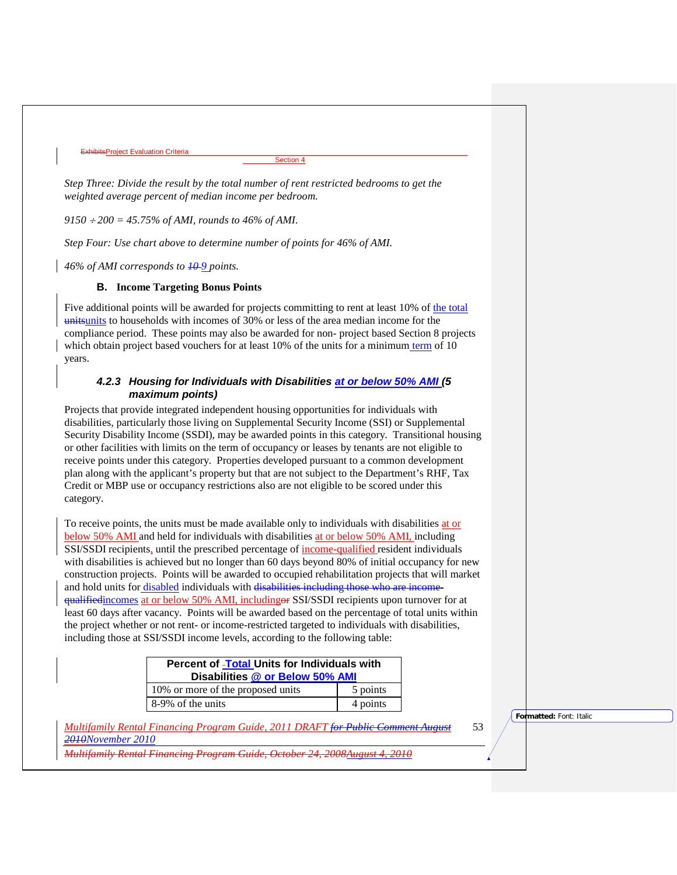sProject Evaluation Criteria

*Step Three: Divide the result by the total number of rent restricted bedrooms to get the weighted average percent of median income per bedroom.*

Section 4

*9150* <sup>÷</sup> *200 = 45.75% of AMI, rounds to 46% of AMI.*

*Step Four: Use chart above to determine number of points for 46% of AMI.*

*46% of AMI corresponds to 10 9 points.*

## **B. Income Targeting Bonus Points**

Five additional points will be awarded for projects committing to rent at least 10% of the total unitsunits to households with incomes of 30% or less of the area median income for the compliance period. These points may also be awarded for non- project based Section 8 projects which obtain project based vouchers for at least 10% of the units for a minimum term of 10 years.

## *4.2.3 Housing for Individuals with Disabilities at or below 50% AMI (5 maximum points)*

Projects that provide integrated independent housing opportunities for individuals with disabilities, particularly those living on Supplemental Security Income (SSI) or Supplemental Security Disability Income (SSDI), may be awarded points in this category. Transitional housing or other facilities with limits on the term of occupancy or leases by tenants are not eligible to receive points under this category. Properties developed pursuant to a common development plan along with the applicant's property but that are not subject to the Department's RHF, Tax Credit or MBP use or occupancy restrictions also are not eligible to be scored under this category.

To receive points, the units must be made available only to individuals with disabilities at or below 50% AMI and held for individuals with disabilities at or below 50% AMI, including SSI/SSDI recipients, until the prescribed percentage of income-qualified resident individuals with disabilities is achieved but no longer than 60 days beyond 80% of initial occupancy for new construction projects. Points will be awarded to occupied rehabilitation projects that will market and hold units for disabled individuals with disabilities including those who are incomequalifiedincomes at or below 50% AMI, includingor SSI/SSDI recipients upon turnover for at least 60 days after vacancy. Points will be awarded based on the percentage of total units within the project whether or not rent- or income-restricted targeted to individuals with disabilities, including those at SSI/SSDI income levels, according to the following table:

| <b>Percent of -Total Units for Individuals with</b><br>Disabilities @ or Below 50% AMI |          |  |
|----------------------------------------------------------------------------------------|----------|--|
| 10% or more of the proposed units                                                      | 5 points |  |
| 8-9% of the units                                                                      | 4 points |  |

*Multifamily Rental Financing Program Guide, 2011 DRAFT for Public Comment August 2010November 2010* 53

*Multifamily Rental Financing Program Guide, October* 

**Formatted:** Font: Italic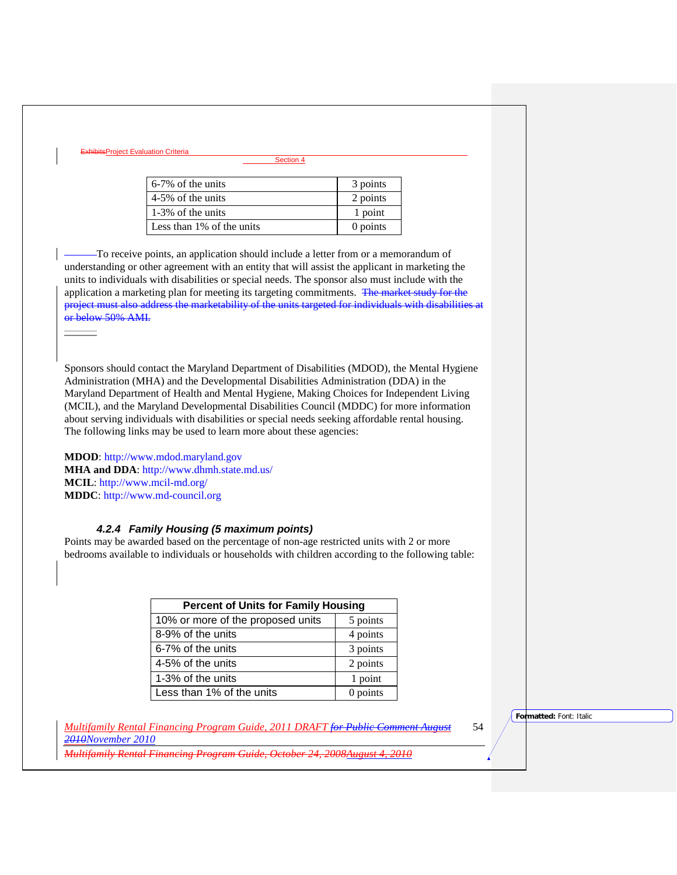#### **exitsProject Evaluation Criteria**

| 6-7% of the units         | 3 points |
|---------------------------|----------|
| 4-5% of the units         | 2 points |
| 1-3% of the units         | 1 point  |
| Less than 1% of the units | 0 points |

Section 4

To receive points, an application should include a letter from or a memorandum of understanding or other agreement with an entity that will assist the applicant in marketing the units to individuals with disabilities or special needs. The sponsor also must include with the application a marketing plan for meeting its targeting commitments. The market study for the project must also address the marketability of the units targeted for individuals with disabilities or below 50% AMI.

Sponsors should contact the Maryland Department of Disabilities (MDOD), the Mental Hygiene Administration (MHA) and the Developmental Disabilities Administration (DDA) in the Maryland Department of Health and Mental Hygiene, Making Choices for Independent Living (MCIL), and the Maryland Developmental Disabilities Council (MDDC) for more information about serving individuals with disabilities or special needs seeking affordable rental housing. The following links may be used to learn more about these agencies:

**MDOD**: [http://www.mdod.maryland.gov](http://www.mdod.maryland.gov/) **MHA and DDA**:<http://www.dhmh.state.md.us/> **MCIL**:<http://www.mcil-md.org/> **MDDC**: [http://www.md-council.org](http://www.md-council.org/)

## *4.2.4 Family Housing (5 maximum points)*

Points may be awarded based on the percentage of non-age restricted units with 2 or more bedrooms available to individuals or households with children according to the following table:

| <b>Percent of Units for Family Housing</b> |          |  |
|--------------------------------------------|----------|--|
| 10% or more of the proposed units          | 5 points |  |
| 8-9% of the units                          | 4 points |  |
| 6-7% of the units                          | 3 points |  |
| 4-5% of the units                          | 2 points |  |
| 1-3% of the units                          | 1 point  |  |
| Less than 1% of the units                  | 0 points |  |

*Multifamily Rental Financing Program Guide, 2011 DRAFT for Public Comment August 2010November 2010 Multifamily Rental Financing Program Guide, October 24, 2008August 4, 2010* 

**Formatted:** Font: Italic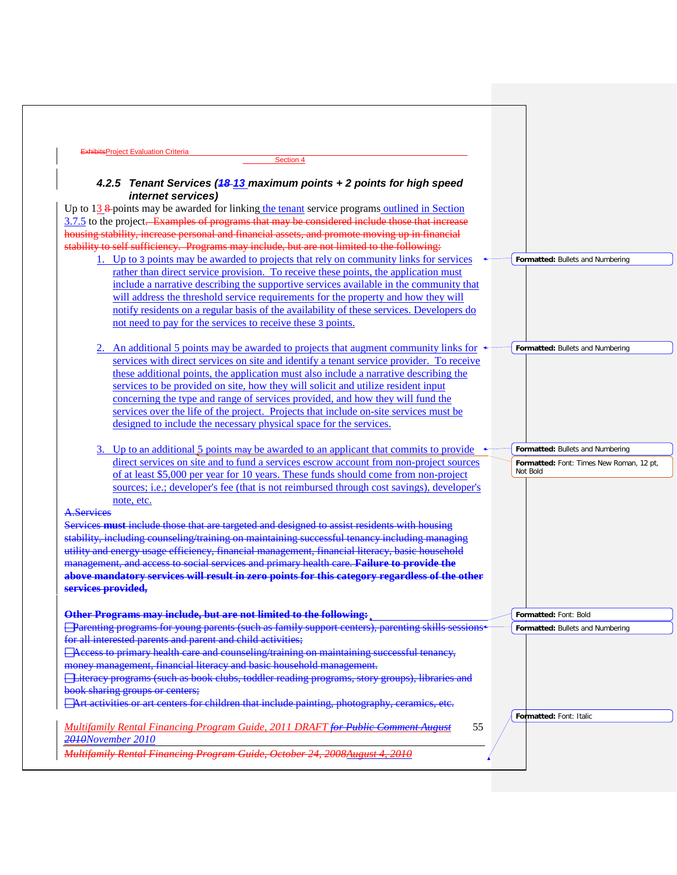| Section 4                                                                                                                        |                                          |
|----------------------------------------------------------------------------------------------------------------------------------|------------------------------------------|
|                                                                                                                                  |                                          |
| 4.2.5 Tenant Services (48-13 maximum points + 2 points for high speed                                                            |                                          |
| <i>internet services)</i>                                                                                                        |                                          |
| Up to 13.8-points may be awarded for linking the tenant service programs outlined in Section                                     |                                          |
| 3.7.5 to the project. Examples of programs that may be considered include those that increase                                    |                                          |
| housing stability, increase personal and financial assets, and promote moving up in financial                                    |                                          |
| stability to self sufficiency. Programs may include, but are not limited to the following:                                       |                                          |
| 1. Up to 3 points may be awarded to projects that rely on community links for services                                           | Formatted: Bullets and Numbering         |
| rather than direct service provision. To receive these points, the application must                                              |                                          |
| include a narrative describing the supportive services available in the community that                                           |                                          |
| will address the threshold service requirements for the property and how they will                                               |                                          |
| notify residents on a regular basis of the availability of these services. Developers do                                         |                                          |
| not need to pay for the services to receive these 3 points.                                                                      |                                          |
| 2. An additional 5 points may be awarded to projects that augment community links for $\rightarrow$                              | Formatted: Bullets and Numbering         |
| services with direct services on site and identify a tenant service provider. To receive                                         |                                          |
| these additional points, the application must also include a narrative describing the                                            |                                          |
| services to be provided on site, how they will solicit and utilize resident input                                                |                                          |
| concerning the type and range of services provided, and how they will fund the                                                   |                                          |
| services over the life of the project. Projects that include on-site services must be                                            |                                          |
| designed to include the necessary physical space for the services.                                                               |                                          |
|                                                                                                                                  |                                          |
| 3. Up to an additional 5 points may be awarded to an applicant that commits to provide                                           | Formatted: Bullets and Numbering         |
| direct services on site and to fund a services escrow account from non-project sources                                           | Formatted: Font: Times New Roman, 12 pt, |
| of at least \$5,000 per year for 10 years. These funds should come from non-project                                              | Not Bold                                 |
| sources; i.e.; developer's fee (that is not reimbursed through cost savings), developer's                                        |                                          |
| note, etc.                                                                                                                       |                                          |
| A Services                                                                                                                       |                                          |
| Services must include those that are targeted and designed to assist residents with housing                                      |                                          |
| stability, including counseling/training on maintaining successful tenancy including managing                                    |                                          |
| utility and energy usage efficiency, financial management, financial literacy, basic household                                   |                                          |
|                                                                                                                                  |                                          |
| management, and access to social services and primary health care. Failure to provide the                                        |                                          |
| above mandatory services will result in zero points for this category regardless of the other                                    |                                          |
| services provided,                                                                                                               |                                          |
|                                                                                                                                  |                                          |
| Other Programs may include, but are not limited to the following:                                                                | Formatted: Font: Bold                    |
| Parenting programs for young parents (such as family support centers), parenting skills sessions                                 | Formatted: Bullets and Numbering         |
| for all interested parents and parent and child activities;                                                                      |                                          |
| <b>Access to primary health care and counseling/training on maintaining successful tenancy,</b>                                  |                                          |
| money management, financial literacy and basic household management.                                                             |                                          |
| <b>Hiteracy programs (such as book clubs, toddler reading programs, story groups), libraries and</b>                             |                                          |
| book sharing groups or centers;<br>Art activities or art centers for children that include painting, photography, ceramics, etc. |                                          |
|                                                                                                                                  | Formatted: Font: Italic                  |
| <b>Multifamily Rental Financing Program Guide, 2011 DRAFT for Public Comment August</b><br>55<br>2010November 2010               |                                          |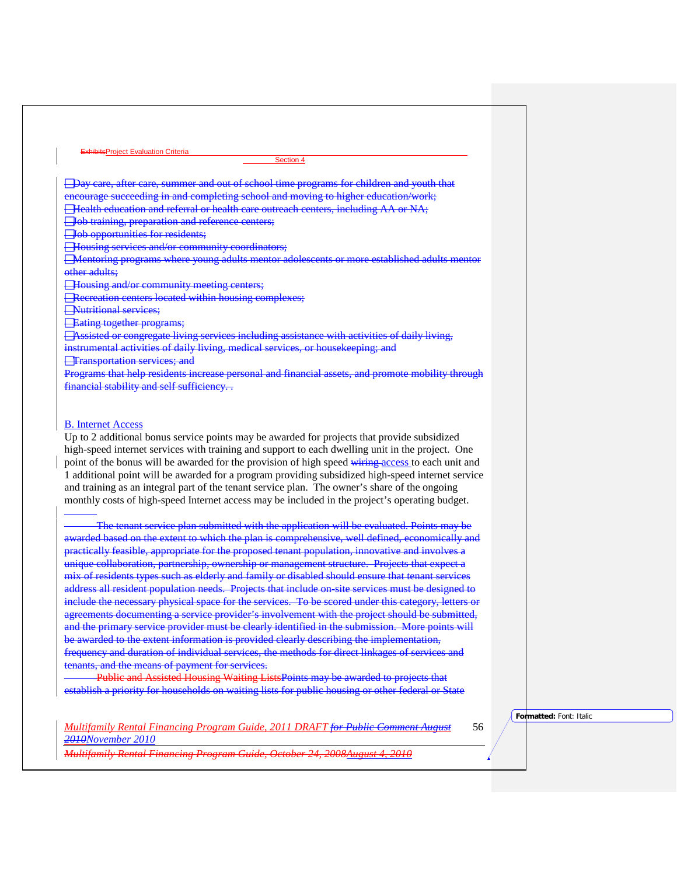**chibitsProject Evaluation Criteria** 

Day care, after care, summer and out of school time programs for children and youth that encourage succeeding in and completing school and moving to higher education/work; **Health education and referral or health care outreach centers, including AA or NA;** Job training, preparation and reference centers; **Job opportunities for residents;** Housing services and/or community coordinators; Mentoring programs where young adults mentor adolescents or more established adults mentor other adults; **Housing and/or community meeting centers; Recreation centers located within housing complexes: Nutritional services**; **Eating together programs;** Assisted or congregate living services including assistance with activities of daily living, instrumental activities of daily living, medical services, or housekeeping; and **Transportation services; and** Programs that help residents increase personal and financial assets, and promote mobility through financial stability and self sufficiency. .

Section 4

## B. Internet Access

Up to 2 additional bonus service points may be awarded for projects that provide subsidized high-speed internet services with training and support to each dwelling unit in the project. One point of the bonus will be awarded for the provision of high speed wiring access to each unit and 1 additional point will be awarded for a program providing subsidized high-speed internet service and training as an integral part of the tenant service plan. The owner's share of the ongoing monthly costs of high-speed Internet access may be included in the project's operating budget.

The tenant service plan submitted with the application will be evaluated. Points may be awarded based on the extent to which the plan is comprehensive, well defined, economically and practically feasible, appropriate for the proposed tenant population, innovative and involves a unique collaboration, partnership, ownership or management structure. Projects that expect a mix of residents types such as elderly and family or disabled should ensure that tenant services address all resident population needs. Projects that include on-site services must be designed to include the necessary physical space for the services. To be scored under this category, letters or agreements documenting a service provider's involvement with the project should be submitted, and the primary service provider must be clearly identified in the submission. More points will be awarded to the extent information is provided clearly describing the implementation, frequency and duration of individual services, the methods for direct linkages of services and tenants, and the means of payment for services.

Public and Assisted Housing Waiting ListsPoints may be awarded to pro establish a priority for households on waiting lists for public housing or other federal or State

*Multifamily Rental Financing Program Guide, 2011 DRAFT for Public Comment August 2010November 2010 Multifamily Rental Financing Program Guide, October 24, 2008August 4, 2010* 

**Formatted:** Font: Italic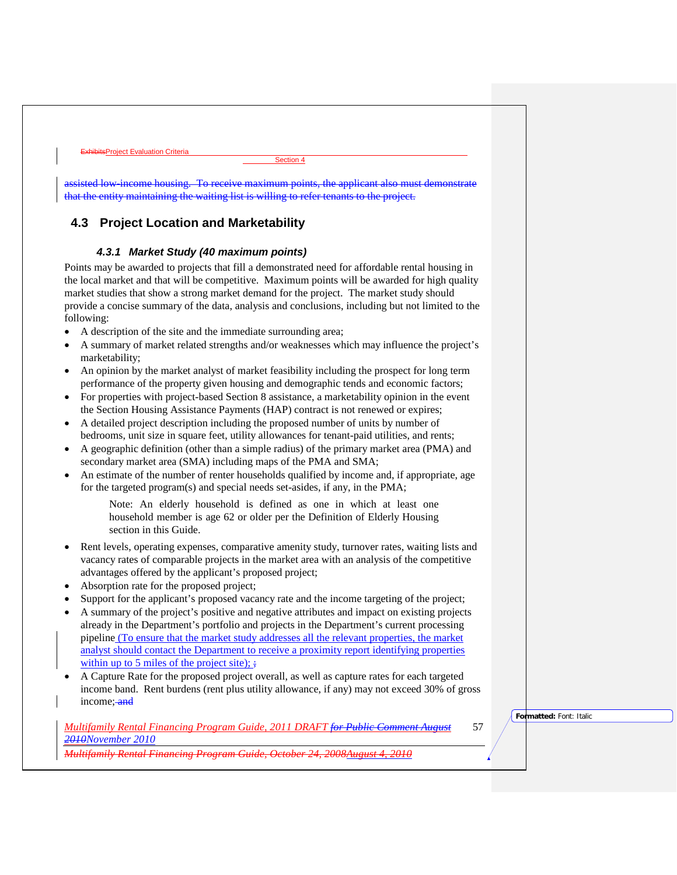**ExhibitsProject Evaluation Criteria** 

assisted low-income housing. To receive maximum points, the applicant also must demonstrate that the entity maintaining the waiting list is willing to refer tenants to the project.

Section 4

# **4.3 Project Location and Marketability**

## *4.3.1 Market Study (40 maximum points)*

Points may be awarded to projects that fill a demonstrated need for affordable rental housing in the local market and that will be competitive.Maximum points will be awarded for high quality market studies that show a strong market demand for the project. The market study should provide a concise summary of the data, analysis and conclusions, including but not limited to the following:

- A description of the site and the immediate surrounding area;
- A summary of market related strengths and/or weaknesses which may influence the project's marketability;
- An opinion by the market analyst of market feasibility including the prospect for long term performance of the property given housing and demographic tends and economic factors;
- For properties with project-based Section 8 assistance, a marketability opinion in the event the Section Housing Assistance Payments (HAP) contract is not renewed or expires;
- A detailed project description including the proposed number of units by number of bedrooms, unit size in square feet, utility allowances for tenant-paid utilities, and rents;
- A geographic definition (other than a simple radius) of the primary market area (PMA) and secondary market area (SMA) including maps of the PMA and SMA;
- An estimate of the number of renter households qualified by income and, if appropriate, age for the targeted program(s) and special needs set-asides, if any, in the PMA;

Note: An elderly household is defined as one in which at least one household member is age 62 or older per the Definition of Elderly Housing section in this Guide.

- Rent levels, operating expenses, comparative amenity study, turnover rates, waiting lists and vacancy rates of comparable projects in the market area with an analysis of the competitive advantages offered by the applicant's proposed project;
- Absorption rate for the proposed project;
- Support for the applicant's proposed vacancy rate and the income targeting of the project;
- A summary of the project's positive and negative attributes and impact on existing projects already in the Department's portfolio and projects in the Department's current processing pipeline (To ensure that the market study addresses all the relevant properties, the market analyst should contact the Department to receive a proximity report identifying properties within up to 5 miles of the project site);  $\frac{1}{2}$
- A Capture Rate for the proposed project overall, as well as capture rates for each targeted income band. Rent burdens (rent plus utility allowance, if any) may not exceed 30% of gross income: and

*Multifamily Rental Financing Program Guide, 2011 DRAFT for Public Comment August 2010November 2010 Multifamily Rental Financing Program Guide, October* 

**Formatted:** Font: Italic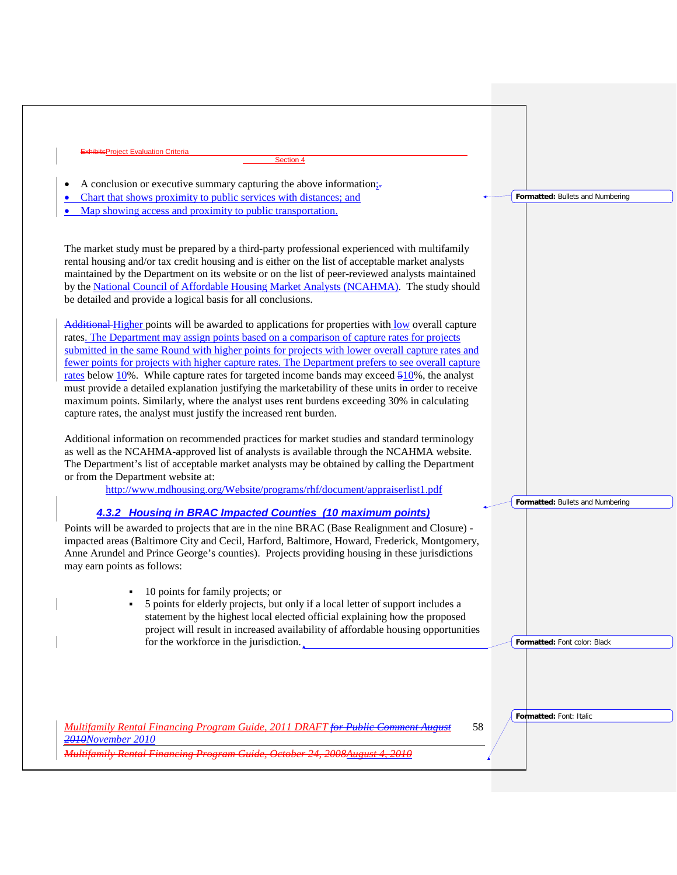**exitsProject Evaluation Criteria** 

- A conclusion or executive summary capturing the above information;
- Chart that shows proximity to public services with distances; and
- Map showing access and proximity to public transportation.

The market study must be prepared by a third-party professional experienced with multifamily rental housing and/or tax credit housing and is either on the list of acceptable market analysts maintained by the Department on its website or on the list of peer-reviewed analysts maintained by the [National Council of Affordable Housing Market Analysts \(NCAHMA\).](http://www.housingonline.com/Default.aspx?tabid=234) The study should be detailed and provide a logical basis for all conclusions.

Section 4

Additional Higher points will be awarded to applications for properties with low overall capture rates. The Department may assign points based on a comparison of capture rates for projects submitted in the same Round with higher points for projects with lower overall capture rates and fewer points for projects with higher capture rates. The Department prefers to see overall capture rates below  $10\%$ . While capture rates for targeted income bands may exceed  $510\%$ , the analyst must provide a detailed explanation justifying the marketability of these units in order to receive maximum points. Similarly, where the analyst uses rent burdens exceeding 30% in calculating capture rates, the analyst must justify the increased rent burden.

Additional information on recommended practices for market studies and standard terminology as well as the NCAHMA-approved list of analysts is available through the NCAHMA website. The Department's list of acceptable market analysts may be obtained by calling the Department or from the Department website at:

[http://www.mdhousing.org/Website/programs/rhf/document/appraiserlist1.pdf](http://www.dhcd.state.md.us/Website/programs/rhf/document/APPRAISERLIST1.pdf)

## *4.3.2 Housing in BRAC Impacted Counties (10 maximum points)*

Points will be awarded to projects that are in the nine BRAC (Base Realignment and Closure) impacted areas (Baltimore City and Cecil, Harford, Baltimore, Howard, Frederick, Montgomery, Anne Arundel and Prince George's counties). Projects providing housing in these jurisdictions may earn points as follows:

- 10 points for family projects; or
- 5 points for elderly projects, but only if a local letter of support includes a statement by the highest local elected official explaining how the proposed project will result in increased availability of affordable housing opportunities for the workforce in the jurisdiction.

*Multifamily Rental Financing Program Guide, 2011 DRAFT for Public Comment August 2010November 2010 Multifamily Rental Financing Program Guide, October* 58 **Formatted:** Bullets and Numbering

**Formatted:** Bullets and Numbering

**Formatted:** Font color: Black

**Formatted:** Font: Italic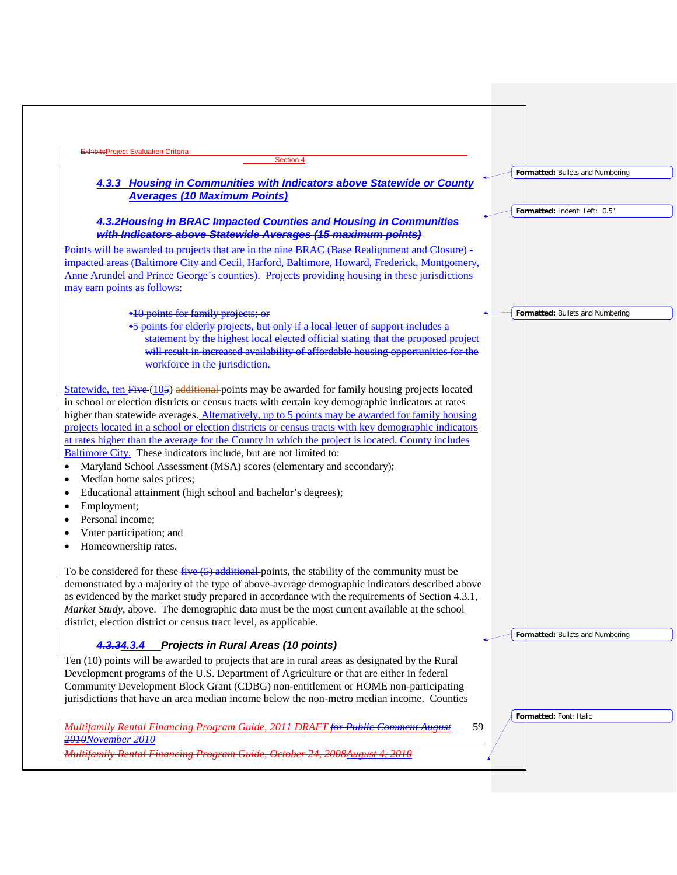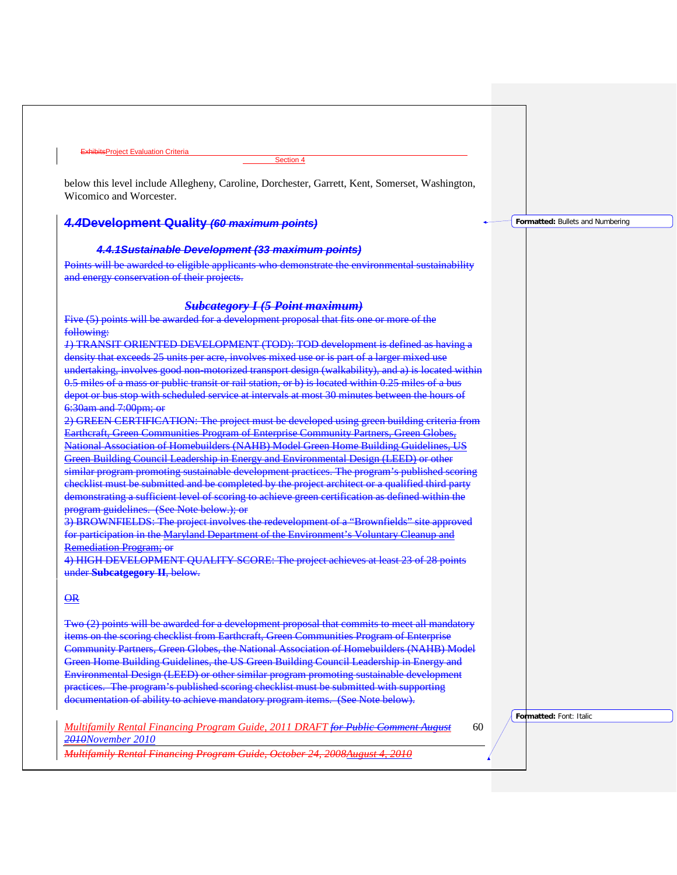**ExhibitsProject Evaluation Criteria** 

below this level include Allegheny, Caroline, Dorchester, Garrett, Kent, Somerset, Washington, Wicomico and Worcester.

Section 4

## *4.4***Development Quality** *(60 maximum points)*

### *4.4.1Sustainable Development (33 maximum points)*

Points will be awarded to eligible applicants who demonstrate the environmental sustainability and energy conservation of their projects.

#### *Subcategory I (5 Point maximum)*

Five (5) points will be awarded for a development proposal that fits one or more of the following:

*1*) TRANSIT ORIENTED DEVELOPMENT (TOD): TOD development is defined as having a density that exceeds 25 units per acre, involves mixed use or is part of a larger mixed use undertaking, involves good non-motorized transport design (walkability), and a) is located within 0.5 miles of a mass or public transit or rail station, or b) is located within 0.25 miles of a bus depot or bus stop with scheduled service at intervals at most 30 minutes between the hours of 6:30am and 7:00pm; or

2) GREEN CERTIFICATION: The project must be developed using green building criteria from [Earthcraft,](http://www.southface.org/web/earthcraft_house/ech_main/ech_index.htm) [Green Communities Program of Enterprise Community Partners,](http://www.enterprisecommunity.org/programs/green_communities/) [Green Globes,](http://www.greenglobes.com/) [National Association of Homebuilders \(NAHB\) Model Green Home Building Guidelines,](http://www.nahb.org/publication_details.aspx?sectionID=155&publicationID=1994&print=true) [US](http://www.usgbc.org/DisplayPage.aspx?CategoryID=19)  [Green Building Council Leadership in Energy and Environmental Design \(LEED\)](http://www.usgbc.org/DisplayPage.aspx?CategoryID=19) or other similar program promoting sustainable development practices. The program's published scoring checklist must be submitted and be completed by the project architect or a qualified third party demonstrating a sufficient level of scoring to achieve green certification as defined within the program guidelines. (See Note below.); or

3) BROWNFIELDS: The project involves the redevelopment of a "Brownfields" site approved for participation in the [Maryland Department of the Environment's Voluntary Cleanup and](http://www.mde.state.md.us/Programs/LandPrograms/ERRP_Brownfields/index.asp)  [Remediation Program;](http://www.mde.state.md.us/Programs/LandPrograms/ERRP_Brownfields/index.asp) or

4) HIGH DEVELOPMENT QUALITY SCORE: The project achieves at least 23 of 28 points under **Subcatgegory II**, below.

## **QR**

Two (2) points will be awarded for a development proposal that commits to meet all mandatory items on the scoring checklist from Earthcraft, Green Communities Program of Enterprise Community Partners, Green Globes, the National Association of Homebuilders (NAHB) Model Green Home Building Guidelines, the US Green Building Council Leadership in Energy and Environmental Design (LEED) or other similar program promoting sustainable development practices. The program's published scoring checklist must be submitted with supporting documentation of ability to achieve mandatory program items. (See Note below).

*Multifamily Rental Financing Program Guide, 2011 DRAFT for Public Comment August 2010November 2010 Multifamily Rental Financing Program Guide, October 24, 2008August 4, 2010*  60 **Formatted:** Font: Italic

**Formatted:** Bullets and Numbering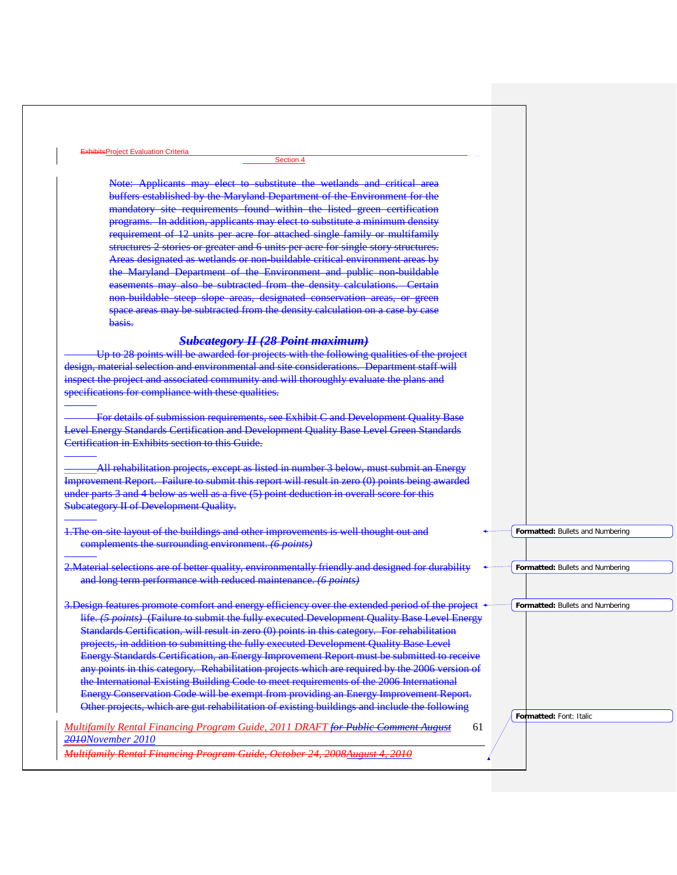**ExhibitsProject Evaluation Criteria** 

Note: Applicants may elect to substitute the wetlands and critical area buffers established by the Maryland Department of the Environment for the mandatory site requirements found within the listed green certification programs. In addition, applicants may elect to substitute a minimum density requirement of 12 units per acre for attached single family or multifamily structures 2 stories or greater and 6 units per acre for single story structures. Areas designated as wetlands or non-buildable critical environment areas by the Maryland Department of the Environment and public non-buildable easements may also be subtracted from the density calculations. Certain non-buildable steep slope areas, designated conservation areas, or green space areas may be subtracted from the density calculation on a case by case basis.

Section 4

## *Subcategory II (28 Point maximum)*

Up to 28 points will be awarded for projects with the following qualities of the project design, material selection and environmental and site considerations. Department staff will inspect the project and associated community and will thoroughly evaluate the plans and specifications for compliance with these qualities.

For details of submission requirements, see Exhibit C and Development Quality Base Level Energy Standards Certification and Development Quality Base Level Green Standards Certification in Exhibits section to this Guide.

All rehabilitation projects, except as listed in number 3 below, must submit an Energy Improvement Report. Failure to submit this report will result in zero (0) points being awarded under parts 3 and 4 below as well as a five (5) point deduction in overall score for this Subcategory II of Development Quality.

2.Material selections are of better quality, environmentally friendly and designed for durability and long term performance with reduced maintenance. *(6 points)*

3.Design features promote comfort and energy efficiency over the extended period of the project life. *(5 points)* (Failure to submit the fully executed Development Quality Base Level Energy Standards Certification, will result in zero (0) points in this category. For rehabilitation projects, in addition to submitting the fully executed Development Quality Base Level Energy Standards Certification, an Energy Improvement Report must be submitted to receive any points in this category. Rehabilitation projects which are required by the 2006 version of the International Existing Building Code to meet requirements of the 2006 International Energy Conservation Code will be exempt from providing an Energy Improvement Report. Other projects, which are gut rehabilitation of existing buildings and include the following

*Multifamily Rental Financing Program Guide, 2011 DRAFT for Public Comment August 2010November 2010 Multifamily Rental Financing Program Guide, October 24, 2008August 4, 2010*  61



<sup>1.</sup> The on-site layout of the buildings and other improvements is well thought out and complements the surrounding environment. *(6 points)*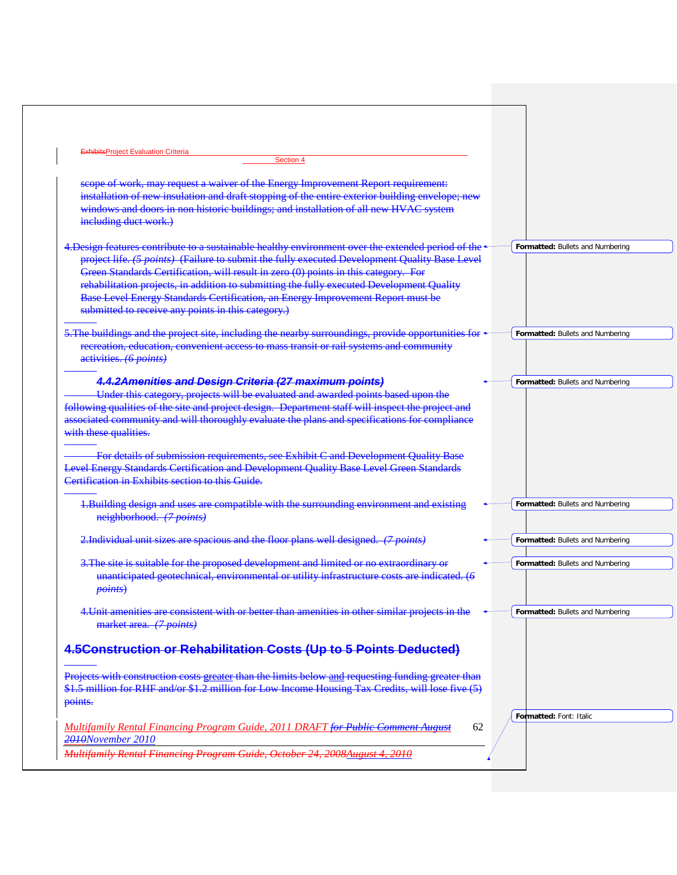| <b>ExhibitsProject Evaluation Criteria</b>                                                          |                                  |
|-----------------------------------------------------------------------------------------------------|----------------------------------|
| Section 4                                                                                           |                                  |
| scope of work, may request a waiver of the Energy Improvement Report requirement:                   |                                  |
| installation of new insulation and draft stopping of the entire exterior building envelope; new     |                                  |
| windows and doors in non historic buildings; and installation of all new HVAC system                |                                  |
| including duct work.)                                                                               |                                  |
| 4. Design features contribute to a sustainable healthy environment over the extended period of the  | Formatted: Bullets and Numbering |
| project life. (5 points) (Failure to submit the fully executed Development Quality Base Level       |                                  |
| Green Standards Certification, will result in zero (0) points in this category. For                 |                                  |
| rehabilitation projects, in addition to submitting the fully executed Development Quality           |                                  |
| Base Level Energy Standards Certification, an Energy Improvement Report must be                     |                                  |
| submitted to receive any points in this category.)                                                  |                                  |
| 5. The buildings and the project site, including the nearby surroundings, provide opportunities for | Formatted: Bullets and Numbering |
| recreation, education, convenient access to mass transit or rail systems and community              |                                  |
| activities. (6 points)                                                                              |                                  |
| 4.4.2Amenities and Design Criteria (27 maximum points)                                              | Formatted: Bullets and Numbering |
| Under this category, projects will be evaluated and awarded points based upon the                   |                                  |
| following qualities of the site and project design. Department staff will inspect the project and   |                                  |
| associated community and will thoroughly evaluate the plans and specifications for compliance       |                                  |
| with these qualities.                                                                               |                                  |
| For details of submission requirements, see Exhibit C and Development Quality Base                  |                                  |
| evel Energy Standards Certification and Development Quality Base Level Green Standards              |                                  |
| Certification in Exhibits section to this Guide.                                                    |                                  |
| 1. Building design and uses are compatible with the surrounding environment and existing            | Formatted: Bullets and Numbering |
| neighborhood. (7 points)                                                                            |                                  |
|                                                                                                     |                                  |
| 2. Individual unit sizes are spacious and the floor plans well designed. (7 points)                 | Formatted: Bullets and Numbering |
| 3. The site is suitable for the proposed development and limited or no extraordinary or             | Formatted: Bullets and Numbering |
| unanticipated geotechnical, environmental or utility infrastructure costs are indicated             |                                  |
| points)                                                                                             |                                  |
| 4. Unit amenities are consistent with or better than amenities in other similar projects in the     | Formatted: Bullets and Numbering |
| market area. (7 points)                                                                             |                                  |
|                                                                                                     |                                  |
| 4.5Construction or Rehabilitation Costs (Up to 5 Points Deducted)                                   |                                  |
| Projects with construction costs greater than the limits below and requesting funding greater than  |                                  |
| \$1.5 million for RHF and/or \$1.2 million for Low Income Housing Tax Credits, will lose five (5)   |                                  |
| points.                                                                                             |                                  |
| <b>Multifamily Rental Financing Program Guide, 2011 DRAFT for Public Comment August</b><br>62       | Formatted: Font: Italic          |
| 2010November 2010                                                                                   |                                  |
| Multifamily Rental Financing Program Guide, October 24, 2008August 4, 2010                          |                                  |
|                                                                                                     |                                  |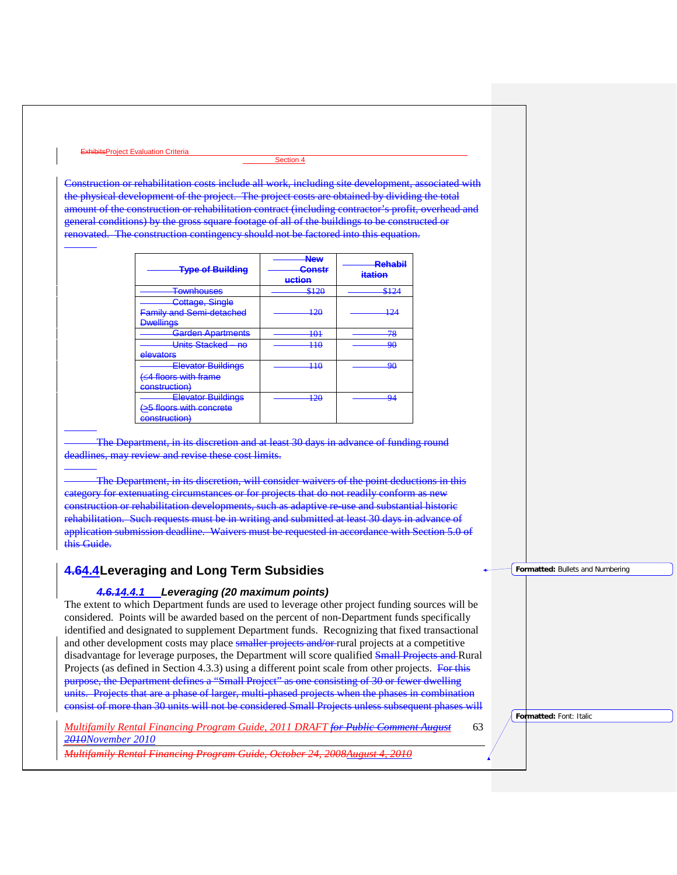**ibitsProject Evaluation Criteria** 

Construction or rehabilitation costs include all work, including site development, associated with the physical development of the project. The project costs are obtained by dividing the total amount of the construction or rehabilitation contract (including contractor's profit, overhead and general conditions) by the gross square footage of all of the buildings to be constructed or renovated. The construction contingency should not be factored into this equation.

Section 4

| <b>Type of Building</b>                                                              | <b>New</b><br>Constr<br><u>uction</u> | Rehabil<br>itation                   |
|--------------------------------------------------------------------------------------|---------------------------------------|--------------------------------------|
| <del>Townhouses</del>                                                                | 2120<br>计方式                           | Q124<br><del>ਹਾਰ ਵਾਰ</del>           |
| Cottage, Single<br><b>Family and Semi-detached</b><br><b>Dwellings</b>               | 120<br><b>TELEVISION</b>              | 12 <sub>A</sub><br><b>STATISTICS</b> |
| Garden Apartments                                                                    | 1 <sub>01</sub><br><del>.</del>       | 70<br>$\overline{\phantom{a}}$       |
| <del>Units Stacked</del><br>$n_{\Omega}$<br><b>TELES</b><br>elevators                | 110<br><b>THE R. P. LEWIS</b>         | ഹ<br>⇁                               |
| <b>Elevator Buildings</b><br>construction)                                           | 11Ω<br>--                             | റെ                                   |
| <b>Elevator Buildings</b><br><del>(&gt;5 floors with concrete</del><br>construction) | 120<br>.                              | $\Omega$                             |

The Department, in its discretion and at least 30 days in advance of funding round deadlines, may review and revise these cost limits.

The Department, in its discretion, will consider waivers of the point deductions in this category for extenuating circumstances or for projects that do not readily conform as new construction or rehabilitation developments, such as adaptive re-use and substantial historic rehabilitation. Such requests must be in writing and submitted at least 30 days in advance of application submission deadline. Waivers must be requested in accordance with Section 5.0 of this Guide.

# **4.64.4Leveraging and Long Term Subsidies**

## *4.6.14.4.1 Leveraging (20 maximum points)*

The extent to which Department funds are used to leverage other project funding sources will be considered. Points will be awarded based on the percent of non-Department funds specifically identified and designated to supplement Department funds. Recognizing that fixed transactional and other development costs may place smaller projects and/or-rural projects at a competitive disadvantage for leverage purposes, the Department will score qualified Small Projects and Rural Projects (as defined in Section 4.3.3) using a different point scale from other projects. For this purpose, the Department defines a "Small Project" as one consisting of 30 or fewer dwelling units. Projects that are a phase of larger, multi-phased projects when the phases in combination consist of more than 30 units will not be considered Small Projects unless subsequent phases will

*Multifamily Rental Financing Program Guide, 2011 DRAFT for Public Comment August 2010November 2010* 63

*Multifamily Rental Financing Program Guide, October 24, 2008August 4, 2010* 

# **Formatted:** Font: Italic **Formatted:** Bullets and Numbering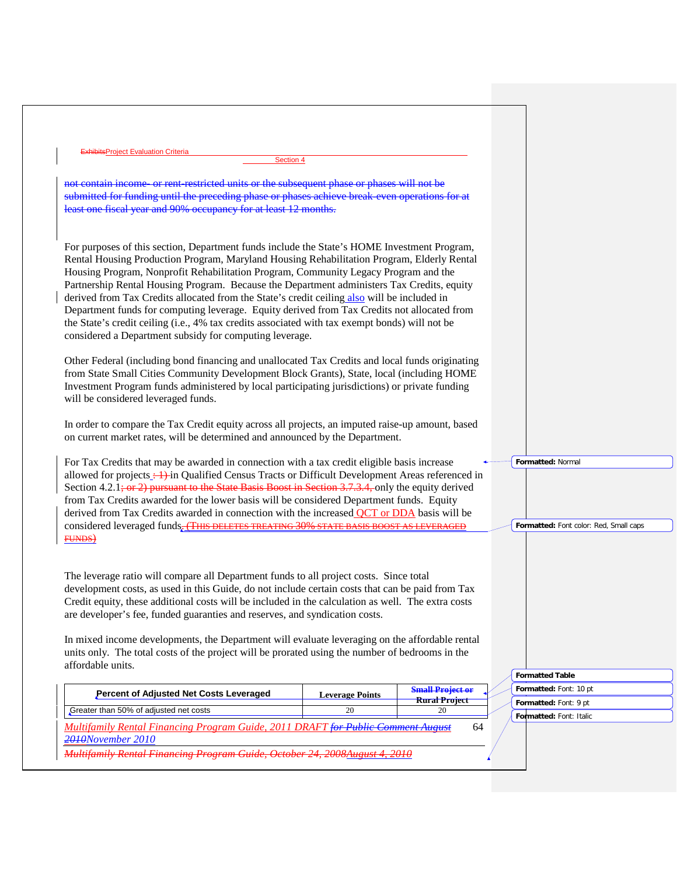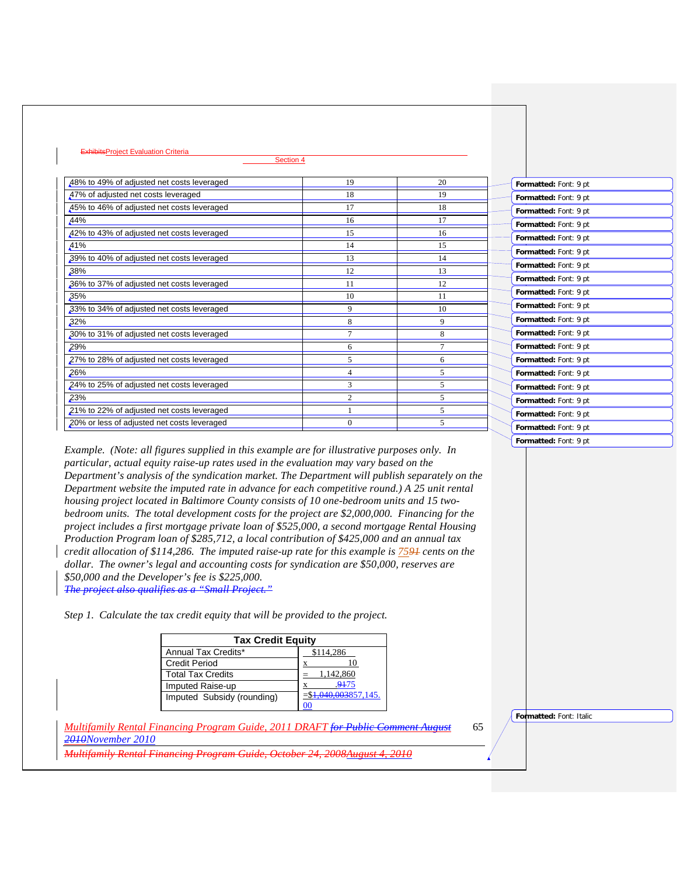**bitsProject Evaluation Criteria** 

| 48% to 49% of adjusted net costs leveraged  | 19 | 20             | Formatted: Font: 9 pt |
|---------------------------------------------|----|----------------|-----------------------|
| 47% of adjusted net costs leveraged         | 18 | 19             | Formatted: Font: 9 pt |
| 45% to 46% of adjusted net costs leveraged  | 17 | 18             | Formatted: Font: 9 pt |
| 44%                                         | 16 | 17             | Formatted: Font: 9 pt |
| 42% to 43% of adjusted net costs leveraged  | 15 | 16             | Formatted: Font: 9 pt |
| 41%                                         | 14 | 15             | Formatted: Font: 9 pt |
| 39% to 40% of adjusted net costs leveraged  | 13 | 14             |                       |
| 38%                                         | 12 | 13             | Formatted: Font: 9 pt |
| 36% to 37% of adjusted net costs leveraged  | 11 | 12             | Formatted: Font: 9 pt |
| 35%                                         | 10 | 11             | Formatted: Font: 9 pt |
| 33% to 34% of adjusted net costs leveraged  | 9  | 10             | Formatted: Font: 9 pt |
| 32%                                         | 8  | 9              | Formatted: Font: 9 pt |
| 30% to 31% of adjusted net costs leveraged  |    | 8              | Formatted: Font: 9 pt |
| 29%                                         |    | $\overline{ }$ | Formatted: Font: 9 pt |
| 27% to 28% of adjusted net costs leveraged  |    | 6              | Formatted: Font: 9 pt |
| 26%                                         |    | 5              | Formatted: Font: 9 pt |
| 24% to 25% of adjusted net costs leveraged  | 3  | 5              | Formatted: Font: 9 pt |
| 23%                                         |    | 5              | Formatted: Font: 9 pt |
| 21% to 22% of adjusted net costs leveraged  |    | 5              | Formatted: Font: 9 pt |
| 20% or less of adjusted net costs leveraged | U  | 5              | Formatted: Font: 9 pt |

*Example. (Note: all figures supplied in this example are for illustrative purposes only. In particular, actual equity raise-up rates used in the evaluation may vary based on the Department's analysis of the syndication market. The Department will publish separately on the Department website the imputed rate in advance for each competitive round.) A 25 unit rental housing project located in Baltimore County consists of 10 one-bedroom units and 15 twobedroom units. The total development costs for the project are \$2,000,000. Financing for the project includes a first mortgage private loan of \$525,000, a second mortgage Rental Housing Production Program loan of \$285,712, a local contribution of \$425,000 and an annual tax credit allocation of \$114,286. The imputed raise-up rate for this example is 7591 cents on the dollar. The owner's legal and accounting costs for syndication are \$50,000, reserves are \$50,000 and the Developer's fee is \$225,000.*

Section 4

*The project also qualifies as a "Small Project."*

*Step 1. Calculate the tax credit equity that will be provided to the project.*

| <b>Tax Credit Equity</b>   |                               |  |  |
|----------------------------|-------------------------------|--|--|
| Annual Tax Credits*        | \$114,286                     |  |  |
| <b>Credit Period</b>       |                               |  |  |
| <b>Total Tax Credits</b>   | 1,142,860                     |  |  |
| Imputed Raise-up           | .9475                         |  |  |
| Imputed Subsidy (rounding) | <del>1.040.003</del> 857.145. |  |  |
|                            |                               |  |  |

*Multifamily Rental Financing Program Guide, 2011 DRAFT for Public Comment August 2010November 2010 Multifamily Rental Financing Program Guide, October 24, 2008August 4, 2010* 

**Formatted:** Font: Italic

**Formatted:** Font: 9 pt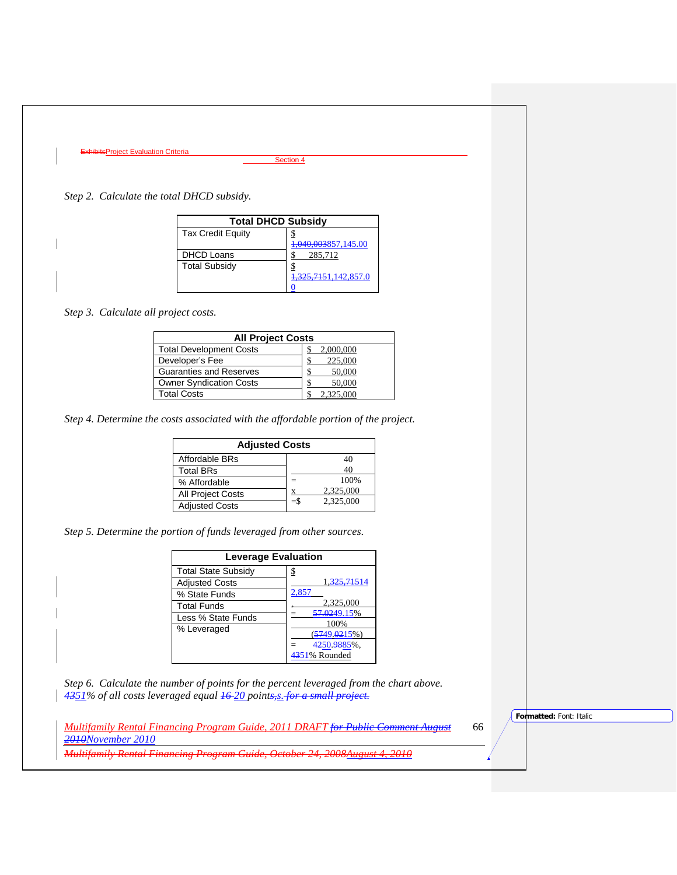sProject Evaluation Criteria

*Step 2. Calculate the total DHCD subsidy.*

| <b>Total DHCD Subsidy</b> |                                  |  |  |  |
|---------------------------|----------------------------------|--|--|--|
| <b>Tax Credit Equity</b>  |                                  |  |  |  |
|                           | 1,040,003857,145.00              |  |  |  |
| <b>DHCD Loans</b>         | 285,712                          |  |  |  |
| <b>Total Subsidy</b>      |                                  |  |  |  |
|                           | <del>1,325,715</del> 1,142,857.0 |  |  |  |
|                           |                                  |  |  |  |

Section 4

*Step 3. Calculate all project costs.*

| <b>All Project Costs</b>       |           |  |  |  |
|--------------------------------|-----------|--|--|--|
| <b>Total Development Costs</b> | 2,000,000 |  |  |  |
| Developer's Fee                | 225,000   |  |  |  |
| <b>Guaranties and Reserves</b> | 50,000    |  |  |  |
| <b>Owner Syndication Costs</b> | 50,000    |  |  |  |
| Total Costs                    | 2.325,000 |  |  |  |

*Step 4. Determine the costs associated with the affordable portion of the project.*

| <b>Adjusted Costs</b>    |                     |  |  |
|--------------------------|---------------------|--|--|
| Affordable BRs           | 40                  |  |  |
| <b>Total BRs</b>         | 40                  |  |  |
| % Affordable             | 100%                |  |  |
| <b>All Project Costs</b> | 2.325,000           |  |  |
| <b>Adjusted Costs</b>    | $=$ \$<br>2.325,000 |  |  |

*Step 5. Determine the portion of funds leveraged from other sources*.

| <b>Leverage Evaluation</b> |                          |  |  |
|----------------------------|--------------------------|--|--|
| <b>Total State Subsidy</b> | \$                       |  |  |
| <b>Adjusted Costs</b>      | 1. <del>325.715</del> 14 |  |  |
| % State Funds              | 2,857                    |  |  |
| <b>Total Funds</b>         | 2,325,000                |  |  |
| Less % State Funds         | 57.0249.15%              |  |  |
| % Leveraged                | 100%<br>(5749.0215%)     |  |  |
|                            | 4250.9885%               |  |  |
|                            | 4351% Rounded            |  |  |

*Step 6. Calculate the number of points for the percent leveraged from the chart above. 4351% of all costs leveraged equal 16 20 points,s. for a small project.*

*Multifamily Rental Financing Program Guide, 2011 DRAFT for Public Comment August 2010November 2010 Multifamily Rental Financing Program Guide, October 24, 2008August 4, 2010* 

**Formatted:** Font: Italic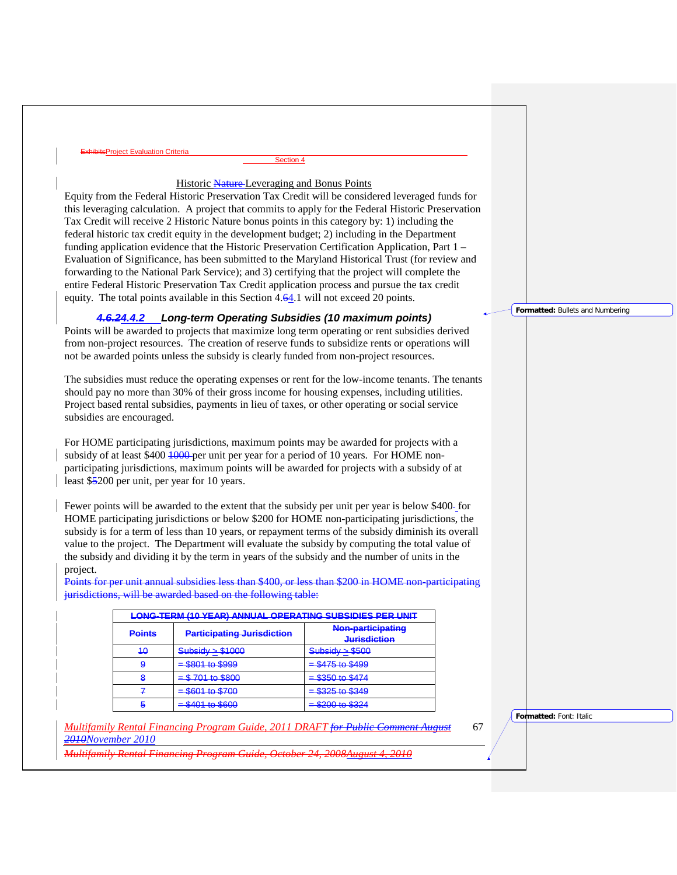**Project Evaluation Criteria** 

## Historic Nature-Leveraging and Bonus Points

Section 4

Equity from the Federal Historic Preservation Tax Credit will be considered leveraged funds for this leveraging calculation. A project that commits to apply for the Federal Historic Preservation Tax Credit will receive 2 Historic Nature bonus points in this category by: 1) including the federal historic tax credit equity in the development budget; 2) including in the Department funding application evidence that the Historic Preservation Certification Application, Part 1 – Evaluation of Significance, has been submitted to the Maryland Historical Trust (for review and forwarding to the National Park Service); and 3) certifying that the project will complete the entire Federal Historic Preservation Tax Credit application process and pursue the tax credit equity. The total points available in this Section 4.64.1 will not exceed 20 points.

## *4.6.24.4.2 Long-term Operating Subsidies (10 maximum points)*

Points will be awarded to projects that maximize long term operating or rent subsidies derived from non-project resources. The creation of reserve funds to subsidize rents or operations will not be awarded points unless the subsidy is clearly funded from non-project resources.

The subsidies must reduce the operating expenses or rent for the low-income tenants. The tenants should pay no more than 30% of their gross income for housing expenses, including utilities. Project based rental subsidies, payments in lieu of taxes, or other operating or social service subsidies are encouraged.

For HOME participating jurisdictions, maximum points may be awarded for projects with a subsidy of at least \$400 1000 per unit per year for a period of 10 years. For HOME nonparticipating jurisdictions, maximum points will be awarded for projects with a subsidy of at least \$5200 per unit, per year for 10 years.

Fewer points will be awarded to the extent that the subsidy per unit per year is below \$400 for HOME participating jurisdictions or below \$200 for HOME non-participating jurisdictions, the subsidy is for a term of less than 10 years, or repayment terms of the subsidy diminish its overall value to the project. The Department will evaluate the subsidy by computing the total value of the subsidy and dividing it by the term in years of the subsidy and the number of units in the project.

Points for per unit annual subsidies less than \$400, or less than \$200 in HOME non-participating jurisdictions, will be awarded based on the following table:

| LONG.TEDM (10 VEAD) ANNITAL ODEDATING SHRSIDIES DED HNIT |                                   |                                          |  |  |
|----------------------------------------------------------|-----------------------------------|------------------------------------------|--|--|
| <b>Points</b>                                            | <b>Participating Jurisdiction</b> | Non-participating<br><b>Jurisdiction</b> |  |  |
| 40                                                       | Subsidy > \$1000                  | Subsidy > \$500                          |  |  |
| 9                                                        | \$801 to \$999                    | $= $475$ to \$499                        |  |  |
| 8                                                        | \$701 to \$800                    | \$350 to \$474                           |  |  |
|                                                          | \$601 to \$700                    | $-$ \$325 to \$349                       |  |  |
| 5                                                        | = \$401 to \$600                  | <del>= \$200 to \$324</del>              |  |  |

*Multifamily Rental Financing Program Guide, 2011 DRAFT for Public Comment August 2010November 2010 Multifamily Rental Financing Program Guide, Octobe* 67

#### **Formatted:** Bullets and Numbering

**Formatted:** Font: Italic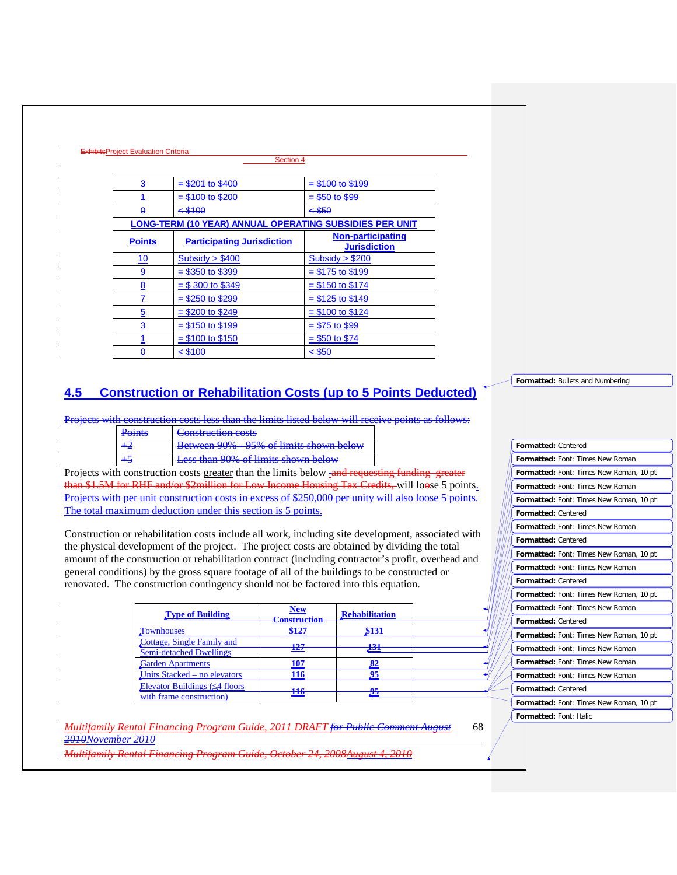|                         | Section 4                                                      |                                                 |
|-------------------------|----------------------------------------------------------------|-------------------------------------------------|
| $\mathbf{a}$            | \$201 to \$400                                                 | <del>\$100 to \$199</del>                       |
| 4                       | \$100 to \$200                                                 | <del>\$50 to \$99</del>                         |
| $\boldsymbol{\Theta}$   | <del>- \$100</del>                                             | $-$ \$50                                        |
|                         | <b>LONG-TERM (10 YEAR) ANNUAL OPERATING SUBSIDIES PER UNIT</b> |                                                 |
| <b>Points</b>           | <b>Participating Jurisdiction</b>                              | <b>Non-participating</b><br><b>Jurisdiction</b> |
| <u>10</u>               | Subsidy > \$400                                                | Subsidy $> $200$                                |
| $\overline{\mathbf{g}}$ | $= $350$ to \$399                                              | $= $175$ to \$199                               |
| 8                       | $=$ \$ 300 to \$349                                            | $=$ \$150 to \$174                              |
| 7<br>÷                  | $=$ \$250 to \$299                                             | $= $125$ to \$149                               |
| $\overline{5}$          | $=$ \$200 to \$249                                             | $=$ \$100 to \$124                              |
| $\overline{3}$          | $= $150$ to \$199                                              | $= $75$ to \$99                                 |
|                         | $= $100$ to \$150                                              | $= $50 to $74$                                  |
| 0                       | $<$ \$100                                                      | $<$ \$50                                        |

# **4.5 Construction or Rehabilitation Costs (up to 5 Points Deducted)**

Projects with construction costs less than the limits listed below will receive points as follows:

| <b>Dointe</b><br><del>r oma</del> | Construction costs                    |
|-----------------------------------|---------------------------------------|
|                                   | Between 90% 95% of limits shown below |
|                                   | Less than 90% of limits shown below   |

Projects with construction costs greater than the limits below and requesting funding greater than \$1.5M for RHF and/or \$2million for Low Income Housing Tax Credits, will loose 5 points. Projects with per unit construction costs in excess of \$250,000 per unity will also loose 5 points. The total maximum deduction under this section is 5 points.

Construction or rehabilitation costs include all work, including site development, associated with the physical development of the project. The project costs are obtained by dividing the total amount of the construction or rehabilitation contract (including contractor's profit, overhead and general conditions) by the gross square footage of all of the buildings to be constructed or renovated. The construction contingency should not be factored into this equation.

| <b>Type of Building</b>                                      | <b>New</b> | <b>Rehabilitation</b> |  | Formatted: Font: |
|--------------------------------------------------------------|------------|-----------------------|--|------------------|
|                                                              |            |                       |  | Formatted: Cente |
| Townhouses                                                   | \$127      | \$131                 |  | Formatted: Font: |
| Cottage, Single Family and<br><b>Semi-detached Dwellings</b> | 107<br>147 | 191<br>731            |  | Formatted: Font: |
| <b>Garden Apartments</b>                                     |            | 82                    |  | Formatted: Font: |
| Units Stacked – no elevators                                 | 116        | 95                    |  | Formatted: Font: |
| Elevator Buildings $(≤4$ floors                              | ĦΦ         |                       |  | Formatted: Cente |
| with frame construction)                                     |            | ᡔᠣ                    |  | Formatted, Font. |

68

*Multifamily Rental Financing Program Guide, 2011 DRAFT for Public Comment August 2010November 2010 Multifamily Rental Financing Program Guide, October 24, 2008August 4, 2010* 

**Formatted:** Bullets and Numbering

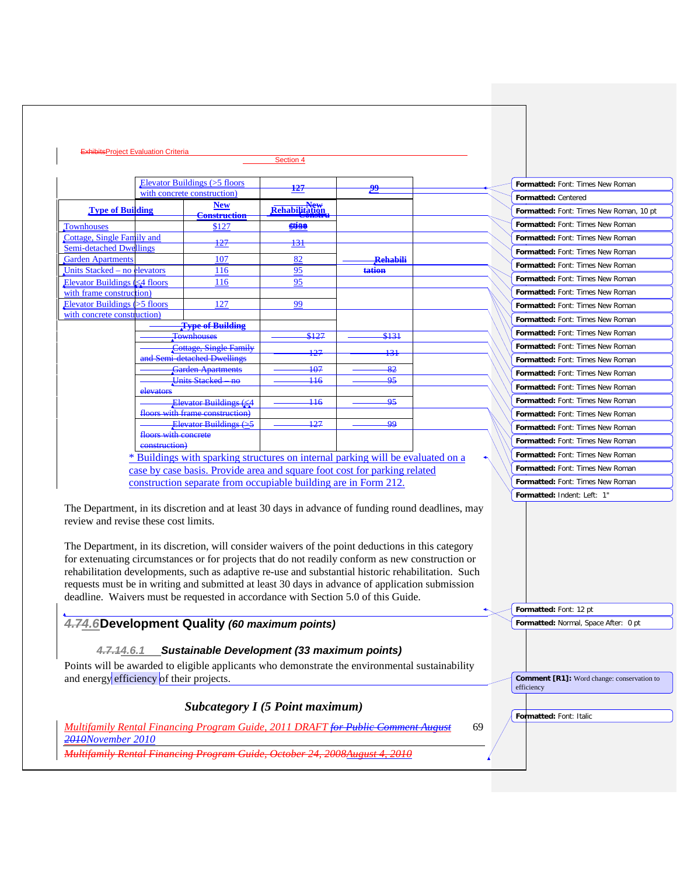|                                                                                                 |                      |                                                              | Section 4                                                                                                                                                                                                                                                                                                                                                                                                                                                                                                           |                 |                                                                       |
|-------------------------------------------------------------------------------------------------|----------------------|--------------------------------------------------------------|---------------------------------------------------------------------------------------------------------------------------------------------------------------------------------------------------------------------------------------------------------------------------------------------------------------------------------------------------------------------------------------------------------------------------------------------------------------------------------------------------------------------|-----------------|-----------------------------------------------------------------------|
|                                                                                                 |                      | Elevator Buildings (>5 floors<br>with concrete construction) | <del>127</del>                                                                                                                                                                                                                                                                                                                                                                                                                                                                                                      | $\frac{99}{2}$  | Formatted: Font: Times New Roman                                      |
| <b>Type of Building</b>                                                                         |                      | <b>New</b><br><b>Construction</b>                            | <b>New</b><br><b>Rehabilitation</b>                                                                                                                                                                                                                                                                                                                                                                                                                                                                                 |                 | <b>Formatted: Centered</b><br>Formatted: Font: Times New Roman, 10 pt |
| <b>Townhouses</b>                                                                               |                      | \$127                                                        | <b>COURSES</b><br><b>Sti0#</b>                                                                                                                                                                                                                                                                                                                                                                                                                                                                                      |                 | Formatted: Font: Times New Roman                                      |
| Cottage, Single Family and                                                                      |                      |                                                              |                                                                                                                                                                                                                                                                                                                                                                                                                                                                                                                     |                 | Formatted: Font: Times New Roman                                      |
| <b>Semi-detached Dwellings</b>                                                                  |                      | <u> 127</u>                                                  | <del>131</del>                                                                                                                                                                                                                                                                                                                                                                                                                                                                                                      |                 | Formatted: Font: Times New Roman                                      |
| <b>Garden Apartments</b>                                                                        |                      | 107                                                          | 82                                                                                                                                                                                                                                                                                                                                                                                                                                                                                                                  | Rehabili        | Formatted: Font: Times New Roman                                      |
| <b>Units Stacked - no elevators</b>                                                             |                      | 116                                                          | 95                                                                                                                                                                                                                                                                                                                                                                                                                                                                                                                  | tation          |                                                                       |
| Elevator Buildings $\leq 4$ floors                                                              |                      | 116                                                          | 95                                                                                                                                                                                                                                                                                                                                                                                                                                                                                                                  |                 | Formatted: Font: Times New Roman                                      |
| with frame construction)                                                                        |                      |                                                              |                                                                                                                                                                                                                                                                                                                                                                                                                                                                                                                     |                 | Formatted: Font: Times New Roman                                      |
| Elevator Buildings (>5 floors<br>with concrete construction)                                    |                      | 127                                                          | 99                                                                                                                                                                                                                                                                                                                                                                                                                                                                                                                  |                 | Formatted: Font: Times New Roman                                      |
|                                                                                                 |                      | <b>Type of Building</b>                                      |                                                                                                                                                                                                                                                                                                                                                                                                                                                                                                                     |                 | Formatted: Font: Times New Roman                                      |
|                                                                                                 |                      | <b>Townhouses</b>                                            | \$127                                                                                                                                                                                                                                                                                                                                                                                                                                                                                                               | \$131           | Formatted: Font: Times New Roman                                      |
|                                                                                                 |                      | Cottage, Single Family                                       |                                                                                                                                                                                                                                                                                                                                                                                                                                                                                                                     |                 | Formatted: Font: Times New Roman                                      |
|                                                                                                 |                      | and Semi detached Dwellings                                  | 127                                                                                                                                                                                                                                                                                                                                                                                                                                                                                                                 | 131             | Formatted: Font: Times New Roman                                      |
|                                                                                                 |                      | Garden Apartments                                            | 107                                                                                                                                                                                                                                                                                                                                                                                                                                                                                                                 | 82              | Formatted: Font: Times New Roman                                      |
|                                                                                                 |                      | Units Stacked<br>$-\mathbf{H}\mathbf{\Theta}$                | $+16$                                                                                                                                                                                                                                                                                                                                                                                                                                                                                                               | $\overline{95}$ |                                                                       |
|                                                                                                 | elevators            |                                                              |                                                                                                                                                                                                                                                                                                                                                                                                                                                                                                                     |                 | Formatted: Font: Times New Roman                                      |
|                                                                                                 |                      | Elevator Buildings (54                                       | $+16$                                                                                                                                                                                                                                                                                                                                                                                                                                                                                                               | 95              | Formatted: Font: Times New Roman                                      |
|                                                                                                 |                      | floors with frame construction)<br>Elevator Buildings (>5    |                                                                                                                                                                                                                                                                                                                                                                                                                                                                                                                     |                 | Formatted: Font: Times New Roman                                      |
|                                                                                                 | floors with concrete |                                                              | 127                                                                                                                                                                                                                                                                                                                                                                                                                                                                                                                 | مو              | Formatted: Font: Times New Roman                                      |
|                                                                                                 | construction)        |                                                              |                                                                                                                                                                                                                                                                                                                                                                                                                                                                                                                     |                 | Formatted: Font: Times New Roman                                      |
|                                                                                                 |                      |                                                              | * Buildings with sparking structures on internal parking will be evaluated on a                                                                                                                                                                                                                                                                                                                                                                                                                                     |                 | Formatted: Font: Times New Roman                                      |
|                                                                                                 |                      |                                                              | case by case basis. Provide area and square foot cost for parking related                                                                                                                                                                                                                                                                                                                                                                                                                                           |                 | Formatted: Font: Times New Roman                                      |
|                                                                                                 |                      |                                                              | construction separate from occupiable building are in Form 212.                                                                                                                                                                                                                                                                                                                                                                                                                                                     |                 | Formatted: Font: Times New Roman                                      |
|                                                                                                 |                      |                                                              |                                                                                                                                                                                                                                                                                                                                                                                                                                                                                                                     |                 | Formatted: Indent: Left: 1"                                           |
| review and revise these cost limits.                                                            |                      |                                                              | The Department, in its discretion and at least 30 days in advance of funding round deadlines, may<br>The Department, in its discretion, will consider waivers of the point deductions in this category<br>for extenuating circumstances or for projects that do not readily conform as new construction or<br>rehabilitation developments, such as adaptive re-use and substantial historic rehabilitation. Such<br>requests must be in writing and submitted at least 30 days in advance of application submission |                 |                                                                       |
|                                                                                                 |                      |                                                              |                                                                                                                                                                                                                                                                                                                                                                                                                                                                                                                     |                 | <b>Formatted:</b> Font: 12 pt                                         |
|                                                                                                 |                      |                                                              |                                                                                                                                                                                                                                                                                                                                                                                                                                                                                                                     |                 |                                                                       |
|                                                                                                 |                      |                                                              |                                                                                                                                                                                                                                                                                                                                                                                                                                                                                                                     |                 |                                                                       |
|                                                                                                 |                      | 4.74.6 Development Quality (60 maximum points)               |                                                                                                                                                                                                                                                                                                                                                                                                                                                                                                                     |                 | Formatted: Normal, Space After: 0 pt                                  |
| deadline. Waivers must be requested in accordance with Section 5.0 of this Guide.<br>4,7,14,6,1 |                      |                                                              |                                                                                                                                                                                                                                                                                                                                                                                                                                                                                                                     |                 |                                                                       |
|                                                                                                 |                      |                                                              | Sustainable Development (33 maximum points)                                                                                                                                                                                                                                                                                                                                                                                                                                                                         |                 |                                                                       |
|                                                                                                 |                      |                                                              | Points will be awarded to eligible applicants who demonstrate the environmental sustainability                                                                                                                                                                                                                                                                                                                                                                                                                      |                 |                                                                       |
| and energy efficiency of their projects.                                                        |                      |                                                              |                                                                                                                                                                                                                                                                                                                                                                                                                                                                                                                     |                 | <b>Comment [R1]:</b> Word change: conservation to<br>efficiency       |
|                                                                                                 |                      |                                                              |                                                                                                                                                                                                                                                                                                                                                                                                                                                                                                                     |                 |                                                                       |
| 2010November 2010                                                                               |                      |                                                              | Subcategory $I(5$ Point maximum)<br><b>Multifamily Rental Financing Program Guide, 2011 DRAFT for Public Comment August</b>                                                                                                                                                                                                                                                                                                                                                                                         |                 | Formatted: Font: Italic<br>69                                         |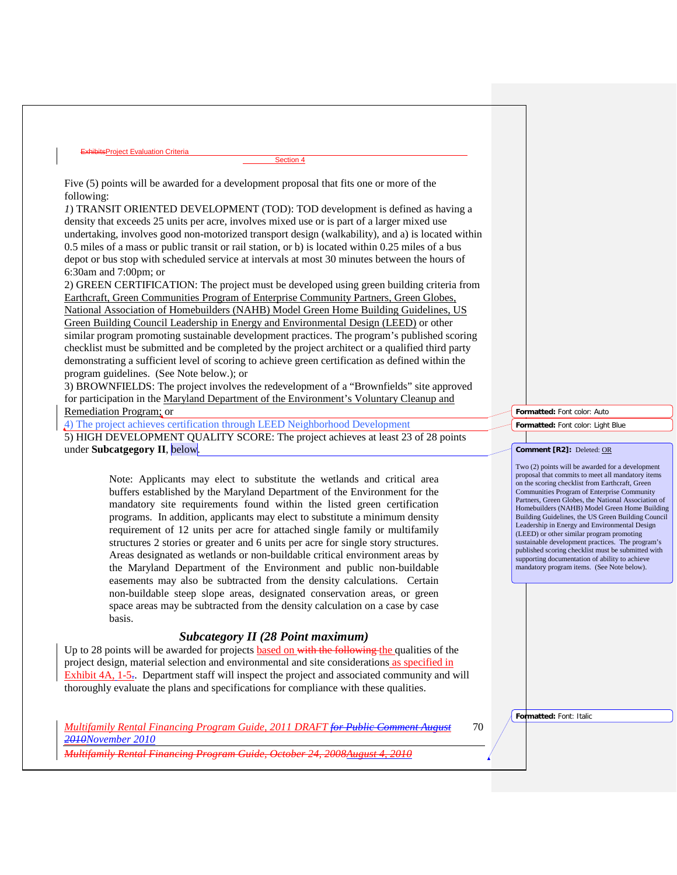**Example Evaluation Criteria** 

Five (5) points will be awarded for a development proposal that fits one or more of the following:

*1*) TRANSIT ORIENTED DEVELOPMENT (TOD): TOD development is defined as having a density that exceeds 25 units per acre, involves mixed use or is part of a larger mixed use undertaking, involves good non-motorized transport design (walkability), and a) is located within 0.5 miles of a mass or public transit or rail station, or b) is located within 0.25 miles of a bus depot or bus stop with scheduled service at intervals at most 30 minutes between the hours of 6:30am and 7:00pm; or

Section 4

2) GREEN CERTIFICATION: The project must be developed using green building criteria from [Earthcraft,](http://www.southface.org/web/earthcraft_house/ech_main/ech_index.htm) [Green Communities Program of Enterprise Community Partners,](http://www.enterprisecommunity.org/programs/green_communities/) [Green Globes,](http://www.greenglobes.com/) [National Association of Homebuilders \(NAHB\) Model Green Home Building Guidelines,](http://www.nahb.org/publication_details.aspx?sectionID=155&publicationID=1994&print=true) [US](http://www.usgbc.org/DisplayPage.aspx?CategoryID=19)  [Green Building Council Leadership in Energy and Environmental Design \(LEED\)](http://www.usgbc.org/DisplayPage.aspx?CategoryID=19) or other similar program promoting sustainable development practices. The program's published scoring checklist must be submitted and be completed by the project architect or a qualified third party demonstrating a sufficient level of scoring to achieve green certification as defined within the program guidelines. (See Note below.); or

3) BROWNFIELDS: The project involves the redevelopment of a "Brownfields" site approved for participation in the [Maryland Department of the Environment's Voluntary Cleanup and](http://www.mde.state.md.us/Programs/LandPrograms/ERRP_Brownfields/index.asp)  [Remediation Program;](http://www.mde.state.md.us/Programs/LandPrograms/ERRP_Brownfields/index.asp) or

4) The project achieves certification through LEED Neighborhood Development

5) HIGH DEVELOPMENT QUALITY SCORE: The project achieves at least 23 of 28 points under **Subcatgegory II**, below.

> Note: Applicants may elect to substitute the wetlands and critical area buffers established by the Maryland Department of the Environment for the mandatory site requirements found within the listed green certification programs. In addition, applicants may elect to substitute a minimum density requirement of 12 units per acre for attached single family or multifamily structures 2 stories or greater and 6 units per acre for single story structures. Areas designated as wetlands or non-buildable critical environment areas by the Maryland Department of the Environment and public non-buildable easements may also be subtracted from the density calculations. Certain non-buildable steep slope areas, designated conservation areas, or green space areas may be subtracted from the density calculation on a case by case basis.

## *Subcategory II (28 Point maximum)*

Up to 28 points will be awarded for projects based on with the following the qualities of the project design, material selection and environmental and site considerations as specified in Exhibit 4A, 1-5.. Department staff will inspect the project and associated community and will thoroughly evaluate the plans and specifications for compliance with these qualities.

*Multifamily Rental Financing Program Guide, 2011 DRAFT for Public Comment August 2010November 2010 Multifamily Rental Financing Program Guide, October 24,* 

## **Formatted:** Font color: Auto **Formatted:** Font color: Light Blue

#### **Comment [R2]:** Deleted: OR

Two (2) points will be awarded for a development proposal that commits to meet all mandatory items on the scoring checklist from Earthcraft, Green Communities Program of Enterprise Community Partners, Green Globes, the National Association of Homebuilders (NAHB) Model Green Home Building Building Guidelines, the US Green Building Council Leadership in Energy and Environmental Design (LEED) or other similar program promoting sustainable development practices. The program's published scoring checklist must be submitted with supporting documentation of ability to achieve mandatory program items. (See Note below).

**Formatted:** Font: Italic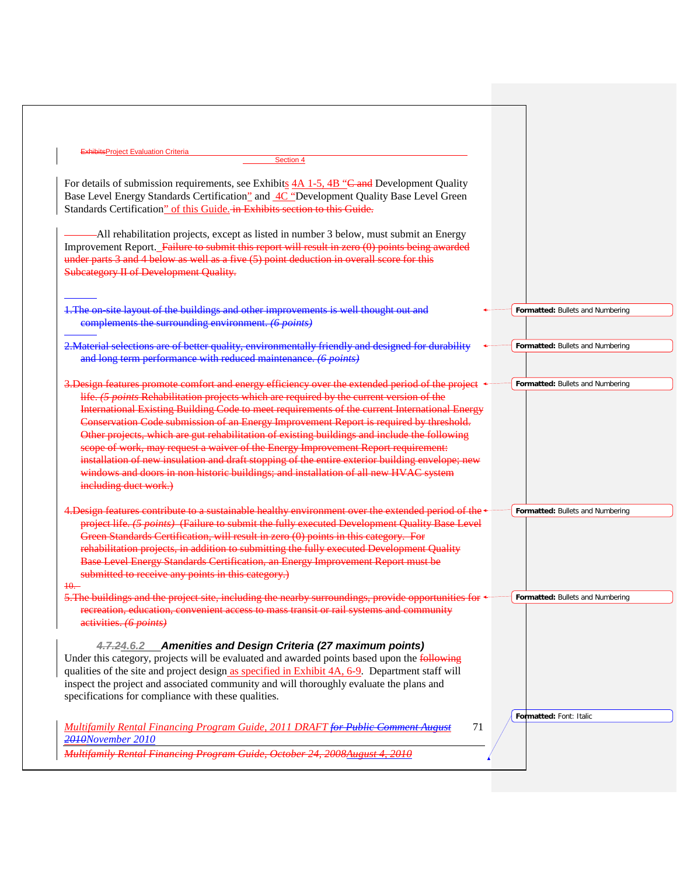| <b>ExhibitsProject Evaluation Criteria</b>                                                                                                                                                                                                                                                                                                                                                                                                                                                                                                                                                                                                                                                                                                                                                       |                                  |
|--------------------------------------------------------------------------------------------------------------------------------------------------------------------------------------------------------------------------------------------------------------------------------------------------------------------------------------------------------------------------------------------------------------------------------------------------------------------------------------------------------------------------------------------------------------------------------------------------------------------------------------------------------------------------------------------------------------------------------------------------------------------------------------------------|----------------------------------|
| Section 4                                                                                                                                                                                                                                                                                                                                                                                                                                                                                                                                                                                                                                                                                                                                                                                        |                                  |
| For details of submission requirements, see Exhibits 4A 1-5, 4B "C and Development Quality<br>Base Level Energy Standards Certification" and AC "Development Quality Base Level Green<br>Standards Certification" of this Guide. in Exhibits section to this Guide.                                                                                                                                                                                                                                                                                                                                                                                                                                                                                                                              |                                  |
| -All rehabilitation projects, except as listed in number 3 below, must submit an Energy<br>Improvement Report. Failure to submit this report will result in zero (0) points being awarded<br>under parts $3$ and $4$ below as well as a five $(5)$ point deduction in overall score for this<br><b>Subcategory II of Development Quality.</b>                                                                                                                                                                                                                                                                                                                                                                                                                                                    |                                  |
| 1. The on-site layout of the buildings and other improvements is well thought out and<br>complements the surrounding environment. (6 points)                                                                                                                                                                                                                                                                                                                                                                                                                                                                                                                                                                                                                                                     | Formatted: Bullets and Numbering |
| 2. Material selections are of better quality, environmentally friendly and designed for durability<br>and long term performance with reduced maintenance. (6 points)                                                                                                                                                                                                                                                                                                                                                                                                                                                                                                                                                                                                                             | Formatted: Bullets and Numbering |
| 3. Design features promote comfort and energy efficiency over the extended period of the project<br>life. (5 points Rehabilitation projects which are required by the current version of the<br>International Existing Building Code to meet requirements of the current International Energy<br>Conservation Code submission of an Energy Improvement Report is required by threshold.<br>Other projects, which are gut rehabilitation of existing buildings and include the following<br>scope of work, may request a waiver of the Energy Improvement Report requirement:<br>installation of new insulation and draft stopping of the entire exterior building envelope; new<br>windows and doors in non historic buildings; and installation of all new HVAC system<br>including duct work.) | Formatted: Bullets and Numbering |
| 4. Design features contribute to a sustainable healthy environment over the extended period of the<br>project life. (5 points) (Failure to submit the fully executed Development Quality Base Level<br>Green Standards Certification, will result in zero (0) points in this category. For<br>rehabilitation projects, in addition to submitting the fully executed Development Quality<br>Base Level Energy Standards Certification, an Energy Improvement Report must be<br>submitted to receive any points in this category.)<br>$+0-$                                                                                                                                                                                                                                                        | Formatted: Bullets and Numbering |
| 5. 5. The buildings and the project site, including the nearby surroundings, provide opportunities for<br>recreation, education, convenient access to mass transit or rail systems and community<br>activities. (6 points)                                                                                                                                                                                                                                                                                                                                                                                                                                                                                                                                                                       | Formatted: Bullets and Numbering |
| 4.7.24.6.2<br><b>Amenities and Design Criteria (27 maximum points)</b><br>Under this category, projects will be evaluated and awarded points based upon the following<br>qualities of the site and project design as specified in Exhibit 4A, 6-9. Department staff will<br>inspect the project and associated community and will thoroughly evaluate the plans and<br>specifications for compliance with these qualities.                                                                                                                                                                                                                                                                                                                                                                       |                                  |
| Multifamily Rental Financing Program Guide, 2011 DRAFT for Public Comment August<br>71                                                                                                                                                                                                                                                                                                                                                                                                                                                                                                                                                                                                                                                                                                           | Formatted: Font: Italic          |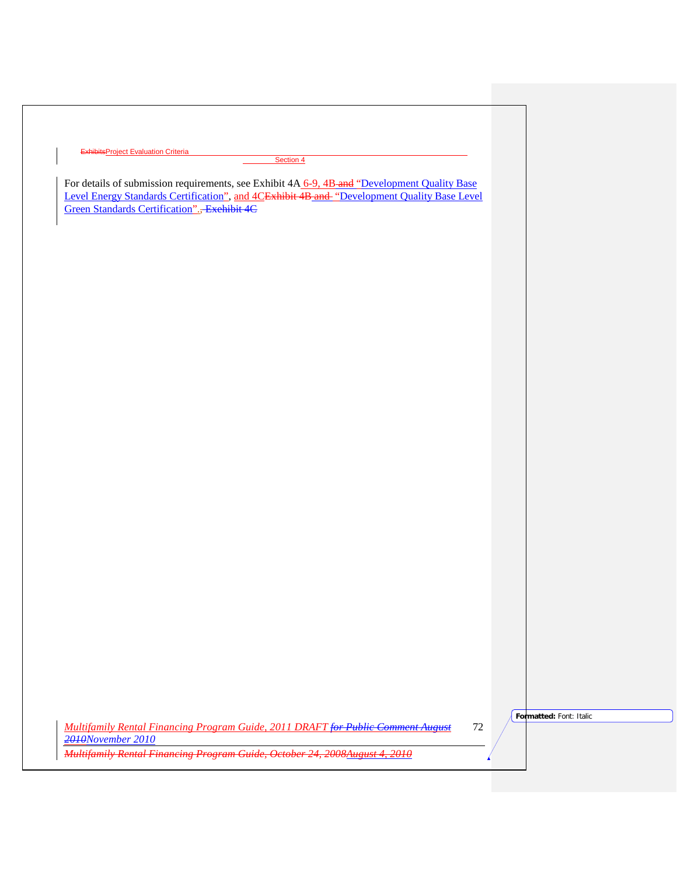ExhibitsProject Evaluation Criteria

For details of submission requirements, see Exhibit 4A 6-9, 4B and "Development Quality Base Level Energy Standards Certification", and 4CExhibit 4B and "Development Quality Base Level Green Standards Certification"., Exehibit 4C

Section 4

*Multifamily Rental Financing Program Guide, 2011 DRAFT for Public Comment August 2010November 2010 Multifamily Rental Financing Program Guide, October 24, 2008August 4, 2010* 

**Formatted:** Font: Italic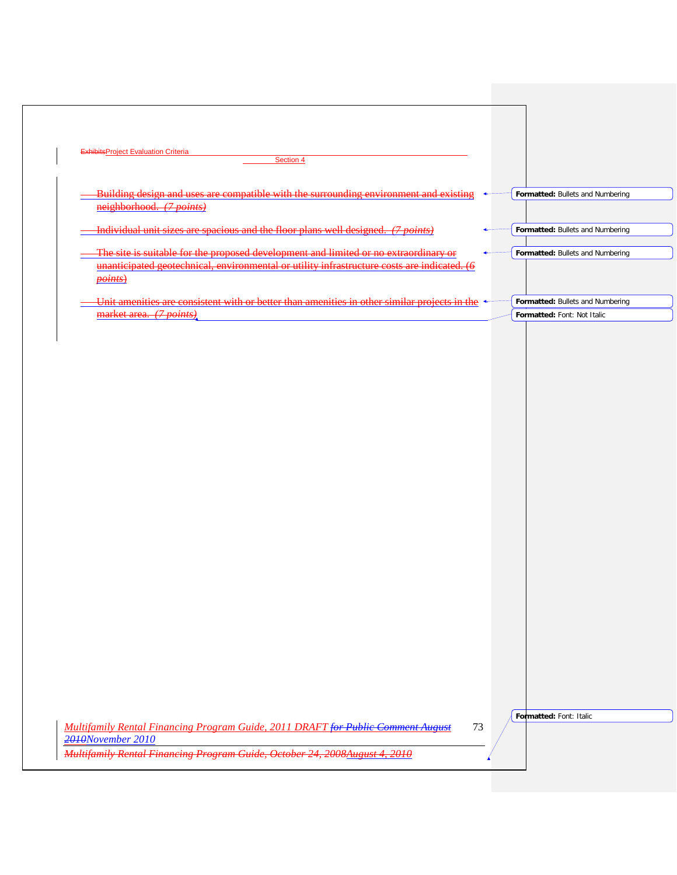| points) | <b>ExhibitsProject Evaluation Criteria</b><br>Section 4<br>Building design and uses are compatible with the surrounding environment and existing<br>neighborhood. (7 points)<br>Individual unit sizes are spacious and the floor plans well designed. (7 points)<br>The site is suitable for the proposed development and limited or no extraordinary or<br>unanticipated geotechnical, environmental or utility infrastructure costs are indicated. (6 | Formatted: Bullets and Numbering<br>Formatted: Bullets and Numbering<br>Formatted: Bullets and Numbering |
|---------|---------------------------------------------------------------------------------------------------------------------------------------------------------------------------------------------------------------------------------------------------------------------------------------------------------------------------------------------------------------------------------------------------------------------------------------------------------|----------------------------------------------------------------------------------------------------------|
|         |                                                                                                                                                                                                                                                                                                                                                                                                                                                         |                                                                                                          |
|         |                                                                                                                                                                                                                                                                                                                                                                                                                                                         |                                                                                                          |
|         |                                                                                                                                                                                                                                                                                                                                                                                                                                                         |                                                                                                          |
|         |                                                                                                                                                                                                                                                                                                                                                                                                                                                         |                                                                                                          |
|         |                                                                                                                                                                                                                                                                                                                                                                                                                                                         |                                                                                                          |
|         |                                                                                                                                                                                                                                                                                                                                                                                                                                                         |                                                                                                          |
|         |                                                                                                                                                                                                                                                                                                                                                                                                                                                         |                                                                                                          |
|         |                                                                                                                                                                                                                                                                                                                                                                                                                                                         |                                                                                                          |
|         |                                                                                                                                                                                                                                                                                                                                                                                                                                                         |                                                                                                          |
|         | Unit amenities are consistent with or better than amenities in other similar projects in the                                                                                                                                                                                                                                                                                                                                                            | Formatted: Bullets and Numbering                                                                         |
|         | market area. (7 points)                                                                                                                                                                                                                                                                                                                                                                                                                                 | Formatted: Font: Not Italic                                                                              |
|         |                                                                                                                                                                                                                                                                                                                                                                                                                                                         |                                                                                                          |
|         |                                                                                                                                                                                                                                                                                                                                                                                                                                                         |                                                                                                          |
|         |                                                                                                                                                                                                                                                                                                                                                                                                                                                         |                                                                                                          |
|         |                                                                                                                                                                                                                                                                                                                                                                                                                                                         |                                                                                                          |
|         |                                                                                                                                                                                                                                                                                                                                                                                                                                                         |                                                                                                          |
|         |                                                                                                                                                                                                                                                                                                                                                                                                                                                         |                                                                                                          |
|         |                                                                                                                                                                                                                                                                                                                                                                                                                                                         |                                                                                                          |
|         |                                                                                                                                                                                                                                                                                                                                                                                                                                                         |                                                                                                          |
|         |                                                                                                                                                                                                                                                                                                                                                                                                                                                         |                                                                                                          |
|         |                                                                                                                                                                                                                                                                                                                                                                                                                                                         |                                                                                                          |
|         |                                                                                                                                                                                                                                                                                                                                                                                                                                                         |                                                                                                          |
|         |                                                                                                                                                                                                                                                                                                                                                                                                                                                         |                                                                                                          |
|         |                                                                                                                                                                                                                                                                                                                                                                                                                                                         |                                                                                                          |
|         |                                                                                                                                                                                                                                                                                                                                                                                                                                                         |                                                                                                          |
|         |                                                                                                                                                                                                                                                                                                                                                                                                                                                         |                                                                                                          |
|         |                                                                                                                                                                                                                                                                                                                                                                                                                                                         |                                                                                                          |
|         |                                                                                                                                                                                                                                                                                                                                                                                                                                                         |                                                                                                          |
|         |                                                                                                                                                                                                                                                                                                                                                                                                                                                         |                                                                                                          |
|         |                                                                                                                                                                                                                                                                                                                                                                                                                                                         |                                                                                                          |
|         |                                                                                                                                                                                                                                                                                                                                                                                                                                                         |                                                                                                          |
|         |                                                                                                                                                                                                                                                                                                                                                                                                                                                         |                                                                                                          |
|         |                                                                                                                                                                                                                                                                                                                                                                                                                                                         |                                                                                                          |
|         |                                                                                                                                                                                                                                                                                                                                                                                                                                                         |                                                                                                          |
|         |                                                                                                                                                                                                                                                                                                                                                                                                                                                         |                                                                                                          |
|         |                                                                                                                                                                                                                                                                                                                                                                                                                                                         |                                                                                                          |
|         |                                                                                                                                                                                                                                                                                                                                                                                                                                                         |                                                                                                          |
|         |                                                                                                                                                                                                                                                                                                                                                                                                                                                         |                                                                                                          |
|         |                                                                                                                                                                                                                                                                                                                                                                                                                                                         |                                                                                                          |
|         |                                                                                                                                                                                                                                                                                                                                                                                                                                                         |                                                                                                          |
|         |                                                                                                                                                                                                                                                                                                                                                                                                                                                         |                                                                                                          |
|         |                                                                                                                                                                                                                                                                                                                                                                                                                                                         |                                                                                                          |
|         |                                                                                                                                                                                                                                                                                                                                                                                                                                                         |                                                                                                          |
|         |                                                                                                                                                                                                                                                                                                                                                                                                                                                         |                                                                                                          |
|         |                                                                                                                                                                                                                                                                                                                                                                                                                                                         | Formatted: Font: Italic                                                                                  |
|         | <b>Multifamily Rental Financing Program Guide, 2011 DRAFT for Public Comment August</b><br>73                                                                                                                                                                                                                                                                                                                                                           |                                                                                                          |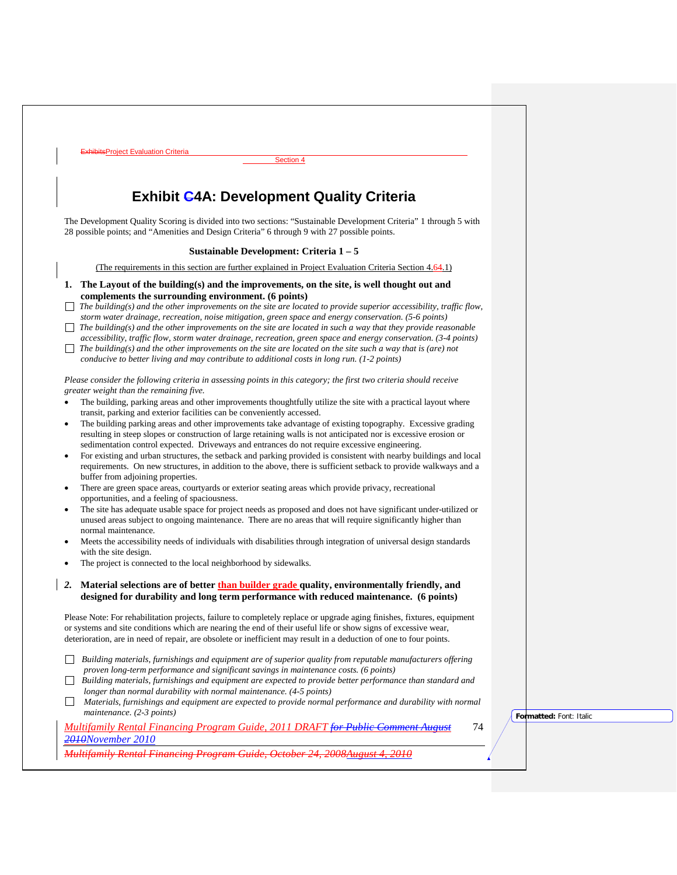**exitsProject Evaluation Criteria** 

# **Exhibit C4A: Development Quality Criteria**

Section 4

The Development Quality Scoring is divided into two sections: "Sustainable Development Criteria" 1 through 5 with 28 possible points; and "Amenities and Design Criteria" 6 through 9 with 27 possible points.

### **Sustainable Development: Criteria 1 – 5**

(The requirements in this section are further explained in Project Evaluation Criteria Section 4.64.1)

| 1. The Layout of the building(s) and the improvements, on the site, is well thought out and |
|---------------------------------------------------------------------------------------------|
| complements the surrounding environment. (6 points)                                         |

- $\Box$  The building(s) and the other improvements on the site are located to provide superior accessibility, traffic flow, *storm water drainage, recreation, noise mitigation, green space and energy conservation. (5-6 points)*
- *The building(s) and the other improvements on the site are located in such a way that they provide reasonable accessibility, traffic flow, storm water drainage, recreation, green space and energy conservation. (3-4 points) The building(s) and the other improvements on the site are located on the site such a way that is (are) not*

*conducive to better living and may contribute to additional costs in long run. (1-2 points)*

*Please consider the following criteria in assessing points in this category; the first two criteria should receive greater weight than the remaining five.* 

- The building, parking areas and other improvements thoughtfully utilize the site with a practical layout where transit, parking and exterior facilities can be conveniently accessed.
- The building parking areas and other improvements take advantage of existing topography. Excessive grading resulting in steep slopes or construction of large retaining walls is not anticipated nor is excessive erosion or sedimentation control expected. Driveways and entrances do not require excessive engineering.
- For existing and urban structures, the setback and parking provided is consistent with nearby buildings and local requirements. On new structures, in addition to the above, there is sufficient setback to provide walkways and a buffer from adjoining properties.
- There are green space areas, courtyards or exterior seating areas which provide privacy, recreational opportunities, and a feeling of spaciousness.
- The site has adequate usable space for project needs as proposed and does not have significant under-utilized or unused areas subject to ongoing maintenance. There are no areas that will require significantly higher than normal maintenance.
- Meets the accessibility needs of individuals with disabilities through integration of universal design standards with the site design.
- The project is connected to the local neighborhood by sidewalks.
- *2.* **Material selections are of better than builder grade quality, environmentally friendly, and designed for durability and long term performance with reduced maintenance. (6 points)**

Please Note: For rehabilitation projects, failure to completely replace or upgrade aging finishes, fixtures, equipment or systems and site conditions which are nearing the end of their useful life or show signs of excessive wear, deterioration, are in need of repair, are obsolete or inefficient may result in a deduction of one to four points.

- *Building materials, furnishings and equipment are of superior quality from reputable manufacturers offering proven long-term performance and significant savings in maintenance costs. (6 points)*
- *Building materials, furnishings and equipment are expected to provide better performance than standard and longer than normal durability with normal maintenance. (4-5 points)*
- *Materials, furnishings and equipment are expected to provide normal performance and durability with normal maintenance. (2-3 points)*

*Multifamily Rental Financing Program Guide, 2011 DRAFT for Public Comment August 2010November 2010*

*Multifamily Rental Financing Program Guide, October 24, 2008August 4, 2010* 

**Formatted:** Font: Italic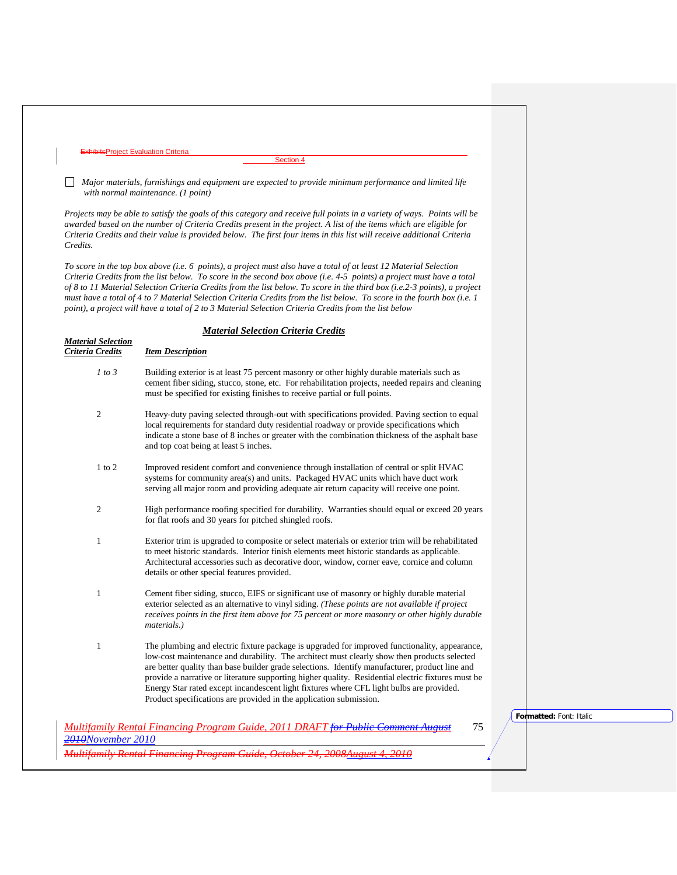| <b>ExhibitsProject Evaluation Criteria</b> |  |
|--------------------------------------------|--|
|                                            |  |

 *Major materials, furnishings and equipment are expected to provide minimum performance and limited life with normal maintenance. (1 point)*

Section 4

*Projects may be able to satisfy the goals of this category and receive full points in a variety of ways. Points will be awarded based on the number of Criteria Credits present in the project. A list of the items which are eligible for Criteria Credits and their value is provided below. The first four items in this list will receive additional Criteria Credits.*

*To score in the top box above (i.e. 6 points), a project must also have a total of at least 12 Material Selection Criteria Credits from the list below. To score in the second box above (i.e. 4-5 points) a project must have a total of 8 to 11 Material Selection Criteria Credits from the list below. To score in the third box (i.e.2-3 points), a project must have a total of 4 to 7 Material Selection Criteria Credits from the list below. To score in the fourth box (i.e. 1 point), a project will have a total of 2 to 3 Material Selection Criteria Credits from the list below*

|                                               | <b>Material Selection Criteria Credits</b>                                                                                                                                                                                                                                                                                                                                                                                                                                                                                                                             |                         |
|-----------------------------------------------|------------------------------------------------------------------------------------------------------------------------------------------------------------------------------------------------------------------------------------------------------------------------------------------------------------------------------------------------------------------------------------------------------------------------------------------------------------------------------------------------------------------------------------------------------------------------|-------------------------|
| <b>Material Selection</b><br>Criteria Credits | <b>Item Description</b>                                                                                                                                                                                                                                                                                                                                                                                                                                                                                                                                                |                         |
| 1 to 3                                        | Building exterior is at least 75 percent masonry or other highly durable materials such as<br>cement fiber siding, stucco, stone, etc. For rehabilitation projects, needed repairs and cleaning<br>must be specified for existing finishes to receive partial or full points.                                                                                                                                                                                                                                                                                          |                         |
| 2                                             | Heavy-duty paving selected through-out with specifications provided. Paving section to equal<br>local requirements for standard duty residential roadway or provide specifications which<br>indicate a stone base of 8 inches or greater with the combination thickness of the asphalt base<br>and top coat being at least 5 inches.                                                                                                                                                                                                                                   |                         |
| $1$ to $2$                                    | Improved resident comfort and convenience through installation of central or split HVAC<br>systems for community area(s) and units. Packaged HVAC units which have duct work<br>serving all major room and providing adequate air return capacity will receive one point.                                                                                                                                                                                                                                                                                              |                         |
| $\overline{c}$                                | High performance roofing specified for durability. Warranties should equal or exceed 20 years<br>for flat roofs and 30 years for pitched shingled roofs.                                                                                                                                                                                                                                                                                                                                                                                                               |                         |
| 1                                             | Exterior trim is upgraded to composite or select materials or exterior trim will be rehabilitated<br>to meet historic standards. Interior finish elements meet historic standards as applicable.<br>Architectural accessories such as decorative door, window, corner eave, cornice and column<br>details or other special features provided.                                                                                                                                                                                                                          |                         |
| 1                                             | Cement fiber siding, stucco, EIFS or significant use of masonry or highly durable material<br>exterior selected as an alternative to vinyl siding. (These points are not available if project<br>receives points in the first item above for 75 percent or more masonry or other highly durable<br>materials.)                                                                                                                                                                                                                                                         |                         |
| 1                                             | The plumbing and electric fixture package is upgraded for improved functionality, appearance,<br>low-cost maintenance and durability. The architect must clearly show then products selected<br>are better quality than base builder grade selections. Identify manufacturer, product line and<br>provide a narrative or literature supporting higher quality. Residential electric fixtures must be<br>Energy Star rated except incandescent light fixtures where CFL light bulbs are provided.<br>Product specifications are provided in the application submission. |                         |
|                                               |                                                                                                                                                                                                                                                                                                                                                                                                                                                                                                                                                                        | Formatted: Font: Italic |
| <del>2010</del> November 2010                 | <b>Multifamily Rental Financing Program Guide, 2011 DRAFT <del>for Public Comment August</del></b><br>75                                                                                                                                                                                                                                                                                                                                                                                                                                                               |                         |
|                                               | Multifamily Rental Financing Program Guide, October                                                                                                                                                                                                                                                                                                                                                                                                                                                                                                                    |                         |
|                                               |                                                                                                                                                                                                                                                                                                                                                                                                                                                                                                                                                                        |                         |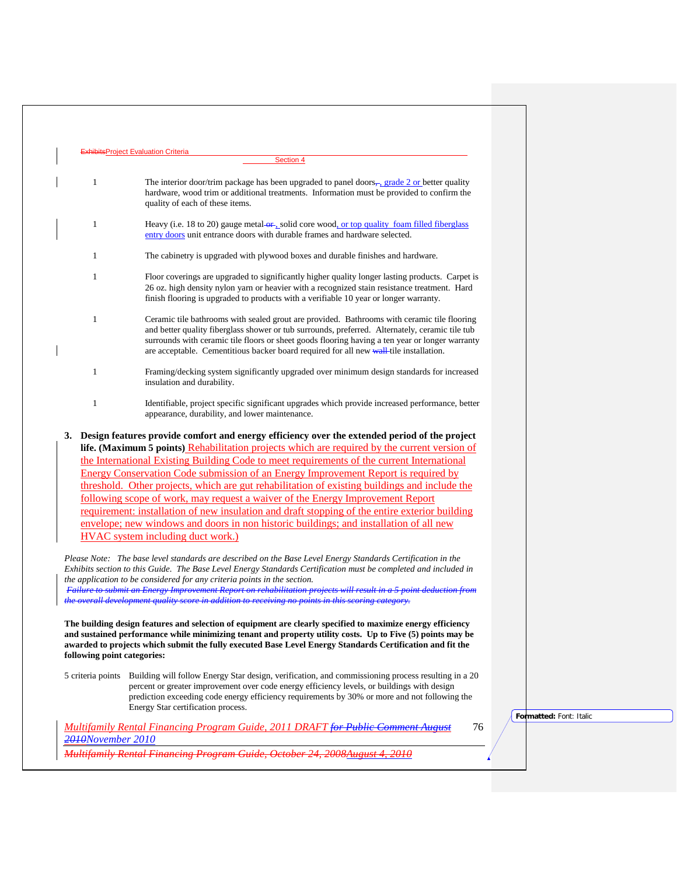|                   | <b>ExhibitsProject Evaluation Criteria</b>                                                                                                                                                                                                                                                                                                                                                                                                                                                                             |                         |
|-------------------|------------------------------------------------------------------------------------------------------------------------------------------------------------------------------------------------------------------------------------------------------------------------------------------------------------------------------------------------------------------------------------------------------------------------------------------------------------------------------------------------------------------------|-------------------------|
|                   | Section 4                                                                                                                                                                                                                                                                                                                                                                                                                                                                                                              |                         |
| 1                 | The interior door/trim package has been upgraded to panel doors <sub>7</sub> , grade 2 or better quality<br>hardware, wood trim or additional treatments. Information must be provided to confirm the<br>quality of each of these items.                                                                                                                                                                                                                                                                               |                         |
| 1                 | Heavy (i.e. 18 to 20) gauge metal-or-solid core wood, or top quality foam filled fiberglass<br>entry doors unit entrance doors with durable frames and hardware selected.                                                                                                                                                                                                                                                                                                                                              |                         |
| 1                 | The cabinetry is upgraded with plywood boxes and durable finishes and hardware.                                                                                                                                                                                                                                                                                                                                                                                                                                        |                         |
| 1                 | Floor coverings are upgraded to significantly higher quality longer lasting products. Carpet is<br>26 oz. high density nylon yarn or heavier with a recognized stain resistance treatment. Hard<br>finish flooring is upgraded to products with a verifiable 10 year or longer warranty.                                                                                                                                                                                                                               |                         |
| 1                 | Ceramic tile bathrooms with sealed grout are provided. Bathrooms with ceramic tile flooring<br>and better quality fiberglass shower or tub surrounds, preferred. Alternately, ceramic tile tub<br>surrounds with ceramic tile floors or sheet goods flooring having a ten year or longer warranty<br>are acceptable. Cementitious backer board required for all new wall-tile installation.                                                                                                                            |                         |
| 1                 | Framing/decking system significantly upgraded over minimum design standards for increased<br>insulation and durability.                                                                                                                                                                                                                                                                                                                                                                                                |                         |
| 1                 | Identifiable, project specific significant upgrades which provide increased performance, better                                                                                                                                                                                                                                                                                                                                                                                                                        |                         |
|                   | appearance, durability, and lower maintenance.<br>3. Design features provide comfort and energy efficiency over the extended period of the project<br>life. (Maximum 5 points) Rehabilitation projects which are required by the current version of                                                                                                                                                                                                                                                                    |                         |
|                   | the International Existing Building Code to meet requirements of the current International<br>Energy Conservation Code submission of an Energy Improvement Report is required by<br>threshold. Other projects, which are gut rehabilitation of existing buildings and include the<br>following scope of work, may request a waiver of the Energy Improvement Report<br>requirement: installation of new insulation and draft stopping of the entire exterior building                                                  |                         |
|                   | envelope; new windows and doors in non historic buildings; and installation of all new                                                                                                                                                                                                                                                                                                                                                                                                                                 |                         |
|                   | <b>HVAC</b> system including duct work.)<br>Please Note: The base level standards are described on the Base Level Energy Standards Certification in the<br>Exhibits section to this Guide. The Base Level Energy Standards Certification must be completed and included in<br>the application to be considered for any criteria points in the section.<br>Failure to submit an Energy Improvement Report on rehabilitation projects will result in a 5 point deduction from<br>addition to receiving no points in this |                         |
|                   | The building design features and selection of equipment are clearly specified to maximize energy efficiency<br>and sustained performance while minimizing tenant and property utility costs. Up to Five (5) points may be<br>awarded to projects which submit the fully executed Base Level Energy Standards Certification and fit the<br>following point categories:                                                                                                                                                  |                         |
| 5 criteria points | Building will follow Energy Star design, verification, and commissioning process resulting in a 20<br>percent or greater improvement over code energy efficiency levels, or buildings with design<br>prediction exceeding code energy efficiency requirements by 30% or more and not following the<br>Energy Star certification process.                                                                                                                                                                               | Formatted: Font: Italic |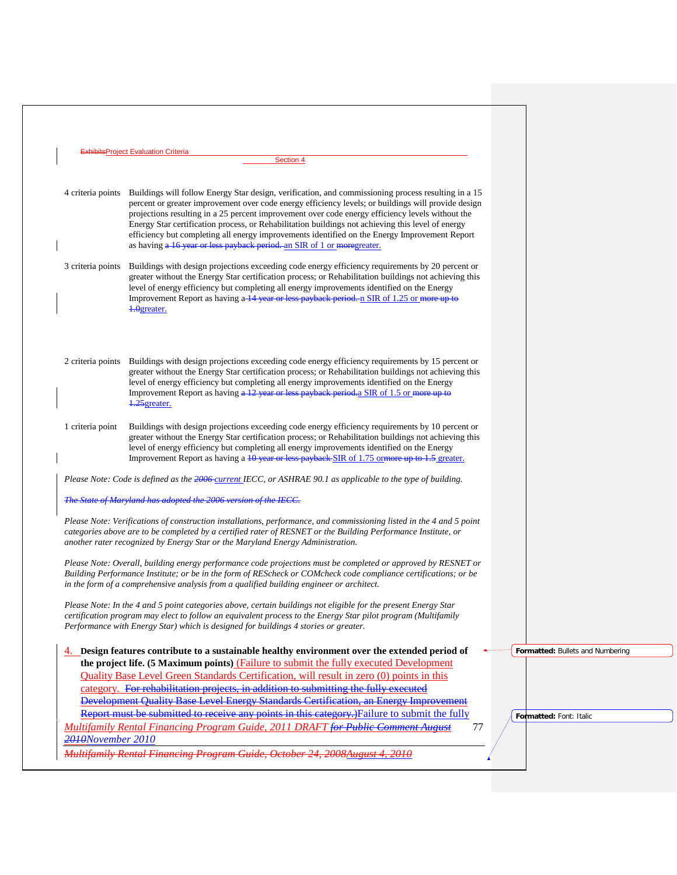| <b>ExhibitsProject Evaluation Criteria</b> |  |
|--------------------------------------------|--|
|                                            |  |

4 criteria points Buildings will follow Energy Star design, verification, and commissioning process resulting in a 15 percent or greater improvement over code energy efficiency levels; or buildings will provide design projections resulting in a 25 percent improvement over code energy efficiency levels without the Energy Star certification process, or Rehabilitation buildings not achieving this level of energy efficiency but completing all energy improvements identified on the Energy Improvement Report as having a 16 year or less payback period. an SIR of 1 or moregreater.

Section 4

3 criteria points Buildings with design projections exceeding code energy efficiency requirements by 20 percent or greater without the Energy Star certification process; or Rehabilitation buildings not achieving this level of energy efficiency but completing all energy improvements identified on the Energy Improvement Report as having a 14 year or less payback period. n SIR of 1.25 or more up to 1.0greater.

2 criteria points Buildings with design projections exceeding code energy efficiency requirements by 15 percent or greater without the Energy Star certification process; or Rehabilitation buildings not achieving this level of energy efficiency but completing all energy improvements identified on the Energy Improvement Report as having a 12 year or less payback period. a SIR of 1.5 or more up to 1.25greater.

*Please Note: Code is defined as the 2006 current IECC, or ASHRAE 90.1 as applicable to the type of building.* 

*The State of Maryland has adopted the 2006 version of the IECC.* 

*Please Note: Verifications of construction installations, performance, and commissioning listed in the 4 and 5 point categories above are to be completed by a certified rater of RESNET or the Building Performance Institute, or another rater recognized by Energy Star or the Maryland Energy Administration.*

*Please Note: Overall, building energy performance code projections must be completed or approved by RESNET or Building Performance Institute; or be in the form of REScheck or COMcheck code compliance certifications; or be in the form of a comprehensive analysis from a qualified building engineer or architect.*

*Please Note: In the 4 and 5 point categories above, certain buildings not eligible for the present Energy Star certification program may elect to follow an equivalent process to the Energy Star pilot program (Multifamily Performance with Energy Star) which is designed for buildings 4 stories or greater.*

*Multifamily Rental Financing Program Guide, 2011 DRAFT for Public Comment August 2010November 2010 Multifamily Rental Financing Program Guide, October 24, 2008August 4, 2010*  77 4. **Design features contribute to a sustainable healthy environment over the extended period of the project life. (5 Maximum points)** (Failure to submit the fully executed Development Quality Base Level Green Standards Certification, will result in zero (0) points in this category. For rehabilitation projects, in addition to submitting the fully executed Development Quality Base Level Energy Standards Certification, an Energy Improvement Report must be submitted to receive any points in this category.) Failure to submit the fully

**Formatted:** Bullets and Numbering

<sup>1</sup> criteria point Buildings with design projections exceeding code energy efficiency requirements by 10 percent or greater without the Energy Star certification process; or Rehabilitation buildings not achieving this level of energy efficiency but completing all energy improvements identified on the Energy Improvement Report as having a 10 year or less payback SIR of 1.75 ormore up to 1.5 greater.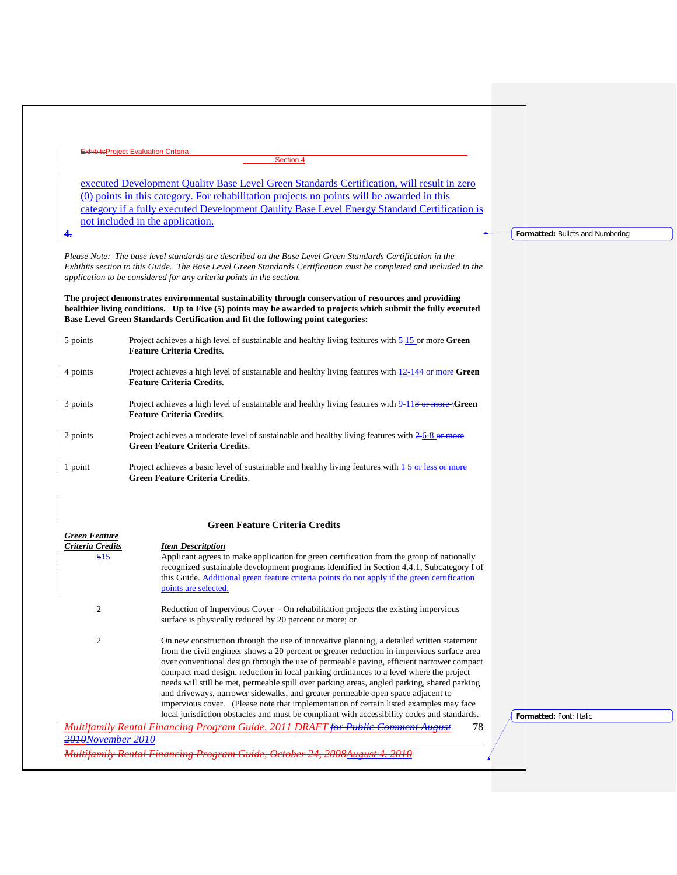|                                                  | <b>ExhibitsProject Evaluation Criteria</b><br>Section 4                                                                                                                                                                                                                                                                                                                                                                                                                                                                                                                                                                                                                                                                                                 |                                  |
|--------------------------------------------------|---------------------------------------------------------------------------------------------------------------------------------------------------------------------------------------------------------------------------------------------------------------------------------------------------------------------------------------------------------------------------------------------------------------------------------------------------------------------------------------------------------------------------------------------------------------------------------------------------------------------------------------------------------------------------------------------------------------------------------------------------------|----------------------------------|
|                                                  |                                                                                                                                                                                                                                                                                                                                                                                                                                                                                                                                                                                                                                                                                                                                                         |                                  |
|                                                  | executed Development Quality Base Level Green Standards Certification, will result in zero                                                                                                                                                                                                                                                                                                                                                                                                                                                                                                                                                                                                                                                              |                                  |
|                                                  | (0) points in this category. For rehabilitation projects no points will be awarded in this                                                                                                                                                                                                                                                                                                                                                                                                                                                                                                                                                                                                                                                              |                                  |
|                                                  | category if a fully executed Development Qaulity Base Level Energy Standard Certification is                                                                                                                                                                                                                                                                                                                                                                                                                                                                                                                                                                                                                                                            |                                  |
|                                                  | not included in the application.                                                                                                                                                                                                                                                                                                                                                                                                                                                                                                                                                                                                                                                                                                                        |                                  |
| 4.                                               |                                                                                                                                                                                                                                                                                                                                                                                                                                                                                                                                                                                                                                                                                                                                                         | Formatted: Bullets and Numbering |
|                                                  | Please Note: The base level standards are described on the Base Level Green Standards Certification in the<br>Exhibits section to this Guide. The Base Level Green Standards Certification must be completed and included in the<br>application to be considered for any criteria points in the section.                                                                                                                                                                                                                                                                                                                                                                                                                                                |                                  |
|                                                  | The project demonstrates environmental sustainability through conservation of resources and providing<br>healthier living conditions. Up to Five (5) points may be awarded to projects which submit the fully executed<br>Base Level Green Standards Certification and fit the following point categories:                                                                                                                                                                                                                                                                                                                                                                                                                                              |                                  |
| 5 points                                         | Project achieves a high level of sustainable and healthy living features with $\frac{5-15}{2}$ or more Green<br><b>Feature Criteria Credits.</b>                                                                                                                                                                                                                                                                                                                                                                                                                                                                                                                                                                                                        |                                  |
| 4 points                                         | Project achieves a high level of sustainable and healthy living features with $12-144$ or more-Green<br><b>Feature Criteria Credits.</b>                                                                                                                                                                                                                                                                                                                                                                                                                                                                                                                                                                                                                |                                  |
| 3 points                                         | Project achieves a high level of sustainable and healthy living features with $9-113$ -or more- $\Gamma$<br><b>Feature Criteria Credits.</b>                                                                                                                                                                                                                                                                                                                                                                                                                                                                                                                                                                                                            |                                  |
| 2 points                                         | Project achieves a moderate level of sustainable and healthy living features with $2-6-8$ or more<br><b>Green Feature Criteria Credits.</b>                                                                                                                                                                                                                                                                                                                                                                                                                                                                                                                                                                                                             |                                  |
| 1 point                                          | Project achieves a basic level of sustainable and healthy living features with $\frac{1}{2}$ or less or more<br><b>Green Feature Criteria Credits.</b>                                                                                                                                                                                                                                                                                                                                                                                                                                                                                                                                                                                                  |                                  |
|                                                  | <b>Green Feature Criteria Credits</b>                                                                                                                                                                                                                                                                                                                                                                                                                                                                                                                                                                                                                                                                                                                   |                                  |
| <b>Green Feature</b><br><u> Criteria Credits</u> | <b>Item Descritption</b>                                                                                                                                                                                                                                                                                                                                                                                                                                                                                                                                                                                                                                                                                                                                |                                  |
| 515                                              | Applicant agrees to make application for green certification from the group of nationally<br>recognized sustainable development programs identified in Section 4.4.1, Subcategory I of<br>this Guide. Additional green feature criteria points do not apply if the green certification<br>points are selected.                                                                                                                                                                                                                                                                                                                                                                                                                                          |                                  |
| 2                                                | Reduction of Impervious Cover - On rehabilitation projects the existing impervious<br>surface is physically reduced by 20 percent or more; or                                                                                                                                                                                                                                                                                                                                                                                                                                                                                                                                                                                                           |                                  |
| 2                                                | On new construction through the use of innovative planning, a detailed written statement<br>from the civil engineer shows a 20 percent or greater reduction in impervious surface area<br>over conventional design through the use of permeable paving, efficient narrower compact<br>compact road design, reduction in local parking ordinances to a level where the project<br>needs will still be met, permeable spill over parking areas, angled parking, shared parking<br>and driveways, narrower sidewalks, and greater permeable open space adjacent to<br>impervious cover. (Please note that implementation of certain listed examples may face<br>local jurisdiction obstacles and must be compliant with accessibility codes and standards. | Formatted: Font: Italic          |
|                                                  | <b>Multifamily Rental Financing Program Guide, 2011 DRAFT for Public Comment August</b><br>78                                                                                                                                                                                                                                                                                                                                                                                                                                                                                                                                                                                                                                                           |                                  |
| 2010November 2010                                |                                                                                                                                                                                                                                                                                                                                                                                                                                                                                                                                                                                                                                                                                                                                                         |                                  |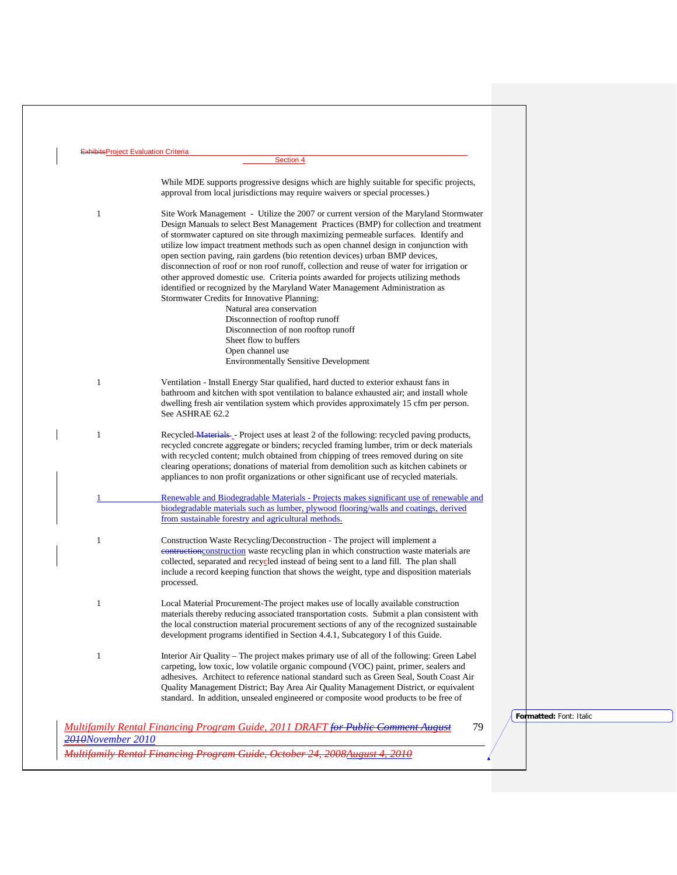While MDE supports progressive designs which are highly suitable for specific projects, approval from local jurisdictions may require waivers or special processes.)

Section 4

1 Site Work Management - Utilize the 2007 or current version of the Maryland Stormwater Design Manuals to select Best Management Practices (BMP) for collection and treatment of stormwater captured on site through maximizing permeable surfaces. Identify and utilize low impact treatment methods such as open channel design in conjunction with open section paving, rain gardens (bio retention devices) urban BMP devices, disconnection of roof or non roof runoff, collection and reuse of water for irrigation or other approved domestic use. Criteria points awarded for projects utilizing methods identified or recognized by the Maryland Water Management Administration as Stormwater Credits for Innovative Planning: Natural area conservation

Disconnection of rooftop runoff Disconnection of non rooftop runoff Sheet flow to buffers Open channel use Environmentally Sensitive Development

- 1 Ventilation Install Energy Star qualified, hard ducted to exterior exhaust fans in bathroom and kitchen with spot ventilation to balance exhausted air; and install whole dwelling fresh air ventilation system which provides approximately 15 cfm per person. See ASHRAE 62.2
- 1 Recycled Materials Project uses at least 2 of the following: recycled paving products, recycled concrete aggregate or binders; recycled framing lumber, trim or deck materials with recycled content; mulch obtained from chipping of trees removed during on site clearing operations; donations of material from demolition such as kitchen cabinets or appliances to non profit organizations or other significant use of recycled materials.
- Renewable and Biodegradable Materials Projects makes significant use of renewable and biodegradable materials such as lumber, plywood flooring/walls and coatings, derived from sustainable forestry and agricultural methods.
- 1 Construction Waste Recycling/Deconstruction The project will implement a **enconstruction** waste recycling plan in which construction waste materials are collected, separated and recycled instead of being sent to a land fill. The plan shall include a record keeping function that shows the weight, type and disposition materials processed.
- 1 Local Material Procurement-The project makes use of locally available construction materials thereby reducing associated transportation costs. Submit a plan consistent with the local construction material procurement sections of any of the recognized sustainable development programs identified in Section 4.4.1, Subcategory I of this Guide.
- 1 Interior Air Quality The project makes primary use of all of the following: Green Label carpeting, low toxic, low volatile organic compound (VOC) paint, primer, sealers and adhesives. Architect to reference national standard such as Green Seal, South Coast Air Quality Management District; Bay Area Air Quality Management District, or equivalent standard. In addition, unsealed engineered or composite wood products to be free of

*Multifamily Rental Financing Program Guide, 2011 DRAFT for Public Comment August 2010November 2010 Multifamily Rental Financing Program Guide, October 24, 2008August 4, 2010* 

**Formatted:** Font: Italic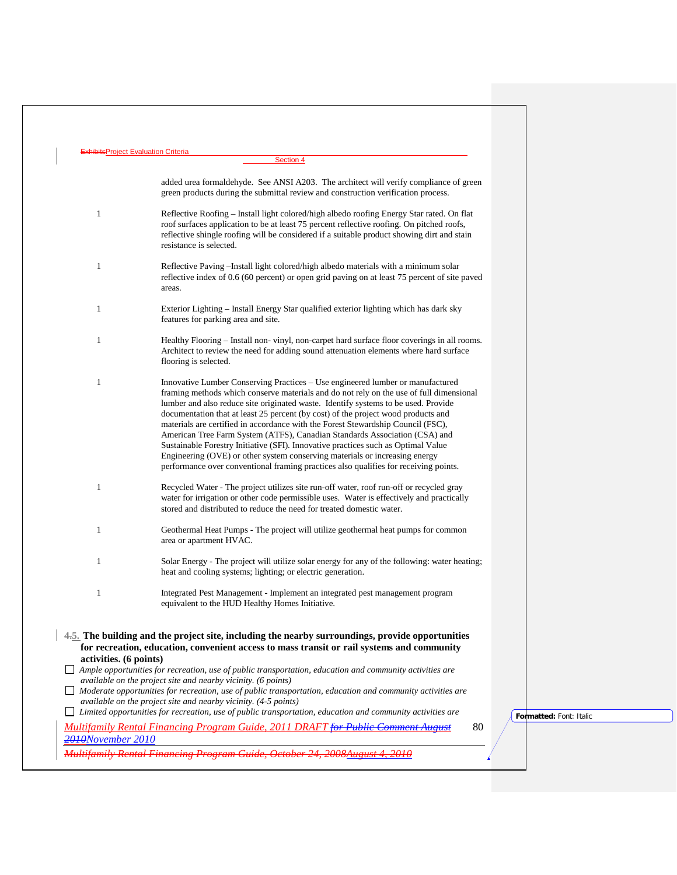| <b>ExhibitsProject Evaluation Criteria</b> | Section 4                                                                                                                                                                                                                                                                                                                                                                                                                                                                                                                                                                                                                                                                                                                                                                          |  |
|--------------------------------------------|------------------------------------------------------------------------------------------------------------------------------------------------------------------------------------------------------------------------------------------------------------------------------------------------------------------------------------------------------------------------------------------------------------------------------------------------------------------------------------------------------------------------------------------------------------------------------------------------------------------------------------------------------------------------------------------------------------------------------------------------------------------------------------|--|
|                                            | added urea formal dehyde. See ANSI A203. The architect will verify compliance of green<br>green products during the submittal review and construction verification process.                                                                                                                                                                                                                                                                                                                                                                                                                                                                                                                                                                                                        |  |
| $\mathbf{1}$                               | Reflective Roofing – Install light colored/high albedo roofing Energy Star rated. On flat<br>roof surfaces application to be at least 75 percent reflective roofing. On pitched roofs,<br>reflective shingle roofing will be considered if a suitable product showing dirt and stain<br>resistance is selected.                                                                                                                                                                                                                                                                                                                                                                                                                                                                    |  |
| $\mathbf{1}$                               | Reflective Paving – Install light colored/high albedo materials with a minimum solar<br>reflective index of 0.6 (60 percent) or open grid paving on at least 75 percent of site paved<br>areas.                                                                                                                                                                                                                                                                                                                                                                                                                                                                                                                                                                                    |  |
| 1                                          | Exterior Lighting - Install Energy Star qualified exterior lighting which has dark sky<br>features for parking area and site.                                                                                                                                                                                                                                                                                                                                                                                                                                                                                                                                                                                                                                                      |  |
| 1                                          | Healthy Flooring - Install non-vinyl, non-carpet hard surface floor coverings in all rooms.<br>Architect to review the need for adding sound attenuation elements where hard surface<br>flooring is selected.                                                                                                                                                                                                                                                                                                                                                                                                                                                                                                                                                                      |  |
| $\mathbf{1}$                               | Innovative Lumber Conserving Practices – Use engineered lumber or manufactured<br>framing methods which conserve materials and do not rely on the use of full dimensional<br>lumber and also reduce site originated waste. Identify systems to be used. Provide<br>documentation that at least 25 percent (by cost) of the project wood products and<br>materials are certified in accordance with the Forest Stewardship Council (FSC),<br>American Tree Farm System (ATFS), Canadian Standards Association (CSA) and<br>Sustainable Forestry Initiative (SFI). Innovative practices such as Optimal Value<br>Engineering (OVE) or other system conserving materials or increasing energy<br>performance over conventional framing practices also qualifies for receiving points. |  |
| 1                                          | Recycled Water - The project utilizes site run-off water, roof run-off or recycled gray<br>water for irrigation or other code permissible uses. Water is effectively and practically<br>stored and distributed to reduce the need for treated domestic water.                                                                                                                                                                                                                                                                                                                                                                                                                                                                                                                      |  |
| 1                                          | Geothermal Heat Pumps - The project will utilize geothermal heat pumps for common<br>area or apartment HVAC.                                                                                                                                                                                                                                                                                                                                                                                                                                                                                                                                                                                                                                                                       |  |
| 1                                          | Solar Energy - The project will utilize solar energy for any of the following: water heating;<br>heat and cooling systems; lighting; or electric generation.                                                                                                                                                                                                                                                                                                                                                                                                                                                                                                                                                                                                                       |  |
|                                            | Integrated Pest Management - Implement an integrated pest management program<br>equivalent to the HUD Healthy Homes Initiative.                                                                                                                                                                                                                                                                                                                                                                                                                                                                                                                                                                                                                                                    |  |
| activities. (6 points)                     | $4.5$ . The building and the project site, including the nearby surroundings, provide opportunities<br>for recreation, education, convenient access to mass transit or rail systems and community<br>Ample opportunities for recreation, use of public transportation, education and community activities are<br>available on the project site and nearby vicinity. (6 points)<br>Moderate opportunities for recreation, use of public transportation, education and community activities are<br>available on the project site and nearby vicinity. (4-5 points)<br>Limited opportunities for recreation, use of public transportation, education and community activities are                                                                                                     |  |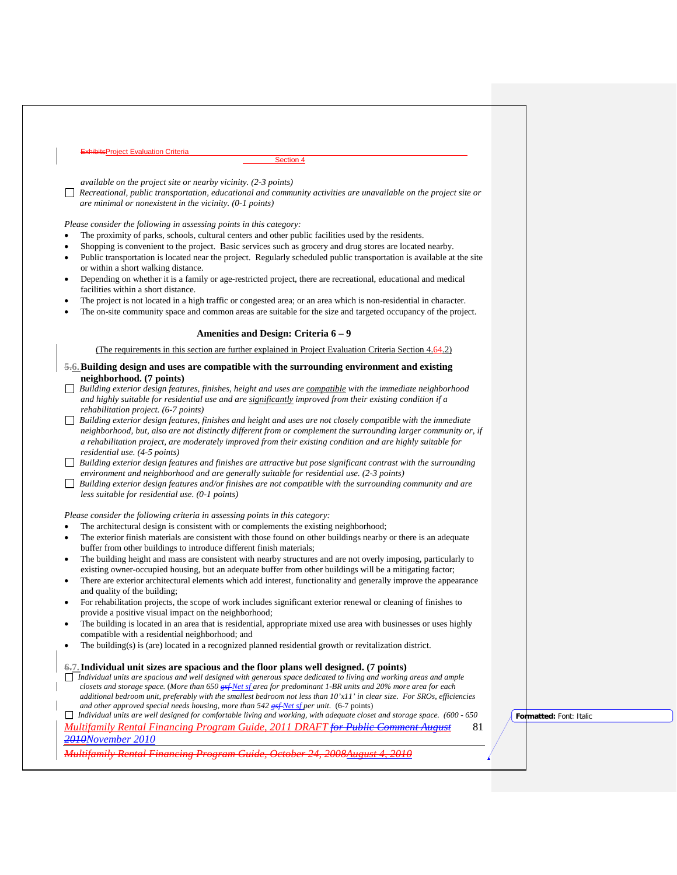*available on the project site or nearby vicinity. (2-3 points)*

 *Recreational, public transportation, educational and community activities are unavailable on the project site or are minimal or nonexistent in the vicinity. (0-1 points)*

Section 4

*Please consider the following in assessing points in this category:*

- The proximity of parks, schools, cultural centers and other public facilities used by the residents.
- Shopping is convenient to the project. Basic services such as grocery and drug stores are located nearby.
- Public transportation is located near the project. Regularly scheduled public transportation is available at the site or within a short walking distance.
- Depending on whether it is a family or age-restricted project, there are recreational, educational and medical facilities within a short distance.
- The project is not located in a high traffic or congested area; or an area which is non-residential in character.
- The on-site community space and common areas are suitable for the size and targeted occupancy of the project.

#### **Amenities and Design: Criteria 6 – 9**

(The requirements in this section are further explained in Project Evaluation Criteria Section 4.64.2)

#### **5.6.Building design and uses are compatible with the surrounding environment and existing neighborhood. (7 points)**

- *Building exterior design features, finishes, height and uses are compatible with the immediate neighborhood and highly suitable for residential use and are significantly improved from their existing condition if a rehabilitation project. (6-7 points)*
- *Building exterior design features, finishes and height and uses are not closely compatible with the immediate neighborhood, but, also are not distinctly different from or complement the surrounding larger community or, if a rehabilitation project, are moderately improved from their existing condition and are highly suitable for residential use. (4-5 points)*
- *Building exterior design features and finishes are attractive but pose significant contrast with the surrounding environment and neighborhood and are generally suitable for residential use. (2-3 points)*
- *Building exterior design features and/or finishes are not compatible with the surrounding community and are less suitable for residential use. (0-1 points)*

*Please consider the following criteria in assessing points in this category:* 

- The architectural design is consistent with or complements the existing neighborhood;
- The exterior finish materials are consistent with those found on other buildings nearby or there is an adequate buffer from other buildings to introduce different finish materials;
- The building height and mass are consistent with nearby structures and are not overly imposing, particularly to existing owner-occupied housing, but an adequate buffer from other buildings will be a mitigating factor;
- There are exterior architectural elements which add interest, functionality and generally improve the appearance and quality of the building;
- For rehabilitation projects, the scope of work includes significant exterior renewal or cleaning of finishes to provide a positive visual impact on the neighborhood;
- The building is located in an area that is residential, appropriate mixed use area with businesses or uses highly compatible with a residential neighborhood; and
- The building(s) is (are) located in a recognized planned residential growth or revitalization district.

#### **6.7.Individual unit sizes are spacious and the floor plans well designed. (7 points)**

*Individual units are spacious and well designed with generous space dedicated to living and working areas and ample closets and storage space.* (*More than 650 gsf Net sf area for predominant 1-BR units and 20% more area for each additional bedroom unit, preferably with the smallest bedroom not less than 10'x11' in clear size. For SROs, efficiencies and other approved special needs housing, more than 542 gsf Net sf per unit.* (6-7 points)

*Multifamily Rental Financing Program Guide, 2011 DRAFT for Public Comment August 2010November 2010* 81  *Individual units are well designed for comfortable living and working, with adequate closet and storage space. (600 - 650* 

*Multifamily Rental Financing Program Guide, October 24, 2008August 4, 2010*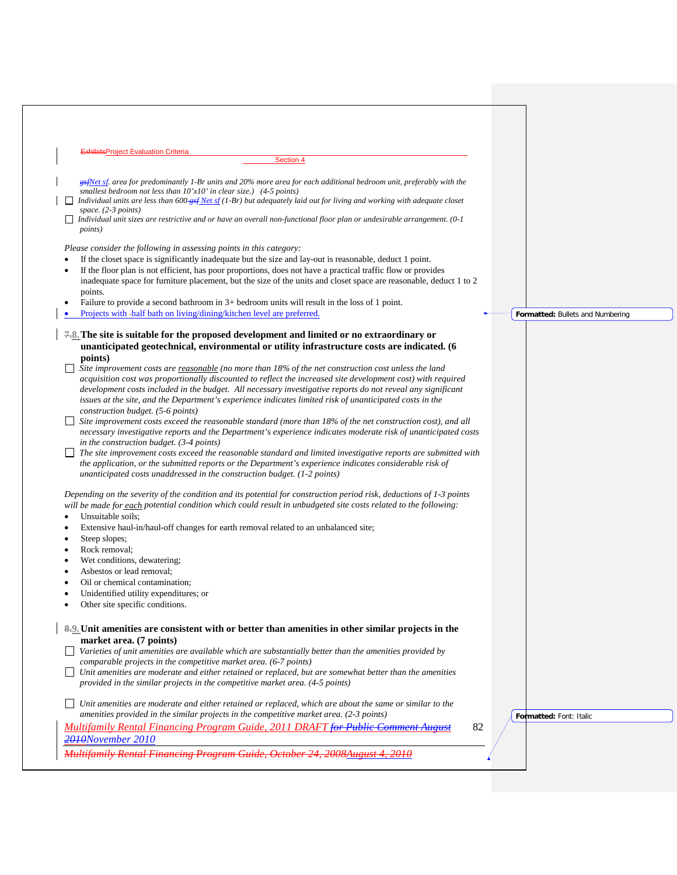| <b>ExhibitsProject Evaluation Criteria</b> |  |  |
|--------------------------------------------|--|--|
|                                            |  |  |

Section 4

*gsfNet sf. area for predominantly 1-Br units and 20% more area for each additional bedroom unit, preferably with the smallest bedroom not less than 10'x10' in clear size.) (4-5 points)*

 *Individual units are less than 600 gsf Net sf (1-Br) but adequately laid out for living and working with adequate closet space. (2-3 points)*

 *Individual unit sizes are restrictive and or have an overall non-functional floor plan or undesirable arrangement. (0-1 points)*

*Please consider the following in assessing points in this category:*

- If the closet space is significantly inadequate but the size and lay-out is reasonable, deduct 1 point.
- If the floor plan is not efficient, has poor proportions, does not have a practical traffic flow or provides inadequate space for furniture placement, but the size of the units and closet space are reasonable, deduct 1 to 2 points.
- Failure to provide a second bathroom in 3+ bedroom units will result in the loss of 1 point.
- Projects with half bath on living/dining/kitchen level are preferred.
- **7.8.The site is suitable for the proposed development and limited or no extraordinary or unanticipated geotechnical, environmental or utility infrastructure costs are indicated. (6 points)**

 *Site improvement costs are reasonable (no more than 18% of the net construction cost unless the land acquisition cost was proportionally discounted to reflect the increased site development cost) with required development costs included in the budget. All necessary investigative reports do not reveal any significant issues at the site, and the Department's experience indicates limited risk of unanticipated costs in the construction budget. (5-6 points)*

 *Site improvement costs exceed the reasonable standard (more than 18% of the net construction cost), and all necessary investigative reports and the Department's experience indicates moderate risk of unanticipated costs in the construction budget. (3-4 points)*

 *The site improvement costs exceed the reasonable standard and limited investigative reports are submitted with the application, or the submitted reports or the Department's experience indicates considerable risk of unanticipated costs unaddressed in the construction budget. (1-2 points)*

*Depending on the severity of the condition and its potential for construction period risk, deductions of 1-3 points will be made for each potential condition which could result in unbudgeted site costs related to the following:*

- Unsuitable soils;
- Extensive haul-in/haul-off changes for earth removal related to an unbalanced site;
- Steep slopes;
- Rock removal;
- Wet conditions, dewatering;
- Asbestos or lead removal;
- Oil or chemical contamination;
- Unidentified utility expenditures; or
- Other site specific conditions.

#### **8.9.Unit amenities are consistent with or better than amenities in other similar projects in the market area. (7 points)**

 *Varieties of unit amenities are available which are substantially better than the amenities provided by comparable projects in the competitive market area. (6-7 points)* 

 *Unit amenities are moderate and either retained or replaced, but are somewhat better than the amenities provided in the similar projects in the competitive market area. (4-5 points)*

 *Unit amenities are moderate and either retained or replaced, which are about the same or similar to the amenities provided in the similar projects in the competitive market area. (2-3 points)*

*Multifamily Rental Financing Program Guide, 2011 DRAFT for Public Comment August 2010November 2010*

*Multifamily Rental Financing Program Guide, October* 

**Formatted:** Bullets and Numbering

82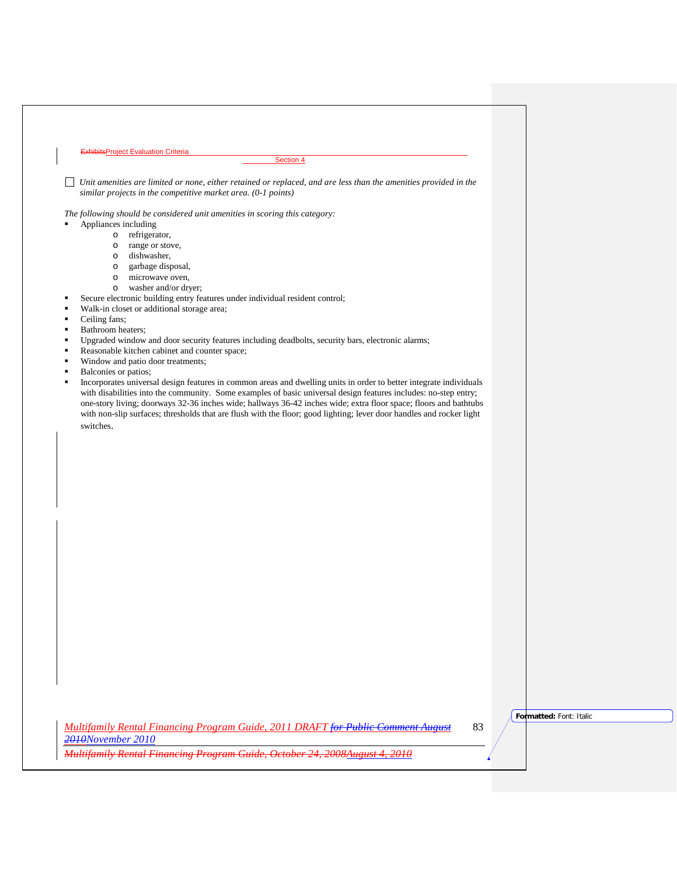| <b>ExhibitsProject Evaluation Criteria</b> |
|--------------------------------------------|
|--------------------------------------------|

Section 4

 *Unit amenities are limited or none, either retained or replaced, and are less than the amenities provided in the similar projects in the competitive market area. (0-1 points)*

*The following should be considered unit amenities in scoring this category:*

- Appliances including
	- o refrigerator,
	- o range or stove,<br>o dishwasher,
	- dishwasher,
	- o garbage disposal,
	- o microwave oven,
	- o washer and/or dryer;
- Secure electronic building entry features under individual resident control;
- Walk-in closet or additional storage area;
- Ceiling fans;
- Bathroom heaters;
- Upgraded window and door security features including deadbolts, security bars, electronic alarms;
- Reasonable kitchen cabinet and counter space;
- Window and patio door treatments;
- Balconies or patios;
- Incorporates universal design features in common areas and dwelling units in order to better integrate individuals with disabilities into the community. Some examples of basic universal design features includes: no-step entry; one-story living; doorways 32-36 inches wide; hallways 36-42 inches wide; extra floor space; floors and bathtubs with non-slip surfaces; thresholds that are flush with the floor; good lighting; lever door handles and rocker light switches.

*Multifamily Rental Financing Program Guide, 2011 DRAFT for Public Comment August 2010November 2010 Multifamily Rental Financing Program Guide, October 24, 2008August 4, 2010* 

**Formatted:** Font: Italic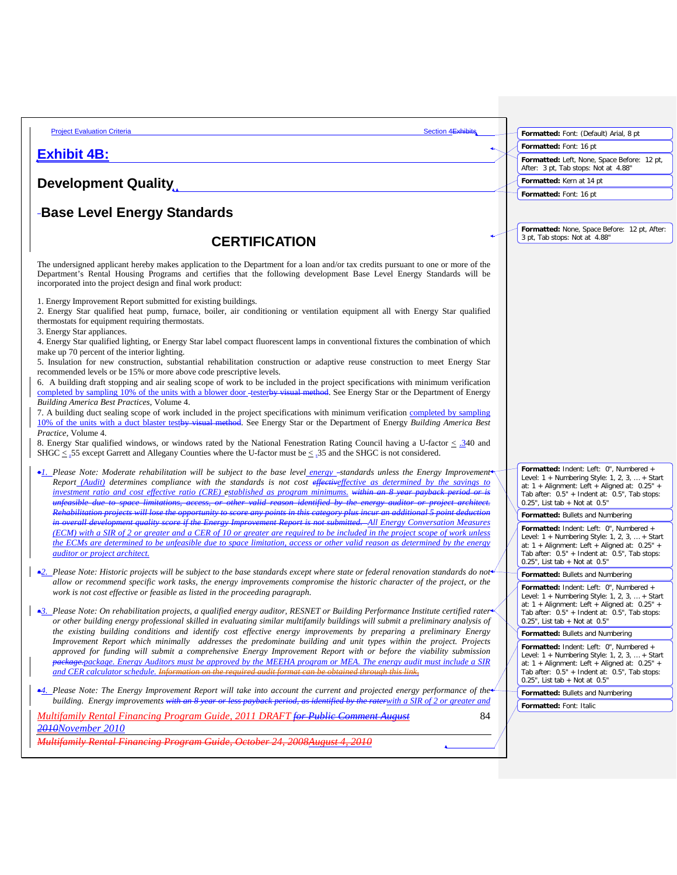| <b>Project Evaluation Criteria</b><br><b>Section 4Exhibits</b>                                                                                                                                                                                                                                                                                                                                                                                                                                             | Formatted: Font: (Default) Arial, 8 pt                                                                                                                                                                                                  |
|------------------------------------------------------------------------------------------------------------------------------------------------------------------------------------------------------------------------------------------------------------------------------------------------------------------------------------------------------------------------------------------------------------------------------------------------------------------------------------------------------------|-----------------------------------------------------------------------------------------------------------------------------------------------------------------------------------------------------------------------------------------|
| <b>Exhibit 4B:</b>                                                                                                                                                                                                                                                                                                                                                                                                                                                                                         | Formatted: Font: 16 pt                                                                                                                                                                                                                  |
|                                                                                                                                                                                                                                                                                                                                                                                                                                                                                                            | Formatted: Left, None, Space Before: 12 pt,<br>After: 3 pt, Tab stops: Not at 4.88"                                                                                                                                                     |
| <b>Development Quality</b>                                                                                                                                                                                                                                                                                                                                                                                                                                                                                 | Formatted: Kern at 14 pt                                                                                                                                                                                                                |
| -Base Level Energy Standards                                                                                                                                                                                                                                                                                                                                                                                                                                                                               | Formatted: Font: 16 pt                                                                                                                                                                                                                  |
|                                                                                                                                                                                                                                                                                                                                                                                                                                                                                                            |                                                                                                                                                                                                                                         |
| <b>CERTIFICATION</b>                                                                                                                                                                                                                                                                                                                                                                                                                                                                                       | Formatted: None, Space Before: 12 pt, After:<br>3 pt, Tab stops: Not at 4.88"                                                                                                                                                           |
| The undersigned applicant hereby makes application to the Department for a loan and/or tax credits pursuant to one or more of the<br>Department's Rental Housing Programs and certifies that the following development Base Level Energy Standards will be<br>incorporated into the project design and final work product:                                                                                                                                                                                 |                                                                                                                                                                                                                                         |
| 1. Energy Improvement Report submitted for existing buildings.<br>2. Energy Star qualified heat pump, furnace, boiler, air conditioning or ventilation equipment all with Energy Star qualified<br>thermostats for equipment requiring thermostats.<br>3. Energy Star appliances.                                                                                                                                                                                                                          |                                                                                                                                                                                                                                         |
| 4. Energy Star qualified lighting, or Energy Star label compact fluorescent lamps in conventional fixtures the combination of which<br>make up 70 percent of the interior lighting.<br>5. Insulation for new construction, substantial rehabilitation construction or adaptive reuse construction to meet Energy Star<br>recommended levels or be 15% or more above code prescriptive levels.                                                                                                              |                                                                                                                                                                                                                                         |
| 6. A building draft stopping and air sealing scope of work to be included in the project specifications with minimum verification<br>completed by sampling 10% of the units with a blower door -testerby visual method. See Energy Star or the Department of Energy<br>Building America Best Practices, Volume 4.                                                                                                                                                                                          |                                                                                                                                                                                                                                         |
| 7. A building duct sealing scope of work included in the project specifications with minimum verification completed by sampling<br>10% of the units with a duct blaster testby visual method. See Energy Star or the Department of Energy Building America Best<br>Practice, Volume 4.                                                                                                                                                                                                                     |                                                                                                                                                                                                                                         |
| 8. Energy Star qualified windows, or windows rated by the National Fenestration Rating Council having a U-factor $\leq$ 340 and<br>$SHGC < .55$ except Garrett and Allegany Counties where the U-factor must be $< .35$ and the SHGC is not considered.                                                                                                                                                                                                                                                    |                                                                                                                                                                                                                                         |
| •1. Please Note: Moderate rehabilitation will be subject to the base level energy -standards unless the Energy Improvement<br>Report (Audit) determines compliance with the standards is not cost effectiveffective as determined by the savings to<br>investment ratio and cost effective ratio (CRE) established as program minimums, within an 8 year payback period or is<br>unfeasible due to space limitations, access, or other valid reason identified by the energy auditor or project architect. | Formatted: Indent: Left: 0", Numbered +<br>Level: $1 +$ Numbering Style: 1, 2, 3,  + Start<br>at: $1 +$ Alignment: Left + Aligned at: $0.25" +$<br>Tab after: 0.5" + Indent at: 0.5", Tab stops:<br>$0.25$ ", List tab + Not at $0.5$ " |
| Rehabilitation projects will lose the opportunity to score any points in this category plus incur an additional 5 point deduction<br>in overall development quality score if the Energy Improvement Report is not submitted. All Energy Conversation Measures                                                                                                                                                                                                                                              | Formatted: Bullets and Numbering                                                                                                                                                                                                        |
| (ECM) with a SIR of 2 or greater and a CER of 10 or greater are required to be included in the project scope of work unless<br>the ECMs are determined to be unfeasible due to space limitation, access or other valid reason as determined by the energy<br>auditor or project architect.                                                                                                                                                                                                                 | Formatted: Indent: Left: 0", Numbered +<br>Level: 1 + Numbering Style: 1, 2, 3,  + Start<br>at: 1 + Alignment: Left + Aligned at: 0.25" +<br>Tab after: 0.5" + Indent at: 0.5", Tab stops:<br>$0.25$ ", List tab + Not at $0.5$ "       |
| •2. Please Note: Historic projects will be subject to the base standards except where state or federal renovation standards do not<br>allow or recommend specific work tasks, the energy improvements compromise the historic character of the project, or the                                                                                                                                                                                                                                             | Formatted: Bullets and Numbering                                                                                                                                                                                                        |
| work is not cost effective or feasible as listed in the proceeding paragraph.<br>•3. Please Note: On rehabilitation projects, a qualified energy auditor, RESNET or Building Performance Institute certified rater                                                                                                                                                                                                                                                                                         | Formatted: Indent: Left: 0", Numbered +<br>Level: $1 +$ Numbering Style: $1, 2, 3,  +$ Start<br>at: 1 + Alignment: Left + Aligned at: 0.25" +<br>Tab after: $0.5"$ + Indent at: $0.5"$ , Tab stops:                                     |
| or other building energy professional skilled in evaluating similar multifamily buildings will submit a preliminary analysis of                                                                                                                                                                                                                                                                                                                                                                            | $0.25$ ", List tab + Not at $0.5$ "                                                                                                                                                                                                     |
| the existing building conditions and identify cost effective energy improvements by preparing a preliminary Energy<br>Improvement Report which minimally addresses the predominate building and unit types within the project. Projects                                                                                                                                                                                                                                                                    | Formatted: Bullets and Numbering                                                                                                                                                                                                        |
| approved for funding will submit a comprehensive Energy Improvement Report with or before the viability submission<br>package-package. Energy Auditors must be approved by the MEEHA program or MEA. The energy audit must include a SIR<br>and CER calculator schedule. Information on the required audit format can be obtained through this link,                                                                                                                                                       | Formatted: Indent: Left: 0", Numbered +<br>Level: $1 +$ Numbering Style: 1, 2, 3,  + Start<br>at: $1 +$ Alignment: Left + Aligned at: $0.25"$ +<br>Tab after: 0.5" + Indent at: 0.5", Tab stops:<br>$0.25$ ", List tab + Not at $0.5$ " |
| •4. Please Note: The Energy Improvement Report will take into account the current and projected energy performance of the                                                                                                                                                                                                                                                                                                                                                                                  | Formatted: Bullets and Numbering                                                                                                                                                                                                        |
| building. Energy improvements with an 8 year or less payback period, as identified by the raterwith a SIR of 2 or greater and                                                                                                                                                                                                                                                                                                                                                                              | Formatted: Font: Italic                                                                                                                                                                                                                 |
| Multifamily Rental Financing Program Guide, 2011 DRAFT for Public Comment August<br>84<br>2010November 2010                                                                                                                                                                                                                                                                                                                                                                                                |                                                                                                                                                                                                                                         |
| Multifamily Rental Financing Program Guide, October 24, 2008August 4, 2010                                                                                                                                                                                                                                                                                                                                                                                                                                 |                                                                                                                                                                                                                                         |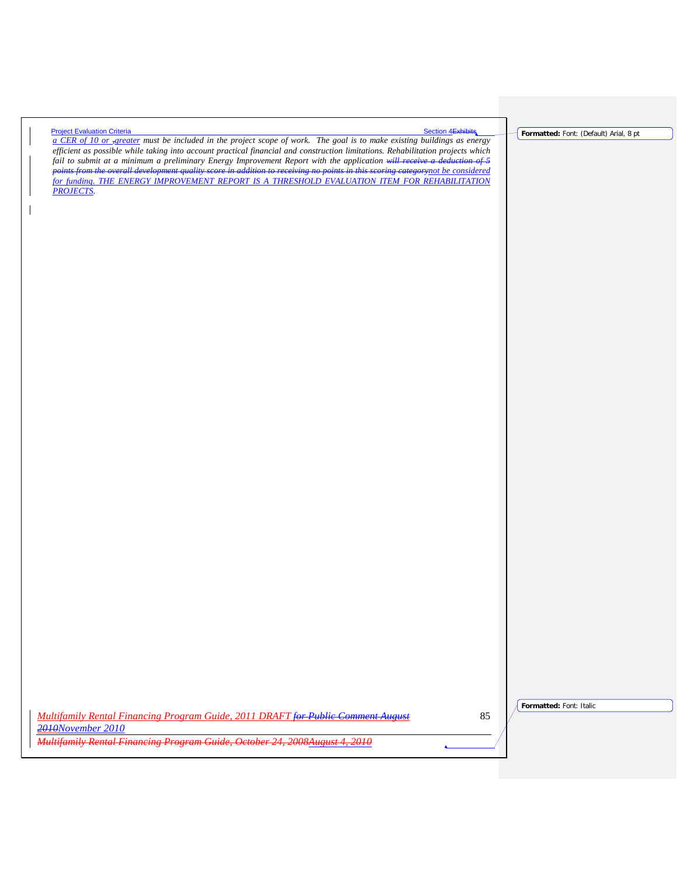| <b>Section 4Exhibits</b><br><b>Project Evaluation Criteria</b>                                                                                                                                                                                                                                                                                                                       | Formatted: Font: (Default) Arial, 8 pt |
|--------------------------------------------------------------------------------------------------------------------------------------------------------------------------------------------------------------------------------------------------------------------------------------------------------------------------------------------------------------------------------------|----------------------------------------|
| a CER of 10 or -greater must be included in the project scope of work. The goal is to make existing buildings as energy<br>efficient as possible while taking into account practical financial and construction limitations. Rehabilitation projects which<br>fail to submit at a minimum a preliminary Energy Improvement Report with the application will receive a deduction of 5 |                                        |
| points from the overall development quality score in addition to receiving no points in this scoring categorynot be considered<br>for funding. THE ENERGY IMPROVEMENT REPORT IS A THRESHOLD EVALUATION ITEM FOR REHABILITATION<br><b>PROJECTS</b>                                                                                                                                    |                                        |
|                                                                                                                                                                                                                                                                                                                                                                                      |                                        |
|                                                                                                                                                                                                                                                                                                                                                                                      |                                        |
|                                                                                                                                                                                                                                                                                                                                                                                      |                                        |
|                                                                                                                                                                                                                                                                                                                                                                                      |                                        |
|                                                                                                                                                                                                                                                                                                                                                                                      |                                        |
|                                                                                                                                                                                                                                                                                                                                                                                      |                                        |
|                                                                                                                                                                                                                                                                                                                                                                                      |                                        |
|                                                                                                                                                                                                                                                                                                                                                                                      |                                        |
|                                                                                                                                                                                                                                                                                                                                                                                      |                                        |
|                                                                                                                                                                                                                                                                                                                                                                                      |                                        |
|                                                                                                                                                                                                                                                                                                                                                                                      |                                        |
|                                                                                                                                                                                                                                                                                                                                                                                      |                                        |
|                                                                                                                                                                                                                                                                                                                                                                                      |                                        |
|                                                                                                                                                                                                                                                                                                                                                                                      |                                        |
|                                                                                                                                                                                                                                                                                                                                                                                      |                                        |
|                                                                                                                                                                                                                                                                                                                                                                                      |                                        |
| <b>Multifamily Rental Financing Program Guide, 2011 DRAFT for Public Comment August</b><br>85                                                                                                                                                                                                                                                                                        | Formatted: Font: Italic                |
| 2010November 2010<br>Multifamily Rental Financing Program Guide, October 24, 2008August 4, 2010                                                                                                                                                                                                                                                                                      |                                        |
|                                                                                                                                                                                                                                                                                                                                                                                      |                                        |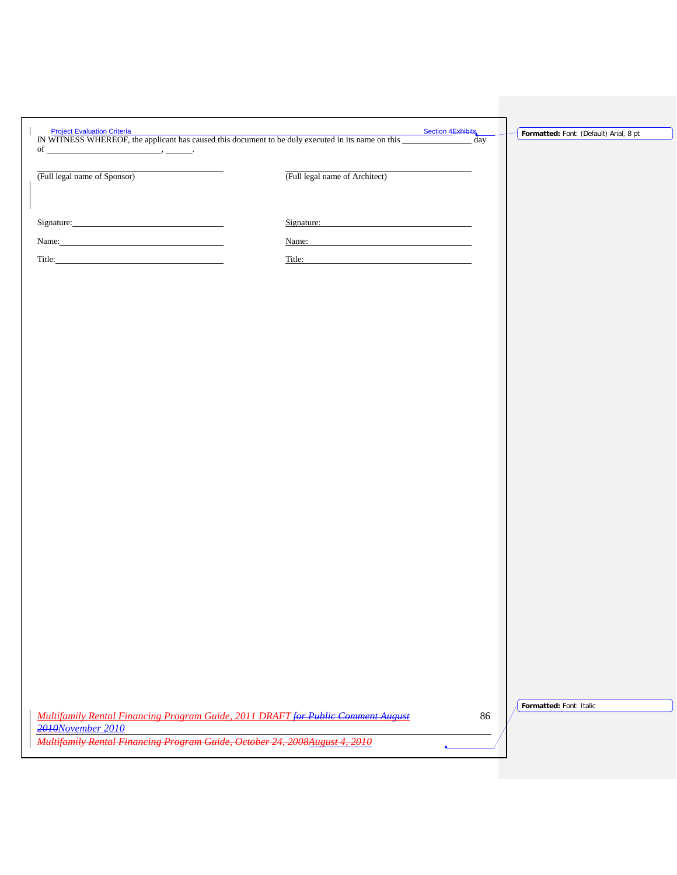|                                                                                                                                   |                                | Section 4Exhibits |                                        |
|-----------------------------------------------------------------------------------------------------------------------------------|--------------------------------|-------------------|----------------------------------------|
| Project Evaluation Criteria<br>IN WITNESS WHEREOF, the applicant has caused this document to be duly executed in its name on this |                                | day               | Formatted: Font: (Default) Arial, 8 pt |
| (Full legal name of Sponsor)                                                                                                      | (Full legal name of Architect) |                   |                                        |
|                                                                                                                                   |                                |                   |                                        |
| Signature: New York Signature:                                                                                                    | Signature:                     |                   |                                        |
| Name:                                                                                                                             | Name:                          |                   |                                        |
| Title:                                                                                                                            | Title:                         |                   |                                        |
|                                                                                                                                   |                                |                   |                                        |
|                                                                                                                                   |                                |                   |                                        |
|                                                                                                                                   |                                |                   |                                        |
|                                                                                                                                   |                                |                   |                                        |
|                                                                                                                                   |                                |                   |                                        |
|                                                                                                                                   |                                |                   |                                        |
|                                                                                                                                   |                                |                   |                                        |
|                                                                                                                                   |                                |                   |                                        |
|                                                                                                                                   |                                |                   |                                        |
|                                                                                                                                   |                                |                   |                                        |
|                                                                                                                                   |                                |                   |                                        |
|                                                                                                                                   |                                |                   |                                        |
|                                                                                                                                   |                                |                   |                                        |
|                                                                                                                                   |                                |                   |                                        |
|                                                                                                                                   |                                |                   |                                        |
|                                                                                                                                   |                                |                   |                                        |
|                                                                                                                                   |                                |                   |                                        |
|                                                                                                                                   |                                |                   |                                        |
|                                                                                                                                   |                                |                   |                                        |
|                                                                                                                                   |                                |                   |                                        |
|                                                                                                                                   |                                |                   |                                        |
|                                                                                                                                   |                                |                   |                                        |
| <b>Multifamily Rental Financing Program Guide, 2011 DRAFT for Public Comment August</b><br>2010November 2010                      |                                | 86                | Formatted: Font: Italic                |
| Multifamily Rental Financing Program Guide, October 24, 2008August 4, 2010                                                        |                                |                   |                                        |

Г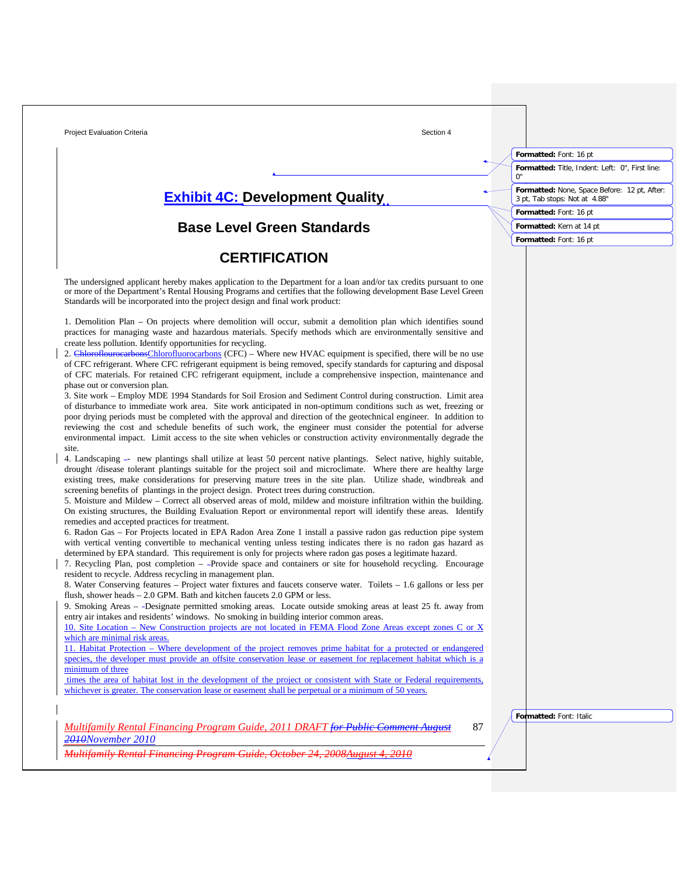**Project Evaluation Criteria** Section 4

# **Exhibit 4C: Development Quality**

# **Base Level Green Standards**

# **CERTIFICATION**

The undersigned applicant hereby makes application to the Department for a loan and/or tax credits pursuant to one or more of the Department's Rental Housing Programs and certifies that the following development Base Level Green Standards will be incorporated into the project design and final work product:

1. Demolition Plan – On projects where demolition will occur, submit a demolition plan which identifies sound practices for managing waste and hazardous materials. Specify methods which are environmentally sensitive and create less pollution. Identify opportunities for recycling.

2. ChloroflourocarbonsChlorofluorocarbons (CFC) – Where new HVAC equipment is specified, there will be no use of CFC refrigerant. Where CFC refrigerant equipment is being removed, specify standards for capturing and disposal of CFC materials. For retained CFC refrigerant equipment, include a comprehensive inspection, maintenance and phase out or conversion plan.

3. Site work – Employ MDE 1994 Standards for Soil Erosion and Sediment Control during construction. Limit area of disturbance to immediate work area. Site work anticipated in non-optimum conditions such as wet, freezing or poor drying periods must be completed with the approval and direction of the geotechnical engineer. In addition to reviewing the cost and schedule benefits of such work, the engineer must consider the potential for adverse environmental impact. Limit access to the site when vehicles or construction activity environmentally degrade the site.

4. Landscaping -- new plantings shall utilize at least 50 percent native plantings. Select native, highly suitable, drought /disease tolerant plantings suitable for the project soil and microclimate. Where there are healthy large existing trees, make considerations for preserving mature trees in the site plan. Utilize shade, windbreak and screening benefits of plantings in the project design. Protect trees during construction.

5. Moisture and Mildew – Correct all observed areas of mold, mildew and moisture infiltration within the building. On existing structures, the Building Evaluation Report or environmental report will identify these areas. Identify remedies and accepted practices for treatment.

6. Radon Gas – For Projects located in EPA Radon Area Zone 1 install a passive radon gas reduction pipe system with vertical venting convertible to mechanical venting unless testing indicates there is no radon gas hazard as determined by EPA standard. This requirement is only for projects where radon gas poses a legitimate hazard.

7. Recycling Plan, post completion – Provide space and containers or site for household recycling. Encourage resident to recycle. Address recycling in management plan.

8. Water Conserving features – Project water fixtures and faucets conserve water. Toilets – 1.6 gallons or less per flush, shower heads – 2.0 GPM. Bath and kitchen faucets 2.0 GPM or less.

9. Smoking Areas – Designate permitted smoking areas. Locate outside smoking areas at least 25 ft. away from entry air intakes and residents' windows. No smoking in building interior common areas.

10. Site Location – New Construction projects are not located in FEMA Flood Zone Areas except zones C or X which are minimal risk areas.

11. Habitat Protection – Where development of the project removes prime habitat for a protected or endangered species, the developer must provide an offsite conservation lease or easement for replacement habitat which is a minimum of three

times the area of habitat lost in the development of the project or consistent with State or Federal requirements, whichever is greater. The conservation lease or easement shall be perpetual or a minimum of 50 years.

*Multifamily Rental Financing Program Guide, 2011 DRAFT for Public Comment August 2010November 2010* 87

*Multifamily Rental Financing Program Guide, October 24, 2008August 4, 2010* 

**Formatted:** Font: Italic

**Formatted:** Font: 16 pt

3 pt, Tab stops: Not at 4.88" **Formatted:** Font: 16 pt **Formatted:** Kern at 14 pt **Formatted:** Font: 16 pt

0"

**Formatted:** Title, Indent: Left: 0", First line:

**Formatted:** None, Space Before: 12 pt, After: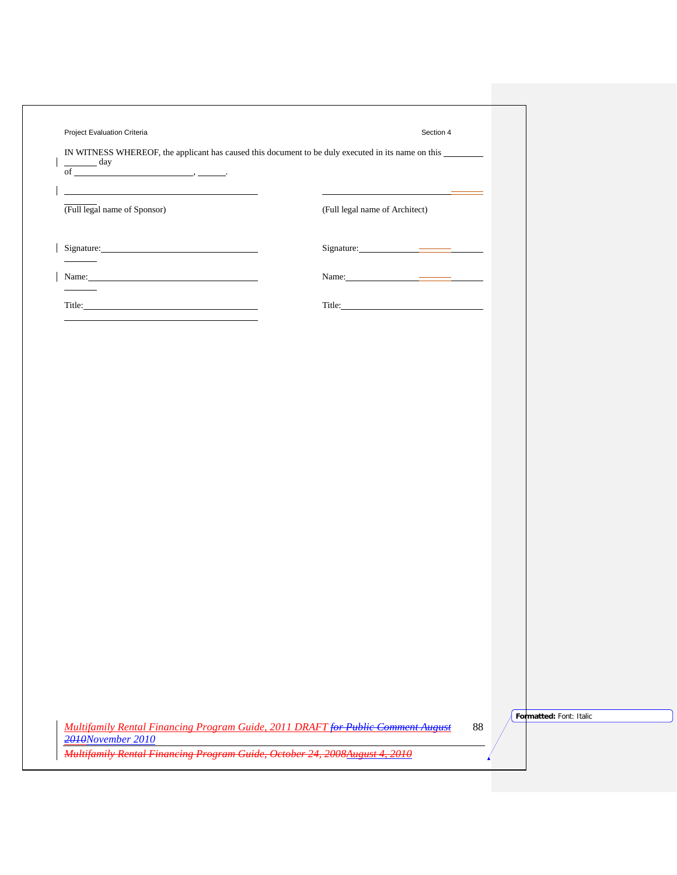| Project Evaluation Criteria                                                                                                                                                                                                                                                                                                                                                                                                                                                         | Section 4                                                                                                                                                                                                                                                                                                                                                                                                     |                               |
|-------------------------------------------------------------------------------------------------------------------------------------------------------------------------------------------------------------------------------------------------------------------------------------------------------------------------------------------------------------------------------------------------------------------------------------------------------------------------------------|---------------------------------------------------------------------------------------------------------------------------------------------------------------------------------------------------------------------------------------------------------------------------------------------------------------------------------------------------------------------------------------------------------------|-------------------------------|
|                                                                                                                                                                                                                                                                                                                                                                                                                                                                                     | IN WITNESS WHEREOF, the applicant has caused this document to be duly executed in its name on this                                                                                                                                                                                                                                                                                                            |                               |
| $\frac{1}{\sqrt{2}}$ day<br>of $\frac{1}{\text{of } \frac{1}{\text{of } \frac{1}{\text{of } \frac{1}{\text{of } \frac{1}{\text{of } \frac{1}{\text{of } \frac{1}{\text{of } \frac{1}{\text{of } \frac{1}{\text{of } \frac{1}{\text{of } \frac{1}{\text{of } \frac{1}{\text{of } \frac{1}{\text{of } \frac{1}{\text{of } \frac{1}{\text{of } \frac{1}{\text{of } \frac{1}{\text{of } \frac{1}{\text{of } \frac{1}{\text{of } \frac{1}{\text{of } \frac{1}{\text{of } \frac{1}{\text$ |                                                                                                                                                                                                                                                                                                                                                                                                               |                               |
| <u> 1980 - Johann Stoff, fransk politik (d. 1980)</u>                                                                                                                                                                                                                                                                                                                                                                                                                               | the contract of the contract of the contract of the contract of the contract of the contract of the contract of                                                                                                                                                                                                                                                                                               |                               |
| (Full legal name of Sponsor)                                                                                                                                                                                                                                                                                                                                                                                                                                                        | (Full legal name of Architect)                                                                                                                                                                                                                                                                                                                                                                                |                               |
|                                                                                                                                                                                                                                                                                                                                                                                                                                                                                     |                                                                                                                                                                                                                                                                                                                                                                                                               |                               |
| Signature: Signature:                                                                                                                                                                                                                                                                                                                                                                                                                                                               |                                                                                                                                                                                                                                                                                                                                                                                                               |                               |
|                                                                                                                                                                                                                                                                                                                                                                                                                                                                                     |                                                                                                                                                                                                                                                                                                                                                                                                               |                               |
| Name:                                                                                                                                                                                                                                                                                                                                                                                                                                                                               | Name: $\frac{1}{\sqrt{1-\frac{1}{2}}\sqrt{1-\frac{1}{2}}\sqrt{1-\frac{1}{2}}\sqrt{1-\frac{1}{2}}\sqrt{1-\frac{1}{2}}\sqrt{1-\frac{1}{2}}\sqrt{1-\frac{1}{2}}\sqrt{1-\frac{1}{2}}\sqrt{1-\frac{1}{2}}\sqrt{1-\frac{1}{2}}\sqrt{1-\frac{1}{2}}\sqrt{1-\frac{1}{2}}\sqrt{1-\frac{1}{2}}\sqrt{1-\frac{1}{2}}\sqrt{1-\frac{1}{2}}\sqrt{1-\frac{1}{2}}\sqrt{1-\frac{1}{2}}\sqrt{1-\frac{1}{2}}\sqrt{1-\frac{1}{2}}$ |                               |
|                                                                                                                                                                                                                                                                                                                                                                                                                                                                                     |                                                                                                                                                                                                                                                                                                                                                                                                               |                               |
|                                                                                                                                                                                                                                                                                                                                                                                                                                                                                     |                                                                                                                                                                                                                                                                                                                                                                                                               |                               |
|                                                                                                                                                                                                                                                                                                                                                                                                                                                                                     |                                                                                                                                                                                                                                                                                                                                                                                                               |                               |
|                                                                                                                                                                                                                                                                                                                                                                                                                                                                                     |                                                                                                                                                                                                                                                                                                                                                                                                               |                               |
|                                                                                                                                                                                                                                                                                                                                                                                                                                                                                     |                                                                                                                                                                                                                                                                                                                                                                                                               |                               |
|                                                                                                                                                                                                                                                                                                                                                                                                                                                                                     |                                                                                                                                                                                                                                                                                                                                                                                                               |                               |
|                                                                                                                                                                                                                                                                                                                                                                                                                                                                                     |                                                                                                                                                                                                                                                                                                                                                                                                               |                               |
|                                                                                                                                                                                                                                                                                                                                                                                                                                                                                     |                                                                                                                                                                                                                                                                                                                                                                                                               |                               |
|                                                                                                                                                                                                                                                                                                                                                                                                                                                                                     |                                                                                                                                                                                                                                                                                                                                                                                                               |                               |
|                                                                                                                                                                                                                                                                                                                                                                                                                                                                                     |                                                                                                                                                                                                                                                                                                                                                                                                               |                               |
|                                                                                                                                                                                                                                                                                                                                                                                                                                                                                     |                                                                                                                                                                                                                                                                                                                                                                                                               |                               |
|                                                                                                                                                                                                                                                                                                                                                                                                                                                                                     |                                                                                                                                                                                                                                                                                                                                                                                                               |                               |
|                                                                                                                                                                                                                                                                                                                                                                                                                                                                                     |                                                                                                                                                                                                                                                                                                                                                                                                               |                               |
|                                                                                                                                                                                                                                                                                                                                                                                                                                                                                     |                                                                                                                                                                                                                                                                                                                                                                                                               |                               |
|                                                                                                                                                                                                                                                                                                                                                                                                                                                                                     |                                                                                                                                                                                                                                                                                                                                                                                                               |                               |
|                                                                                                                                                                                                                                                                                                                                                                                                                                                                                     |                                                                                                                                                                                                                                                                                                                                                                                                               |                               |
|                                                                                                                                                                                                                                                                                                                                                                                                                                                                                     |                                                                                                                                                                                                                                                                                                                                                                                                               |                               |
|                                                                                                                                                                                                                                                                                                                                                                                                                                                                                     |                                                                                                                                                                                                                                                                                                                                                                                                               |                               |
|                                                                                                                                                                                                                                                                                                                                                                                                                                                                                     |                                                                                                                                                                                                                                                                                                                                                                                                               |                               |
|                                                                                                                                                                                                                                                                                                                                                                                                                                                                                     |                                                                                                                                                                                                                                                                                                                                                                                                               |                               |
|                                                                                                                                                                                                                                                                                                                                                                                                                                                                                     |                                                                                                                                                                                                                                                                                                                                                                                                               |                               |
|                                                                                                                                                                                                                                                                                                                                                                                                                                                                                     |                                                                                                                                                                                                                                                                                                                                                                                                               |                               |
|                                                                                                                                                                                                                                                                                                                                                                                                                                                                                     |                                                                                                                                                                                                                                                                                                                                                                                                               |                               |
|                                                                                                                                                                                                                                                                                                                                                                                                                                                                                     |                                                                                                                                                                                                                                                                                                                                                                                                               |                               |
|                                                                                                                                                                                                                                                                                                                                                                                                                                                                                     |                                                                                                                                                                                                                                                                                                                                                                                                               |                               |
|                                                                                                                                                                                                                                                                                                                                                                                                                                                                                     |                                                                                                                                                                                                                                                                                                                                                                                                               |                               |
|                                                                                                                                                                                                                                                                                                                                                                                                                                                                                     |                                                                                                                                                                                                                                                                                                                                                                                                               |                               |
|                                                                                                                                                                                                                                                                                                                                                                                                                                                                                     | Multifamily Rental Financing Program Guide, 2011 DRAFT for Public Comment August                                                                                                                                                                                                                                                                                                                              | Formatted: Font: Italic<br>88 |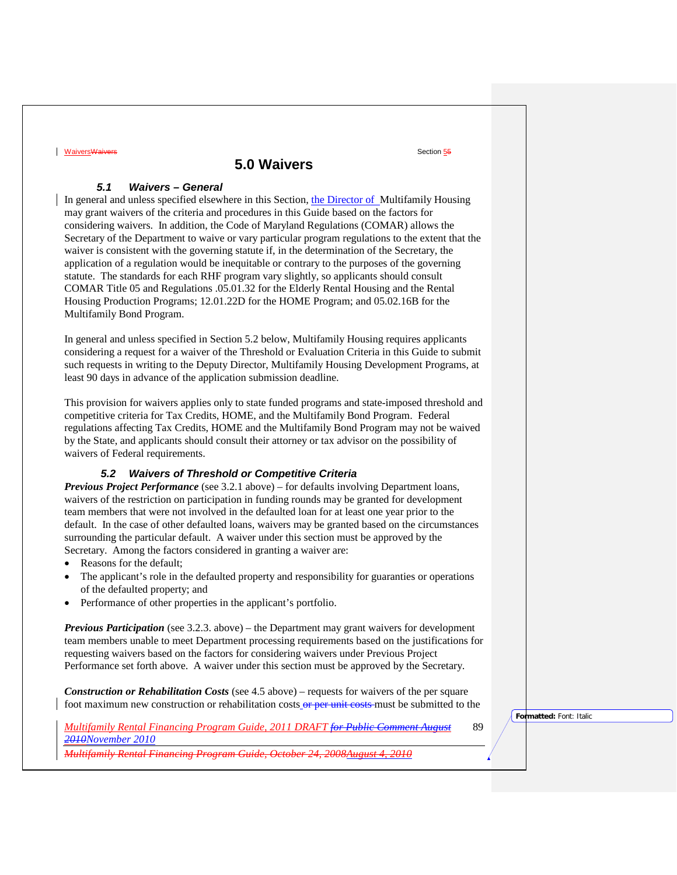**WaiversWaivers Section 55** Section 55

# **5.0 Waivers**

## *5.1 Waivers – General*

In general and unless specified elsewhere in this Section, the Director of Multifamily Housing may grant waivers of the criteria and procedures in this Guide based on the factors for considering waivers. In addition, the Code of Maryland Regulations (COMAR) allows the Secretary of the Department to waive or vary particular program regulations to the extent that the waiver is consistent with the governing statute if, in the determination of the Secretary, the application of a regulation would be inequitable or contrary to the purposes of the governing statute. The standards for each RHF program vary slightly, so applicants should consult COMAR Title 05 and Regulations .05.01.32 for the Elderly Rental Housing and the Rental Housing Production Programs; 12.01.22D for the HOME Program; and 05.02.16B for the Multifamily Bond Program.

In general and unless specified in Section 5.2 below, Multifamily Housing requires applicants considering a request for a waiver of the Threshold or Evaluation Criteria in this Guide to submit such requests in writing to the Deputy Director, Multifamily Housing Development Programs, at least 90 days in advance of the application submission deadline.

This provision for waivers applies only to state funded programs and state-imposed threshold and competitive criteria for Tax Credits, HOME, and the Multifamily Bond Program. Federal regulations affecting Tax Credits, HOME and the Multifamily Bond Program may not be waived by the State, and applicants should consult their attorney or tax advisor on the possibility of waivers of Federal requirements.

## *5.2 Waivers of Threshold or Competitive Criteria*

*Previous Project Performance* (see 3.2.1 above) – for defaults involving Department loans, waivers of the restriction on participation in funding rounds may be granted for development team members that were not involved in the defaulted loan for at least one year prior to the default. In the case of other defaulted loans, waivers may be granted based on the circumstances surrounding the particular default. A waiver under this section must be approved by the Secretary. Among the factors considered in granting a waiver are:

- Reasons for the default:
- The applicant's role in the defaulted property and responsibility for guaranties or operations of the defaulted property; and
- Performance of other properties in the applicant's portfolio.

*Previous Participation* (see 3.2.3. above) – the Department may grant waivers for development team members unable to meet Department processing requirements based on the justifications for requesting waivers based on the factors for considering waivers under Previous Project Performance set forth above. A waiver under this section must be approved by the Secretary.

*Construction or Rehabilitation Costs* (see 4.5 above) – requests for waivers of the per square foot maximum new construction or rehabilitation costs or per unit costs must be submitted to the

*Multifamily Rental Financing Program Guide, 2011 DRAFT for Public Comment August 2010November 2010* 89

*Multifamily Rental Financing Program Guide, October 24, 2008August 4, 2010*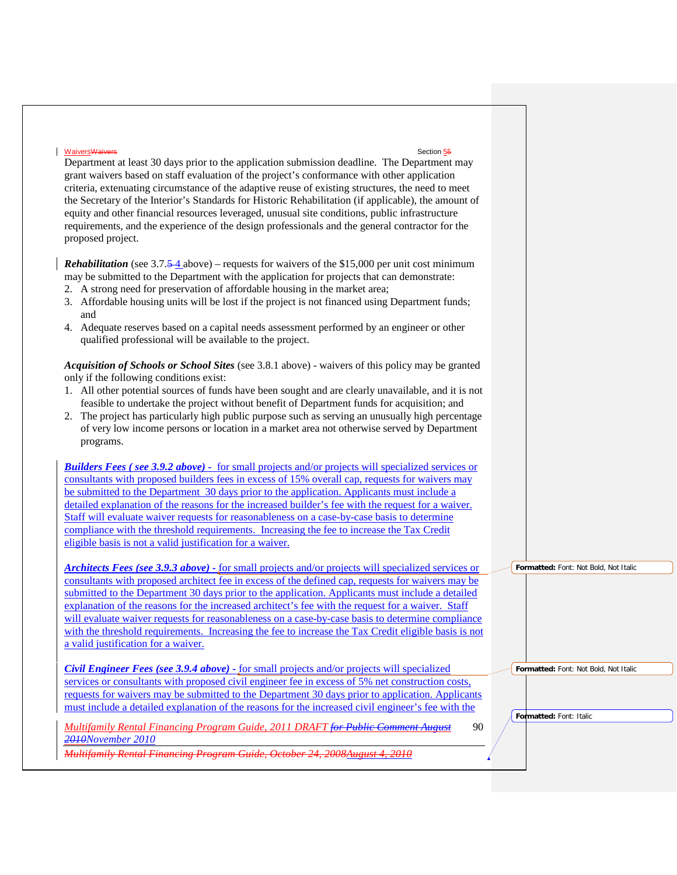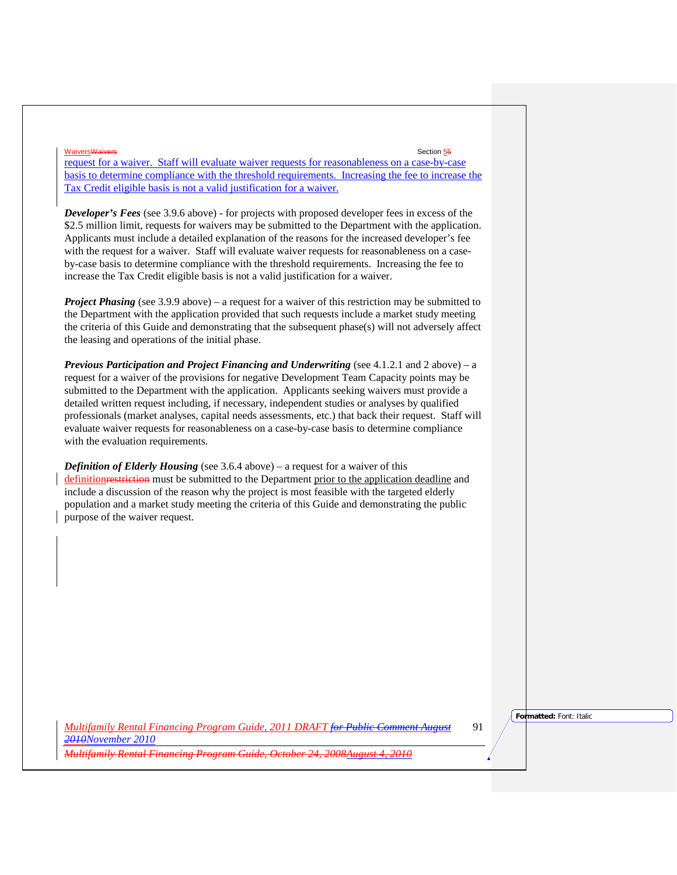#### were all the section of the section of the section of the section of the section  $55$

request for a waiver. Staff will evaluate waiver requests for reasonableness on a case-by-case basis to determine compliance with the threshold requirements. Increasing the fee to increase the Tax Credit eligible basis is not a valid justification for a waiver.

*Developer's Fees* (see 3.9.6 above) - for projects with proposed developer fees in excess of the \$2.5 million limit, requests for waivers may be submitted to the Department with the application. Applicants must include a detailed explanation of the reasons for the increased developer's fee with the request for a waiver. Staff will evaluate waiver requests for reasonableness on a caseby-case basis to determine compliance with the threshold requirements. Increasing the fee to increase the Tax Credit eligible basis is not a valid justification for a waiver.

*Project Phasing* (see 3.9.9 above) – a request for a waiver of this restriction may be submitted to the Department with the application provided that such requests include a market study meeting the criteria of this Guide and demonstrating that the subsequent phase(s) will not adversely affect the leasing and operations of the initial phase.

*Previous Participation and Project Financing and Underwriting* (see 4.1.2.1 and 2 above) – a request for a waiver of the provisions for negative Development Team Capacity points may be submitted to the Department with the application. Applicants seeking waivers must provide a detailed written request including, if necessary, independent studies or analyses by qualified professionals (market analyses, capital needs assessments, etc.) that back their request. Staff will evaluate waiver requests for reasonableness on a case-by-case basis to determine compliance with the evaluation requirements.

*Definition of Elderly Housing* (see 3.6.4 above) – a request for a waiver of this definitionrestriction must be submitted to the Department prior to the application deadline and include a discussion of the reason why the project is most feasible with the targeted elderly population and a market study meeting the criteria of this Guide and demonstrating the public purpose of the waiver request.

*Multifamily Rental Financing Program Guide, 2011 DRAFT for Public Comment August 2010November 2010 Multifamily Rental Financing Program Guide, October* 

**Formatted:** Font: Italic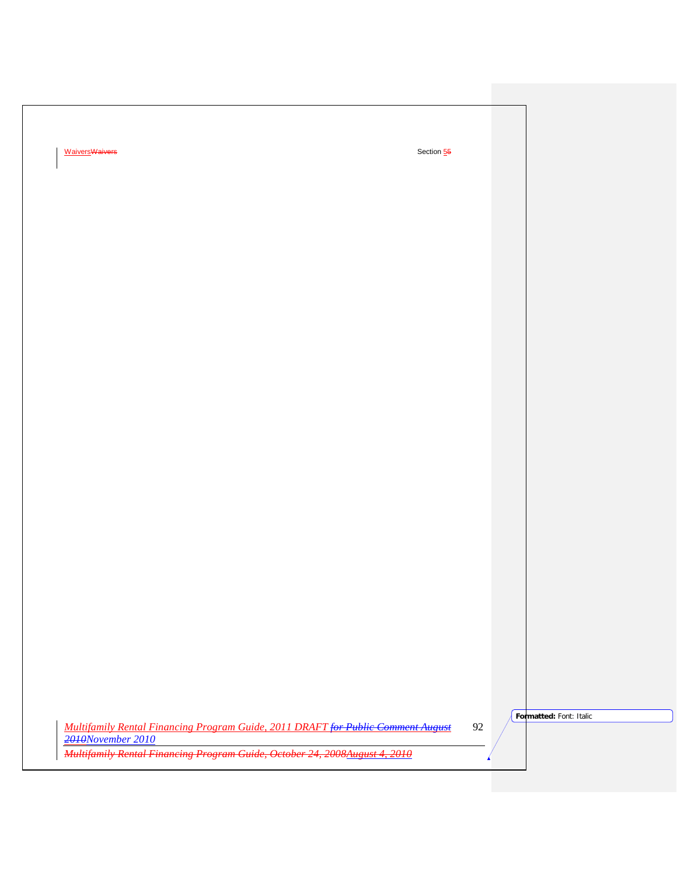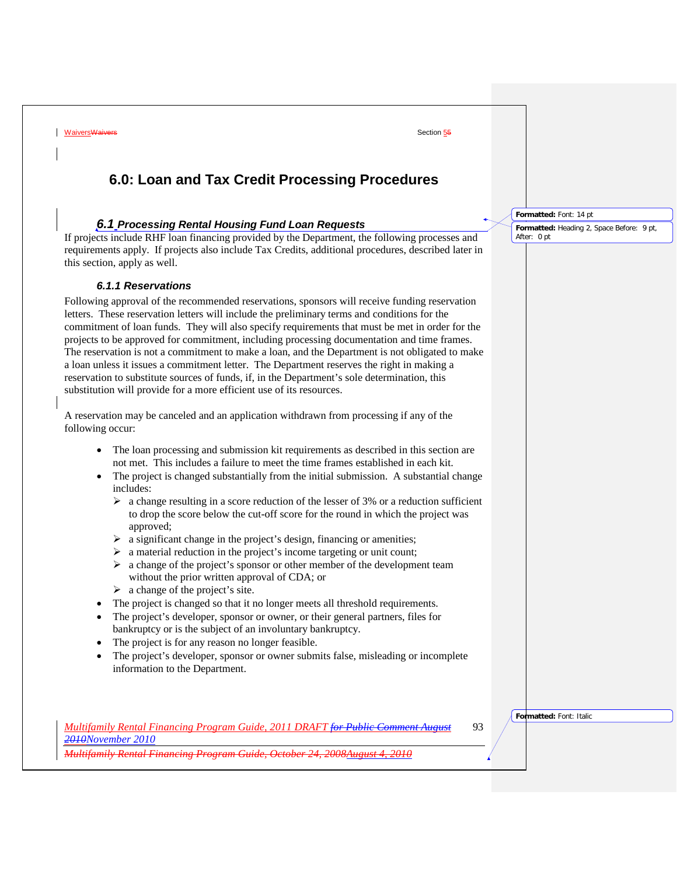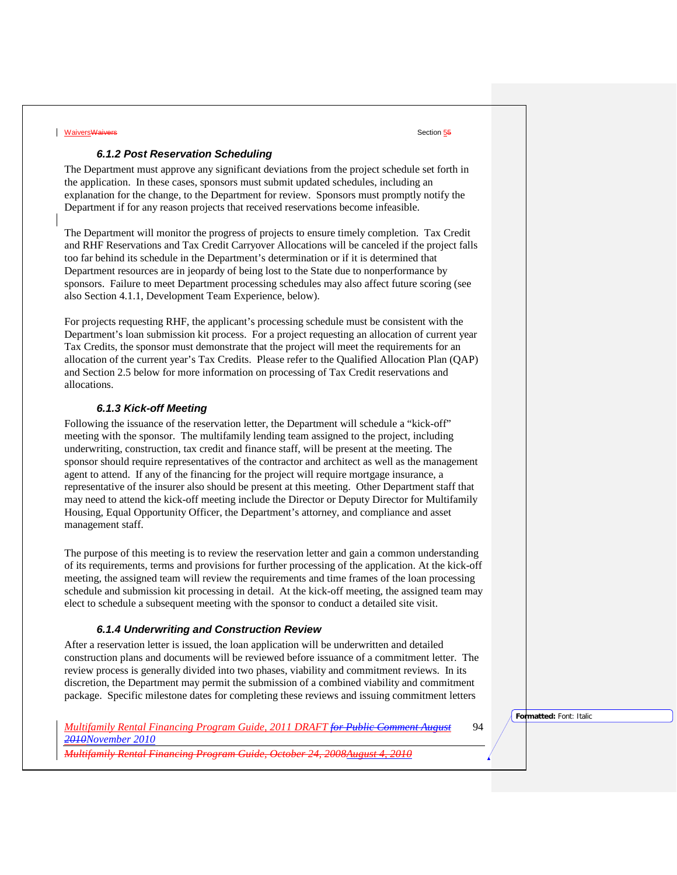### *6.1.2 Post Reservation Scheduling*

The Department must approve any significant deviations from the project schedule set forth in the application. In these cases, sponsors must submit updated schedules, including an explanation for the change, to the Department for review. Sponsors must promptly notify the Department if for any reason projects that received reservations become infeasible.

The Department will monitor the progress of projects to ensure timely completion. Tax Credit and RHF Reservations and Tax Credit Carryover Allocations will be canceled if the project falls too far behind its schedule in the Department's determination or if it is determined that Department resources are in jeopardy of being lost to the State due to nonperformance by sponsors. Failure to meet Department processing schedules may also affect future scoring (see also Section 4.1.1, Development Team Experience, below).

For projects requesting RHF, the applicant's processing schedule must be consistent with the Department's loan submission kit process. For a project requesting an allocation of current year Tax Credits, the sponsor must demonstrate that the project will meet the requirements for an allocation of the current year's Tax Credits. Please refer to the Qualified Allocation Plan (QAP) and Section 2.5 below for more information on processing of Tax Credit reservations and allocations.

### *6.1.3 Kick-off Meeting*

Following the issuance of the reservation letter, the Department will schedule a "kick-off" meeting with the sponsor. The multifamily lending team assigned to the project, including underwriting, construction, tax credit and finance staff, will be present at the meeting. The sponsor should require representatives of the contractor and architect as well as the management agent to attend. If any of the financing for the project will require mortgage insurance, a representative of the insurer also should be present at this meeting. Other Department staff that may need to attend the kick-off meeting include the Director or Deputy Director for Multifamily Housing, Equal Opportunity Officer, the Department's attorney, and compliance and asset management staff.

The purpose of this meeting is to review the reservation letter and gain a common understanding of its requirements, terms and provisions for further processing of the application. At the kick-off meeting, the assigned team will review the requirements and time frames of the loan processing schedule and submission kit processing in detail. At the kick-off meeting, the assigned team may elect to schedule a subsequent meeting with the sponsor to conduct a detailed site visit.

### *6.1.4 Underwriting and Construction Review*

After a reservation letter is issued, the loan application will be underwritten and detailed construction plans and documents will be reviewed before issuance of a commitment letter. The review process is generally divided into two phases, viability and commitment reviews. In its discretion, the Department may permit the submission of a combined viability and commitment package. Specific milestone dates for completing these reviews and issuing commitment letters

*Multifamily Rental Financing Program Guide, 2011 DRAFT for Public Comment August 2010November 2010 Multifamily Rental Financing Program Guide, October* 94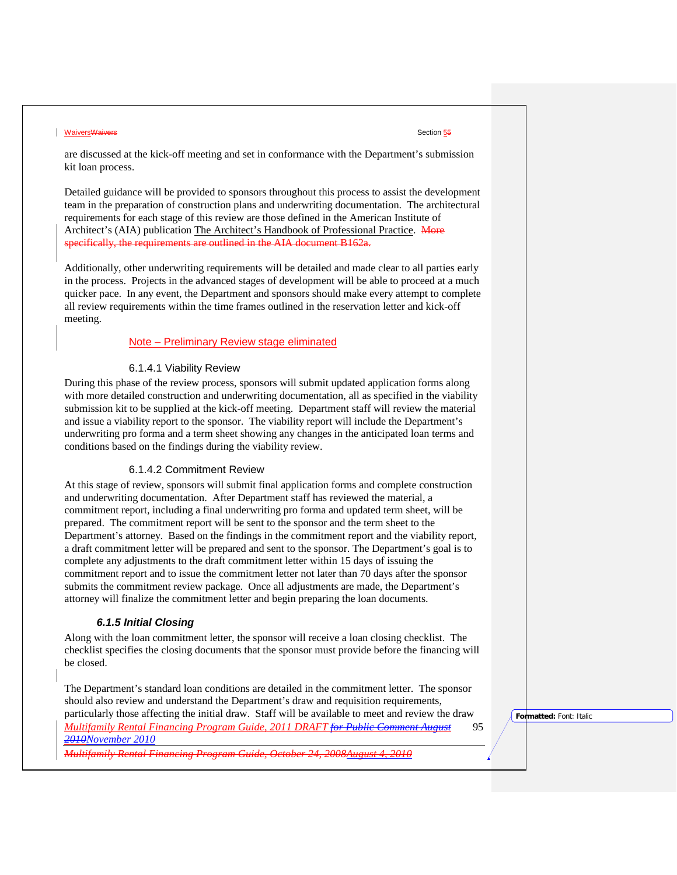are discussed at the kick-off meeting and set in conformance with the Department's submission kit loan process.

Detailed guidance will be provided to sponsors throughout this process to assist the development team in the preparation of construction plans and underwriting documentation. The architectural requirements for each stage of this review are those defined in the American Institute of Architect's (AIA) publication The Architect's Handbook of Professional Practice. More specifically, the requirements are outlined in the AIA document B162a.

Additionally, other underwriting requirements will be detailed and made clear to all parties early in the process. Projects in the advanced stages of development will be able to proceed at a much quicker pace. In any event, the Department and sponsors should make every attempt to complete all review requirements within the time frames outlined in the reservation letter and kick-off meeting.

## Note – Preliminary Review stage eliminated

### 6.1.4.1 Viability Review

During this phase of the review process, sponsors will submit updated application forms along with more detailed construction and underwriting documentation, all as specified in the viability submission kit to be supplied at the kick-off meeting. Department staff will review the material and issue a viability report to the sponsor. The viability report will include the Department's underwriting pro forma and a term sheet showing any changes in the anticipated loan terms and conditions based on the findings during the viability review.

#### 6.1.4.2 Commitment Review

At this stage of review, sponsors will submit final application forms and complete construction and underwriting documentation. After Department staff has reviewed the material, a commitment report, including a final underwriting pro forma and updated term sheet, will be prepared. The commitment report will be sent to the sponsor and the term sheet to the Department's attorney. Based on the findings in the commitment report and the viability report, a draft commitment letter will be prepared and sent to the sponsor. The Department's goal is to complete any adjustments to the draft commitment letter within 15 days of issuing the commitment report and to issue the commitment letter not later than 70 days after the sponsor submits the commitment review package. Once all adjustments are made, the Department's attorney will finalize the commitment letter and begin preparing the loan documents.

### *6.1.5 Initial Closing*

Along with the loan commitment letter, the sponsor will receive a loan closing checklist. The checklist specifies the closing documents that the sponsor must provide before the financing will be closed.

*Multifamily Rental Financing Program Guide, 2011 DRAFT for Public Comment August 2010November 2010 Multifamily Rental Financing Program Guide, October 24, 2008August 4, 2010*  95 The Department's standard loan conditions are detailed in the commitment letter. The sponsor should also review and understand the Department's draw and requisition requirements, particularly those affecting the initial draw. Staff will be available to meet and review the draw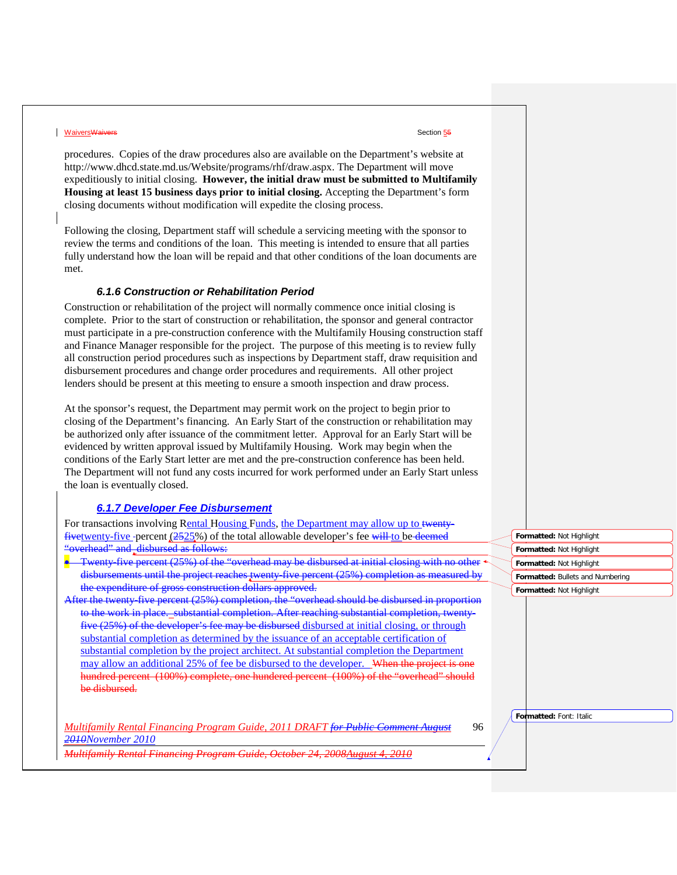procedures. Copies of the draw procedures also are available on the Department's website at http://www.dhcd.state.md.us/Website/programs/rhf/draw.aspx. The Department will move expeditiously to initial closing. **However, the initial draw must be submitted to Multifamily Housing at least 15 business days prior to initial closing.** Accepting the Department's form closing documents without modification will expedite the closing process.

Following the closing, Department staff will schedule a servicing meeting with the sponsor to review the terms and conditions of the loan. This meeting is intended to ensure that all parties fully understand how the loan will be repaid and that other conditions of the loan documents are met.

## *6.1.6 Construction or Rehabilitation Period*

Construction or rehabilitation of the project will normally commence once initial closing is complete. Prior to the start of construction or rehabilitation, the sponsor and general contractor must participate in a pre-construction conference with the Multifamily Housing construction staff and Finance Manager responsible for the project. The purpose of this meeting is to review fully all construction period procedures such as inspections by Department staff, draw requisition and disbursement procedures and change order procedures and requirements. All other project lenders should be present at this meeting to ensure a smooth inspection and draw process.

At the sponsor's request, the Department may permit work on the project to begin prior to closing of the Department's financing. An Early Start of the construction or rehabilitation may be authorized only after issuance of the commitment letter. Approval for an Early Start will be evidenced by written approval issued by Multifamily Housing. Work may begin when the conditions of the Early Start letter are met and the pre-construction conference has been held. The Department will not fund any costs incurred for work performed under an Early Start unless the loan is eventually closed.

## *6.1.7 Developer Fee Disbursement*

For transactions involving Rental Housing Funds, the Department may allow up to twentyfivetwenty-five -percent  $(2525%)$  of the total allowable developer's fee will to be deemed "overhead" and disbursed as follows:

- Twenty-five percent (25%) of the "overhead may be disbursed at initial closing with no other disbursements until the project reaches twenty-five percent (25%) completion as measured by the expenditure of gross construction dollars approved.
- After the twenty-five percent (25%) completion, the "overhead should be disbursed in proportion to the work in place.\_substantial completion. After reaching substantial completion, twentyfive (25%) of the developer's fee may be disbursed disbursed at initial closing, or through substantial completion as determined by the issuance of an acceptable certification of substantial completion by the project architect. At substantial completion the Department may allow an additional 25% of fee be disbursed to the developer. When the project is one hundred percent (100%) complete, one hundered percent (100%) of the "overhead" should be disbursed.

*Multifamily Rental Financing Program Guide, 2011 DRAFT for Public Comment August 2010November 2010 Multifamily Rental Financing Program Guide, October 24, 2008August 4, 2010* 

**Formatted:** Font: Italic

**Formatted:** Not Highlight **Formatted:** Not Highlight **Formatted:** Not Highlight **Formatted:** Bullets and Numbering **Formatted:** Not Highlight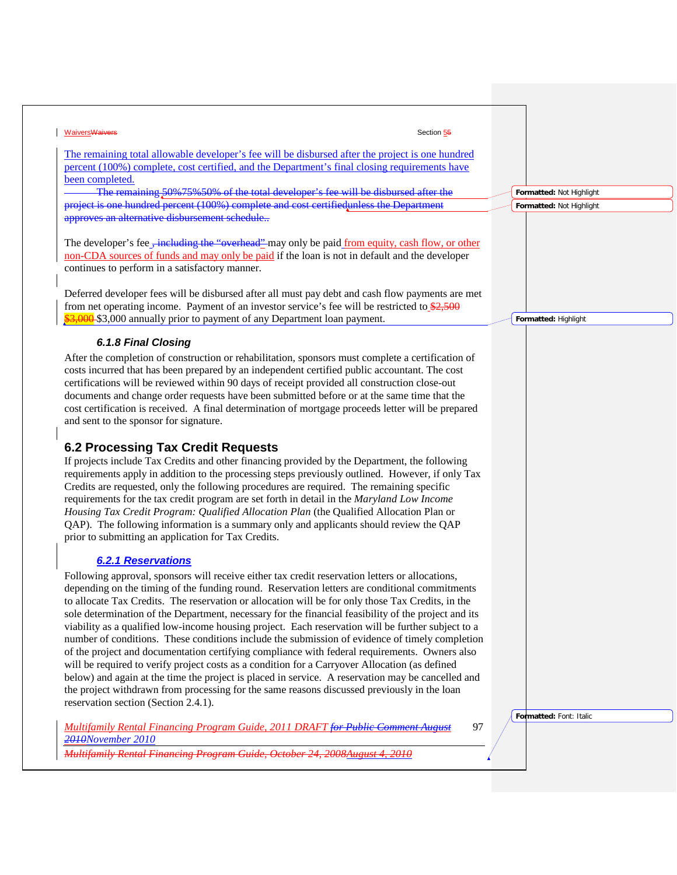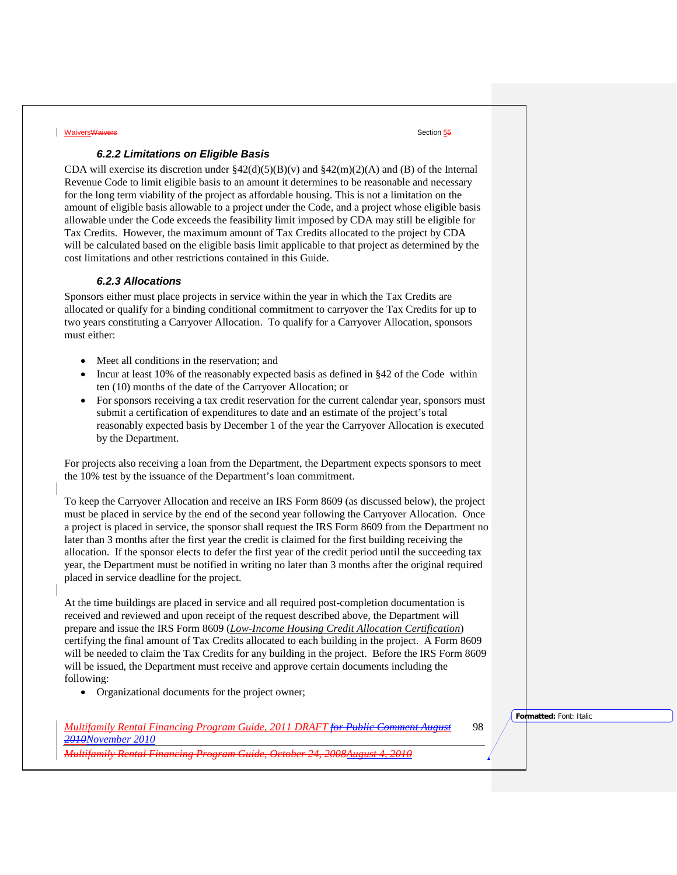## *6.2.2 Limitations on Eligible Basis*

CDA will exercise its discretion under  $$42(d)(5)(B)(v)$  and  $$42(m)(2)(A)$  and (B) of the Internal Revenue Code to limit eligible basis to an amount it determines to be reasonable and necessary for the long term viability of the project as affordable housing. This is not a limitation on the amount of eligible basis allowable to a project under the Code, and a project whose eligible basis allowable under the Code exceeds the feasibility limit imposed by CDA may still be eligible for Tax Credits. However, the maximum amount of Tax Credits allocated to the project by CDA will be calculated based on the eligible basis limit applicable to that project as determined by the cost limitations and other restrictions contained in this Guide.

## *6.2.3 Allocations*

Sponsors either must place projects in service within the year in which the Tax Credits are allocated or qualify for a binding conditional commitment to carryover the Tax Credits for up to two years constituting a Carryover Allocation. To qualify for a Carryover Allocation, sponsors must either:

- Meet all conditions in the reservation; and
- Incur at least 10% of the reasonably expected basis as defined in §42 of the Code within ten (10) months of the date of the Carryover Allocation; or
- For sponsors receiving a tax credit reservation for the current calendar year, sponsors must submit a certification of expenditures to date and an estimate of the project's total reasonably expected basis by December 1 of the year the Carryover Allocation is executed by the Department.

For projects also receiving a loan from the Department, the Department expects sponsors to meet the 10% test by the issuance of the Department's loan commitment.

To keep the Carryover Allocation and receive an IRS Form 8609 (as discussed below), the project must be placed in service by the end of the second year following the Carryover Allocation. Once a project is placed in service, the sponsor shall request the IRS Form 8609 from the Department no later than 3 months after the first year the credit is claimed for the first building receiving the allocation. If the sponsor elects to defer the first year of the credit period until the succeeding tax year, the Department must be notified in writing no later than 3 months after the original required placed in service deadline for the project.

At the time buildings are placed in service and all required post-completion documentation is received and reviewed and upon receipt of the request described above, the Department will prepare and issue the IRS Form 8609 (*Low-Income Housing Credit Allocation Certification*) certifying the final amount of Tax Credits allocated to each building in the project. A Form 8609 will be needed to claim the Tax Credits for any building in the project. Before the IRS Form 8609 will be issued, the Department must receive and approve certain documents including the following:

• Organizational documents for the project owner;

*Multifamily Rental Financing Program Guide, 2011 DRAFT for Public Comment August 2010November 2010 Multifamily Rental Financing Program Guide, October* 

**Formatted:** Font: Italic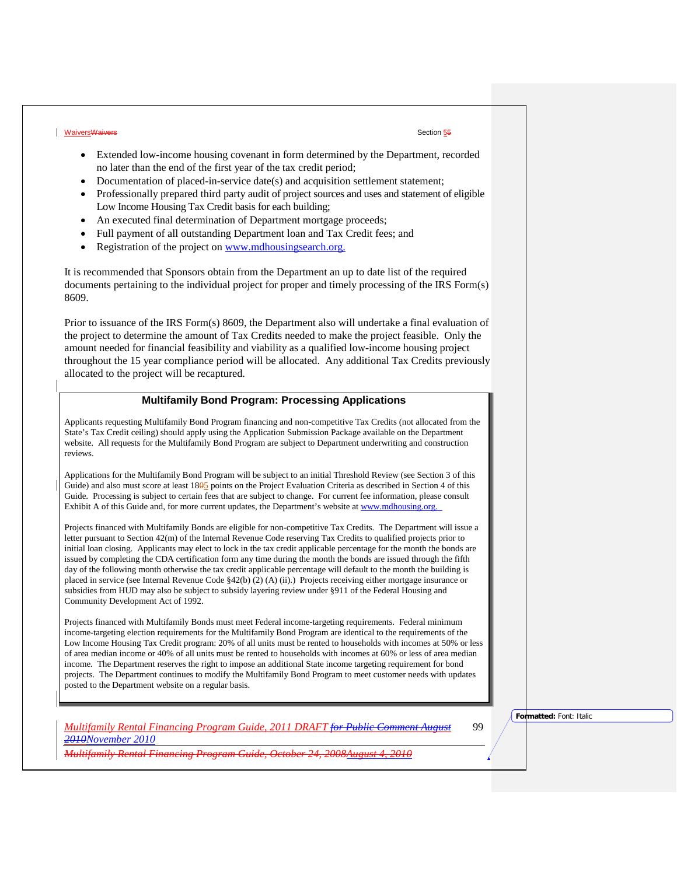- Extended low-income housing covenant in form determined by the Department, recorded no later than the end of the first year of the tax credit period;
- Documentation of placed-in-service date(s) and acquisition settlement statement;
- Professionally prepared third party audit of project sources and uses and statement of eligible Low Income Housing Tax Credit basis for each building;
- An executed final determination of Department mortgage proceeds;
- Full payment of all outstanding Department loan and Tax Credit fees; and
- Registration of the project on [www.mdhousingsearch.org.](http://www.mdhousingsearch.org/)

It is recommended that Sponsors obtain from the Department an up to date list of the required documents pertaining to the individual project for proper and timely processing of the IRS Form(s) 8609.

Prior to issuance of the IRS Form(s) 8609, the Department also will undertake a final evaluation of the project to determine the amount of Tax Credits needed to make the project feasible. Only the amount needed for financial feasibility and viability as a qualified low-income housing project throughout the 15 year compliance period will be allocated. Any additional Tax Credits previously allocated to the project will be recaptured.

## **Multifamily Bond Program: Processing Applications**

Applicants requesting Multifamily Bond Program financing and non-competitive Tax Credits (not allocated from the State's Tax Credit ceiling) should apply using the Application Submission Package available on the Department website. All requests for the Multifamily Bond Program are subject to Department underwriting and construction reviews.

Applications for the Multifamily Bond Program will be subject to an initial Threshold Review (see Section 3 of this Guide) and also must score at least 1805 points on the Project Evaluation Criteria as described in Section 4 of this Guide. Processing is subject to certain fees that are subject to change. For current fee information, please consult Exhibit A of this Guide and, for more current updates, the Department's website a[t www.mdhousing.org.](http://www.mdhousing.org/) 

Projects financed with Multifamily Bonds are eligible for non-competitive Tax Credits. The Department will issue a letter pursuant to Section 42(m) of the Internal Revenue Code reserving Tax Credits to qualified projects prior to initial loan closing. Applicants may elect to lock in the tax credit applicable percentage for the month the bonds are issued by completing the CDA certification form any time during the month the bonds are issued through the fifth day of the following month otherwise the tax credit applicable percentage will default to the month the building is placed in service (see Internal Revenue Code §42(b) (2) (A) (ii).) Projects receiving either mortgage insurance or subsidies from HUD may also be subject to subsidy layering review under §911 of the Federal Housing and Community Development Act of 1992.

Projects financed with Multifamily Bonds must meet Federal income-targeting requirements. Federal minimum income-targeting election requirements for the Multifamily Bond Program are identical to the requirements of the Low Income Housing Tax Credit program: 20% of all units must be rented to households with incomes at 50% or less of area median income or 40% of all units must be rented to households with incomes at 60% or less of area median income. The Department reserves the right to impose an additional State income targeting requirement for bond projects. The Department continues to modify the Multifamily Bond Program to meet customer needs with updates posted to the Department website on a regular basis.

*Multifamily Rental Financing Program Guide, 2011 DRAFT for Public Comment August 2010November 2010 Multifamily Rental Financing Program Guide, October 24,* 99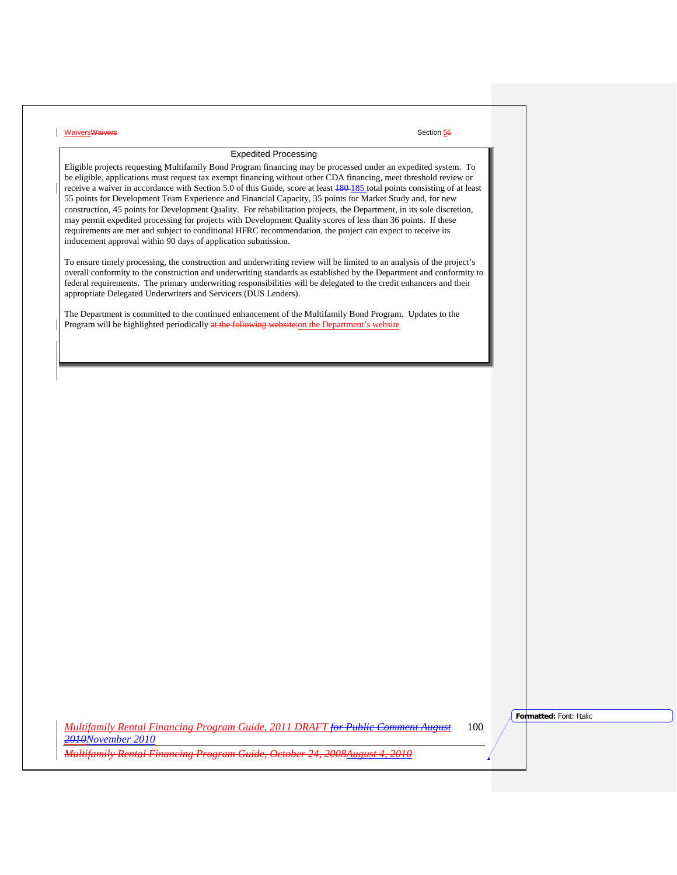|                                                                                                                                                                                                                                                                                                                                                                                                                                                                                                                                                                                                                                                                                                                                                                                                                                                                                                        | Section 55 |                                |
|--------------------------------------------------------------------------------------------------------------------------------------------------------------------------------------------------------------------------------------------------------------------------------------------------------------------------------------------------------------------------------------------------------------------------------------------------------------------------------------------------------------------------------------------------------------------------------------------------------------------------------------------------------------------------------------------------------------------------------------------------------------------------------------------------------------------------------------------------------------------------------------------------------|------------|--------------------------------|
| <b>Expedited Processing</b>                                                                                                                                                                                                                                                                                                                                                                                                                                                                                                                                                                                                                                                                                                                                                                                                                                                                            |            |                                |
| Eligible projects requesting Multifamily Bond Program financing may be processed under an expedited system. To<br>be eligible, applications must request tax exempt financing without other CDA financing, meet threshold review or<br>receive a waiver in accordance with Section 5.0 of this Guide, score at least 180-185 total points consisting of at least<br>55 points for Development Team Experience and Financial Capacity, 35 points for Market Study and, for new<br>construction, 45 points for Development Quality. For rehabilitation projects, the Department, in its sole discretion,<br>may permit expedited processing for projects with Development Quality scores of less than 36 points. If these<br>requirements are met and subject to conditional HFRC recommendation, the project can expect to receive its<br>inducement approval within 90 days of application submission. |            |                                |
| To ensure timely processing, the construction and underwriting review will be limited to an analysis of the project's<br>overall conformity to the construction and underwriting standards as established by the Department and conformity to<br>federal requirements. The primary underwriting responsibilities will be delegated to the credit enhancers and their<br>appropriate Delegated Underwriters and Servicers (DUS Lenders).                                                                                                                                                                                                                                                                                                                                                                                                                                                                |            |                                |
|                                                                                                                                                                                                                                                                                                                                                                                                                                                                                                                                                                                                                                                                                                                                                                                                                                                                                                        |            |                                |
| The Department is committed to the continued enhancement of the Multifamily Bond Program. Updates to the<br>Program will be highlighted periodically at the following website: on the Department's website                                                                                                                                                                                                                                                                                                                                                                                                                                                                                                                                                                                                                                                                                             |            |                                |
|                                                                                                                                                                                                                                                                                                                                                                                                                                                                                                                                                                                                                                                                                                                                                                                                                                                                                                        |            |                                |
|                                                                                                                                                                                                                                                                                                                                                                                                                                                                                                                                                                                                                                                                                                                                                                                                                                                                                                        |            |                                |
|                                                                                                                                                                                                                                                                                                                                                                                                                                                                                                                                                                                                                                                                                                                                                                                                                                                                                                        |            |                                |
|                                                                                                                                                                                                                                                                                                                                                                                                                                                                                                                                                                                                                                                                                                                                                                                                                                                                                                        |            |                                |
|                                                                                                                                                                                                                                                                                                                                                                                                                                                                                                                                                                                                                                                                                                                                                                                                                                                                                                        |            |                                |
|                                                                                                                                                                                                                                                                                                                                                                                                                                                                                                                                                                                                                                                                                                                                                                                                                                                                                                        |            |                                |
|                                                                                                                                                                                                                                                                                                                                                                                                                                                                                                                                                                                                                                                                                                                                                                                                                                                                                                        |            |                                |
|                                                                                                                                                                                                                                                                                                                                                                                                                                                                                                                                                                                                                                                                                                                                                                                                                                                                                                        |            |                                |
|                                                                                                                                                                                                                                                                                                                                                                                                                                                                                                                                                                                                                                                                                                                                                                                                                                                                                                        |            |                                |
|                                                                                                                                                                                                                                                                                                                                                                                                                                                                                                                                                                                                                                                                                                                                                                                                                                                                                                        |            |                                |
|                                                                                                                                                                                                                                                                                                                                                                                                                                                                                                                                                                                                                                                                                                                                                                                                                                                                                                        |            |                                |
|                                                                                                                                                                                                                                                                                                                                                                                                                                                                                                                                                                                                                                                                                                                                                                                                                                                                                                        |            |                                |
|                                                                                                                                                                                                                                                                                                                                                                                                                                                                                                                                                                                                                                                                                                                                                                                                                                                                                                        |            |                                |
|                                                                                                                                                                                                                                                                                                                                                                                                                                                                                                                                                                                                                                                                                                                                                                                                                                                                                                        |            |                                |
|                                                                                                                                                                                                                                                                                                                                                                                                                                                                                                                                                                                                                                                                                                                                                                                                                                                                                                        |            |                                |
|                                                                                                                                                                                                                                                                                                                                                                                                                                                                                                                                                                                                                                                                                                                                                                                                                                                                                                        |            |                                |
|                                                                                                                                                                                                                                                                                                                                                                                                                                                                                                                                                                                                                                                                                                                                                                                                                                                                                                        |            |                                |
|                                                                                                                                                                                                                                                                                                                                                                                                                                                                                                                                                                                                                                                                                                                                                                                                                                                                                                        |            |                                |
|                                                                                                                                                                                                                                                                                                                                                                                                                                                                                                                                                                                                                                                                                                                                                                                                                                                                                                        |            |                                |
|                                                                                                                                                                                                                                                                                                                                                                                                                                                                                                                                                                                                                                                                                                                                                                                                                                                                                                        |            |                                |
|                                                                                                                                                                                                                                                                                                                                                                                                                                                                                                                                                                                                                                                                                                                                                                                                                                                                                                        |            |                                |
|                                                                                                                                                                                                                                                                                                                                                                                                                                                                                                                                                                                                                                                                                                                                                                                                                                                                                                        |            |                                |
|                                                                                                                                                                                                                                                                                                                                                                                                                                                                                                                                                                                                                                                                                                                                                                                                                                                                                                        |            |                                |
|                                                                                                                                                                                                                                                                                                                                                                                                                                                                                                                                                                                                                                                                                                                                                                                                                                                                                                        |            |                                |
|                                                                                                                                                                                                                                                                                                                                                                                                                                                                                                                                                                                                                                                                                                                                                                                                                                                                                                        |            |                                |
|                                                                                                                                                                                                                                                                                                                                                                                                                                                                                                                                                                                                                                                                                                                                                                                                                                                                                                        |            |                                |
|                                                                                                                                                                                                                                                                                                                                                                                                                                                                                                                                                                                                                                                                                                                                                                                                                                                                                                        |            |                                |
|                                                                                                                                                                                                                                                                                                                                                                                                                                                                                                                                                                                                                                                                                                                                                                                                                                                                                                        |            |                                |
|                                                                                                                                                                                                                                                                                                                                                                                                                                                                                                                                                                                                                                                                                                                                                                                                                                                                                                        |            |                                |
|                                                                                                                                                                                                                                                                                                                                                                                                                                                                                                                                                                                                                                                                                                                                                                                                                                                                                                        |            |                                |
| Multifamily Rental Financing Program Guide, 2011 DRAFT for Public Comment August                                                                                                                                                                                                                                                                                                                                                                                                                                                                                                                                                                                                                                                                                                                                                                                                                       |            | Formatted: Font: Italic<br>100 |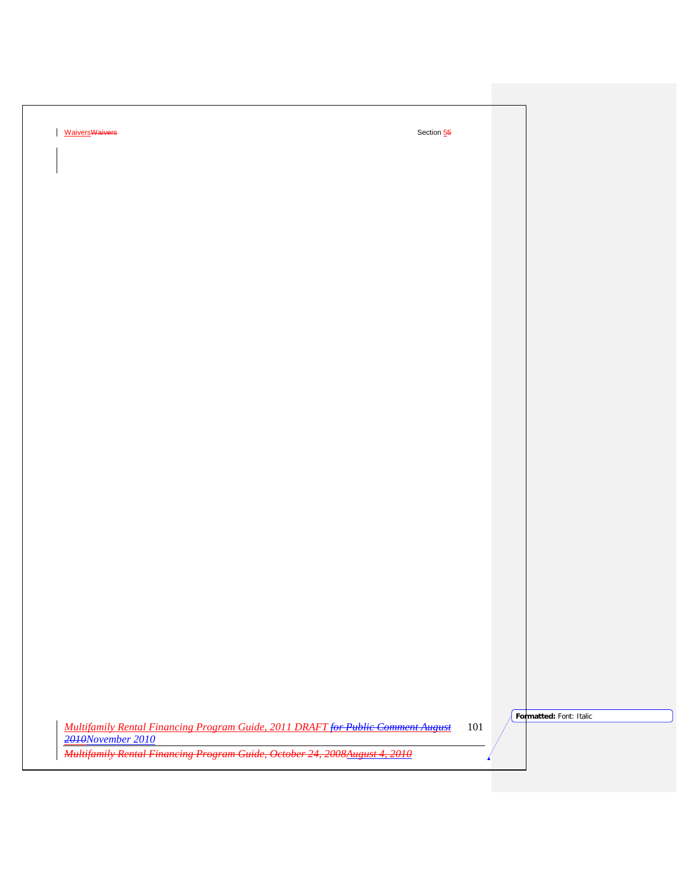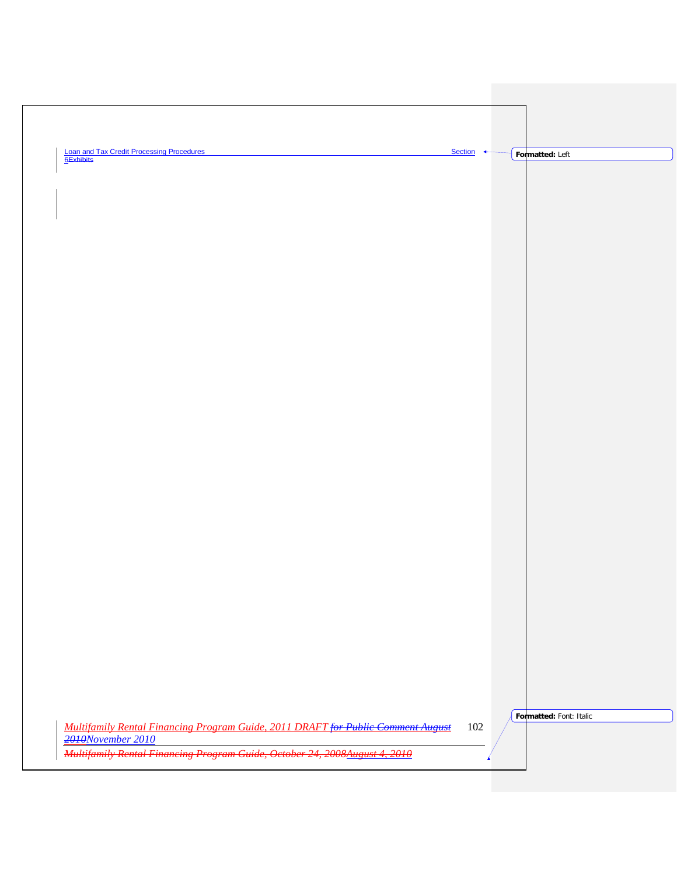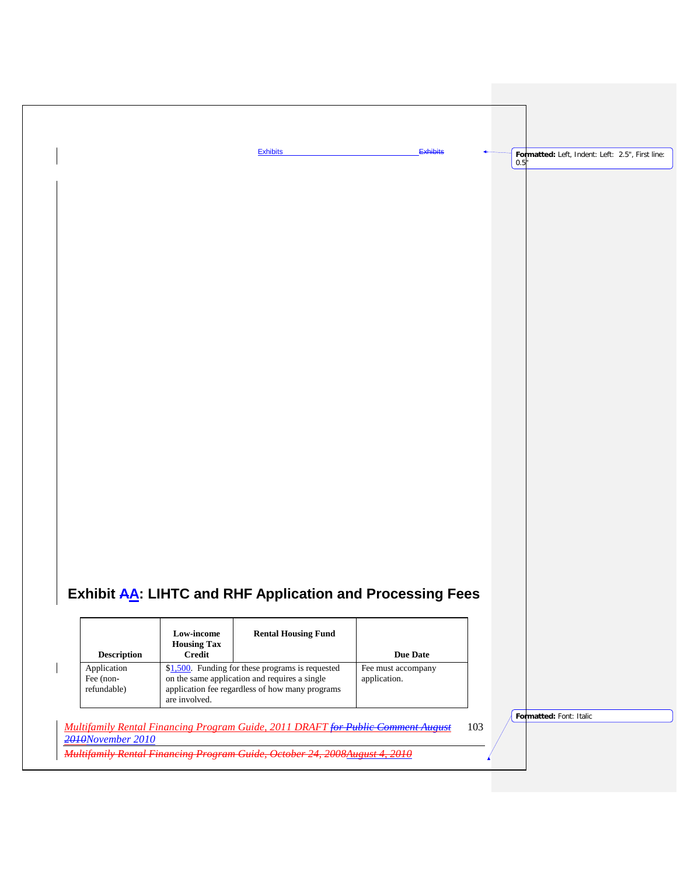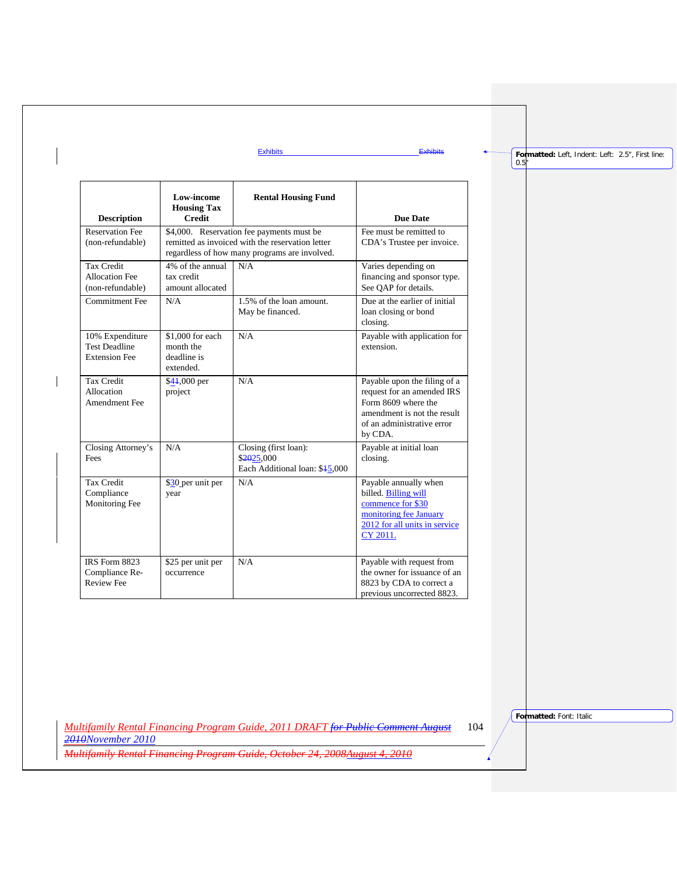Exhibits Exhibits

**Formatted:** Left, Indent: Left: 2.5", First line: 0.5"

| <b>Description</b>                                              | Low-income<br><b>Housing Tax</b><br><b>Credit</b>                                                                                              | <b>Rental Housing Fund</b>                                            | <b>Due Date</b>                                                                                                                                           |
|-----------------------------------------------------------------|------------------------------------------------------------------------------------------------------------------------------------------------|-----------------------------------------------------------------------|-----------------------------------------------------------------------------------------------------------------------------------------------------------|
| <b>Reservation Fee</b><br>(non-refundable)                      | \$4,000. Reservation fee payments must be<br>remitted as invoiced with the reservation letter<br>regardless of how many programs are involved. |                                                                       | Fee must be remitted to<br>CDA's Trustee per invoice.                                                                                                     |
| <b>Tax Credit</b><br><b>Allocation Fee</b><br>(non-refundable)  | 4% of the annual<br>tax credit<br>amount allocated                                                                                             | N/A                                                                   | Varies depending on<br>financing and sponsor type.<br>See OAP for details.                                                                                |
| Commitment Fee                                                  | N/A                                                                                                                                            | 1.5% of the loan amount.<br>May be financed.                          | Due at the earlier of initial<br>loan closing or bond<br>closing.                                                                                         |
| 10% Expenditure<br><b>Test Deadline</b><br><b>Extension Fee</b> | \$1,000 for each<br>month the<br>deadline is<br>extended.                                                                                      | N/A                                                                   | Payable with application for<br>extension.                                                                                                                |
| <b>Tax Credit</b><br>Allocation<br>Amendment Fee                | $$41,000$ per<br>project                                                                                                                       | N/A                                                                   | Payable upon the filing of a<br>request for an amended IRS<br>Form 8609 where the<br>amendment is not the result<br>of an administrative error<br>by CDA. |
| Closing Attorney's<br>Fees                                      | N/A                                                                                                                                            | Closing (first loan):<br>\$2025,000<br>Each Additional loan: \$45,000 | Payable at initial loan<br>closing.                                                                                                                       |
| <b>Tax Credit</b><br>Compliance<br>Monitoring Fee               | \$30 per unit per<br>year                                                                                                                      | N/A                                                                   | Payable annually when<br>billed. Billing will<br>commence for \$30<br>monitoring fee January<br>2012 for all units in service<br>CY 2011.                 |
| <b>IRS</b> Form 8823<br>Compliance Re-<br><b>Review Fee</b>     | \$25 per unit per<br>occurrence                                                                                                                | N/A                                                                   | Payable with request from<br>the owner for issuance of an<br>8823 by CDA to correct a<br>previous uncorrected 8823.                                       |

*Multifamily Rental Financing Program Guide, 2011 DRAFT for Public Comment August 2010November 2010* 104 **Formatted:** Font: Italic

*Multifamily Rental Financing Program Guide, October 24, 2008August 4, 2010*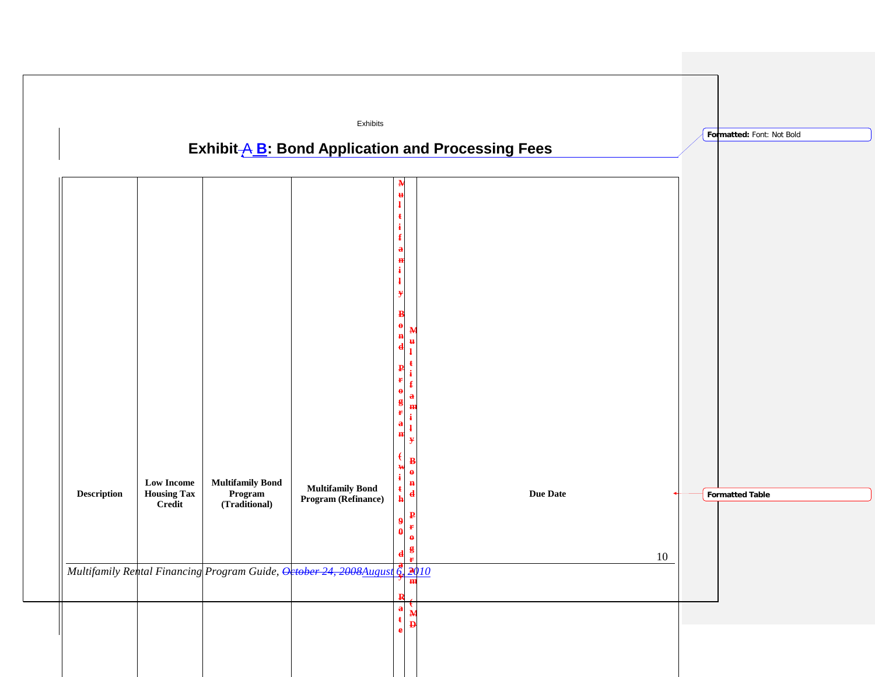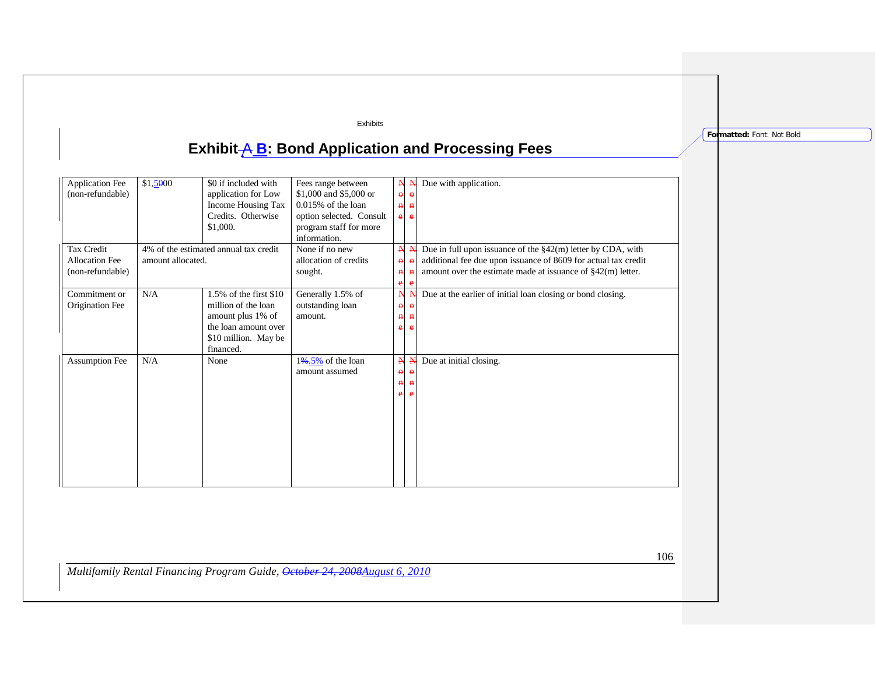Exhibits

# **Exhibit**<sup>A</sup> **B**: Bond Application and Processing Fees

Application Fee (non-refundable)  $$1,5000$   $$0$  if included with application for Low Income Housing Tax Credits. Otherwise \$1,000. Fees range between \$1,000 and \$5,000 or 0.015% of the loan option selected. Consult program staff for more information. N o n e N o n e Due with application. Tax Credit Allocation Fee (non-refundable) 4% of the estimated annual tax credit amount allocated. None if no new allocation of credits sought. N o n e N o n e Due in full upon issuance of the §42(m) letter by CDA, with additional fee due upon issuance of 8609 for actual tax credit amount over the estimate made at issuance of §42(m) letter. Commitment or Origination Fee N/A 1.5% of the first \$10 million of the loan amount plus 1% of the loan amount over \$10 million. May be financed. Generally 1.5% of outstanding loan amount. N o n e N o n e Due at the earlier of initial loan closing or bond closing. Assumption Fee N/A None 1<del>%.5%</del> of the loan amount assumed N o n e N o n e Due at initial closing.

106

*Multifamily Rental Financing Program Guide, October 24, 2008August 6, 2010*

**Formatted:** Font: Not Bold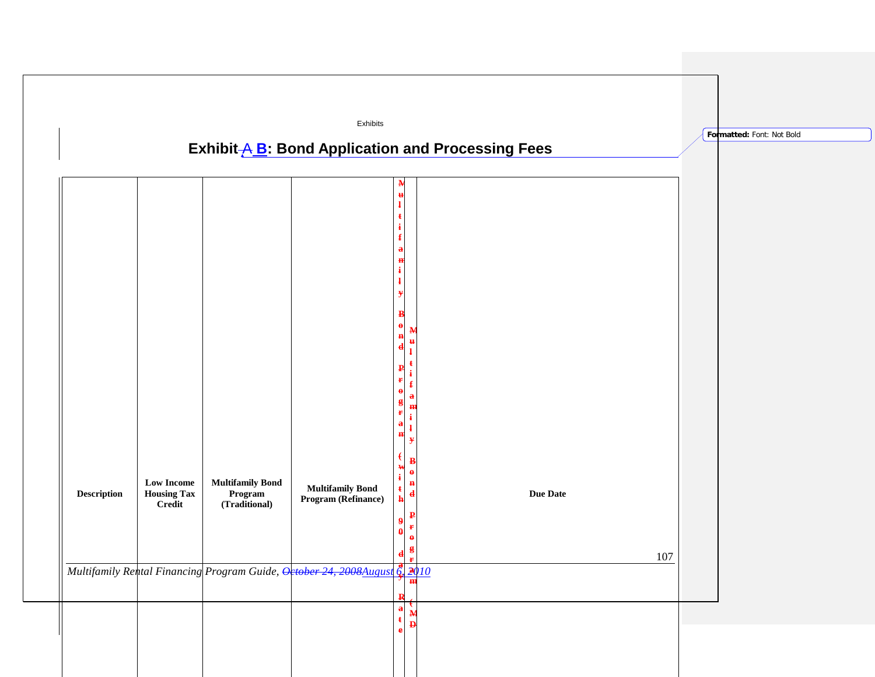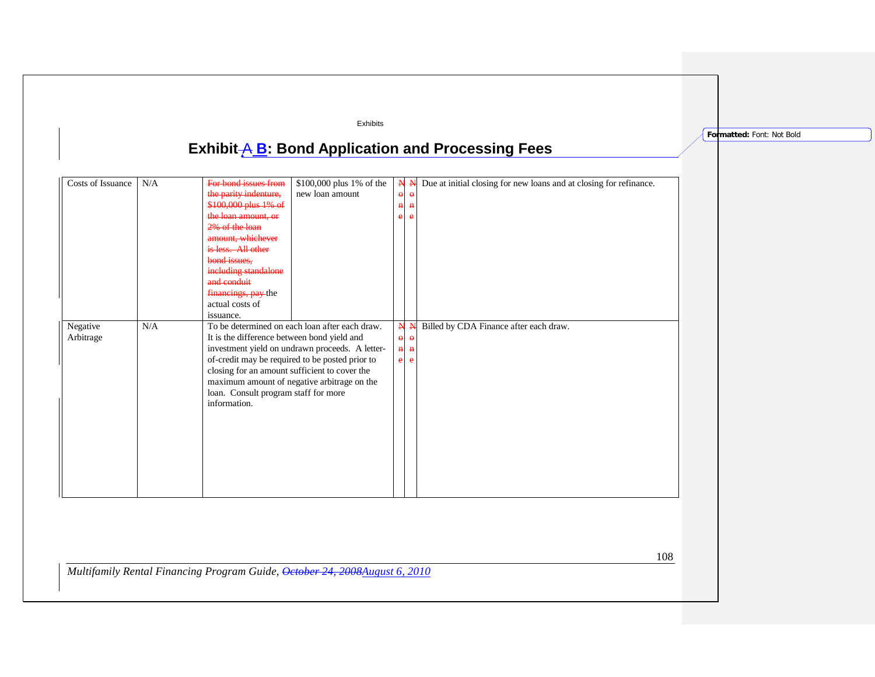|                                                | Formatted: Font: Not Bold |                                                                                                                                                                                                                                                                                                                                                                                                                                                                                                                                                                                                                                                                                                                                                                                                                                                                                                                                                                                                                                                                          |  |
|------------------------------------------------|---------------------------|--------------------------------------------------------------------------------------------------------------------------------------------------------------------------------------------------------------------------------------------------------------------------------------------------------------------------------------------------------------------------------------------------------------------------------------------------------------------------------------------------------------------------------------------------------------------------------------------------------------------------------------------------------------------------------------------------------------------------------------------------------------------------------------------------------------------------------------------------------------------------------------------------------------------------------------------------------------------------------------------------------------------------------------------------------------------------|--|
| Costs of Issuance N/A<br>Negative<br>Arbitrage | N/A                       | \$100,000 plus 1% of the<br>For bond issues from<br>Due at initial closing for new loans and at closing for refinance.<br>$N$ $N$<br>the parity indenture,<br>$\begin{array}{c}\n\Theta & \Theta \\ \Theta & \Theta \\ \Theta & \Theta\n\end{array}$<br>new loan amount<br>$$100,000$ plus $1\%$ of<br>$\mathbf{e}$<br>the loan amount, or<br>$\mathbf{e}$<br>2% of the loan<br>amount, whichever<br>is less. All other<br>bond issues,<br>including standalone<br>and conduit<br>financings, pay-the<br>actual costs of<br>issuance.<br>To be determined on each loan after each draw.<br>Billed by CDA Finance after each draw.<br>N<br>$\mathbb N$<br>It is the difference between bond yield and<br>$\begin{array}{c}\n\Theta & \Theta \\ \Theta & \Theta \\ \Theta & \Theta\n\end{array}$<br>investment yield on undrawn proceeds. A letter-<br>of-credit may be required to be posted prior to<br>$e^+e^-$<br>closing for an amount sufficient to cover the<br>maximum amount of negative arbitrage on the<br>loan. Consult program staff for more<br>information. |  |
|                                                |                           | 108<br>Multifamily Rental Financing Program Guide, October 24, 2008August 6, 2010                                                                                                                                                                                                                                                                                                                                                                                                                                                                                                                                                                                                                                                                                                                                                                                                                                                                                                                                                                                        |  |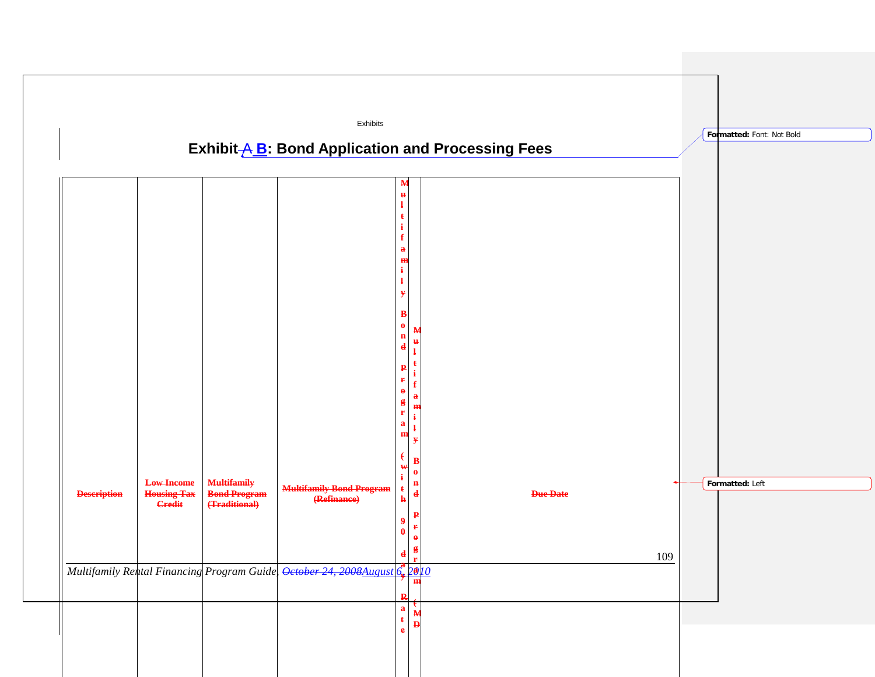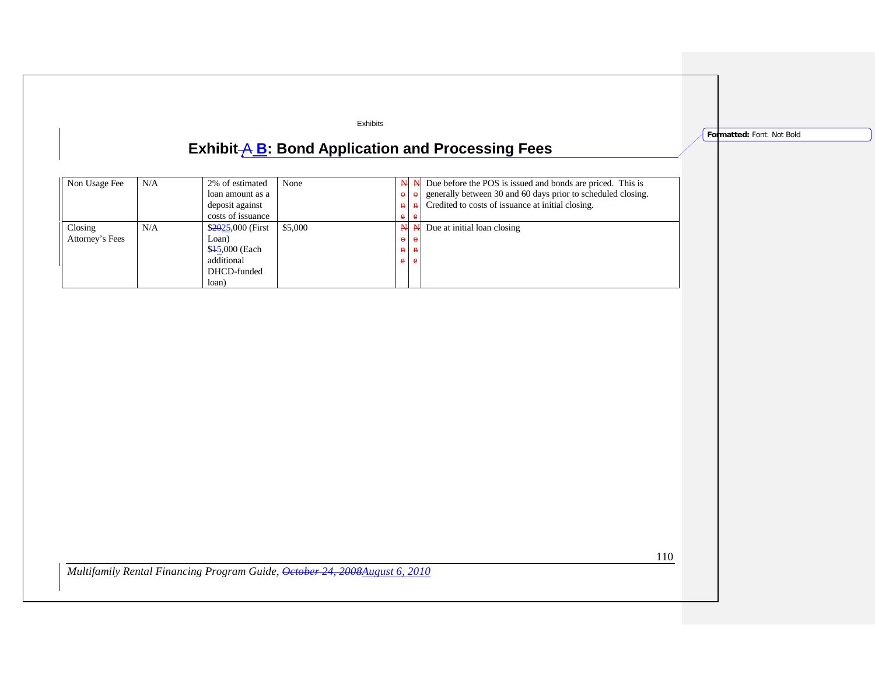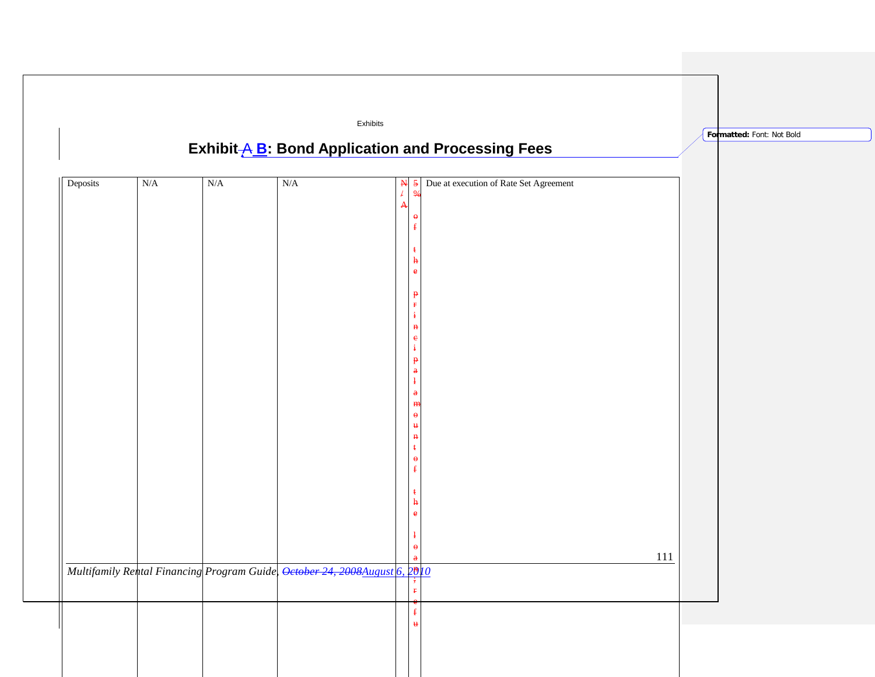|                 | Formatted: Font: Not Bold |     |                                                                                                                                        |     |  |
|-----------------|---------------------------|-----|----------------------------------------------------------------------------------------------------------------------------------------|-----|--|
| N/A<br>Deposits | N/A                       | N/A | Due at execution of Rate Set Agreement<br>N <sub>5</sub><br>Multifamily Rental Financing Program Guide October 24, 2008 August 6, 2010 | 111 |  |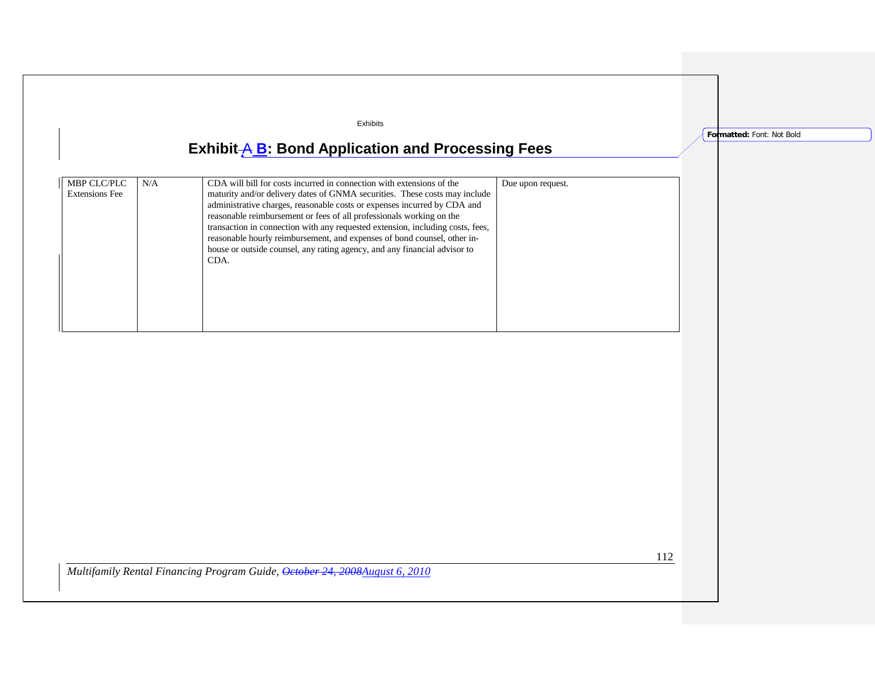|                                             |     | Formatted: Font: Not Bold                                                                                                                                                                                                                                                                                                                                                                                                                                                                                                                                  |                   |     |  |
|---------------------------------------------|-----|------------------------------------------------------------------------------------------------------------------------------------------------------------------------------------------------------------------------------------------------------------------------------------------------------------------------------------------------------------------------------------------------------------------------------------------------------------------------------------------------------------------------------------------------------------|-------------------|-----|--|
| <b>MBP CLC/PLC</b><br><b>Extensions Fee</b> | N/A | CDA will bill for costs incurred in connection with extensions of the<br>maturity and/or delivery dates of GNMA securities. These costs may include<br>administrative charges, reasonable costs or expenses incurred by CDA and<br>reasonable reimbursement or fees of all professionals working on the<br>transaction in connection with any requested extension, including costs, fees,<br>reasonable hourly reimbursement, and expenses of bond counsel, other in-<br>house or outside counsel, any rating agency, and any financial advisor to<br>CDA. | Due upon request. |     |  |
|                                             |     | Multifamily Rental Financing Program Guide, October 24, 2008August 6, 2010                                                                                                                                                                                                                                                                                                                                                                                                                                                                                 |                   | 112 |  |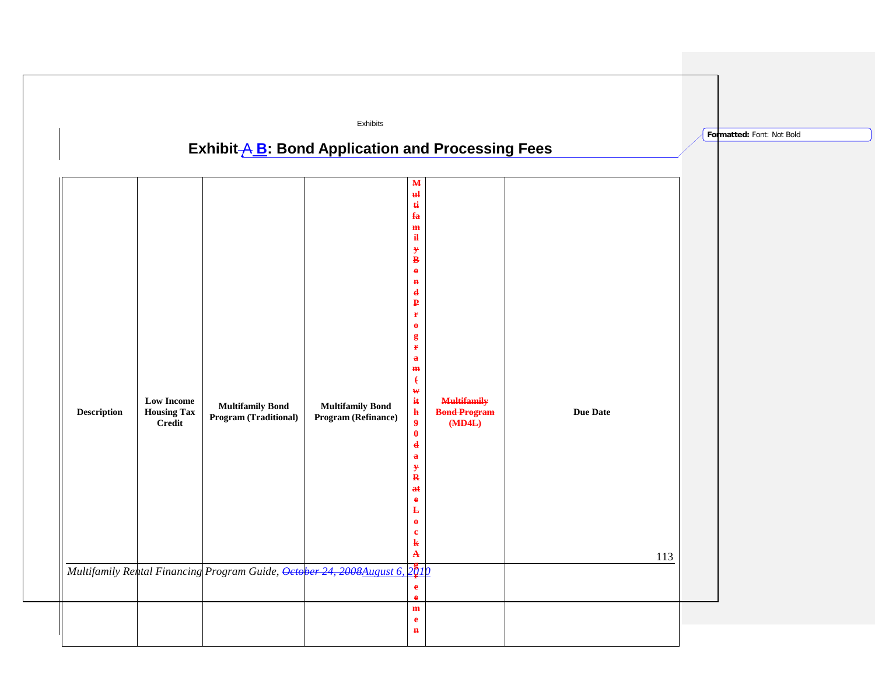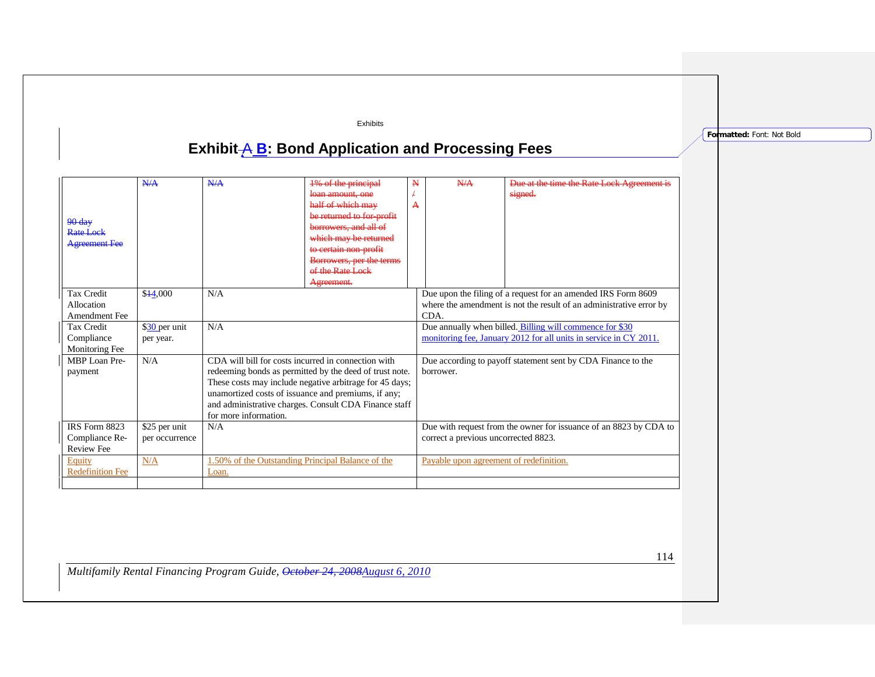## Exhibits

## **Exhibit A B: Bond Application and Processing Fees**

|                         | N/A            | N/A                                                 | 1% of the principal                                     | N | N/A                                     | Due at the time the Rate Lock Agreement is                          |
|-------------------------|----------------|-----------------------------------------------------|---------------------------------------------------------|---|-----------------------------------------|---------------------------------------------------------------------|
|                         |                |                                                     | loan amount, one                                        |   |                                         | signed.                                                             |
|                         |                |                                                     | half of which may                                       | A |                                         |                                                                     |
| 90 day                  |                |                                                     | be returned to for profit                               |   |                                         |                                                                     |
| <b>Rate Lock</b>        |                |                                                     | borrowers, and all of                                   |   |                                         |                                                                     |
| <b>Agreement Fee</b>    |                |                                                     | which may be returned                                   |   |                                         |                                                                     |
|                         |                |                                                     | to certain non-profit                                   |   |                                         |                                                                     |
|                         |                |                                                     | Borrowers, per the terms                                |   |                                         |                                                                     |
|                         |                |                                                     | of the Rate Lock                                        |   |                                         |                                                                     |
|                         |                |                                                     | Agreement.                                              |   |                                         |                                                                     |
| <b>Tax Credit</b>       | \$44,000       | N/A                                                 |                                                         |   |                                         | Due upon the filing of a request for an amended IRS Form 8609       |
| Allocation              |                |                                                     |                                                         |   |                                         | where the amendment is not the result of an administrative error by |
| Amendment Fee           |                |                                                     |                                                         |   | CDA.                                    |                                                                     |
| Tax Credit              | $$30$ per unit | N/A                                                 |                                                         |   |                                         | Due annually when billed. Billing will commence for \$30            |
| Compliance              | per year.      |                                                     |                                                         |   |                                         | monitoring fee, January 2012 for all units in service in CY 2011.   |
| Monitoring Fee          |                |                                                     |                                                         |   |                                         |                                                                     |
| MBP Loan Pre-           | N/A            | CDA will bill for costs incurred in connection with |                                                         |   |                                         | Due according to payoff statement sent by CDA Finance to the        |
| payment                 |                |                                                     | redeeming bonds as permitted by the deed of trust note. |   | borrower.                               |                                                                     |
|                         |                |                                                     | These costs may include negative arbitrage for 45 days; |   |                                         |                                                                     |
|                         |                |                                                     | unamortized costs of issuance and premiums, if any;     |   |                                         |                                                                     |
|                         |                |                                                     | and administrative charges. Consult CDA Finance staff   |   |                                         |                                                                     |
|                         |                | for more information.                               |                                                         |   |                                         |                                                                     |
| IRS Form 8823           | \$25 per unit  | N/A                                                 |                                                         |   |                                         | Due with request from the owner for issuance of an 8823 by CDA to   |
| Compliance Re-          | per occurrence |                                                     |                                                         |   | correct a previous uncorrected 8823.    |                                                                     |
| <b>Review Fee</b>       |                |                                                     |                                                         |   |                                         |                                                                     |
| <b>Equity</b>           | N/A            | 1.50% of the Outstanding Principal Balance of the   |                                                         |   | Payable upon agreement of redefinition. |                                                                     |
| <b>Redefinition Fee</b> |                | Loan.                                               |                                                         |   |                                         |                                                                     |
|                         |                |                                                     |                                                         |   |                                         |                                                                     |

**Formatted:** Font: Not Bold

*Multifamily Rental Financing Program Guide, October 24, 2008August 6, 2010*

114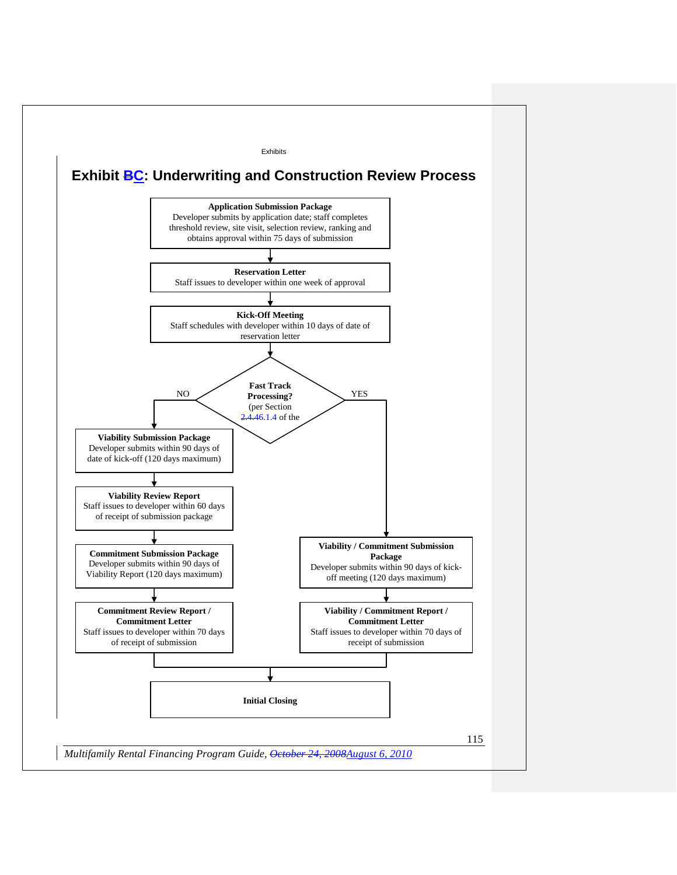